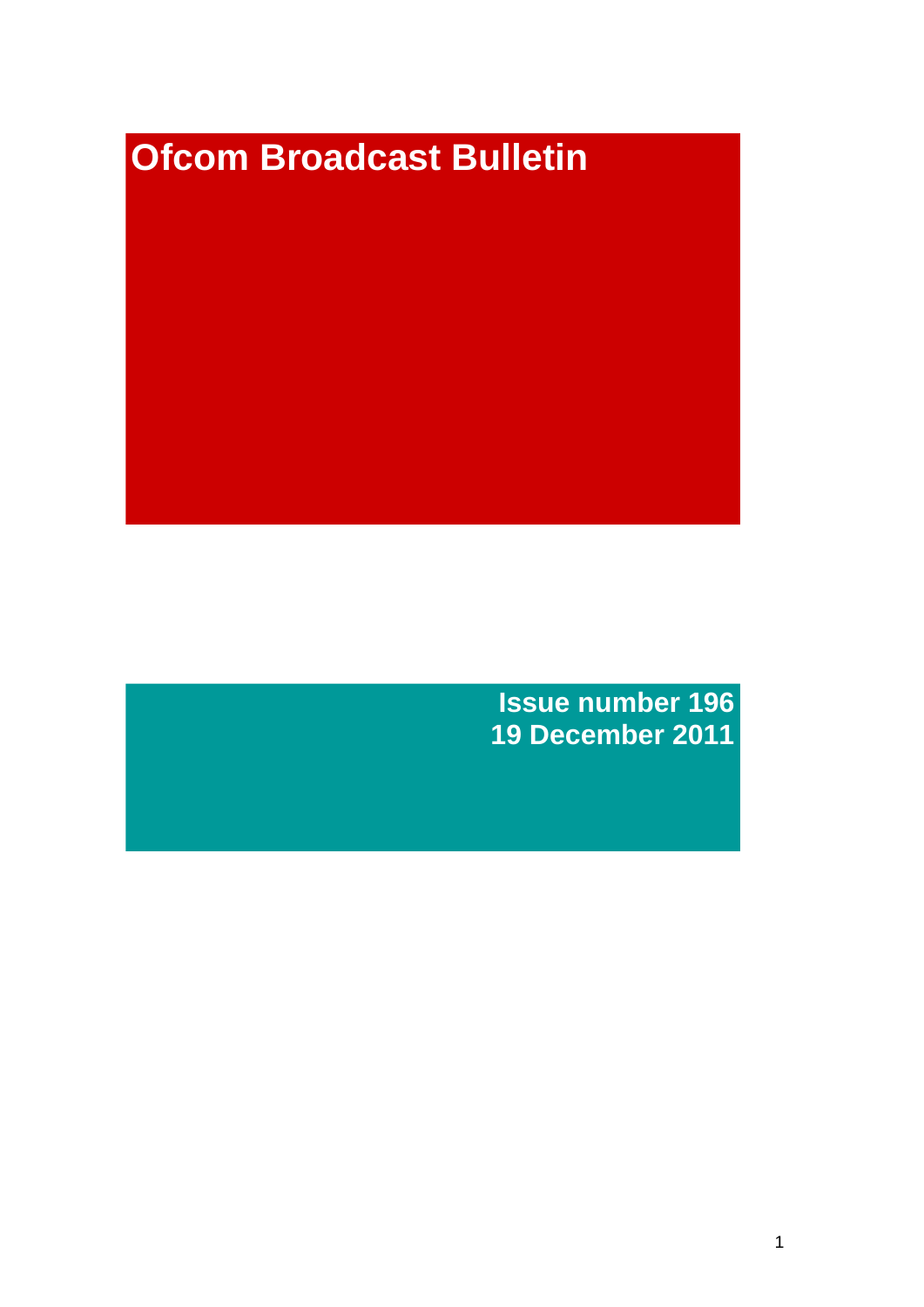# **Ofcom Broadcast Bulletin**

**Issue number 196 19 December 2011**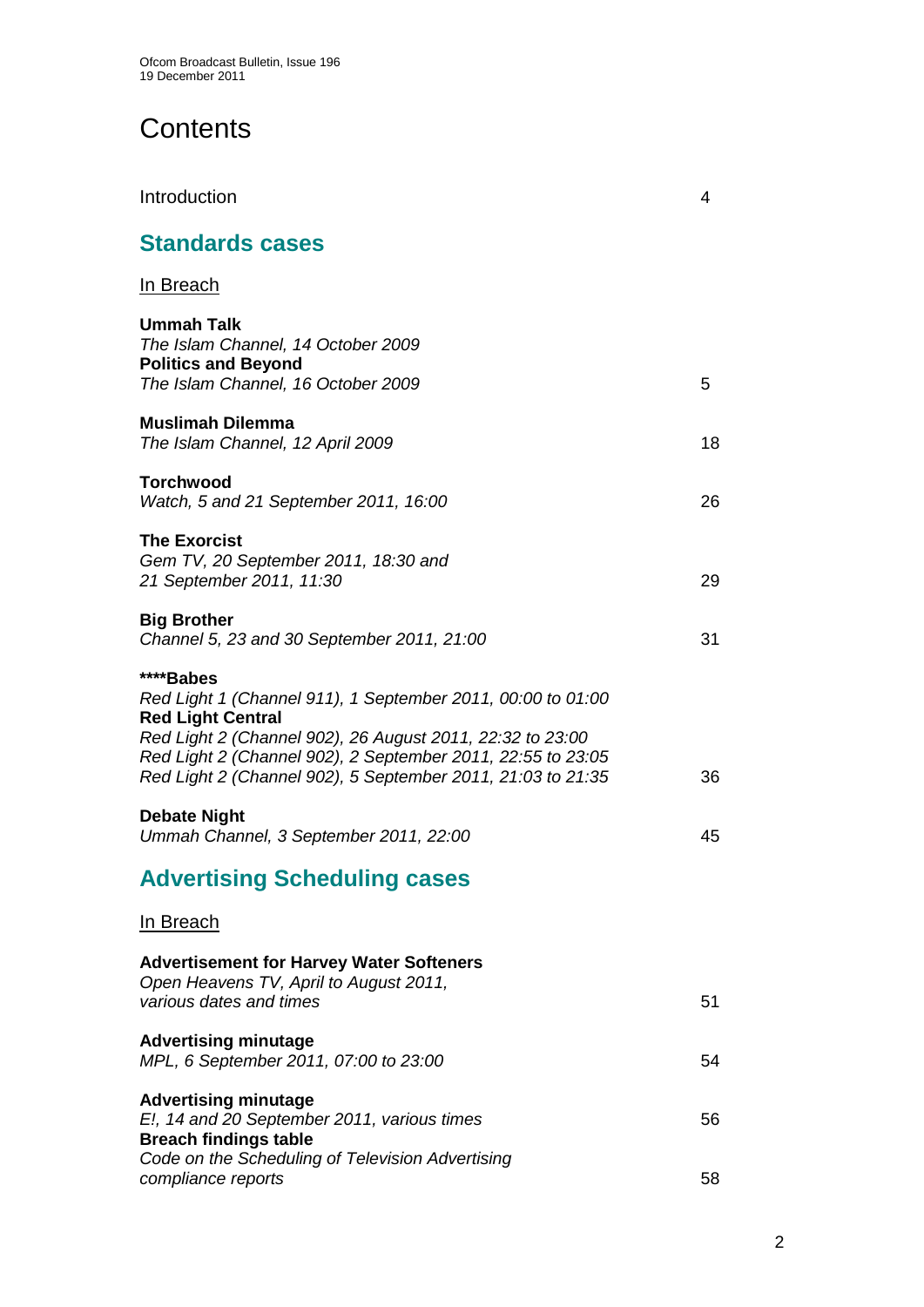# **Contents**

| Introduction                                                                                                                                                                                                                                                                                    | 4  |
|-------------------------------------------------------------------------------------------------------------------------------------------------------------------------------------------------------------------------------------------------------------------------------------------------|----|
| <b>Standards cases</b>                                                                                                                                                                                                                                                                          |    |
| <u>In Breach</u>                                                                                                                                                                                                                                                                                |    |
| Ummah Talk<br>The Islam Channel, 14 October 2009<br><b>Politics and Beyond</b><br>The Islam Channel, 16 October 2009                                                                                                                                                                            | 5  |
| <b>Muslimah Dilemma</b><br>The Islam Channel, 12 April 2009                                                                                                                                                                                                                                     | 18 |
| Torchwood<br>Watch, 5 and 21 September 2011, 16:00                                                                                                                                                                                                                                              | 26 |
| <b>The Exorcist</b><br>Gem TV, 20 September 2011, 18:30 and<br>21 September 2011, 11:30                                                                                                                                                                                                         | 29 |
| <b>Big Brother</b><br>Channel 5, 23 and 30 September 2011, 21:00                                                                                                                                                                                                                                | 31 |
| ****Babes<br>Red Light 1 (Channel 911), 1 September 2011, 00:00 to 01:00<br><b>Red Light Central</b><br>Red Light 2 (Channel 902), 26 August 2011, 22:32 to 23:00<br>Red Light 2 (Channel 902), 2 September 2011, 22:55 to 23:05<br>Red Light 2 (Channel 902), 5 September 2011, 21:03 to 21:35 | 36 |
| <b>Debate Night</b><br>Ummah Channel, 3 September 2011, 22:00                                                                                                                                                                                                                                   | 45 |
| <b>Advertising Scheduling cases</b>                                                                                                                                                                                                                                                             |    |
| <u>In Breach</u>                                                                                                                                                                                                                                                                                |    |
| <b>Advertisement for Harvey Water Softeners</b><br>Open Heavens TV, April to August 2011,<br>various dates and times                                                                                                                                                                            | 51 |
| <b>Advertising minutage</b><br>MPL, 6 September 2011, 07:00 to 23:00                                                                                                                                                                                                                            | 54 |
| <b>Advertising minutage</b><br>E!, 14 and 20 September 2011, various times<br><b>Breach findings table</b><br>Code on the Scheduling of Television Advertising                                                                                                                                  | 56 |
| compliance reports                                                                                                                                                                                                                                                                              | 58 |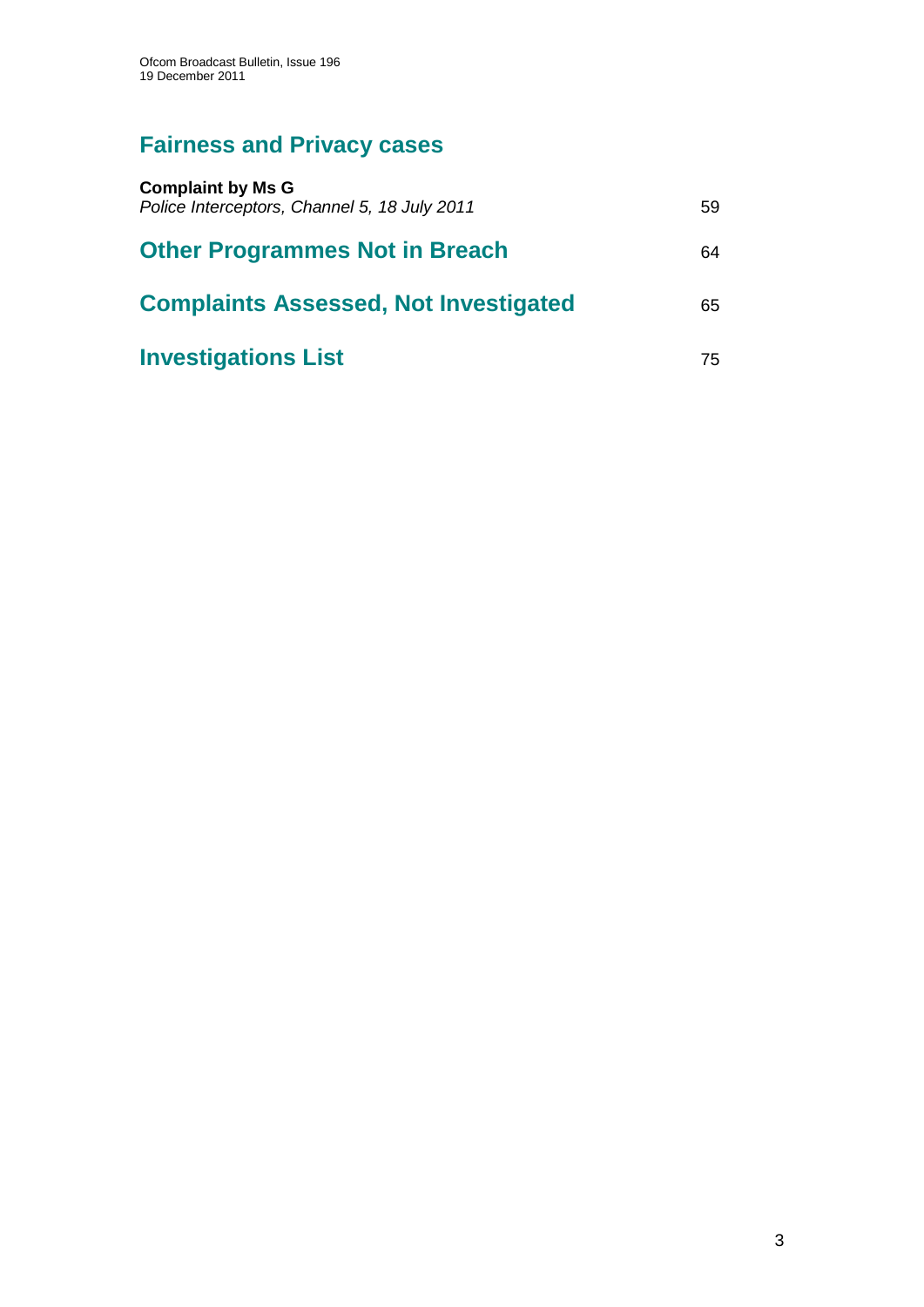# **Fairness and Privacy cases**

| <b>Complaint by Ms G</b><br>Police Interceptors, Channel 5, 18 July 2011 | 59 |
|--------------------------------------------------------------------------|----|
| <b>Other Programmes Not in Breach</b>                                    | 64 |
| <b>Complaints Assessed, Not Investigated</b>                             | 65 |
| <b>Investigations List</b>                                               | 75 |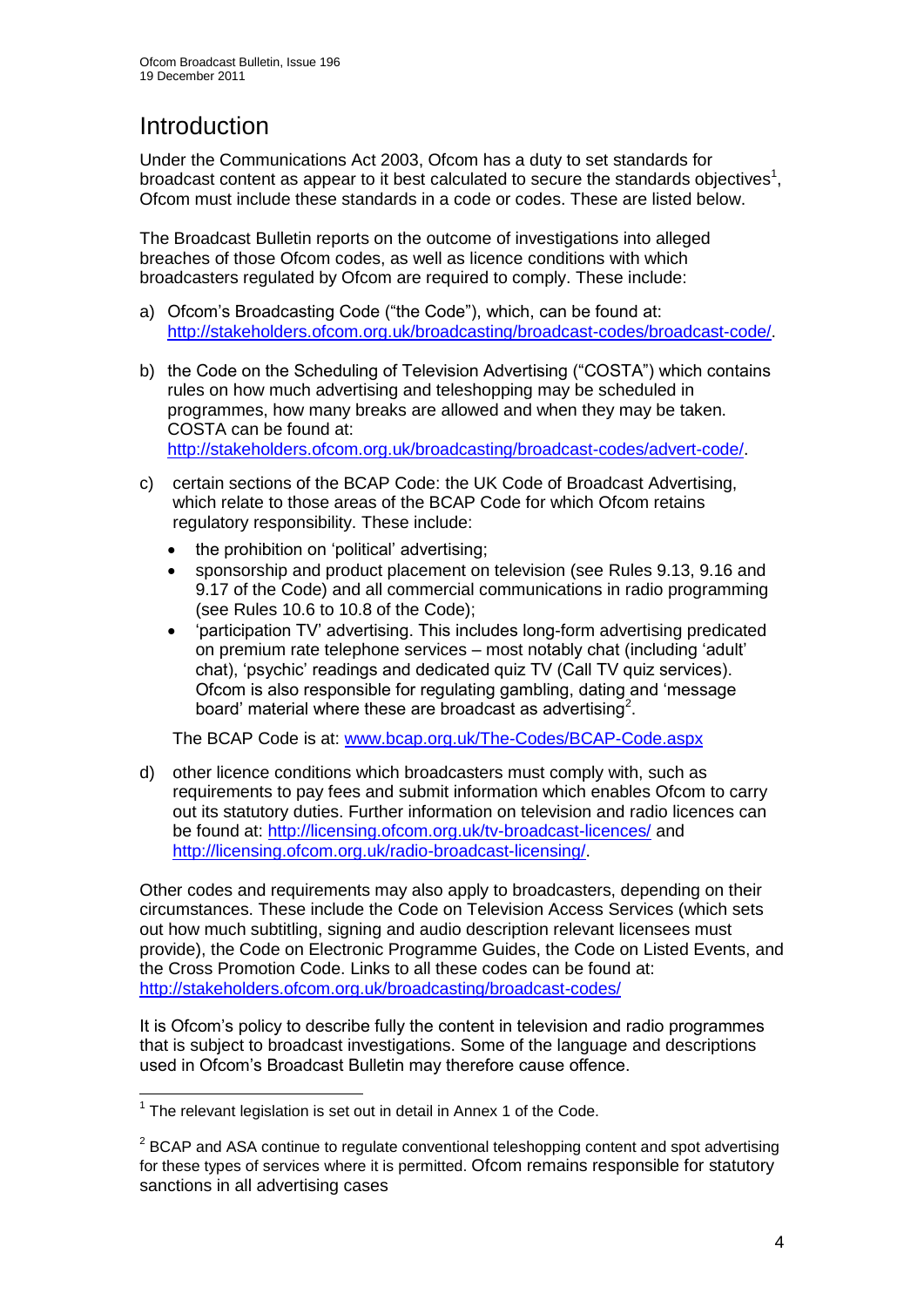# **Introduction**

Under the Communications Act 2003, Ofcom has a duty to set standards for broadcast content as appear to it best calculated to secure the standards objectives<sup>1</sup>, Ofcom must include these standards in a code or codes. These are listed below.

The Broadcast Bulletin reports on the outcome of investigations into alleged breaches of those Ofcom codes, as well as licence conditions with which broadcasters regulated by Ofcom are required to comply. These include:

- a) Ofcom"s Broadcasting Code ("the Code"), which, can be found at: [http://stakeholders.ofcom.org.uk/broadcasting/broadcast-codes/broadcast-code/.](http://stakeholders.ofcom.org.uk/broadcasting/broadcast-codes/broadcast-code/)
- b) the Code on the Scheduling of Television Advertising ("COSTA") which contains rules on how much advertising and teleshopping may be scheduled in programmes, how many breaks are allowed and when they may be taken. COSTA can be found at: [http://stakeholders.ofcom.org.uk/broadcasting/broadcast-codes/advert-code/.](http://stakeholders.ofcom.org.uk/broadcasting/broadcast-codes/advert-code/)

c) certain sections of the BCAP Code: the UK Code of Broadcast Advertising, which relate to those areas of the BCAP Code for which Ofcom retains regulatory responsibility. These include:

- the prohibition on "political" advertising;
- sponsorship and product placement on television (see Rules 9.13, 9.16 and 9.17 of the Code) and all commercial communications in radio programming (see Rules 10.6 to 10.8 of the Code);
- "participation TV" advertising. This includes long-form advertising predicated on premium rate telephone services – most notably chat (including "adult" chat), "psychic" readings and dedicated quiz TV (Call TV quiz services). Ofcom is also responsible for regulating gambling, dating and "message board' material where these are broadcast as advertising<sup>2</sup>.

The BCAP Code is at: [www.bcap.org.uk/The-Codes/BCAP-Code.aspx](http://www.bcap.org.uk/The-Codes/BCAP-Code.aspx)

d) other licence conditions which broadcasters must comply with, such as requirements to pay fees and submit information which enables Ofcom to carry out its statutory duties. Further information on television and radio licences can be found at:<http://licensing.ofcom.org.uk/tv-broadcast-licences/> and [http://licensing.ofcom.org.uk/radio-broadcast-licensing/.](http://licensing.ofcom.org.uk/radio-broadcast-licensing/)

Other codes and requirements may also apply to broadcasters, depending on their circumstances. These include the Code on Television Access Services (which sets out how much subtitling, signing and audio description relevant licensees must provide), the Code on Electronic Programme Guides, the Code on Listed Events, and the Cross Promotion Code. Links to all these codes can be found at: <http://stakeholders.ofcom.org.uk/broadcasting/broadcast-codes/>

It is Ofcom"s policy to describe fully the content in television and radio programmes that is subject to broadcast investigations. Some of the language and descriptions used in Ofcom"s Broadcast Bulletin may therefore cause offence.

1

 $1$  The relevant legislation is set out in detail in Annex 1 of the Code.

 $2$  BCAP and ASA continue to regulate conventional teleshopping content and spot advertising for these types of services where it is permitted. Ofcom remains responsible for statutory sanctions in all advertising cases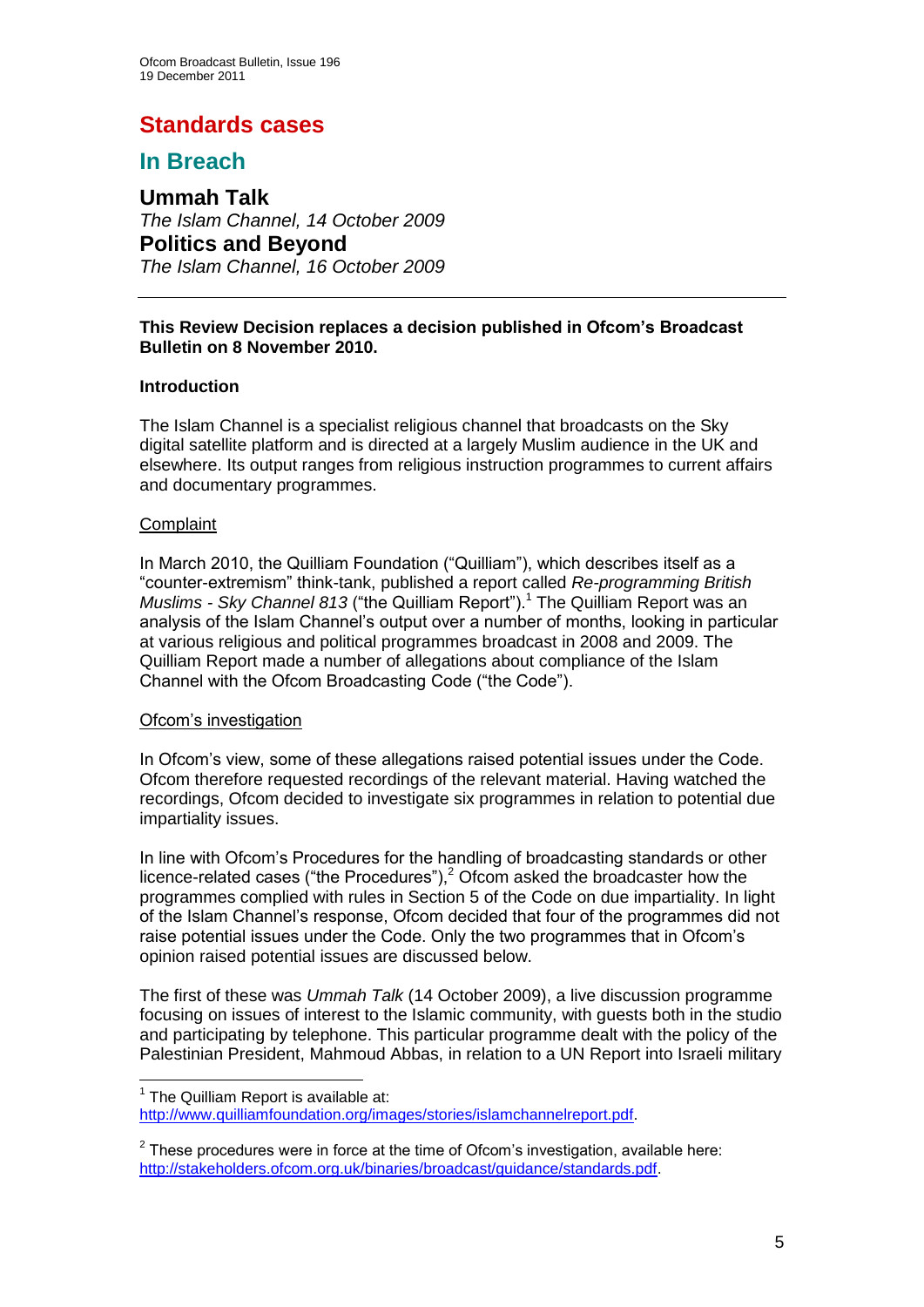# **Standards cases**

# **In Breach**

**Ummah Talk** *The Islam Channel, 14 October 2009* **Politics and Beyond** *The Islam Channel, 16 October 2009*

#### **This Review Decision replaces a decision published in Ofcom's Broadcast Bulletin on 8 November 2010.**

## **Introduction**

The Islam Channel is a specialist religious channel that broadcasts on the Sky digital satellite platform and is directed at a largely Muslim audience in the UK and elsewhere. Its output ranges from religious instruction programmes to current affairs and documentary programmes.

#### **Complaint**

1

In March 2010, the Quilliam Foundation ("Quilliam"), which describes itself as a "counter-extremism" think-tank, published a report called *Re-programming British Muslims - Sky Channel 813* ("the Quilliam Report").<sup>1</sup> The Quilliam Report was an analysis of the Islam Channel"s output over a number of months, looking in particular at various religious and political programmes broadcast in 2008 and 2009. The Quilliam Report made a number of allegations about compliance of the Islam Channel with the Ofcom Broadcasting Code ("the Code").

#### Ofcom"s investigation

In Ofcom"s view, some of these allegations raised potential issues under the Code. Ofcom therefore requested recordings of the relevant material. Having watched the recordings, Ofcom decided to investigate six programmes in relation to potential due impartiality issues.

In line with Ofcom"s Procedures for the handling of broadcasting standards or other licence-related cases ("the Procedures"), $2$  Ofcom asked the broadcaster how the programmes complied with rules in Section 5 of the Code on due impartiality. In light of the Islam Channel"s response, Ofcom decided that four of the programmes did not raise potential issues under the Code. Only the two programmes that in Ofcom"s opinion raised potential issues are discussed below.

The first of these was *Ummah Talk* (14 October 2009), a live discussion programme focusing on issues of interest to the Islamic community, with guests both in the studio and participating by telephone. This particular programme dealt with the policy of the Palestinian President, Mahmoud Abbas, in relation to a UN Report into Israeli military

 $1$  The Quilliam Report is available at:

[http://www.quilliamfoundation.org/images/stories/islamchannelreport.pdf.](http://www.quilliamfoundation.org/images/stories/islamchannelreport.pdf)

 $2$  These procedures were in force at the time of Ofcom's investigation, available here: [http://stakeholders.ofcom.org.uk/binaries/broadcast/guidance/standards.pdf.](http://stakeholders.ofcom.org.uk/binaries/broadcast/guidance/standards.pdf)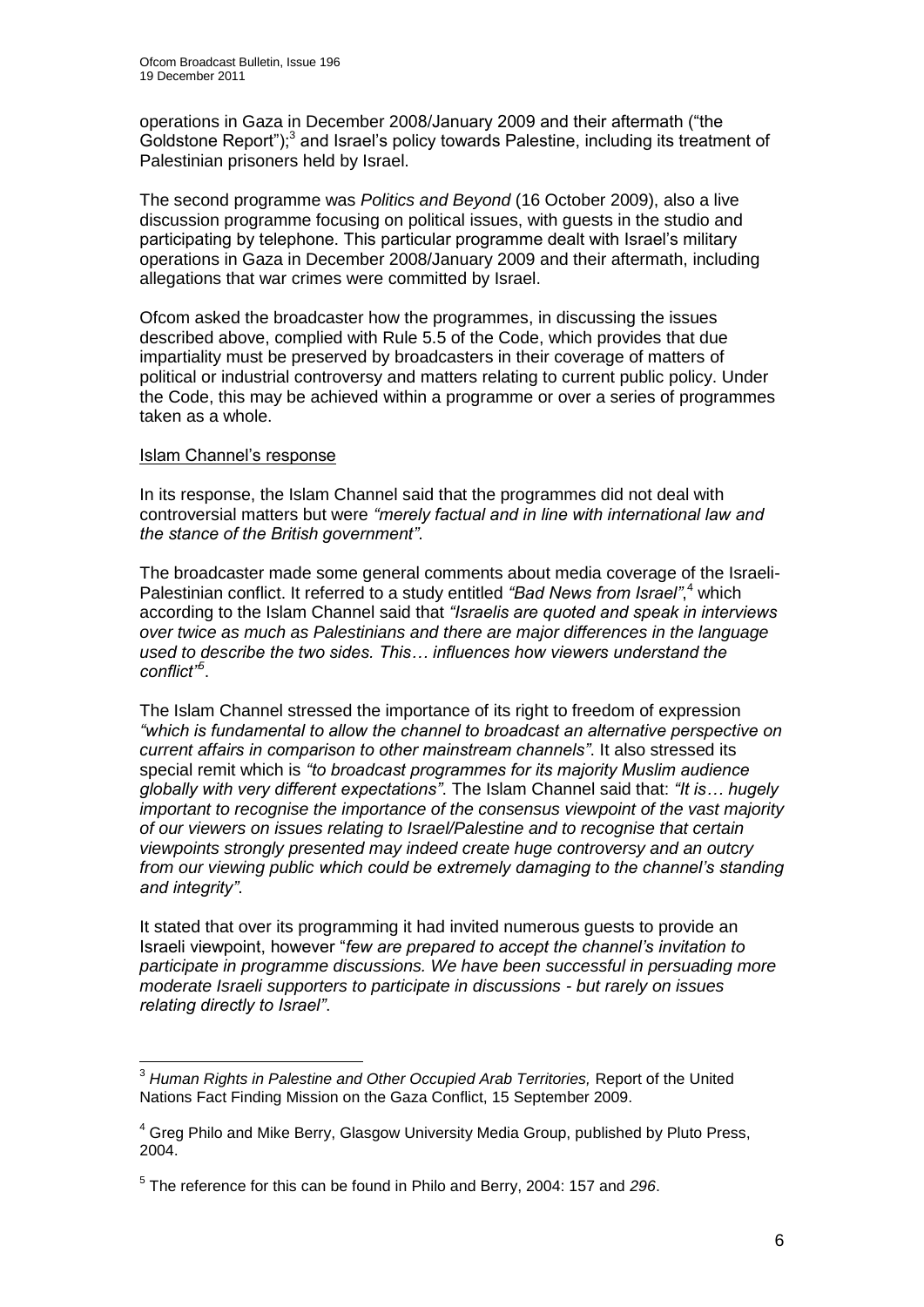operations in Gaza in December 2008/January 2009 and their aftermath ("the Goldstone Report");<sup>3</sup> and Israel's policy towards Palestine, including its treatment of Palestinian prisoners held by Israel.

The second programme was *Politics and Beyond* (16 October 2009), also a live discussion programme focusing on political issues, with guests in the studio and participating by telephone. This particular programme dealt with Israel"s military operations in Gaza in December 2008/January 2009 and their aftermath, including allegations that war crimes were committed by Israel.

Ofcom asked the broadcaster how the programmes, in discussing the issues described above, complied with Rule 5.5 of the Code, which provides that due impartiality must be preserved by broadcasters in their coverage of matters of political or industrial controversy and matters relating to current public policy. Under the Code, this may be achieved within a programme or over a series of programmes taken as a whole.

#### Islam Channel"s response

In its response, the Islam Channel said that the programmes did not deal with controversial matters but were *"merely factual and in line with international law and the stance of the British government"*.

The broadcaster made some general comments about media coverage of the Israeli-Palestinian conflict. It referred to a study entitled *"Bad News from Israel"*, <sup>4</sup> which according to the Islam Channel said that *"Israelis are quoted and speak in interviews over twice as much as Palestinians and there are major differences in the language used to describe the two sides. This… influences how viewers understand the conflict"<sup>5</sup>* .

The Islam Channel stressed the importance of its right to freedom of expression *"which is fundamental to allow the channel to broadcast an alternative perspective on current affairs in comparison to other mainstream channels"*. It also stressed its special remit which is *"to broadcast programmes for its majority Muslim audience globally with very different expectations"*. The Islam Channel said that: *"It is… hugely important to recognise the importance of the consensus viewpoint of the vast majority of our viewers on issues relating to Israel/Palestine and to recognise that certain viewpoints strongly presented may indeed create huge controversy and an outcry from our viewing public which could be extremely damaging to the channel"s standing and integrity"*.

It stated that over its programming it had invited numerous guests to provide an Israeli viewpoint, however "*few are prepared to accept the channel"s invitation to participate in programme discussions. We have been successful in persuading more moderate Israeli supporters to participate in discussions - but rarely on issues relating directly to Israel"*.

 $\overline{1}$ <sup>3</sup> Human Rights in Palestine and Other Occupied Arab Territories, Report of the United Nations Fact Finding Mission on the Gaza Conflict, 15 September 2009.

<sup>&</sup>lt;sup>4</sup> Greg Philo and Mike Berry, Glasgow University Media Group, published by Pluto Press, 2004.

<sup>5</sup> The reference for this can be found in Philo and Berry, 2004: 157 and *296*.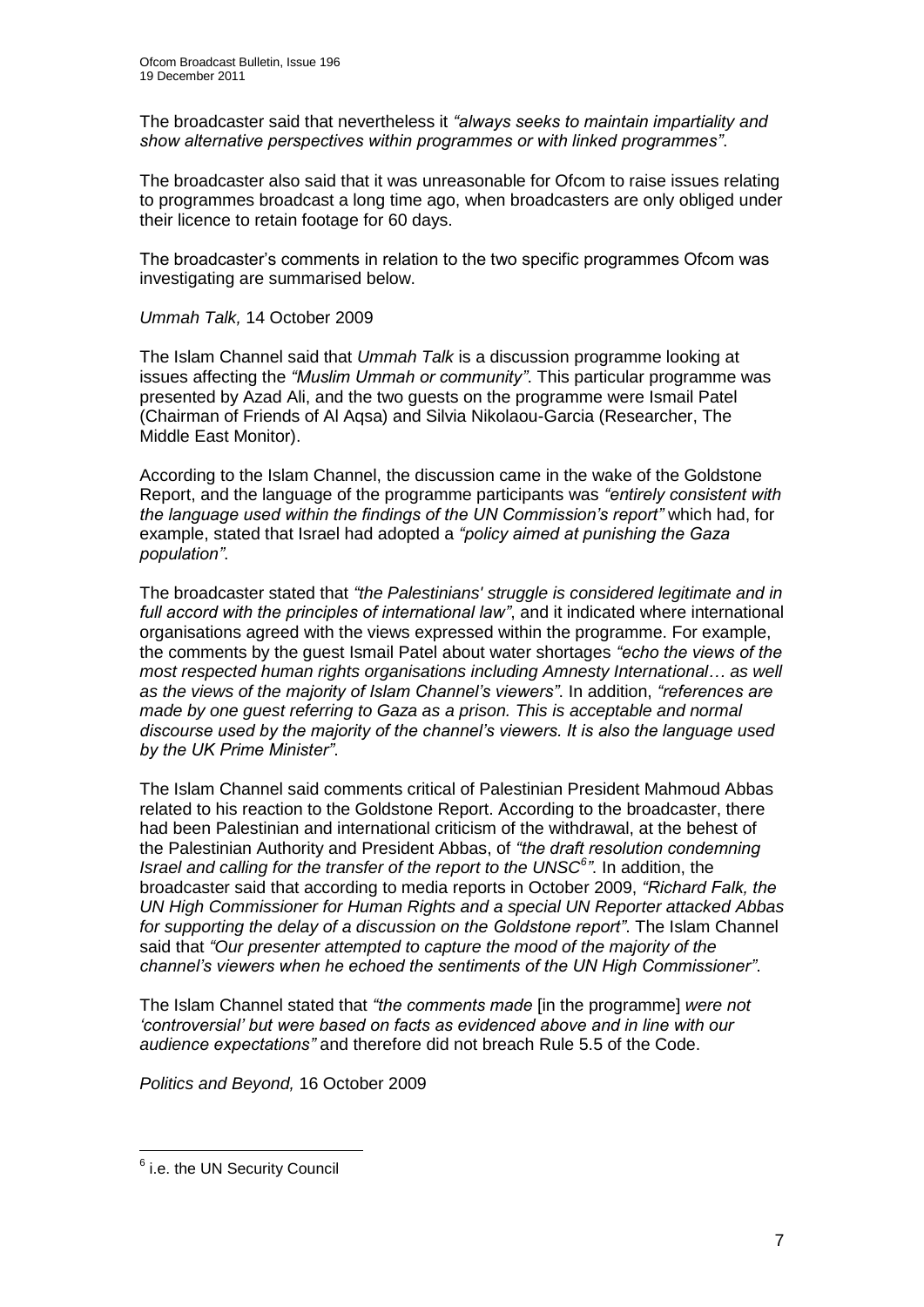The broadcaster said that nevertheless it *"always seeks to maintain impartiality and show alternative perspectives within programmes or with linked programmes"*.

The broadcaster also said that it was unreasonable for Ofcom to raise issues relating to programmes broadcast a long time ago, when broadcasters are only obliged under their licence to retain footage for 60 days.

The broadcaster"s comments in relation to the two specific programmes Ofcom was investigating are summarised below.

#### *Ummah Talk,* 14 October 2009

The Islam Channel said that *Ummah Talk* is a discussion programme looking at issues affecting the *"Muslim Ummah or community"*. This particular programme was presented by Azad Ali, and the two guests on the programme were Ismail Patel (Chairman of Friends of Al Aqsa) and Silvia Nikolaou-Garcia (Researcher, The Middle East Monitor).

According to the Islam Channel, the discussion came in the wake of the Goldstone Report, and the language of the programme participants was *"entirely consistent with the language used within the findings of the UN Commission"s report"* which had, for example, stated that Israel had adopted a *"policy aimed at punishing the Gaza population"*.

The broadcaster stated that *"the Palestinians' struggle is considered legitimate and in full accord with the principles of international law"*, and it indicated where international organisations agreed with the views expressed within the programme. For example, the comments by the guest Ismail Patel about water shortages *"echo the views of the most respected human rights organisations including Amnesty International… as well as the views of the majority of Islam Channel"s viewers"*. In addition, *"references are made by one guest referring to Gaza as a prison. This is acceptable and normal discourse used by the majority of the channel"s viewers. It is also the language used by the UK Prime Minister"*.

The Islam Channel said comments critical of Palestinian President Mahmoud Abbas related to his reaction to the Goldstone Report. According to the broadcaster, there had been Palestinian and international criticism of the withdrawal, at the behest of the Palestinian Authority and President Abbas, of *"the draft resolution condemning Israel and calling for the transfer of the report to the UNSC<sup>6</sup> "*. In addition, the broadcaster said that according to media reports in October 2009, *"Richard Falk, the UN High Commissioner for Human Rights and a special UN Reporter attacked Abbas for supporting the delay of a discussion on the Goldstone report"*. The Islam Channel said that *"Our presenter attempted to capture the mood of the majority of the channel"s viewers when he echoed the sentiments of the UN High Commissioner"*.

The Islam Channel stated that *"the comments made* [in the programme] *were not "controversial" but were based on facts as evidenced above and in line with our audience expectations"* and therefore did not breach Rule 5.5 of the Code.

*Politics and Beyond,* 16 October 2009

1

<sup>&</sup>lt;sup>6</sup> i.e. the UN Security Council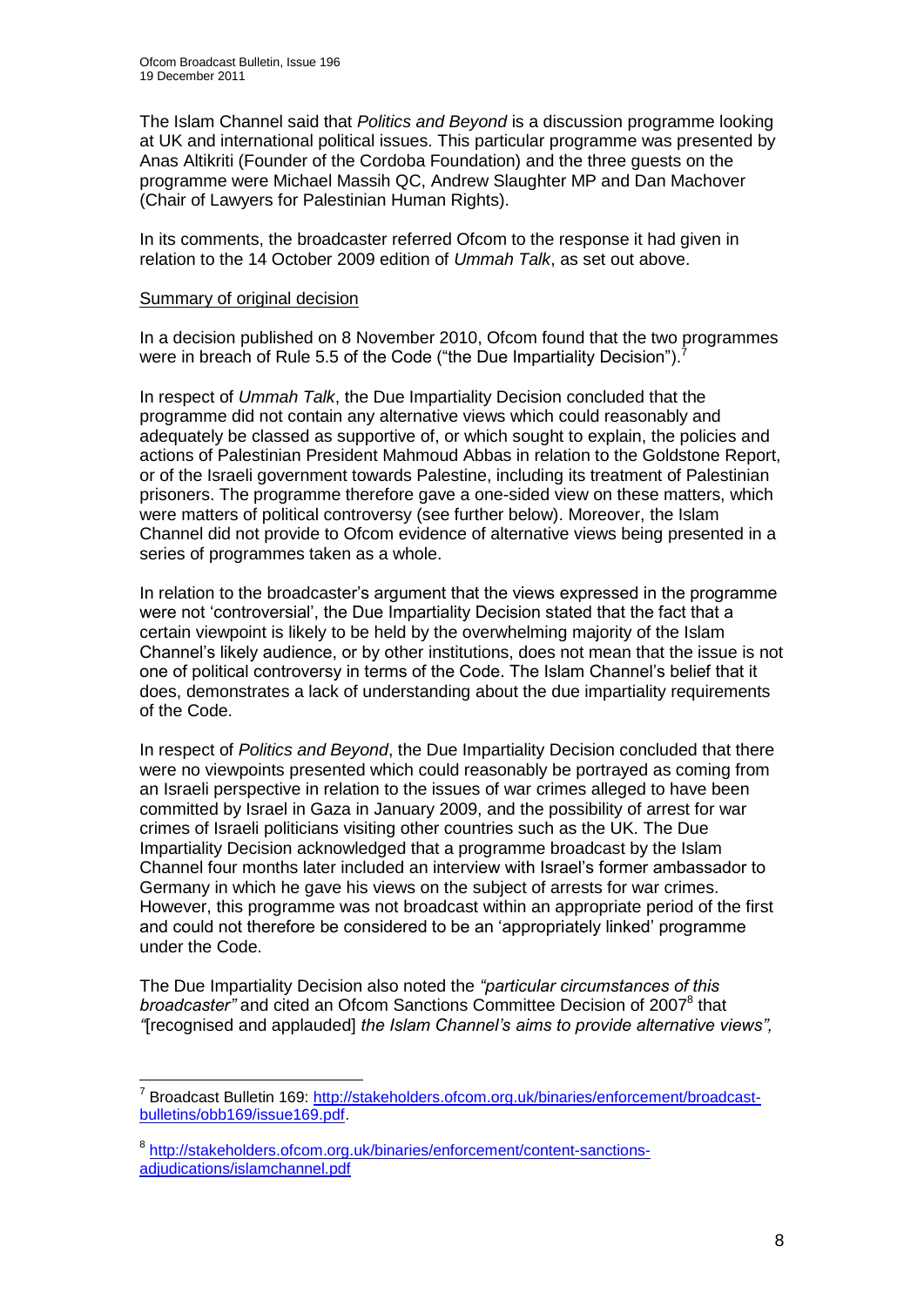The Islam Channel said that *Politics and Beyond* is a discussion programme looking at UK and international political issues. This particular programme was presented by Anas Altikriti (Founder of the Cordoba Foundation) and the three guests on the programme were Michael Massih QC, Andrew Slaughter MP and Dan Machover (Chair of Lawyers for Palestinian Human Rights).

In its comments, the broadcaster referred Ofcom to the response it had given in relation to the 14 October 2009 edition of *Ummah Talk*, as set out above.

#### Summary of original decision

In a decision published on 8 November 2010, Ofcom found that the two programmes were in breach of Rule 5.5 of the Code ("the Due Impartiality Decision").

In respect of *Ummah Talk*, the Due Impartiality Decision concluded that the programme did not contain any alternative views which could reasonably and adequately be classed as supportive of, or which sought to explain, the policies and actions of Palestinian President Mahmoud Abbas in relation to the Goldstone Report, or of the Israeli government towards Palestine, including its treatment of Palestinian prisoners. The programme therefore gave a one-sided view on these matters, which were matters of political controversy (see further below). Moreover, the Islam Channel did not provide to Ofcom evidence of alternative views being presented in a series of programmes taken as a whole.

In relation to the broadcaster"s argument that the views expressed in the programme were not "controversial", the Due Impartiality Decision stated that the fact that a certain viewpoint is likely to be held by the overwhelming majority of the Islam Channel"s likely audience, or by other institutions, does not mean that the issue is not one of political controversy in terms of the Code. The Islam Channel"s belief that it does, demonstrates a lack of understanding about the due impartiality requirements of the Code.

In respect of *Politics and Beyond*, the Due Impartiality Decision concluded that there were no viewpoints presented which could reasonably be portrayed as coming from an Israeli perspective in relation to the issues of war crimes alleged to have been committed by Israel in Gaza in January 2009, and the possibility of arrest for war crimes of Israeli politicians visiting other countries such as the UK. The Due Impartiality Decision acknowledged that a programme broadcast by the Islam Channel four months later included an interview with Israel"s former ambassador to Germany in which he gave his views on the subject of arrests for war crimes. However, this programme was not broadcast within an appropriate period of the first and could not therefore be considered to be an "appropriately linked" programme under the Code.

The Due Impartiality Decision also noted the *"particular circumstances of this*  broadcaster" and cited an Ofcom Sanctions Committee Decision of 2007<sup>8</sup> that *"*[recognised and applauded] *the Islam Channel"s aims to provide alternative views",*

<sup>1</sup> <sup>7</sup> Broadcast Bulletin 169: [http://stakeholders.ofcom.org.uk/binaries/enforcement/broadcast](http://stakeholders.ofcom.org.uk/binaries/enforcement/broadcast-bulletins/obb169/issue169.pdf)[bulletins/obb169/issue169.pdf.](http://stakeholders.ofcom.org.uk/binaries/enforcement/broadcast-bulletins/obb169/issue169.pdf)

<sup>&</sup>lt;sup>8</sup> [http://stakeholders.ofcom.org.uk/binaries/enforcement/content-sanctions](http://stakeholders.ofcom.org.uk/binaries/enforcement/content-sanctions-adjudications/islamchannel.pdf)[adjudications/islamchannel.pdf](http://stakeholders.ofcom.org.uk/binaries/enforcement/content-sanctions-adjudications/islamchannel.pdf)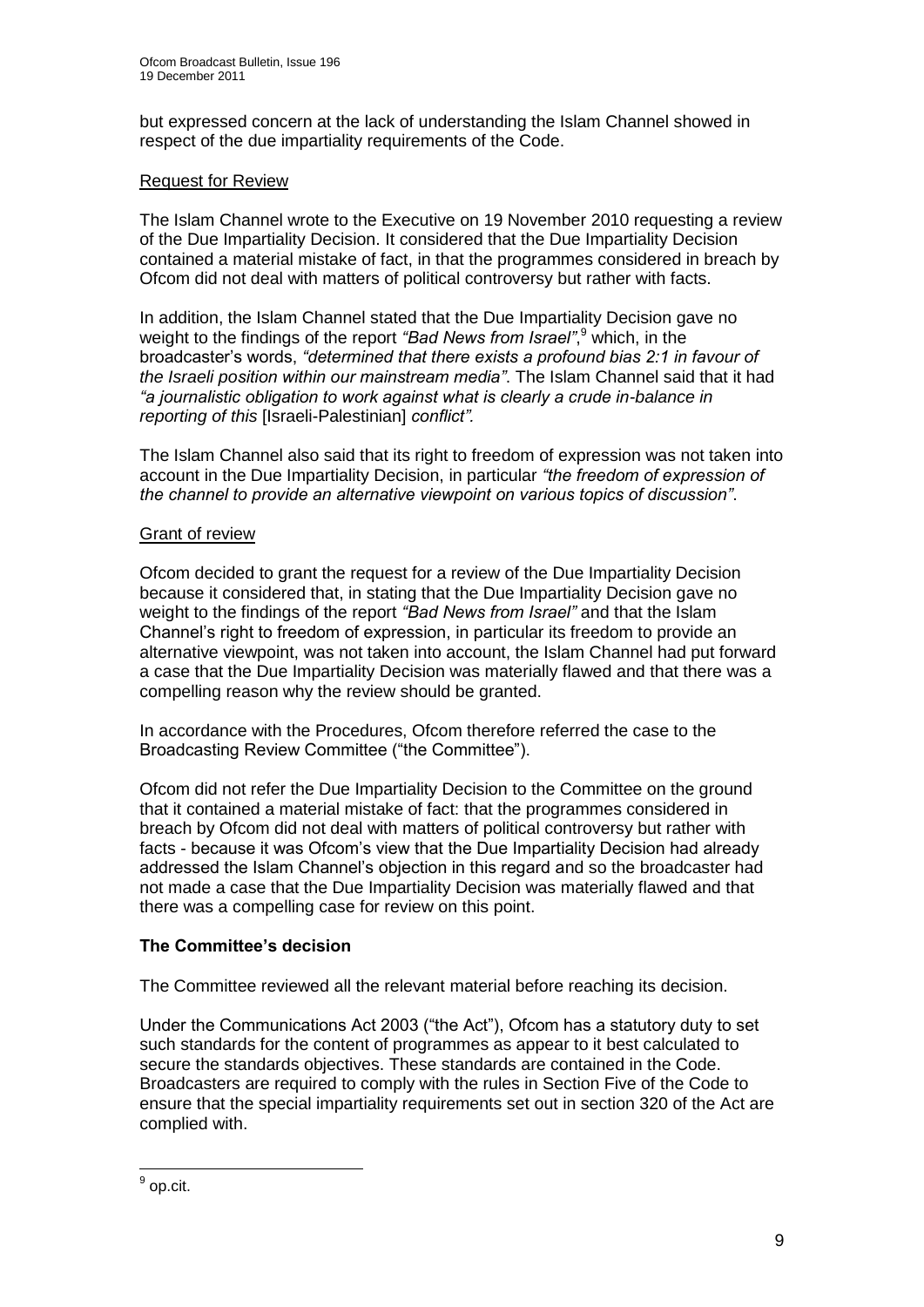but expressed concern at the lack of understanding the Islam Channel showed in respect of the due impartiality requirements of the Code.

#### Request for Review

The Islam Channel wrote to the Executive on 19 November 2010 requesting a review of the Due Impartiality Decision. It considered that the Due Impartiality Decision contained a material mistake of fact, in that the programmes considered in breach by Ofcom did not deal with matters of political controversy but rather with facts.

In addition, the Islam Channel stated that the Due Impartiality Decision gave no weight to the findings of the report *"Bad News from Israel"*, <sup>9</sup> which, in the broadcaster"s words, *"determined that there exists a profound bias 2:1 in favour of the Israeli position within our mainstream media"*. The Islam Channel said that it had *"a journalistic obligation to work against what is clearly a crude in-balance in reporting of this* [Israeli-Palestinian] *conflict".* 

The Islam Channel also said that its right to freedom of expression was not taken into account in the Due Impartiality Decision, in particular *"the freedom of expression of the channel to provide an alternative viewpoint on various topics of discussion"*.

## Grant of review

Ofcom decided to grant the request for a review of the Due Impartiality Decision because it considered that, in stating that the Due Impartiality Decision gave no weight to the findings of the report *"Bad News from Israel"* and that the Islam Channel"s right to freedom of expression, in particular its freedom to provide an alternative viewpoint, was not taken into account, the Islam Channel had put forward a case that the Due Impartiality Decision was materially flawed and that there was a compelling reason why the review should be granted.

In accordance with the Procedures, Ofcom therefore referred the case to the Broadcasting Review Committee ("the Committee").

Ofcom did not refer the Due Impartiality Decision to the Committee on the ground that it contained a material mistake of fact: that the programmes considered in breach by Ofcom did not deal with matters of political controversy but rather with facts - because it was Ofcom"s view that the Due Impartiality Decision had already addressed the Islam Channel"s objection in this regard and so the broadcaster had not made a case that the Due Impartiality Decision was materially flawed and that there was a compelling case for review on this point.

## **The Committee's decision**

The Committee reviewed all the relevant material before reaching its decision.

Under the Communications Act 2003 ("the Act"), Ofcom has a statutory duty to set such standards for the content of programmes as appear to it best calculated to secure the standards objectives. These standards are contained in the Code. Broadcasters are required to comply with the rules in Section Five of the Code to ensure that the special impartiality requirements set out in section 320 of the Act are complied with.

<sup>&</sup>lt;sup>9</sup> op.cit.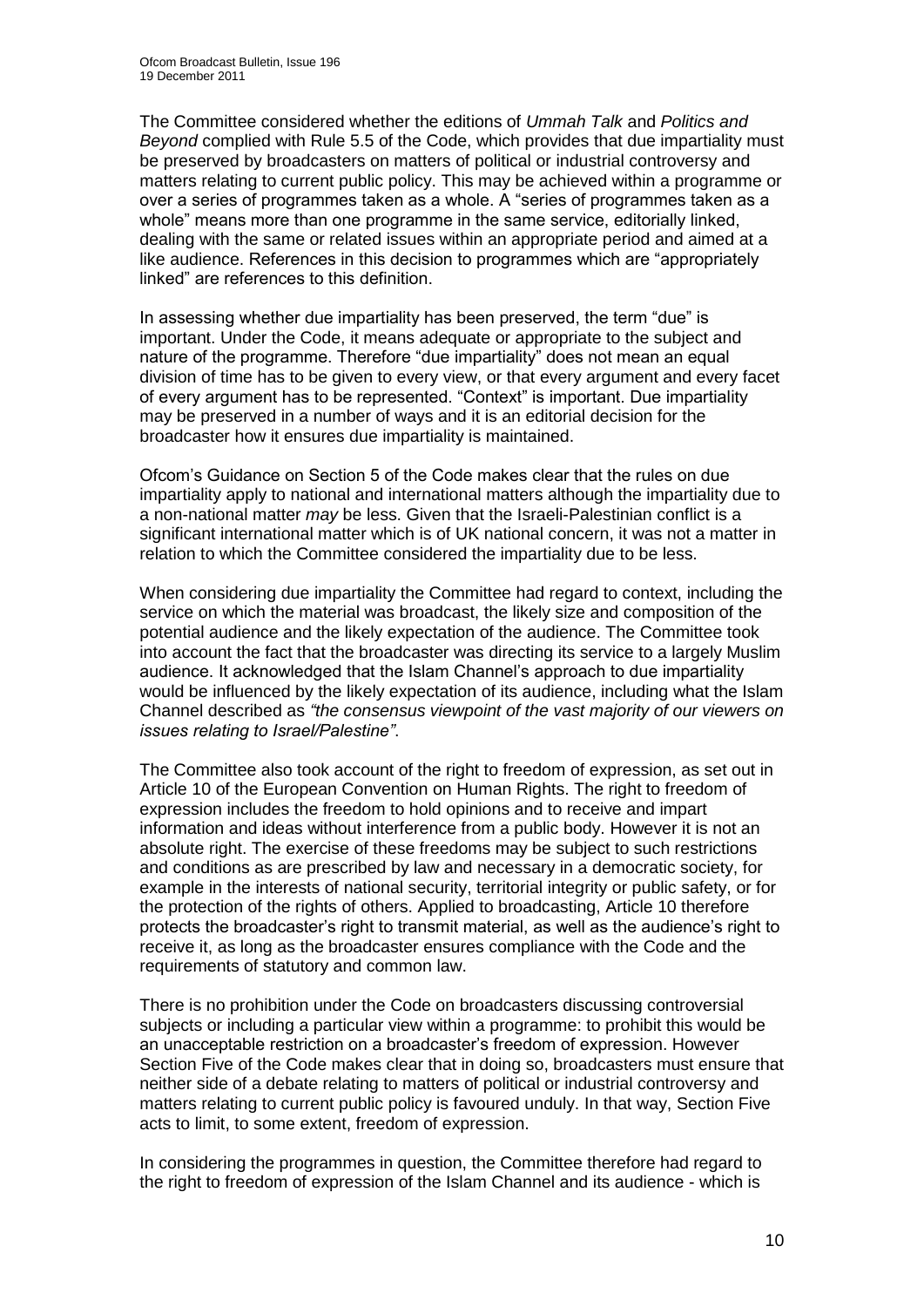The Committee considered whether the editions of *Ummah Talk* and *Politics and Beyond* complied with Rule 5.5 of the Code, which provides that due impartiality must be preserved by broadcasters on matters of political or industrial controversy and matters relating to current public policy. This may be achieved within a programme or over a series of programmes taken as a whole. A "series of programmes taken as a whole" means more than one programme in the same service, editorially linked, dealing with the same or related issues within an appropriate period and aimed at a like audience. References in this decision to programmes which are "appropriately linked" are references to this definition.

In assessing whether due impartiality has been preserved, the term "due" is important. Under the Code, it means adequate or appropriate to the subject and nature of the programme. Therefore "due impartiality" does not mean an equal division of time has to be given to every view, or that every argument and every facet of every argument has to be represented. "Context" is important. Due impartiality may be preserved in a number of ways and it is an editorial decision for the broadcaster how it ensures due impartiality is maintained.

Ofcom"s Guidance on Section 5 of the Code makes clear that the rules on due impartiality apply to national and international matters although the impartiality due to a non-national matter *may* be less. Given that the Israeli-Palestinian conflict is a significant international matter which is of UK national concern, it was not a matter in relation to which the Committee considered the impartiality due to be less.

When considering due impartiality the Committee had regard to context, including the service on which the material was broadcast, the likely size and composition of the potential audience and the likely expectation of the audience. The Committee took into account the fact that the broadcaster was directing its service to a largely Muslim audience. It acknowledged that the Islam Channel"s approach to due impartiality would be influenced by the likely expectation of its audience, including what the Islam Channel described as *"the consensus viewpoint of the vast majority of our viewers on issues relating to Israel/Palestine"*.

The Committee also took account of the right to freedom of expression, as set out in Article 10 of the European Convention on Human Rights. The right to freedom of expression includes the freedom to hold opinions and to receive and impart information and ideas without interference from a public body. However it is not an absolute right. The exercise of these freedoms may be subject to such restrictions and conditions as are prescribed by law and necessary in a democratic society, for example in the interests of national security, territorial integrity or public safety, or for the protection of the rights of others. Applied to broadcasting, Article 10 therefore protects the broadcaster"s right to transmit material, as well as the audience"s right to receive it, as long as the broadcaster ensures compliance with the Code and the requirements of statutory and common law.

There is no prohibition under the Code on broadcasters discussing controversial subjects or including a particular view within a programme: to prohibit this would be an unacceptable restriction on a broadcaster"s freedom of expression. However Section Five of the Code makes clear that in doing so, broadcasters must ensure that neither side of a debate relating to matters of political or industrial controversy and matters relating to current public policy is favoured unduly. In that way, Section Five acts to limit, to some extent, freedom of expression.

In considering the programmes in question, the Committee therefore had regard to the right to freedom of expression of the Islam Channel and its audience - which is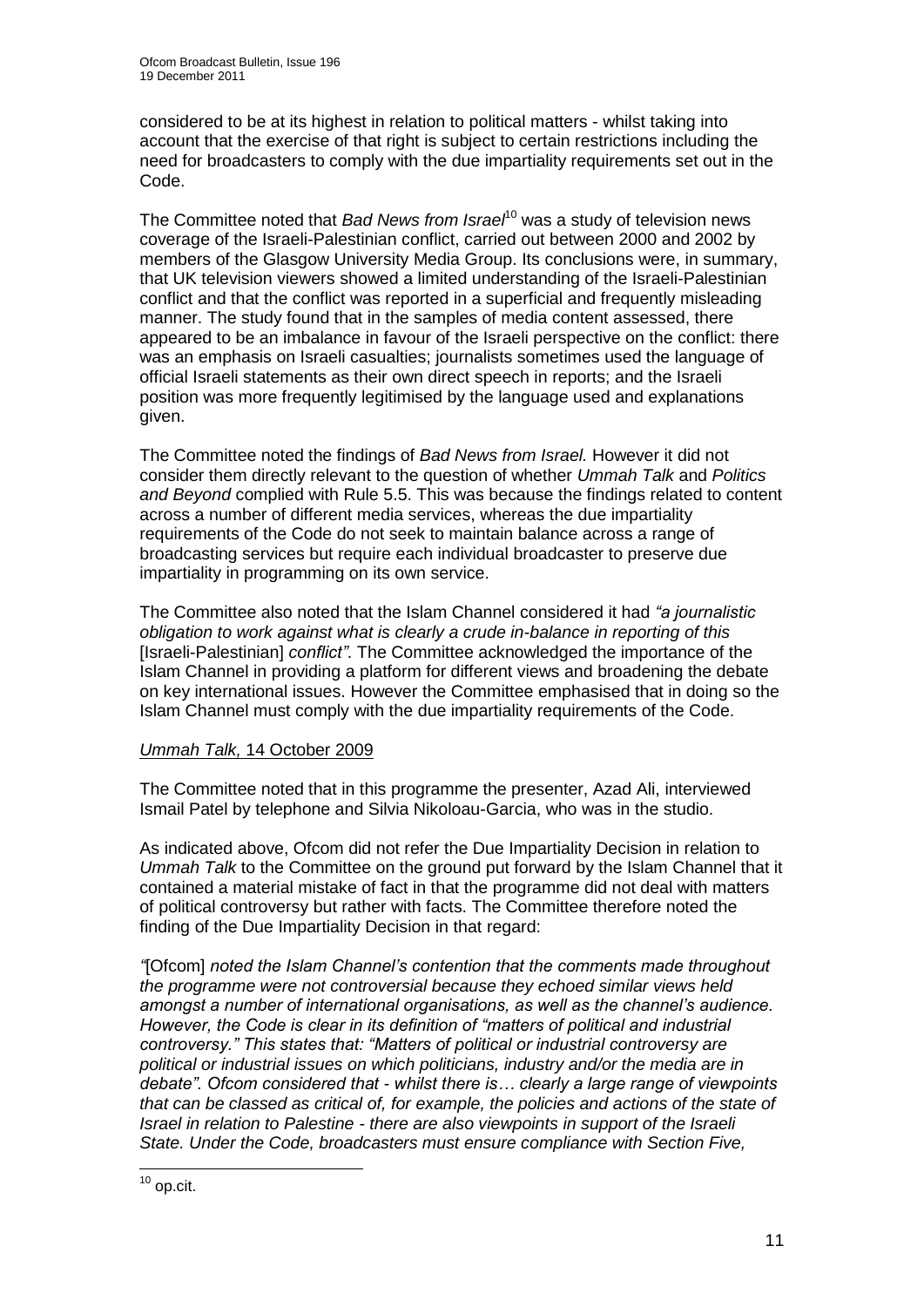considered to be at its highest in relation to political matters - whilst taking into account that the exercise of that right is subject to certain restrictions including the need for broadcasters to comply with the due impartiality requirements set out in the Code.

The Committee noted that *Bad News from Israel*<sup>10</sup> was a study of television news coverage of the Israeli-Palestinian conflict, carried out between 2000 and 2002 by members of the Glasgow University Media Group. Its conclusions were, in summary, that UK television viewers showed a limited understanding of the Israeli-Palestinian conflict and that the conflict was reported in a superficial and frequently misleading manner. The study found that in the samples of media content assessed, there appeared to be an imbalance in favour of the Israeli perspective on the conflict: there was an emphasis on Israeli casualties; journalists sometimes used the language of official Israeli statements as their own direct speech in reports; and the Israeli position was more frequently legitimised by the language used and explanations given.

The Committee noted the findings of *Bad News from Israel.* However it did not consider them directly relevant to the question of whether *Ummah Talk* and *Politics and Beyond* complied with Rule 5.5. This was because the findings related to content across a number of different media services, whereas the due impartiality requirements of the Code do not seek to maintain balance across a range of broadcasting services but require each individual broadcaster to preserve due impartiality in programming on its own service.

The Committee also noted that the Islam Channel considered it had *"a journalistic obligation to work against what is clearly a crude in-balance in reporting of this* [Israeli-Palestinian] *conflict"*. The Committee acknowledged the importance of the Islam Channel in providing a platform for different views and broadening the debate on key international issues. However the Committee emphasised that in doing so the Islam Channel must comply with the due impartiality requirements of the Code.

#### *Ummah Talk,* 14 October 2009

The Committee noted that in this programme the presenter, Azad Ali, interviewed Ismail Patel by telephone and Silvia Nikoloau-Garcia, who was in the studio.

As indicated above, Ofcom did not refer the Due Impartiality Decision in relation to *Ummah Talk* to the Committee on the ground put forward by the Islam Channel that it contained a material mistake of fact in that the programme did not deal with matters of political controversy but rather with facts. The Committee therefore noted the finding of the Due Impartiality Decision in that regard:

*"*[Ofcom] *noted the Islam Channel"s contention that the comments made throughout the programme were not controversial because they echoed similar views held amongst a number of international organisations, as well as the channel"s audience. However, the Code is clear in its definition of "matters of political and industrial controversy." This states that: "Matters of political or industrial controversy are political or industrial issues on which politicians, industry and/or the media are in debate". Ofcom considered that - whilst there is… clearly a large range of viewpoints that can be classed as critical of, for example, the policies and actions of the state of Israel in relation to Palestine - there are also viewpoints in support of the Israeli State. Under the Code, broadcasters must ensure compliance with Section Five,* 

<sup>1</sup>  $10$  op.cit.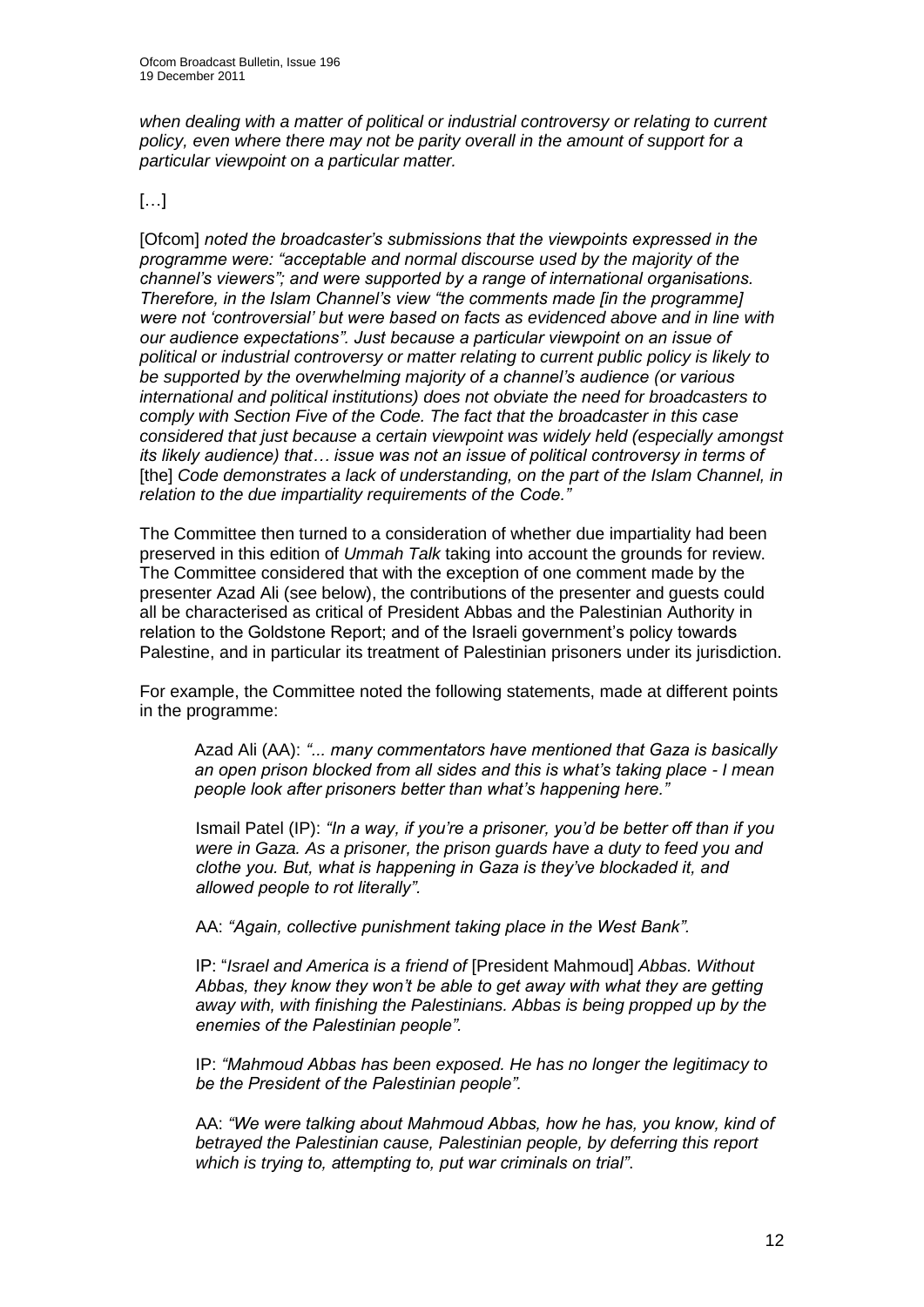*when dealing with a matter of political or industrial controversy or relating to current policy, even where there may not be parity overall in the amount of support for a particular viewpoint on a particular matter.*

#### […]

[Ofcom] *noted the broadcaster"s submissions that the viewpoints expressed in the programme were: "acceptable and normal discourse used by the majority of the channel"s viewers"; and were supported by a range of international organisations. Therefore, in the Islam Channel"s view "the comments made [in the programme] were not "controversial" but were based on facts as evidenced above and in line with our audience expectations". Just because a particular viewpoint on an issue of political or industrial controversy or matter relating to current public policy is likely to be supported by the overwhelming majority of a channel"s audience (or various international and political institutions) does not obviate the need for broadcasters to comply with Section Five of the Code. The fact that the broadcaster in this case considered that just because a certain viewpoint was widely held (especially amongst its likely audience) that… issue was not an issue of political controversy in terms of*  [the] *Code demonstrates a lack of understanding, on the part of the Islam Channel, in relation to the due impartiality requirements of the Code."*

The Committee then turned to a consideration of whether due impartiality had been preserved in this edition of *Ummah Talk* taking into account the grounds for review. The Committee considered that with the exception of one comment made by the presenter Azad Ali (see below), the contributions of the presenter and guests could all be characterised as critical of President Abbas and the Palestinian Authority in relation to the Goldstone Report; and of the Israeli government"s policy towards Palestine, and in particular its treatment of Palestinian prisoners under its jurisdiction.

For example, the Committee noted the following statements, made at different points in the programme:

Azad Ali (AA): *"... many commentators have mentioned that Gaza is basically an open prison blocked from all sides and this is what"s taking place - I mean people look after prisoners better than what"s happening here."*

Ismail Patel (IP): *"In a way, if you"re a prisoner, you"d be better off than if you were in Gaza. As a prisoner, the prison guards have a duty to feed you and clothe you. But, what is happening in Gaza is they"ve blockaded it, and allowed people to rot literally".* 

AA: *"Again, collective punishment taking place in the West Bank".*

IP: "*Israel and America is a friend of* [President Mahmoud] *Abbas. Without Abbas, they know they won"t be able to get away with what they are getting away with, with finishing the Palestinians. Abbas is being propped up by the enemies of the Palestinian people".*

IP: *"Mahmoud Abbas has been exposed. He has no longer the legitimacy to be the President of the Palestinian people".*

AA: *"We were talking about Mahmoud Abbas, how he has, you know, kind of betrayed the Palestinian cause, Palestinian people, by deferring this report which is trying to, attempting to, put war criminals on trial"*.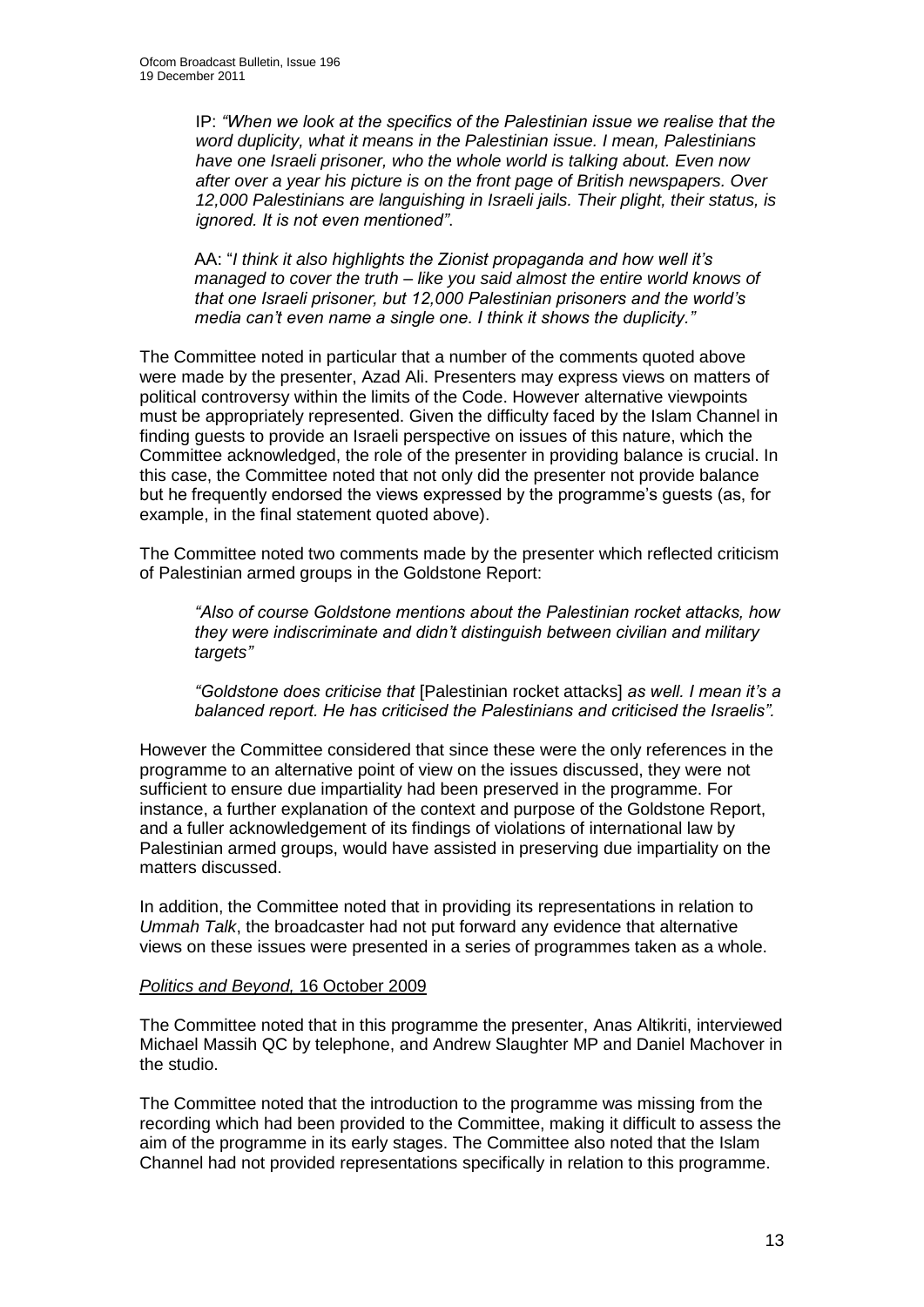IP: *"When we look at the specifics of the Palestinian issue we realise that the word duplicity, what it means in the Palestinian issue. I mean, Palestinians have one Israeli prisoner, who the whole world is talking about. Even now after over a year his picture is on the front page of British newspapers. Over 12,000 Palestinians are languishing in Israeli jails. Their plight, their status, is ignored. It is not even mentioned"*.

AA: "*I think it also highlights the Zionist propaganda and how well it"s managed to cover the truth – like you said almost the entire world knows of that one Israeli prisoner, but 12,000 Palestinian prisoners and the world"s media can"t even name a single one. I think it shows the duplicity."*

The Committee noted in particular that a number of the comments quoted above were made by the presenter, Azad Ali. Presenters may express views on matters of political controversy within the limits of the Code. However alternative viewpoints must be appropriately represented. Given the difficulty faced by the Islam Channel in finding guests to provide an Israeli perspective on issues of this nature, which the Committee acknowledged, the role of the presenter in providing balance is crucial. In this case, the Committee noted that not only did the presenter not provide balance but he frequently endorsed the views expressed by the programme"s guests (as, for example, in the final statement quoted above).

The Committee noted two comments made by the presenter which reflected criticism of Palestinian armed groups in the Goldstone Report:

*"Also of course Goldstone mentions about the Palestinian rocket attacks, how they were indiscriminate and didn"t distinguish between civilian and military targets"*

*"Goldstone does criticise that* [Palestinian rocket attacks] *as well. I mean it"s a balanced report. He has criticised the Palestinians and criticised the Israelis".*

However the Committee considered that since these were the only references in the programme to an alternative point of view on the issues discussed, they were not sufficient to ensure due impartiality had been preserved in the programme. For instance, a further explanation of the context and purpose of the Goldstone Report, and a fuller acknowledgement of its findings of violations of international law by Palestinian armed groups, would have assisted in preserving due impartiality on the matters discussed.

In addition, the Committee noted that in providing its representations in relation to *Ummah Talk*, the broadcaster had not put forward any evidence that alternative views on these issues were presented in a series of programmes taken as a whole.

#### *Politics and Beyond,* 16 October 2009

The Committee noted that in this programme the presenter, Anas Altikriti, interviewed Michael Massih QC by telephone, and Andrew Slaughter MP and Daniel Machover in the studio.

The Committee noted that the introduction to the programme was missing from the recording which had been provided to the Committee, making it difficult to assess the aim of the programme in its early stages. The Committee also noted that the Islam Channel had not provided representations specifically in relation to this programme.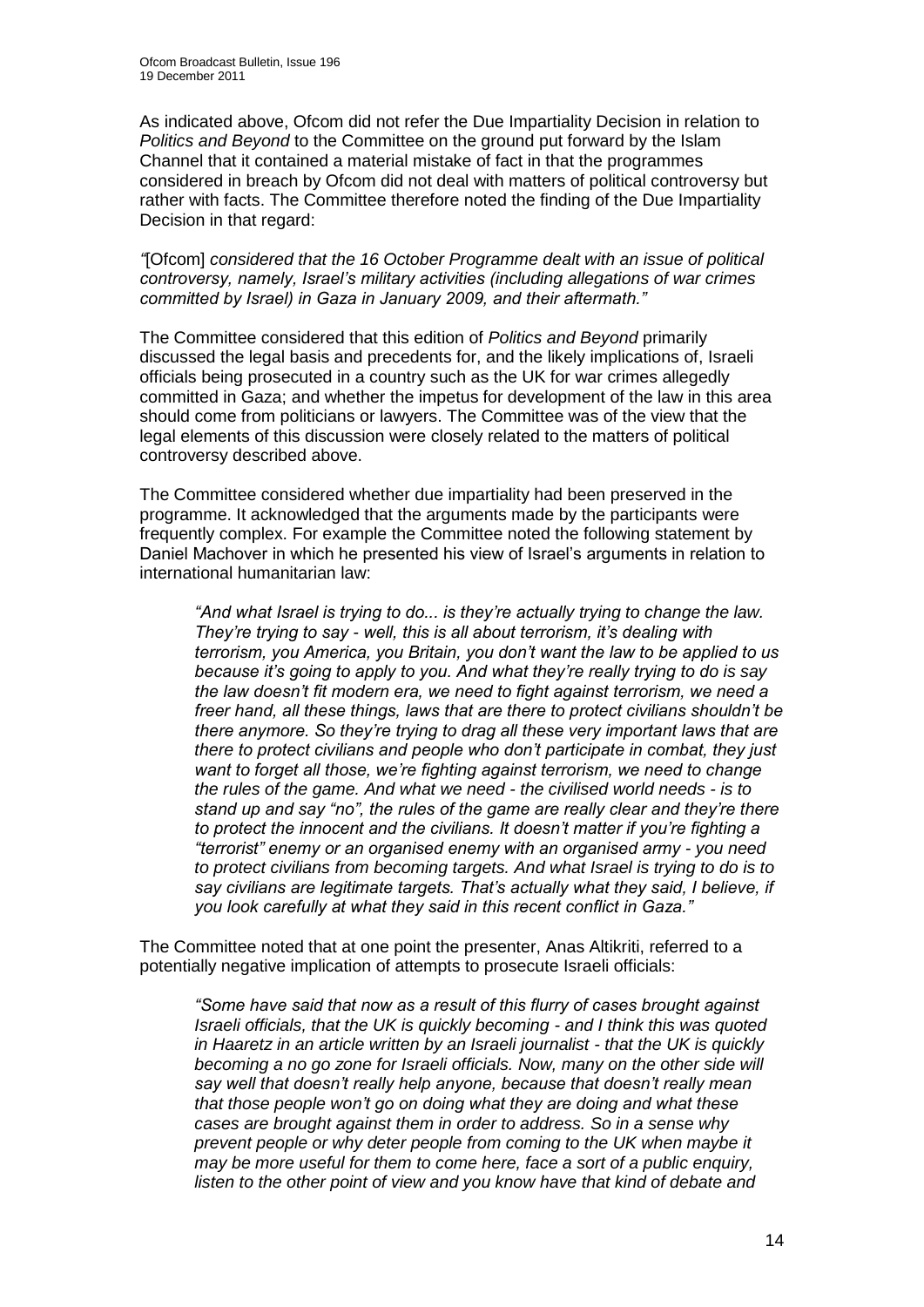As indicated above, Ofcom did not refer the Due Impartiality Decision in relation to *Politics and Beyond* to the Committee on the ground put forward by the Islam Channel that it contained a material mistake of fact in that the programmes considered in breach by Ofcom did not deal with matters of political controversy but rather with facts. The Committee therefore noted the finding of the Due Impartiality Decision in that regard:

*"*[Ofcom] *considered that the 16 October Programme dealt with an issue of political controversy, namely, Israel"s military activities (including allegations of war crimes committed by Israel) in Gaza in January 2009, and their aftermath."*

The Committee considered that this edition of *Politics and Beyond* primarily discussed the legal basis and precedents for, and the likely implications of, Israeli officials being prosecuted in a country such as the UK for war crimes allegedly committed in Gaza; and whether the impetus for development of the law in this area should come from politicians or lawyers. The Committee was of the view that the legal elements of this discussion were closely related to the matters of political controversy described above.

The Committee considered whether due impartiality had been preserved in the programme. It acknowledged that the arguments made by the participants were frequently complex. For example the Committee noted the following statement by Daniel Machover in which he presented his view of Israel"s arguments in relation to international humanitarian law:

*"And what Israel is trying to do... is they"re actually trying to change the law. They"re trying to say - well, this is all about terrorism, it"s dealing with terrorism, you America, you Britain, you don"t want the law to be applied to us because it"s going to apply to you. And what they"re really trying to do is say the law doesn"t fit modern era, we need to fight against terrorism, we need a freer hand, all these things, laws that are there to protect civilians shouldn"t be there anymore. So they"re trying to drag all these very important laws that are there to protect civilians and people who don"t participate in combat, they just want to forget all those, we"re fighting against terrorism, we need to change the rules of the game. And what we need - the civilised world needs - is to stand up and say "no", the rules of the game are really clear and they"re there to protect the innocent and the civilians. It doesn"t matter if you"re fighting a "terrorist" enemy or an organised enemy with an organised army - you need to protect civilians from becoming targets. And what Israel is trying to do is to say civilians are legitimate targets. That"s actually what they said, I believe, if you look carefully at what they said in this recent conflict in Gaza."*

The Committee noted that at one point the presenter, Anas Altikriti, referred to a potentially negative implication of attempts to prosecute Israeli officials:

*"Some have said that now as a result of this flurry of cases brought against Israeli officials, that the UK is quickly becoming - and I think this was quoted in Haaretz in an article written by an Israeli journalist - that the UK is quickly becoming a no go zone for Israeli officials. Now, many on the other side will say well that doesn"t really help anyone, because that doesn"t really mean that those people won"t go on doing what they are doing and what these cases are brought against them in order to address. So in a sense why prevent people or why deter people from coming to the UK when maybe it may be more useful for them to come here, face a sort of a public enquiry, listen to the other point of view and you know have that kind of debate and*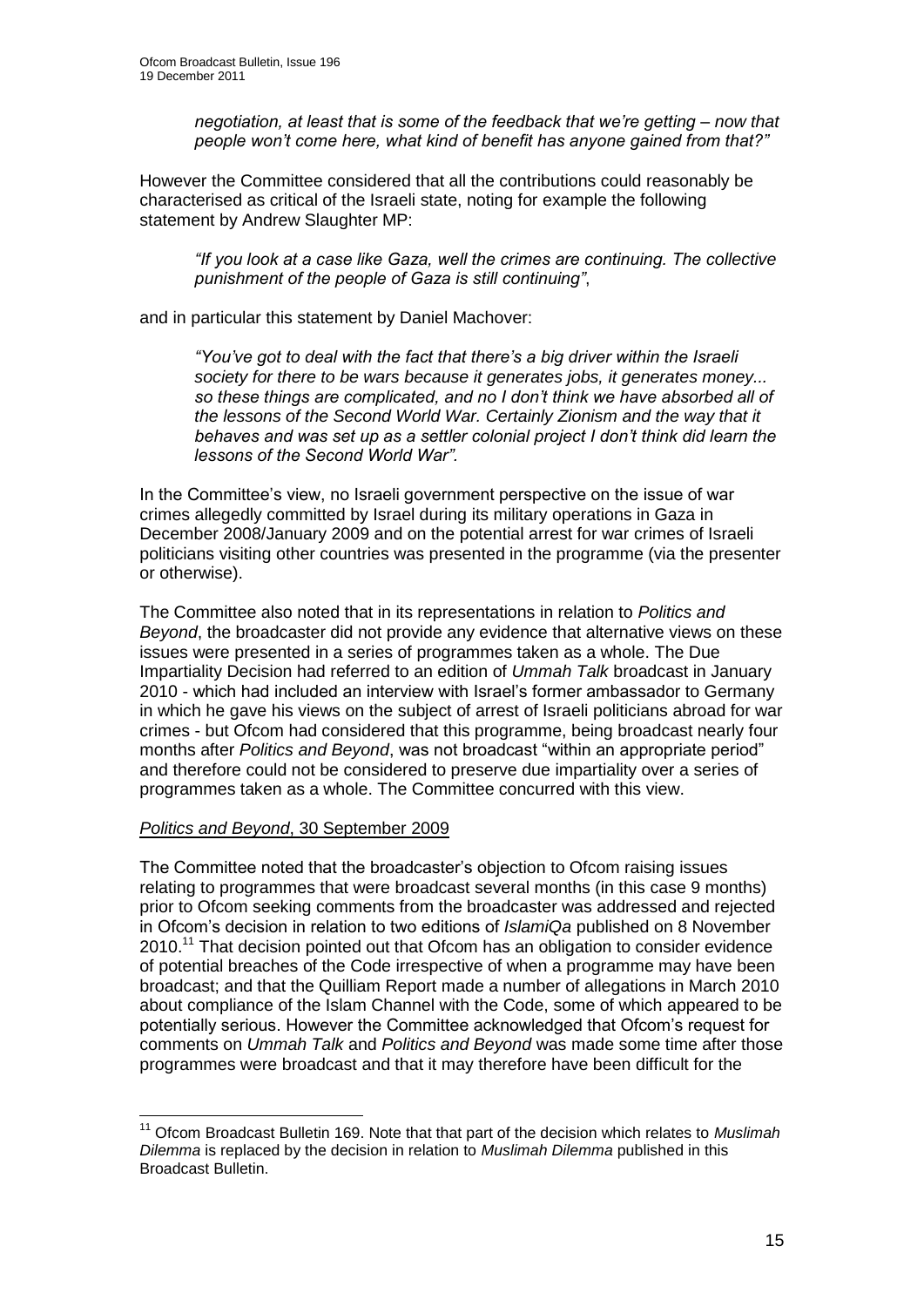*negotiation, at least that is some of the feedback that we"re getting – now that people won"t come here, what kind of benefit has anyone gained from that?"*

However the Committee considered that all the contributions could reasonably be characterised as critical of the Israeli state, noting for example the following statement by Andrew Slaughter MP:

*"If you look at a case like Gaza, well the crimes are continuing. The collective punishment of the people of Gaza is still continuing"*,

and in particular this statement by Daniel Machover:

*"You"ve got to deal with the fact that there"s a big driver within the Israeli society for there to be wars because it generates jobs, it generates money... so these things are complicated, and no I don"t think we have absorbed all of the lessons of the Second World War. Certainly Zionism and the way that it behaves and was set up as a settler colonial project I don"t think did learn the lessons of the Second World War".*

In the Committee"s view, no Israeli government perspective on the issue of war crimes allegedly committed by Israel during its military operations in Gaza in December 2008/January 2009 and on the potential arrest for war crimes of Israeli politicians visiting other countries was presented in the programme (via the presenter or otherwise).

The Committee also noted that in its representations in relation to *Politics and Beyond*, the broadcaster did not provide any evidence that alternative views on these issues were presented in a series of programmes taken as a whole. The Due Impartiality Decision had referred to an edition of *Ummah Talk* broadcast in January 2010 - which had included an interview with Israel"s former ambassador to Germany in which he gave his views on the subject of arrest of Israeli politicians abroad for war crimes - but Ofcom had considered that this programme, being broadcast nearly four months after *Politics and Beyond*, was not broadcast "within an appropriate period" and therefore could not be considered to preserve due impartiality over a series of programmes taken as a whole. The Committee concurred with this view.

#### *Politics and Beyond*, 30 September 2009

The Committee noted that the broadcaster"s objection to Ofcom raising issues relating to programmes that were broadcast several months (in this case 9 months) prior to Ofcom seeking comments from the broadcaster was addressed and rejected in Ofcom"s decision in relation to two editions of *IslamiQa* published on 8 November 2010.<sup>11</sup> That decision pointed out that Ofcom has an obligation to consider evidence of potential breaches of the Code irrespective of when a programme may have been broadcast; and that the Quilliam Report made a number of allegations in March 2010 about compliance of the Islam Channel with the Code, some of which appeared to be potentially serious. However the Committee acknowledged that Ofcom"s request for comments on *Ummah Talk* and *Politics and Beyond* was made some time after those programmes were broadcast and that it may therefore have been difficult for the

<sup>1</sup> <sup>11</sup> Ofcom Broadcast Bulletin 169. Note that that part of the decision which relates to *Muslimah Dilemma* is replaced by the decision in relation to *Muslimah Dilemma* published in this Broadcast Bulletin.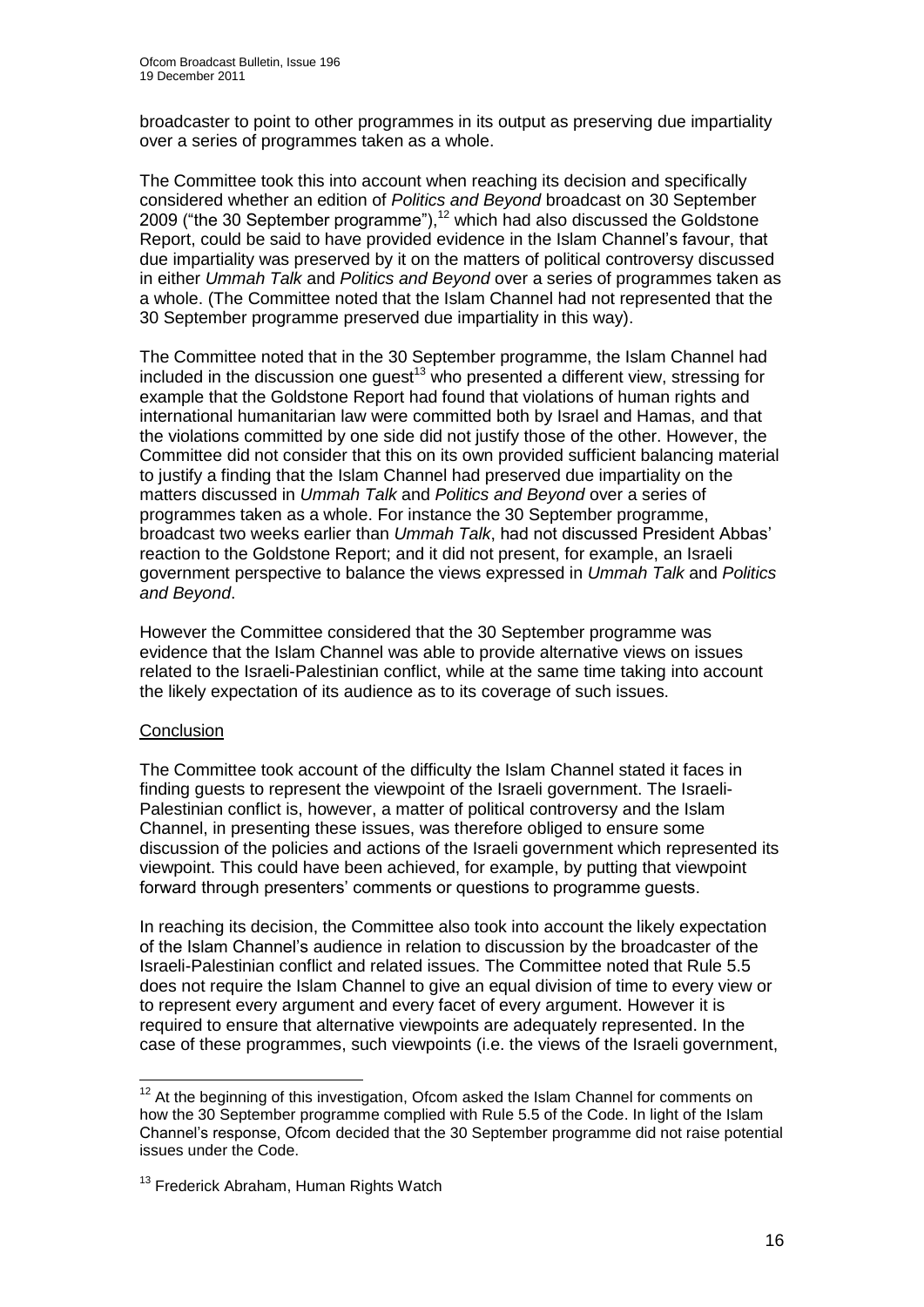broadcaster to point to other programmes in its output as preserving due impartiality over a series of programmes taken as a whole.

The Committee took this into account when reaching its decision and specifically considered whether an edition of *Politics and Beyond* broadcast on 30 September 2009 ("the 30 September programme"),<sup>12</sup> which had also discussed the Goldstone Report, could be said to have provided evidence in the Islam Channel"s favour, that due impartiality was preserved by it on the matters of political controversy discussed in either *Ummah Talk* and *Politics and Beyond* over a series of programmes taken as a whole. (The Committee noted that the Islam Channel had not represented that the 30 September programme preserved due impartiality in this way).

The Committee noted that in the 30 September programme, the Islam Channel had included in the discussion one guest<sup>13</sup> who presented a different view, stressing for example that the Goldstone Report had found that violations of human rights and international humanitarian law were committed both by Israel and Hamas, and that the violations committed by one side did not justify those of the other. However, the Committee did not consider that this on its own provided sufficient balancing material to justify a finding that the Islam Channel had preserved due impartiality on the matters discussed in *Ummah Talk* and *Politics and Beyond* over a series of programmes taken as a whole. For instance the 30 September programme, broadcast two weeks earlier than *Ummah Talk*, had not discussed President Abbas" reaction to the Goldstone Report; and it did not present, for example, an Israeli government perspective to balance the views expressed in *Ummah Talk* and *Politics and Beyond*.

However the Committee considered that the 30 September programme was evidence that the Islam Channel was able to provide alternative views on issues related to the Israeli-Palestinian conflict, while at the same time taking into account the likely expectation of its audience as to its coverage of such issues.

#### **Conclusion**

The Committee took account of the difficulty the Islam Channel stated it faces in finding guests to represent the viewpoint of the Israeli government. The Israeli-Palestinian conflict is, however, a matter of political controversy and the Islam Channel, in presenting these issues, was therefore obliged to ensure some discussion of the policies and actions of the Israeli government which represented its viewpoint. This could have been achieved, for example, by putting that viewpoint forward through presenters" comments or questions to programme guests.

In reaching its decision, the Committee also took into account the likely expectation of the Islam Channel"s audience in relation to discussion by the broadcaster of the Israeli-Palestinian conflict and related issues. The Committee noted that Rule 5.5 does not require the Islam Channel to give an equal division of time to every view or to represent every argument and every facet of every argument. However it is required to ensure that alternative viewpoints are adequately represented. In the case of these programmes, such viewpoints (i.e. the views of the Israeli government,

<sup>1</sup>  $12$  At the beginning of this investigation, Ofcom asked the Islam Channel for comments on how the 30 September programme complied with Rule 5.5 of the Code. In light of the Islam Channel"s response, Ofcom decided that the 30 September programme did not raise potential issues under the Code.

<sup>&</sup>lt;sup>13</sup> Frederick Abraham, Human Rights Watch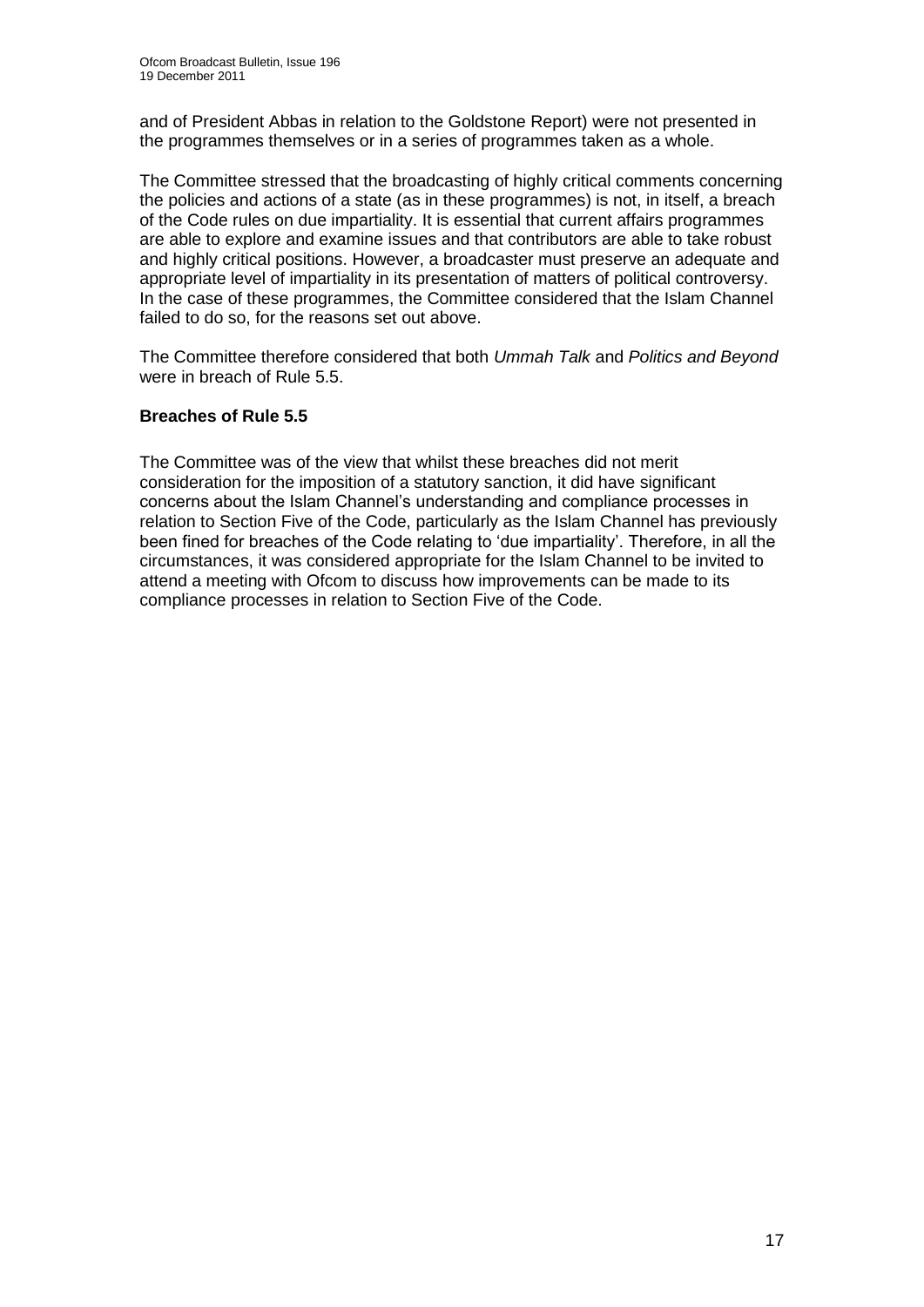and of President Abbas in relation to the Goldstone Report) were not presented in the programmes themselves or in a series of programmes taken as a whole.

The Committee stressed that the broadcasting of highly critical comments concerning the policies and actions of a state (as in these programmes) is not, in itself, a breach of the Code rules on due impartiality. It is essential that current affairs programmes are able to explore and examine issues and that contributors are able to take robust and highly critical positions. However, a broadcaster must preserve an adequate and appropriate level of impartiality in its presentation of matters of political controversy. In the case of these programmes, the Committee considered that the Islam Channel failed to do so, for the reasons set out above.

The Committee therefore considered that both *Ummah Talk* and *Politics and Beyond* were in breach of Rule 5.5.

#### **Breaches of Rule 5.5**

The Committee was of the view that whilst these breaches did not merit consideration for the imposition of a statutory sanction, it did have significant concerns about the Islam Channel"s understanding and compliance processes in relation to Section Five of the Code, particularly as the Islam Channel has previously been fined for breaches of the Code relating to 'due impartiality'. Therefore, in all the circumstances, it was considered appropriate for the Islam Channel to be invited to attend a meeting with Ofcom to discuss how improvements can be made to its compliance processes in relation to Section Five of the Code.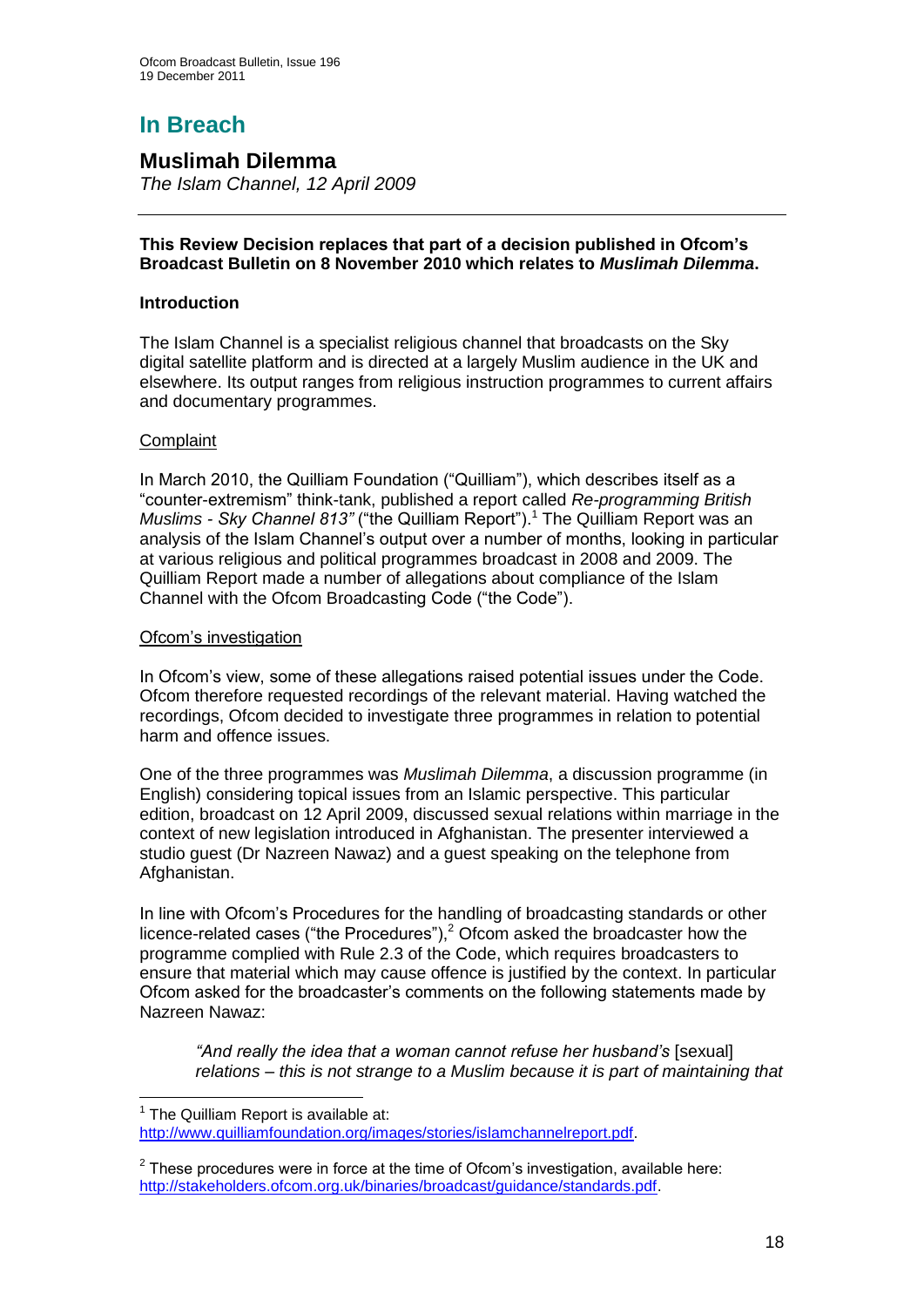# **In Breach**

# **Muslimah Dilemma**

*The Islam Channel, 12 April 2009*

#### **This Review Decision replaces that part of a decision published in Ofcom's Broadcast Bulletin on 8 November 2010 which relates to** *Muslimah Dilemma***.**

#### **Introduction**

The Islam Channel is a specialist religious channel that broadcasts on the Sky digital satellite platform and is directed at a largely Muslim audience in the UK and elsewhere. Its output ranges from religious instruction programmes to current affairs and documentary programmes.

#### **Complaint**

1

In March 2010, the Quilliam Foundation ("Quilliam"), which describes itself as a "counter-extremism" think-tank, published a report called *Re-programming British Muslims - Sky Channel 813"* ("the Quilliam Report").<sup>1</sup> The Quilliam Report was an analysis of the Islam Channel"s output over a number of months, looking in particular at various religious and political programmes broadcast in 2008 and 2009. The Quilliam Report made a number of allegations about compliance of the Islam Channel with the Ofcom Broadcasting Code ("the Code").

#### Ofcom"s investigation

In Ofcom"s view, some of these allegations raised potential issues under the Code. Ofcom therefore requested recordings of the relevant material. Having watched the recordings, Ofcom decided to investigate three programmes in relation to potential harm and offence issues.

One of the three programmes was *Muslimah Dilemma*, a discussion programme (in English) considering topical issues from an Islamic perspective. This particular edition, broadcast on 12 April 2009, discussed sexual relations within marriage in the context of new legislation introduced in Afghanistan. The presenter interviewed a studio guest (Dr Nazreen Nawaz) and a guest speaking on the telephone from Afghanistan.

In line with Ofcom"s Procedures for the handling of broadcasting standards or other licence-related cases ("the Procedures"), $2$  Ofcom asked the broadcaster how the programme complied with Rule 2.3 of the Code, which requires broadcasters to ensure that material which may cause offence is justified by the context. In particular Ofcom asked for the broadcaster"s comments on the following statements made by Nazreen Nawaz:

*"And really the idea that a woman cannot refuse her husband"s* [sexual] *relations – this is not strange to a Muslim because it is part of maintaining that* 

 $1$  The Quilliam Report is available at: [http://www.quilliamfoundation.org/images/stories/islamchannelreport.pdf.](http://www.quilliamfoundation.org/images/stories/islamchannelreport.pdf)

 $2$  These procedures were in force at the time of Ofcom's investigation, available here: [http://stakeholders.ofcom.org.uk/binaries/broadcast/guidance/standards.pdf.](http://stakeholders.ofcom.org.uk/binaries/broadcast/guidance/standards.pdf)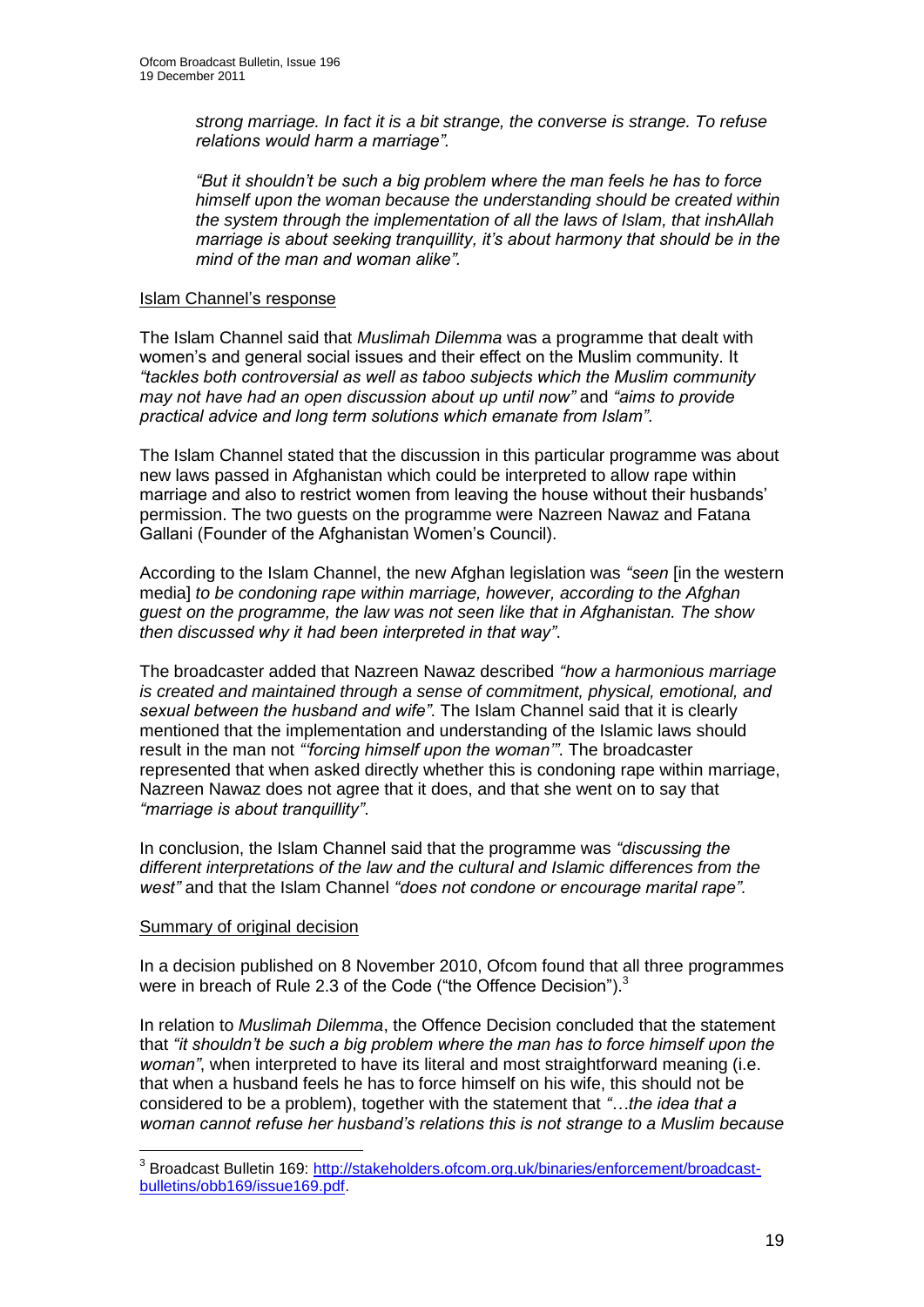*strong marriage. In fact it is a bit strange, the converse is strange. To refuse relations would harm a marriage".*

*"But it shouldn"t be such a big problem where the man feels he has to force himself upon the woman because the understanding should be created within the system through the implementation of all the laws of Islam, that inshAllah marriage is about seeking tranquillity, it"s about harmony that should be in the mind of the man and woman alike".*

#### Islam Channel"s response

The Islam Channel said that *Muslimah Dilemma* was a programme that dealt with women"s and general social issues and their effect on the Muslim community. It *"tackles both controversial as well as taboo subjects which the Muslim community may not have had an open discussion about up until now"* and *"aims to provide practical advice and long term solutions which emanate from Islam"*.

The Islam Channel stated that the discussion in this particular programme was about new laws passed in Afghanistan which could be interpreted to allow rape within marriage and also to restrict women from leaving the house without their husbands' permission. The two guests on the programme were Nazreen Nawaz and Fatana Gallani (Founder of the Afghanistan Women"s Council).

According to the Islam Channel, the new Afghan legislation was *"seen* [in the western media] *to be condoning rape within marriage, however, according to the Afghan guest on the programme, the law was not seen like that in Afghanistan. The show then discussed why it had been interpreted in that way"*.

The broadcaster added that Nazreen Nawaz described *"how a harmonious marriage is created and maintained through a sense of commitment, physical, emotional, and sexual between the husband and wife"*. The Islam Channel said that it is clearly mentioned that the implementation and understanding of the Islamic laws should result in the man not *""forcing himself upon the woman""*. The broadcaster represented that when asked directly whether this is condoning rape within marriage, Nazreen Nawaz does not agree that it does, and that she went on to say that *"marriage is about tranquillity"*.

In conclusion, the Islam Channel said that the programme was *"discussing the different interpretations of the law and the cultural and Islamic differences from the west"* and that the Islam Channel *"does not condone or encourage marital rape"*.

#### Summary of original decision

1

In a decision published on 8 November 2010, Ofcom found that all three programmes were in breach of Rule 2.3 of the Code ("the Offence Decision").<sup>3</sup>

In relation to *Muslimah Dilemma*, the Offence Decision concluded that the statement that *"it shouldn"t be such a big problem where the man has to force himself upon the woman"*, when interpreted to have its literal and most straightforward meaning (i.e. that when a husband feels he has to force himself on his wife, this should not be considered to be a problem), together with the statement that *"…the idea that a woman cannot refuse her husband"s relations this is not strange to a Muslim because* 

<sup>&</sup>lt;sup>3</sup> Broadcast Bulletin 169: [http://stakeholders.ofcom.org.uk/binaries/enforcement/broadcast](http://stakeholders.ofcom.org.uk/binaries/enforcement/broadcast-bulletins/obb169/issue169.pdf)[bulletins/obb169/issue169.pdf.](http://stakeholders.ofcom.org.uk/binaries/enforcement/broadcast-bulletins/obb169/issue169.pdf)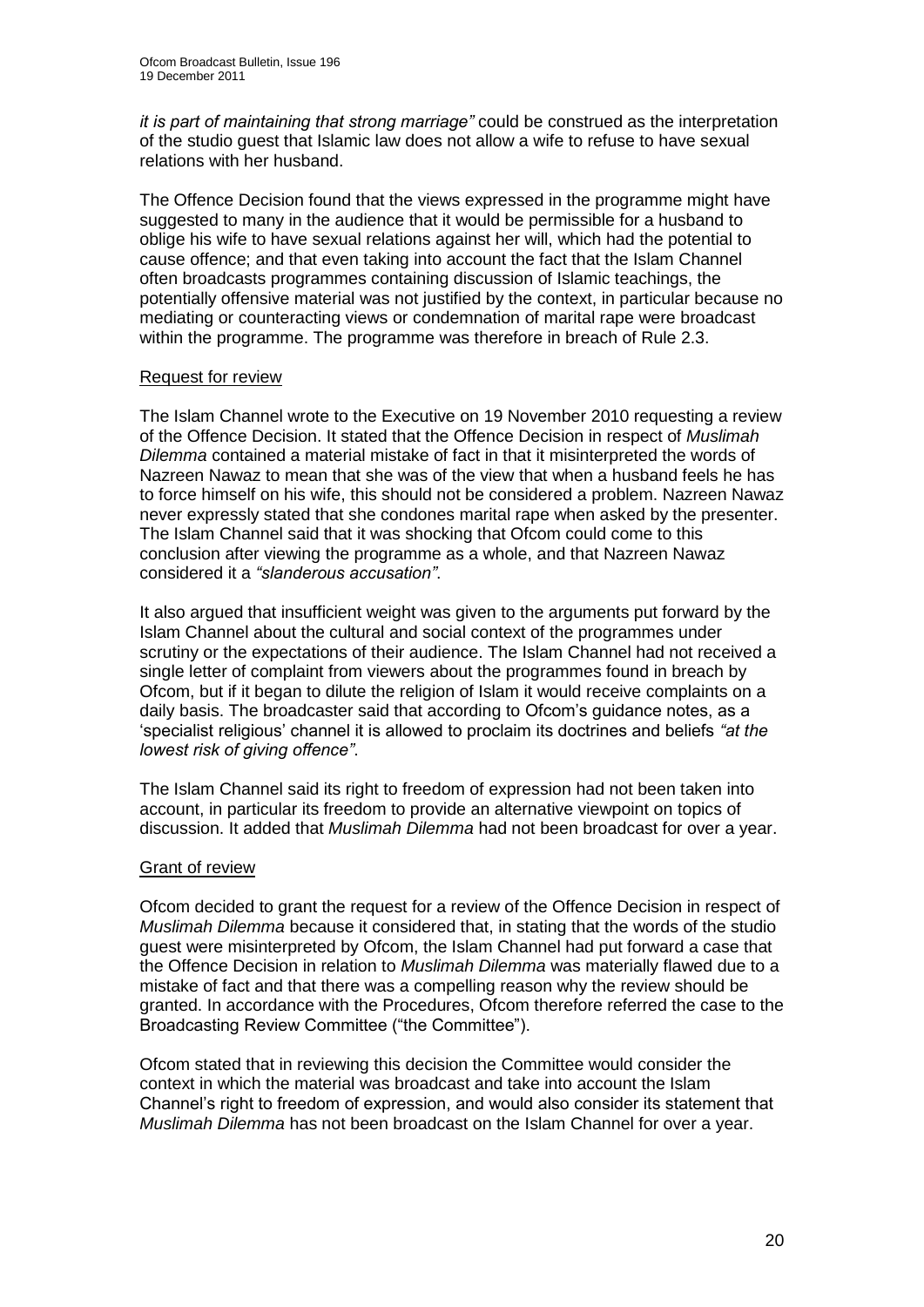*it is part of maintaining that strong marriage"* could be construed as the interpretation of the studio guest that Islamic law does not allow a wife to refuse to have sexual relations with her husband.

The Offence Decision found that the views expressed in the programme might have suggested to many in the audience that it would be permissible for a husband to oblige his wife to have sexual relations against her will, which had the potential to cause offence; and that even taking into account the fact that the Islam Channel often broadcasts programmes containing discussion of Islamic teachings, the potentially offensive material was not justified by the context, in particular because no mediating or counteracting views or condemnation of marital rape were broadcast within the programme. The programme was therefore in breach of Rule 2.3.

#### Request for review

The Islam Channel wrote to the Executive on 19 November 2010 requesting a review of the Offence Decision. It stated that the Offence Decision in respect of *Muslimah Dilemma* contained a material mistake of fact in that it misinterpreted the words of Nazreen Nawaz to mean that she was of the view that when a husband feels he has to force himself on his wife, this should not be considered a problem. Nazreen Nawaz never expressly stated that she condones marital rape when asked by the presenter. The Islam Channel said that it was shocking that Ofcom could come to this conclusion after viewing the programme as a whole, and that Nazreen Nawaz considered it a *"slanderous accusation"*.

It also argued that insufficient weight was given to the arguments put forward by the Islam Channel about the cultural and social context of the programmes under scrutiny or the expectations of their audience. The Islam Channel had not received a single letter of complaint from viewers about the programmes found in breach by Ofcom, but if it began to dilute the religion of Islam it would receive complaints on a daily basis. The broadcaster said that according to Ofcom"s guidance notes, as a "specialist religious" channel it is allowed to proclaim its doctrines and beliefs *"at the lowest risk of giving offence"*.

The Islam Channel said its right to freedom of expression had not been taken into account, in particular its freedom to provide an alternative viewpoint on topics of discussion. It added that *Muslimah Dilemma* had not been broadcast for over a year.

#### Grant of review

Ofcom decided to grant the request for a review of the Offence Decision in respect of *Muslimah Dilemma* because it considered that, in stating that the words of the studio guest were misinterpreted by Ofcom, the Islam Channel had put forward a case that the Offence Decision in relation to *Muslimah Dilemma* was materially flawed due to a mistake of fact and that there was a compelling reason why the review should be granted. In accordance with the Procedures, Ofcom therefore referred the case to the Broadcasting Review Committee ("the Committee").

Ofcom stated that in reviewing this decision the Committee would consider the context in which the material was broadcast and take into account the Islam Channel"s right to freedom of expression, and would also consider its statement that *Muslimah Dilemma* has not been broadcast on the Islam Channel for over a year.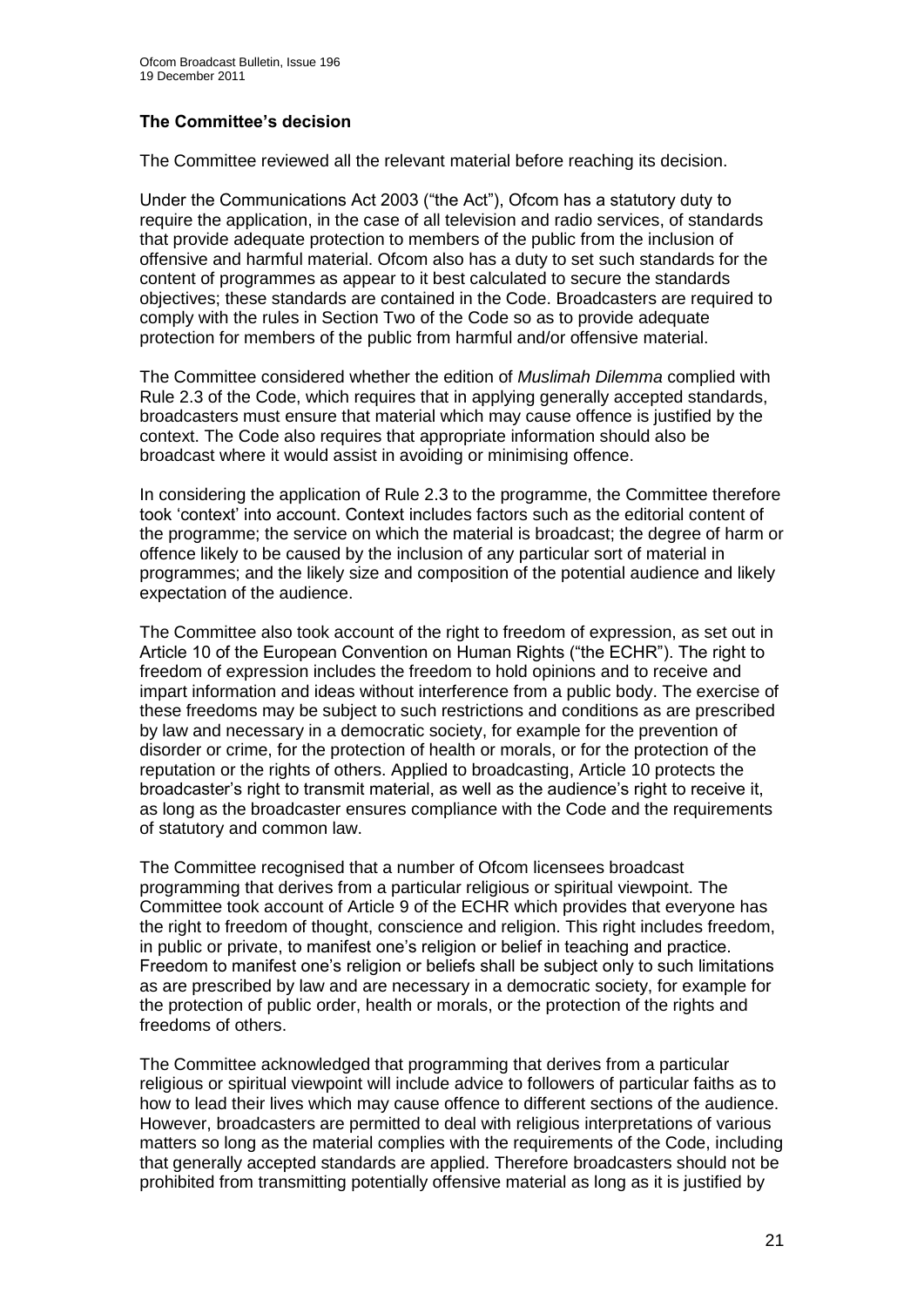## **The Committee's decision**

The Committee reviewed all the relevant material before reaching its decision.

Under the Communications Act 2003 ("the Act"), Ofcom has a statutory duty to require the application, in the case of all television and radio services, of standards that provide adequate protection to members of the public from the inclusion of offensive and harmful material. Ofcom also has a duty to set such standards for the content of programmes as appear to it best calculated to secure the standards objectives; these standards are contained in the Code. Broadcasters are required to comply with the rules in Section Two of the Code so as to provide adequate protection for members of the public from harmful and/or offensive material.

The Committee considered whether the edition of *Muslimah Dilemma* complied with Rule 2.3 of the Code, which requires that in applying generally accepted standards, broadcasters must ensure that material which may cause offence is justified by the context. The Code also requires that appropriate information should also be broadcast where it would assist in avoiding or minimising offence.

In considering the application of Rule 2.3 to the programme, the Committee therefore took "context" into account. Context includes factors such as the editorial content of the programme; the service on which the material is broadcast; the degree of harm or offence likely to be caused by the inclusion of any particular sort of material in programmes; and the likely size and composition of the potential audience and likely expectation of the audience.

The Committee also took account of the right to freedom of expression, as set out in Article 10 of the European Convention on Human Rights ("the ECHR"). The right to freedom of expression includes the freedom to hold opinions and to receive and impart information and ideas without interference from a public body. The exercise of these freedoms may be subject to such restrictions and conditions as are prescribed by law and necessary in a democratic society, for example for the prevention of disorder or crime, for the protection of health or morals, or for the protection of the reputation or the rights of others. Applied to broadcasting, Article 10 protects the broadcaster"s right to transmit material, as well as the audience"s right to receive it, as long as the broadcaster ensures compliance with the Code and the requirements of statutory and common law.

The Committee recognised that a number of Ofcom licensees broadcast programming that derives from a particular religious or spiritual viewpoint. The Committee took account of Article 9 of the ECHR which provides that everyone has the right to freedom of thought, conscience and religion. This right includes freedom, in public or private, to manifest one"s religion or belief in teaching and practice. Freedom to manifest one"s religion or beliefs shall be subject only to such limitations as are prescribed by law and are necessary in a democratic society, for example for the protection of public order, health or morals, or the protection of the rights and freedoms of others.

The Committee acknowledged that programming that derives from a particular religious or spiritual viewpoint will include advice to followers of particular faiths as to how to lead their lives which may cause offence to different sections of the audience. However, broadcasters are permitted to deal with religious interpretations of various matters so long as the material complies with the requirements of the Code, including that generally accepted standards are applied. Therefore broadcasters should not be prohibited from transmitting potentially offensive material as long as it is justified by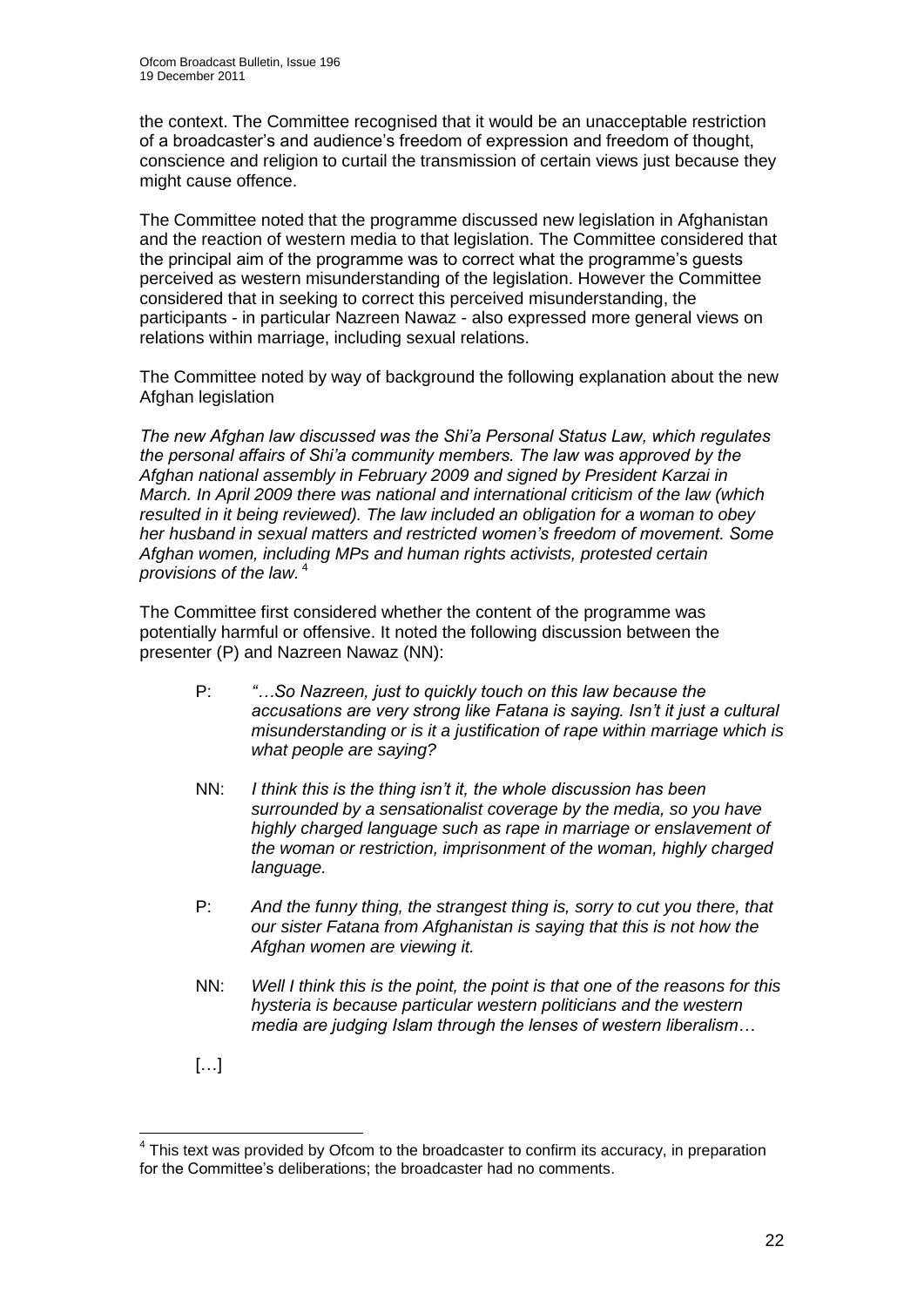the context. The Committee recognised that it would be an unacceptable restriction of a broadcaster"s and audience"s freedom of expression and freedom of thought, conscience and religion to curtail the transmission of certain views just because they might cause offence.

The Committee noted that the programme discussed new legislation in Afghanistan and the reaction of western media to that legislation. The Committee considered that the principal aim of the programme was to correct what the programme's quests perceived as western misunderstanding of the legislation. However the Committee considered that in seeking to correct this perceived misunderstanding, the participants - in particular Nazreen Nawaz - also expressed more general views on relations within marriage, including sexual relations.

The Committee noted by way of background the following explanation about the new Afghan legislation

*The new Afghan law discussed was the Shi"a Personal Status Law, which regulates the personal affairs of Shi"a community members. The law was approved by the Afghan national assembly in February 2009 and signed by President Karzai in March. In April 2009 there was national and international criticism of the law (which resulted in it being reviewed). The law included an obligation for a woman to obey her husband in sexual matters and restricted women"s freedom of movement. Some Afghan women, including MPs and human rights activists, protested certain provisions of the law.* <sup>4</sup>

The Committee first considered whether the content of the programme was potentially harmful or offensive. It noted the following discussion between the presenter (P) and Nazreen Nawaz (NN):

- P: *"…So Nazreen, just to quickly touch on this law because the accusations are very strong like Fatana is saying. Isn"t it just a cultural misunderstanding or is it a justification of rape within marriage which is what people are saying?*
- NN: *I think this is the thing isn"t it, the whole discussion has been surrounded by a sensationalist coverage by the media, so you have highly charged language such as rape in marriage or enslavement of the woman or restriction, imprisonment of the woman, highly charged language.*
- P: *And the funny thing, the strangest thing is, sorry to cut you there, that our sister Fatana from Afghanistan is saying that this is not how the Afghan women are viewing it.*
- NN: *Well I think this is the point, the point is that one of the reasons for this hysteria is because particular western politicians and the western media are judging Islam through the lenses of western liberalism…*
- […]

<sup>1</sup>  $4$  This text was provided by Ofcom to the broadcaster to confirm its accuracy, in preparation for the Committee's deliberations; the broadcaster had no comments.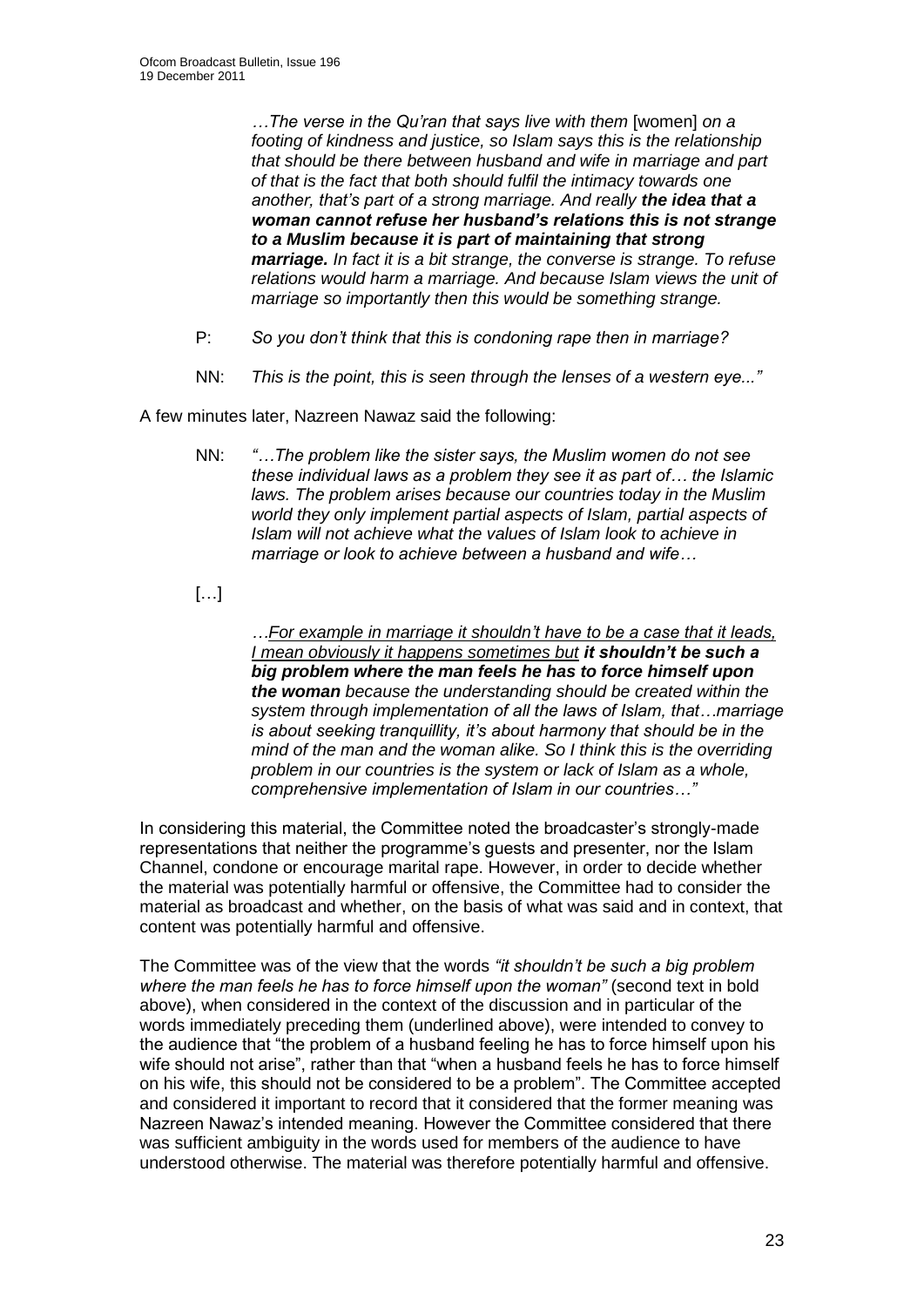*…The verse in the Qu"ran that says live with them* [women] *on a footing of kindness and justice, so Islam says this is the relationship that should be there between husband and wife in marriage and part of that is the fact that both should fulfil the intimacy towards one another, that"s part of a strong marriage. And really the idea that a woman cannot refuse her husband's relations this is not strange to a Muslim because it is part of maintaining that strong marriage. In fact it is a bit strange, the converse is strange. To refuse relations would harm a marriage. And because Islam views the unit of marriage so importantly then this would be something strange.* 

- P: *So you don"t think that this is condoning rape then in marriage?*
- NN: *This is the point, this is seen through the lenses of a western eye..."*

A few minutes later, Nazreen Nawaz said the following:

- NN: *"…The problem like the sister says, the Muslim women do not see these individual laws as a problem they see it as part of… the Islamic laws. The problem arises because our countries today in the Muslim world they only implement partial aspects of Islam, partial aspects of Islam will not achieve what the values of Islam look to achieve in marriage or look to achieve between a husband and wife…*
- […]

*…For example in marriage it shouldn"t have to be a case that it leads, I mean obviously it happens sometimes but it shouldn't be such a big problem where the man feels he has to force himself upon the woman because the understanding should be created within the system through implementation of all the laws of Islam, that…marriage is about seeking tranquillity, it"s about harmony that should be in the mind of the man and the woman alike. So I think this is the overriding problem in our countries is the system or lack of Islam as a whole, comprehensive implementation of Islam in our countries…"* 

In considering this material, the Committee noted the broadcaster"s strongly-made representations that neither the programme"s guests and presenter, nor the Islam Channel, condone or encourage marital rape. However, in order to decide whether the material was potentially harmful or offensive, the Committee had to consider the material as broadcast and whether, on the basis of what was said and in context, that content was potentially harmful and offensive.

The Committee was of the view that the words *"it shouldn"t be such a big problem where the man feels he has to force himself upon the woman"* (second text in bold above), when considered in the context of the discussion and in particular of the words immediately preceding them (underlined above), were intended to convey to the audience that "the problem of a husband feeling he has to force himself upon his wife should not arise", rather than that "when a husband feels he has to force himself on his wife, this should not be considered to be a problem". The Committee accepted and considered it important to record that it considered that the former meaning was Nazreen Nawaz"s intended meaning. However the Committee considered that there was sufficient ambiguity in the words used for members of the audience to have understood otherwise. The material was therefore potentially harmful and offensive.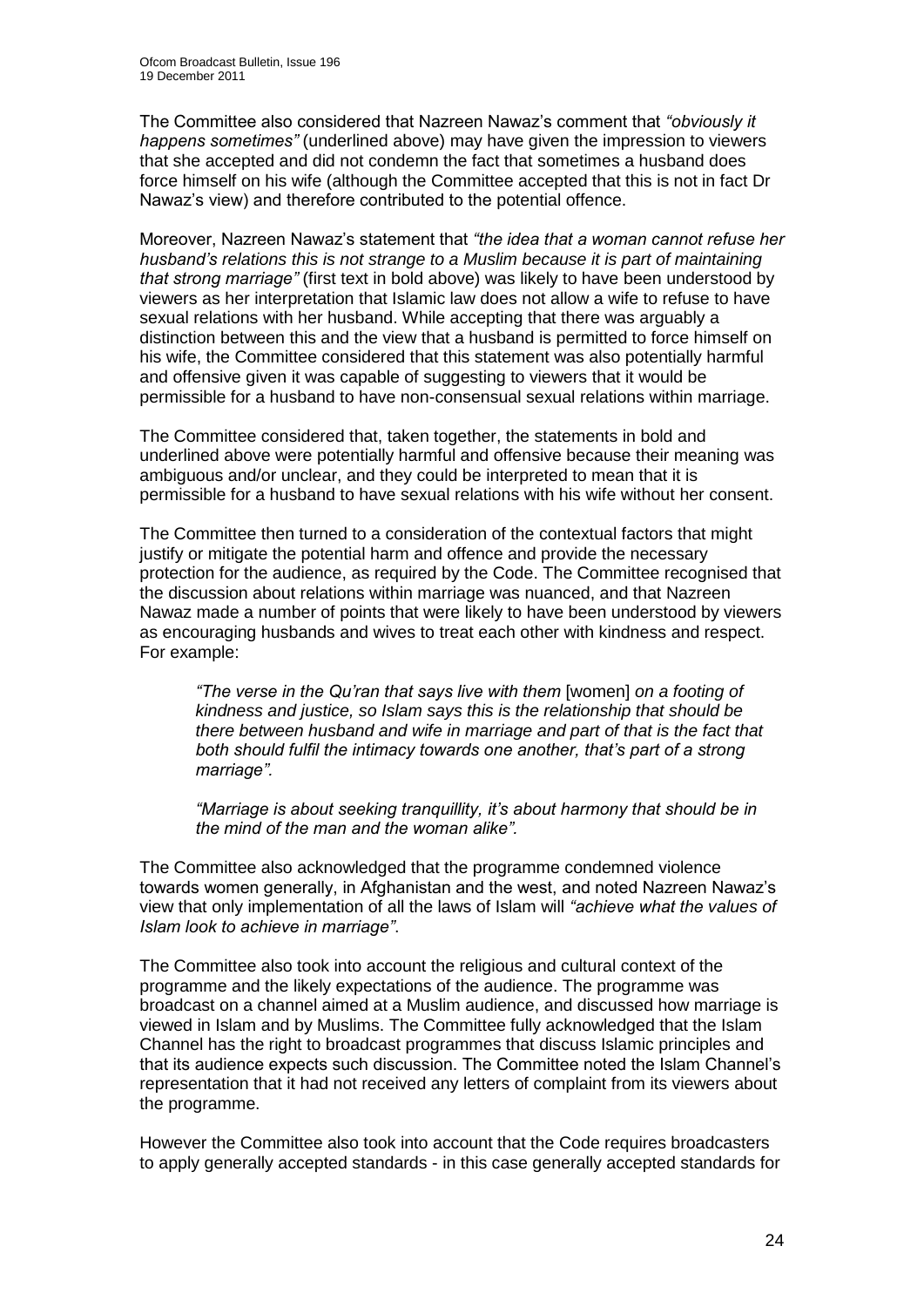The Committee also considered that Nazreen Nawaz"s comment that *"obviously it happens sometimes"* (underlined above) may have given the impression to viewers that she accepted and did not condemn the fact that sometimes a husband does force himself on his wife (although the Committee accepted that this is not in fact Dr Nawaz"s view) and therefore contributed to the potential offence.

Moreover, Nazreen Nawaz"s statement that *"the idea that a woman cannot refuse her husband"s relations this is not strange to a Muslim because it is part of maintaining that strong marriage"* (first text in bold above) was likely to have been understood by viewers as her interpretation that Islamic law does not allow a wife to refuse to have sexual relations with her husband. While accepting that there was arguably a distinction between this and the view that a husband is permitted to force himself on his wife, the Committee considered that this statement was also potentially harmful and offensive given it was capable of suggesting to viewers that it would be permissible for a husband to have non-consensual sexual relations within marriage.

The Committee considered that, taken together, the statements in bold and underlined above were potentially harmful and offensive because their meaning was ambiguous and/or unclear, and they could be interpreted to mean that it is permissible for a husband to have sexual relations with his wife without her consent.

The Committee then turned to a consideration of the contextual factors that might justify or mitigate the potential harm and offence and provide the necessary protection for the audience, as required by the Code. The Committee recognised that the discussion about relations within marriage was nuanced, and that Nazreen Nawaz made a number of points that were likely to have been understood by viewers as encouraging husbands and wives to treat each other with kindness and respect. For example:

*"The verse in the Qu"ran that says live with them* [women] *on a footing of kindness and justice, so Islam says this is the relationship that should be there between husband and wife in marriage and part of that is the fact that both should fulfil the intimacy towards one another, that"s part of a strong marriage".*

*"Marriage is about seeking tranquillity, it"s about harmony that should be in the mind of the man and the woman alike".*

The Committee also acknowledged that the programme condemned violence towards women generally, in Afghanistan and the west, and noted Nazreen Nawaz"s view that only implementation of all the laws of Islam will *"achieve what the values of Islam look to achieve in marriage"*.

The Committee also took into account the religious and cultural context of the programme and the likely expectations of the audience. The programme was broadcast on a channel aimed at a Muslim audience, and discussed how marriage is viewed in Islam and by Muslims. The Committee fully acknowledged that the Islam Channel has the right to broadcast programmes that discuss Islamic principles and that its audience expects such discussion. The Committee noted the Islam Channel"s representation that it had not received any letters of complaint from its viewers about the programme.

However the Committee also took into account that the Code requires broadcasters to apply generally accepted standards - in this case generally accepted standards for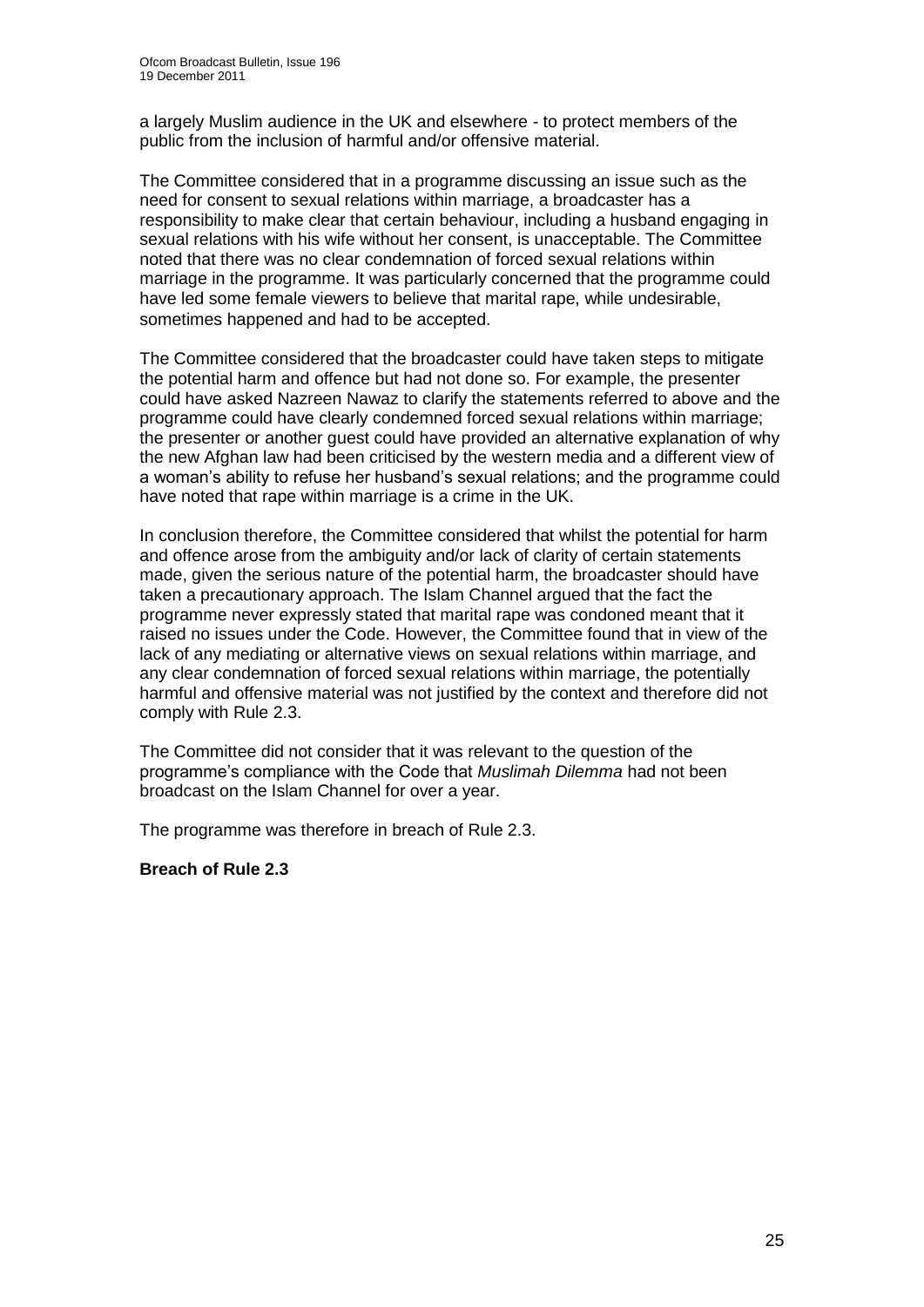a largely Muslim audience in the UK and elsewhere - to protect members of the public from the inclusion of harmful and/or offensive material.

The Committee considered that in a programme discussing an issue such as the need for consent to sexual relations within marriage, a broadcaster has a responsibility to make clear that certain behaviour, including a husband engaging in sexual relations with his wife without her consent, is unacceptable. The Committee noted that there was no clear condemnation of forced sexual relations within marriage in the programme. It was particularly concerned that the programme could have led some female viewers to believe that marital rape, while undesirable, sometimes happened and had to be accepted.

The Committee considered that the broadcaster could have taken steps to mitigate the potential harm and offence but had not done so. For example, the presenter could have asked Nazreen Nawaz to clarify the statements referred to above and the programme could have clearly condemned forced sexual relations within marriage; the presenter or another guest could have provided an alternative explanation of why the new Afghan law had been criticised by the western media and a different view of a woman"s ability to refuse her husband"s sexual relations; and the programme could have noted that rape within marriage is a crime in the UK.

In conclusion therefore, the Committee considered that whilst the potential for harm and offence arose from the ambiguity and/or lack of clarity of certain statements made, given the serious nature of the potential harm, the broadcaster should have taken a precautionary approach. The Islam Channel argued that the fact the programme never expressly stated that marital rape was condoned meant that it raised no issues under the Code. However, the Committee found that in view of the lack of any mediating or alternative views on sexual relations within marriage, and any clear condemnation of forced sexual relations within marriage, the potentially harmful and offensive material was not justified by the context and therefore did not comply with Rule 2.3.

The Committee did not consider that it was relevant to the question of the programme"s compliance with the Code that *Muslimah Dilemma* had not been broadcast on the Islam Channel for over a year.

The programme was therefore in breach of Rule 2.3.

**Breach of Rule 2.3**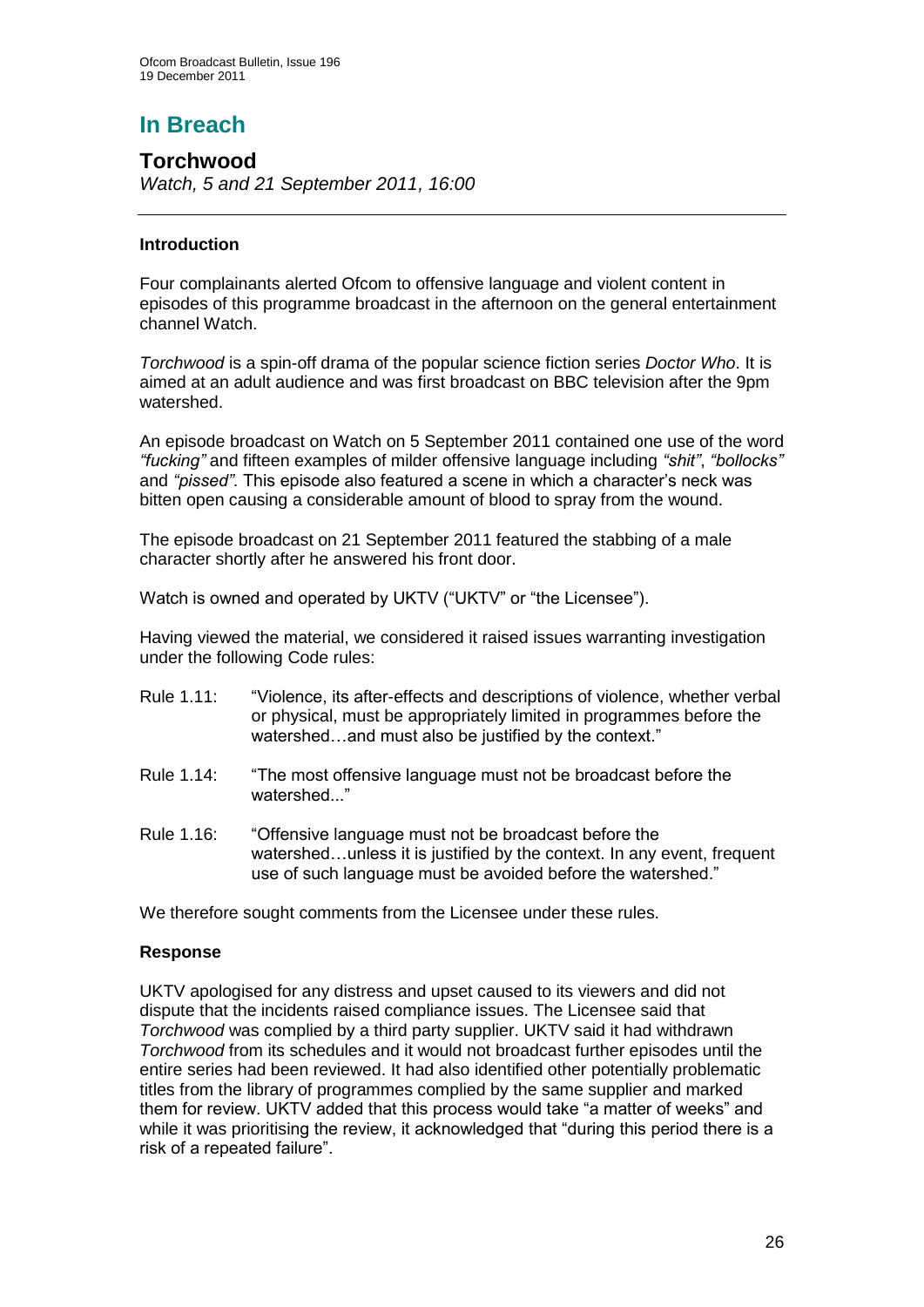# **In Breach**

**Torchwood** *Watch, 5 and 21 September 2011, 16:00*

## **Introduction**

Four complainants alerted Ofcom to offensive language and violent content in episodes of this programme broadcast in the afternoon on the general entertainment channel Watch.

*Torchwood* is a spin-off drama of the popular science fiction series *Doctor Who*. It is aimed at an adult audience and was first broadcast on BBC television after the 9pm watershed.

An episode broadcast on Watch on 5 September 2011 contained one use of the word *"fucking"* and fifteen examples of milder offensive language including *"shit"*, *"bollocks"* and "pissed". This episode also featured a scene in which a character's neck was bitten open causing a considerable amount of blood to spray from the wound.

The episode broadcast on 21 September 2011 featured the stabbing of a male character shortly after he answered his front door.

Watch is owned and operated by UKTV ("UKTV" or "the Licensee").

Having viewed the material, we considered it raised issues warranting investigation under the following Code rules:

- Rule 1.11: "Violence, its after-effects and descriptions of violence, whether verbal or physical, must be appropriately limited in programmes before the watershed…and must also be justified by the context."
- Rule 1.14: "The most offensive language must not be broadcast before the watershed..."
- Rule 1.16: "Offensive language must not be broadcast before the watershed…unless it is justified by the context. In any event, frequent use of such language must be avoided before the watershed."

We therefore sought comments from the Licensee under these rules.

#### **Response**

UKTV apologised for any distress and upset caused to its viewers and did not dispute that the incidents raised compliance issues. The Licensee said that *Torchwood* was complied by a third party supplier. UKTV said it had withdrawn *Torchwood* from its schedules and it would not broadcast further episodes until the entire series had been reviewed. It had also identified other potentially problematic titles from the library of programmes complied by the same supplier and marked them for review. UKTV added that this process would take "a matter of weeks" and while it was prioritising the review, it acknowledged that "during this period there is a risk of a repeated failure".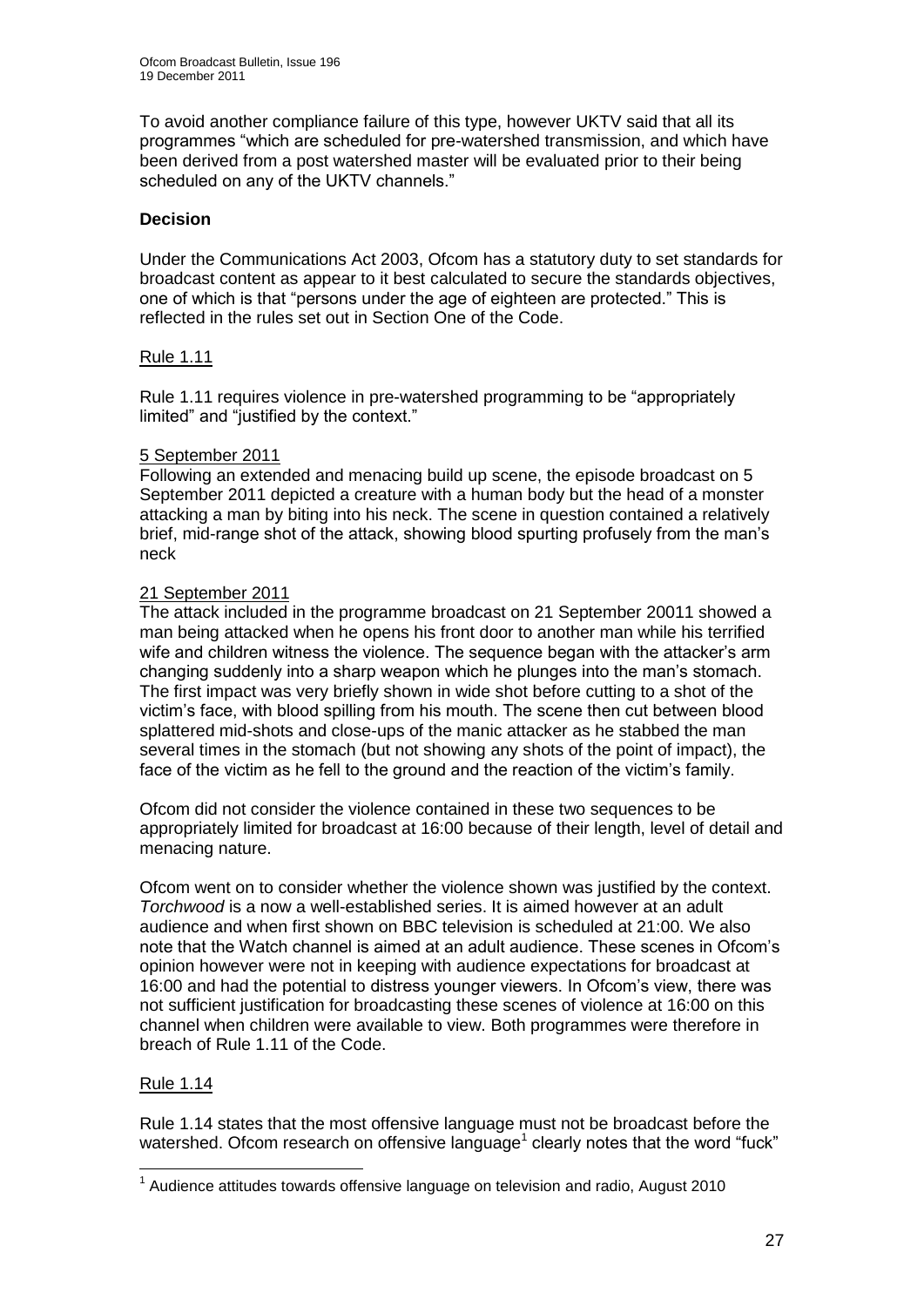To avoid another compliance failure of this type, however UKTV said that all its programmes "which are scheduled for pre-watershed transmission, and which have been derived from a post watershed master will be evaluated prior to their being scheduled on any of the UKTV channels."

## **Decision**

Under the Communications Act 2003, Ofcom has a statutory duty to set standards for broadcast content as appear to it best calculated to secure the standards objectives, one of which is that "persons under the age of eighteen are protected." This is reflected in the rules set out in Section One of the Code.

#### Rule 1.11

Rule 1.11 requires violence in pre-watershed programming to be "appropriately limited" and "justified by the context."

#### 5 September 2011

Following an extended and menacing build up scene, the episode broadcast on 5 September 2011 depicted a creature with a human body but the head of a monster attacking a man by biting into his neck. The scene in question contained a relatively brief, mid-range shot of the attack, showing blood spurting profusely from the man"s neck

#### 21 September 2011

The attack included in the programme broadcast on 21 September 20011 showed a man being attacked when he opens his front door to another man while his terrified wife and children witness the violence. The sequence began with the attacker's arm changing suddenly into a sharp weapon which he plunges into the man"s stomach. The first impact was very briefly shown in wide shot before cutting to a shot of the victim"s face, with blood spilling from his mouth. The scene then cut between blood splattered mid-shots and close-ups of the manic attacker as he stabbed the man several times in the stomach (but not showing any shots of the point of impact), the face of the victim as he fell to the ground and the reaction of the victim's family.

Ofcom did not consider the violence contained in these two sequences to be appropriately limited for broadcast at 16:00 because of their length, level of detail and menacing nature.

Ofcom went on to consider whether the violence shown was justified by the context. *Torchwood* is a now a well-established series. It is aimed however at an adult audience and when first shown on BBC television is scheduled at 21:00. We also note that the Watch channel is aimed at an adult audience. These scenes in Ofcom"s opinion however were not in keeping with audience expectations for broadcast at 16:00 and had the potential to distress younger viewers. In Ofcom"s view, there was not sufficient justification for broadcasting these scenes of violence at 16:00 on this channel when children were available to view. Both programmes were therefore in breach of Rule 1.11 of the Code.

#### Rule 1.14

1

Rule 1.14 states that the most offensive language must not be broadcast before the watershed. Ofcom research on offensive language<sup>1</sup> clearly notes that the word "fuck"

 $1$  Audience attitudes towards offensive language on television and radio, August 2010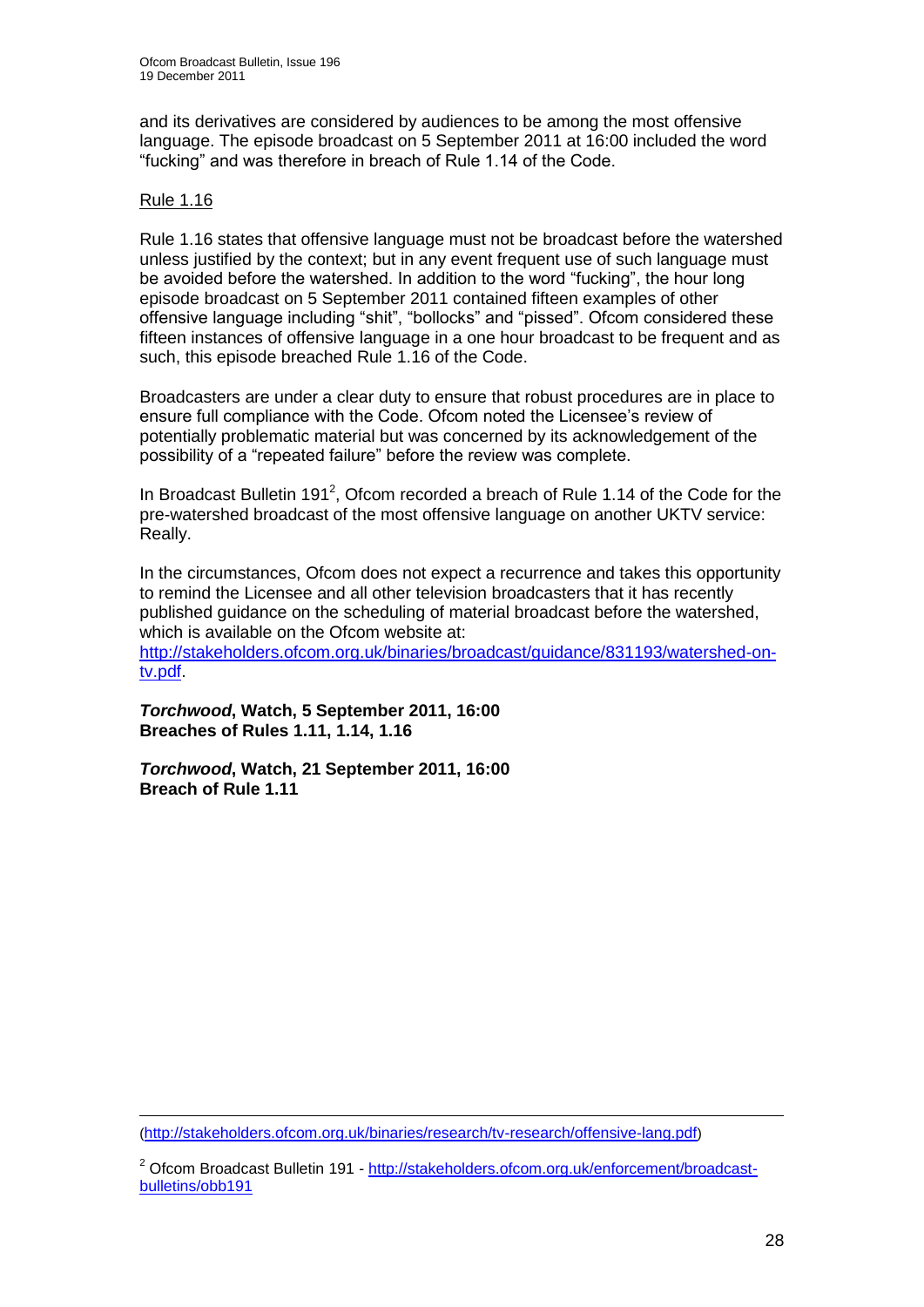and its derivatives are considered by audiences to be among the most offensive language. The episode broadcast on 5 September 2011 at 16:00 included the word "fucking" and was therefore in breach of Rule 1.14 of the Code.

#### Rule 1.16

Rule 1.16 states that offensive language must not be broadcast before the watershed unless justified by the context; but in any event frequent use of such language must be avoided before the watershed. In addition to the word "fucking", the hour long episode broadcast on 5 September 2011 contained fifteen examples of other offensive language including "shit", "bollocks" and "pissed". Ofcom considered these fifteen instances of offensive language in a one hour broadcast to be frequent and as such, this episode breached Rule 1.16 of the Code.

Broadcasters are under a clear duty to ensure that robust procedures are in place to ensure full compliance with the Code. Ofcom noted the Licensee's review of potentially problematic material but was concerned by its acknowledgement of the possibility of a "repeated failure" before the review was complete.

In Broadcast Bulletin 191<sup>2</sup>, Ofcom recorded a breach of Rule 1.14 of the Code for the pre-watershed broadcast of the most offensive language on another UKTV service: Really.

In the circumstances, Ofcom does not expect a recurrence and takes this opportunity to remind the Licensee and all other television broadcasters that it has recently published guidance on the scheduling of material broadcast before the watershed, which is available on the Ofcom website at: [http://stakeholders.ofcom.org.uk/binaries/broadcast/guidance/831193/watershed-on](http://stakeholders.ofcom.org.uk/binaries/broadcast/guidance/831193/watershed-on-tv.pdf)[tv.pdf.](http://stakeholders.ofcom.org.uk/binaries/broadcast/guidance/831193/watershed-on-tv.pdf)

*Torchwood***, Watch, 5 September 2011, 16:00 Breaches of Rules 1.11, 1.14, 1.16** 

*Torchwood***, Watch, 21 September 2011, 16:00 Breach of Rule 1.11**

<sup>1</sup> (<http://stakeholders.ofcom.org.uk/binaries/research/tv-research/offensive-lang.pdf>)

<sup>&</sup>lt;sup>2</sup> Ofcom Broadcast Bulletin 191 - [http://stakeholders.ofcom.org.uk/enforcement/broadcast](http://stakeholders.ofcom.org.uk/enforcement/broadcast-bulletins/obb191)[bulletins/obb191](http://stakeholders.ofcom.org.uk/enforcement/broadcast-bulletins/obb191)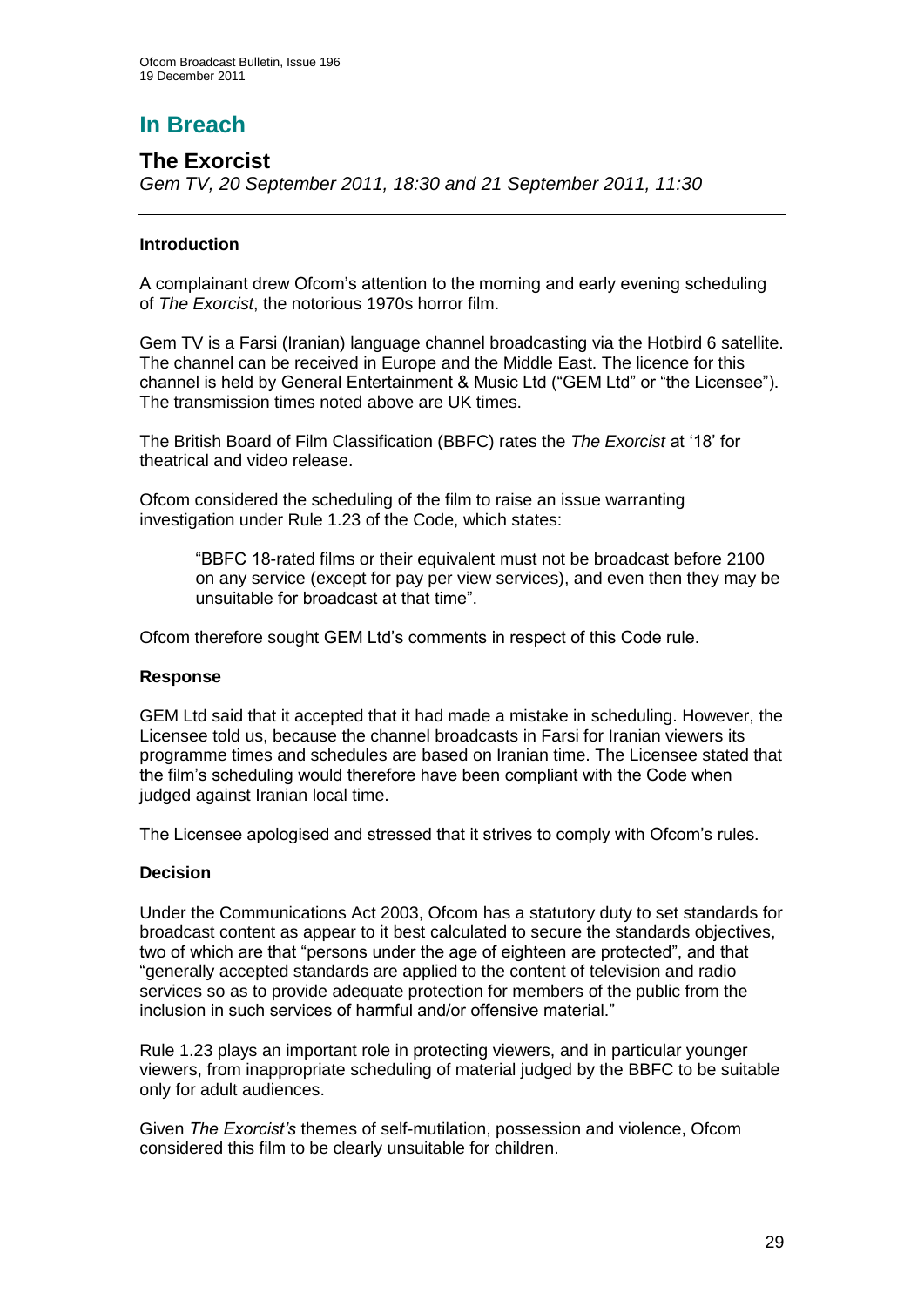# **In Breach**

# **The Exorcist**

*Gem TV, 20 September 2011, 18:30 and 21 September 2011, 11:30*

#### **Introduction**

A complainant drew Ofcom"s attention to the morning and early evening scheduling of *The Exorcist*, the notorious 1970s horror film.

Gem TV is a Farsi (Iranian) language channel broadcasting via the Hotbird 6 satellite. The channel can be received in Europe and the Middle East. The licence for this channel is held by General Entertainment & Music Ltd ("GEM Ltd" or "the Licensee"). The transmission times noted above are UK times.

The British Board of Film Classification (BBFC) rates the *The Exorcist* at "18" for theatrical and video release.

Ofcom considered the scheduling of the film to raise an issue warranting investigation under Rule 1.23 of the Code, which states:

> "BBFC 18-rated films or their equivalent must not be broadcast before 2100 on any service (except for pay per view services), and even then they may be unsuitable for broadcast at that time".

Ofcom therefore sought GEM Ltd"s comments in respect of this Code rule.

#### **Response**

GEM Ltd said that it accepted that it had made a mistake in scheduling. However, the Licensee told us, because the channel broadcasts in Farsi for Iranian viewers its programme times and schedules are based on Iranian time. The Licensee stated that the film"s scheduling would therefore have been compliant with the Code when judged against Iranian local time.

The Licensee apologised and stressed that it strives to comply with Ofcom"s rules.

#### **Decision**

Under the Communications Act 2003, Ofcom has a statutory duty to set standards for broadcast content as appear to it best calculated to secure the standards objectives, two of which are that "persons under the age of eighteen are protected", and that "generally accepted standards are applied to the content of television and radio services so as to provide adequate protection for members of the public from the inclusion in such services of harmful and/or offensive material."

Rule 1.23 plays an important role in protecting viewers, and in particular younger viewers, from inappropriate scheduling of material judged by the BBFC to be suitable only for adult audiences.

Given *The Exorcist"s* themes of self-mutilation, possession and violence, Ofcom considered this film to be clearly unsuitable for children.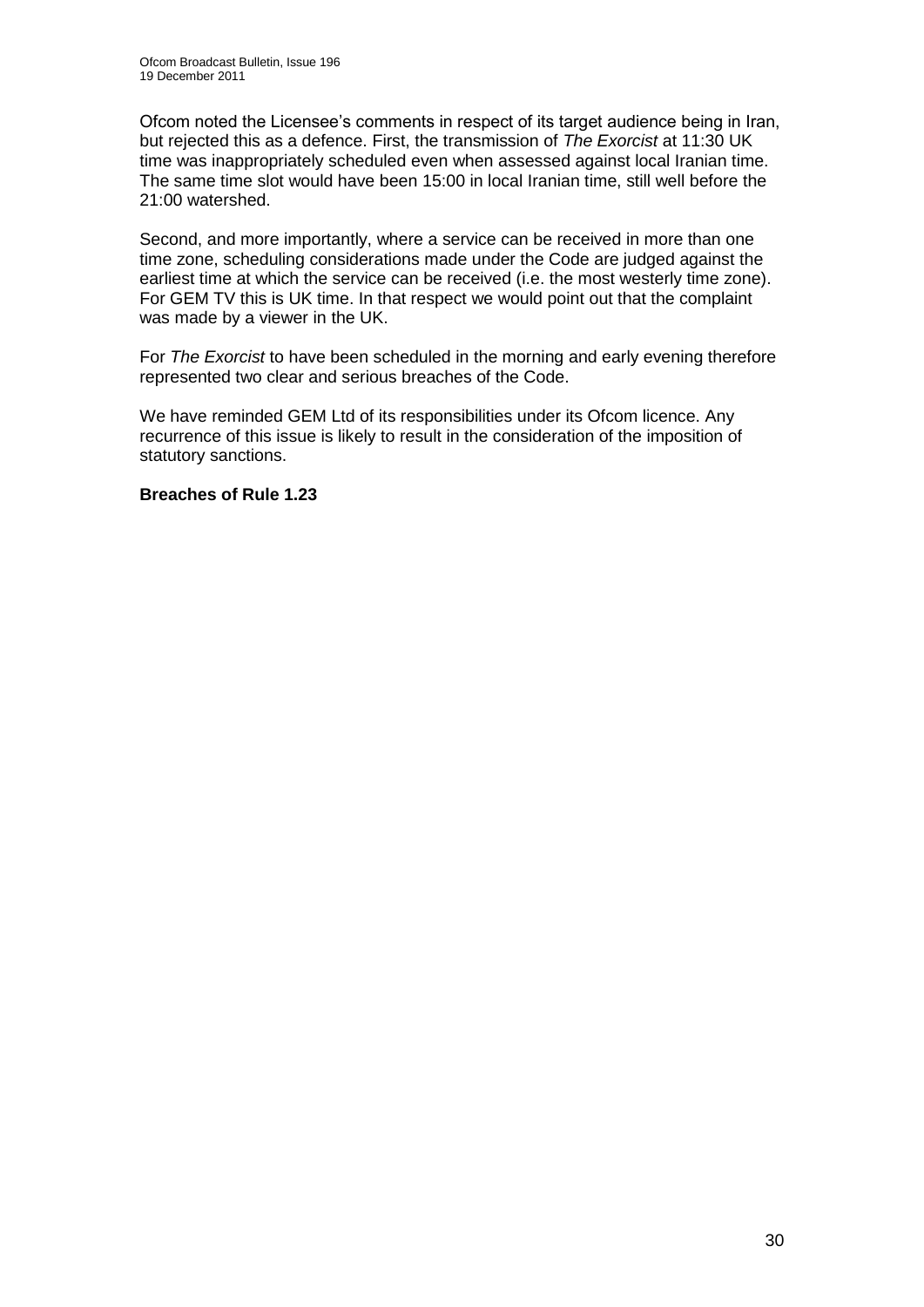Ofcom noted the Licensee"s comments in respect of its target audience being in Iran, but rejected this as a defence. First, the transmission of *The Exorcist* at 11:30 UK time was inappropriately scheduled even when assessed against local Iranian time. The same time slot would have been 15:00 in local Iranian time, still well before the 21:00 watershed.

Second, and more importantly, where a service can be received in more than one time zone, scheduling considerations made under the Code are judged against the earliest time at which the service can be received (i.e. the most westerly time zone). For GEM TV this is UK time. In that respect we would point out that the complaint was made by a viewer in the UK.

For *The Exorcist* to have been scheduled in the morning and early evening therefore represented two clear and serious breaches of the Code.

We have reminded GEM Ltd of its responsibilities under its Ofcom licence. Any recurrence of this issue is likely to result in the consideration of the imposition of statutory sanctions.

#### **Breaches of Rule 1.23**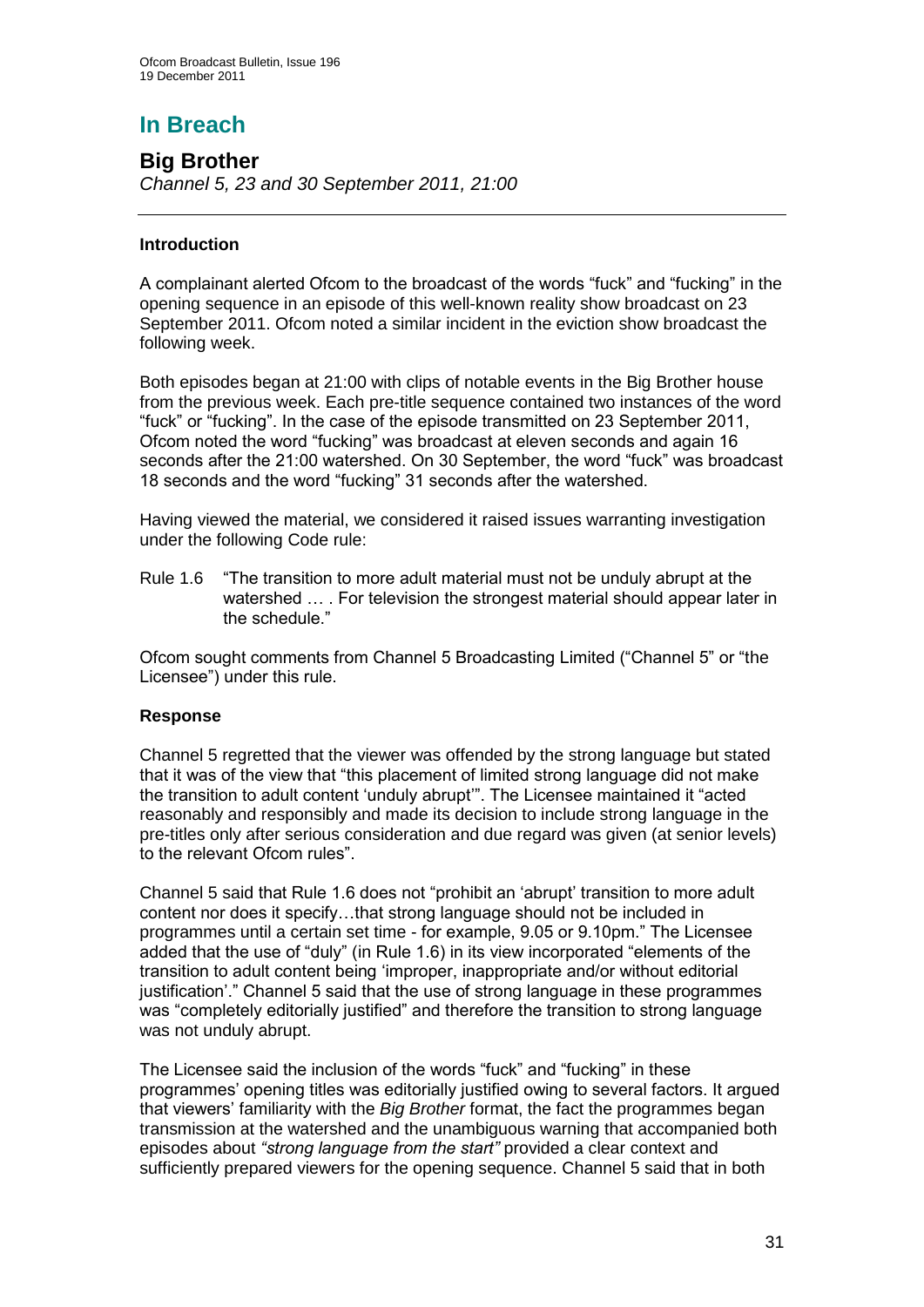# **In Breach**

**Big Brother** *Channel 5, 23 and 30 September 2011, 21:00*

## **Introduction**

A complainant alerted Ofcom to the broadcast of the words "fuck" and "fucking" in the opening sequence in an episode of this well-known reality show broadcast on 23 September 2011. Ofcom noted a similar incident in the eviction show broadcast the following week.

Both episodes began at 21:00 with clips of notable events in the Big Brother house from the previous week. Each pre-title sequence contained two instances of the word "fuck" or "fucking". In the case of the episode transmitted on 23 September 2011, Ofcom noted the word "fucking" was broadcast at eleven seconds and again 16 seconds after the 21:00 watershed. On 30 September, the word "fuck" was broadcast 18 seconds and the word "fucking" 31 seconds after the watershed.

Having viewed the material, we considered it raised issues warranting investigation under the following Code rule:

Rule 1.6 "The transition to more adult material must not be unduly abrupt at the watershed ... . For television the strongest material should appear later in the schedule."

Ofcom sought comments from Channel 5 Broadcasting Limited ("Channel 5" or "the Licensee") under this rule.

#### **Response**

Channel 5 regretted that the viewer was offended by the strong language but stated that it was of the view that "this placement of limited strong language did not make the transition to adult content "unduly abrupt"". The Licensee maintained it "acted reasonably and responsibly and made its decision to include strong language in the pre-titles only after serious consideration and due regard was given (at senior levels) to the relevant Ofcom rules".

Channel 5 said that Rule 1.6 does not "prohibit an "abrupt" transition to more adult content nor does it specify…that strong language should not be included in programmes until a certain set time - for example, 9.05 or 9.10pm." The Licensee added that the use of "duly" (in Rule 1.6) in its view incorporated "elements of the transition to adult content being "improper, inappropriate and/or without editorial justification'." Channel 5 said that the use of strong language in these programmes was "completely editorially justified" and therefore the transition to strong language was not unduly abrupt.

The Licensee said the inclusion of the words "fuck" and "fucking" in these programmes" opening titles was editorially justified owing to several factors. It argued that viewers" familiarity with the *Big Brother* format, the fact the programmes began transmission at the watershed and the unambiguous warning that accompanied both episodes about *"strong language from the start"* provided a clear context and sufficiently prepared viewers for the opening sequence. Channel 5 said that in both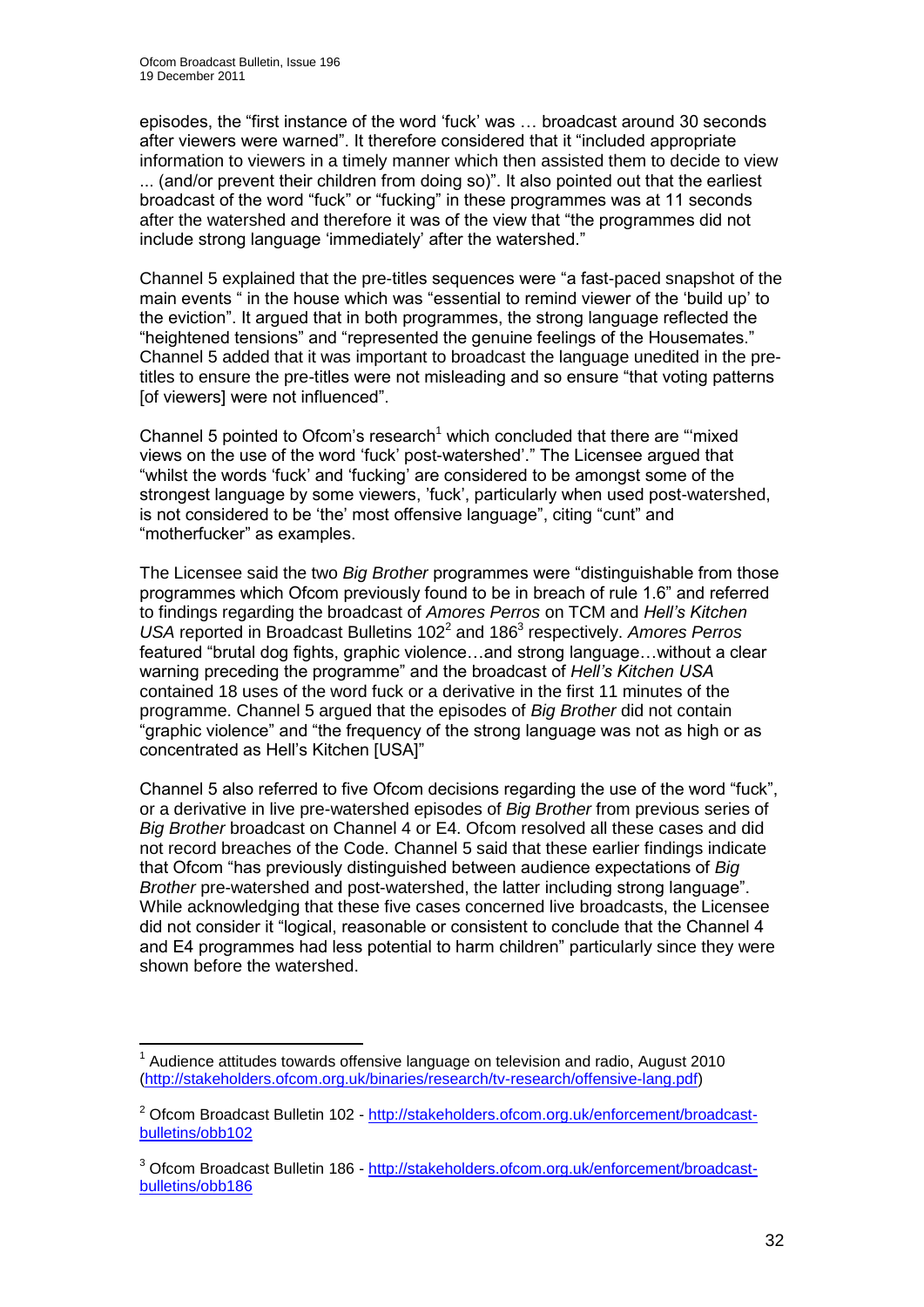episodes, the "first instance of the word "fuck" was … broadcast around 30 seconds after viewers were warned". It therefore considered that it "included appropriate information to viewers in a timely manner which then assisted them to decide to view ... (and/or prevent their children from doing so)". It also pointed out that the earliest broadcast of the word "fuck" or "fucking" in these programmes was at 11 seconds after the watershed and therefore it was of the view that "the programmes did not include strong language "immediately" after the watershed."

Channel 5 explained that the pre-titles sequences were "a fast-paced snapshot of the main events " in the house which was "essential to remind viewer of the "build up" to the eviction". It argued that in both programmes, the strong language reflected the "heightened tensions" and "represented the genuine feelings of the Housemates." Channel 5 added that it was important to broadcast the language unedited in the pretitles to ensure the pre-titles were not misleading and so ensure "that voting patterns [of viewers] were not influenced".

Channel 5 pointed to Ofcom's research<sup>1</sup> which concluded that there are "mixed" views on the use of the word "fuck" post-watershed"." The Licensee argued that "whilst the words "fuck" and "fucking" are considered to be amongst some of the strongest language by some viewers, "fuck", particularly when used post-watershed, is not considered to be "the" most offensive language", citing "cunt" and "motherfucker" as examples.

The Licensee said the two *Big Brother* programmes were "distinguishable from those programmes which Ofcom previously found to be in breach of rule 1.6" and referred to findings regarding the broadcast of *Amores Perros* on TCM and *Hell"s Kitchen*  USA reported in Broadcast Bulletins 102<sup>2</sup> and 186<sup>3</sup> respectively. Amores Perros featured "brutal dog fights, graphic violence…and strong language…without a clear warning preceding the programme" and the broadcast of *Hell"s Kitchen USA* contained 18 uses of the word fuck or a derivative in the first 11 minutes of the programme. Channel 5 argued that the episodes of *Big Brother* did not contain "graphic violence" and "the frequency of the strong language was not as high or as concentrated as Hell"s Kitchen [USA]"

Channel 5 also referred to five Ofcom decisions regarding the use of the word "fuck", or a derivative in live pre-watershed episodes of *Big Brother* from previous series of *Big Brother* broadcast on Channel 4 or E4. Ofcom resolved all these cases and did not record breaches of the Code. Channel 5 said that these earlier findings indicate that Ofcom "has previously distinguished between audience expectations of *Big Brother* pre-watershed and post-watershed, the latter including strong language". While acknowledging that these five cases concerned live broadcasts, the Licensee did not consider it "logical, reasonable or consistent to conclude that the Channel 4 and E4 programmes had less potential to harm children" particularly since they were shown before the watershed.

<sup>1</sup>  $1$  Audience attitudes towards offensive language on television and radio, August 2010 [\(http://stakeholders.ofcom.org.uk/binaries/research/tv-research/offensive-lang.pdf\)](http://stakeholders.ofcom.org.uk/binaries/research/tv-research/offensive-lang.pdf)

<sup>&</sup>lt;sup>2</sup> Ofcom Broadcast Bulletin 102 - [http://stakeholders.ofcom.org.uk/enforcement/broadcast](http://stakeholders.ofcom.org.uk/enforcement/broadcast-bulletins/obb102)[bulletins/obb102](http://stakeholders.ofcom.org.uk/enforcement/broadcast-bulletins/obb102)

<sup>&</sup>lt;sup>3</sup> Ofcom Broadcast Bulletin 186 - [http://stakeholders.ofcom.org.uk/enforcement/broadcast](http://stakeholders.ofcom.org.uk/enforcement/broadcast-bulletins/obb186)[bulletins/obb186](http://stakeholders.ofcom.org.uk/enforcement/broadcast-bulletins/obb186)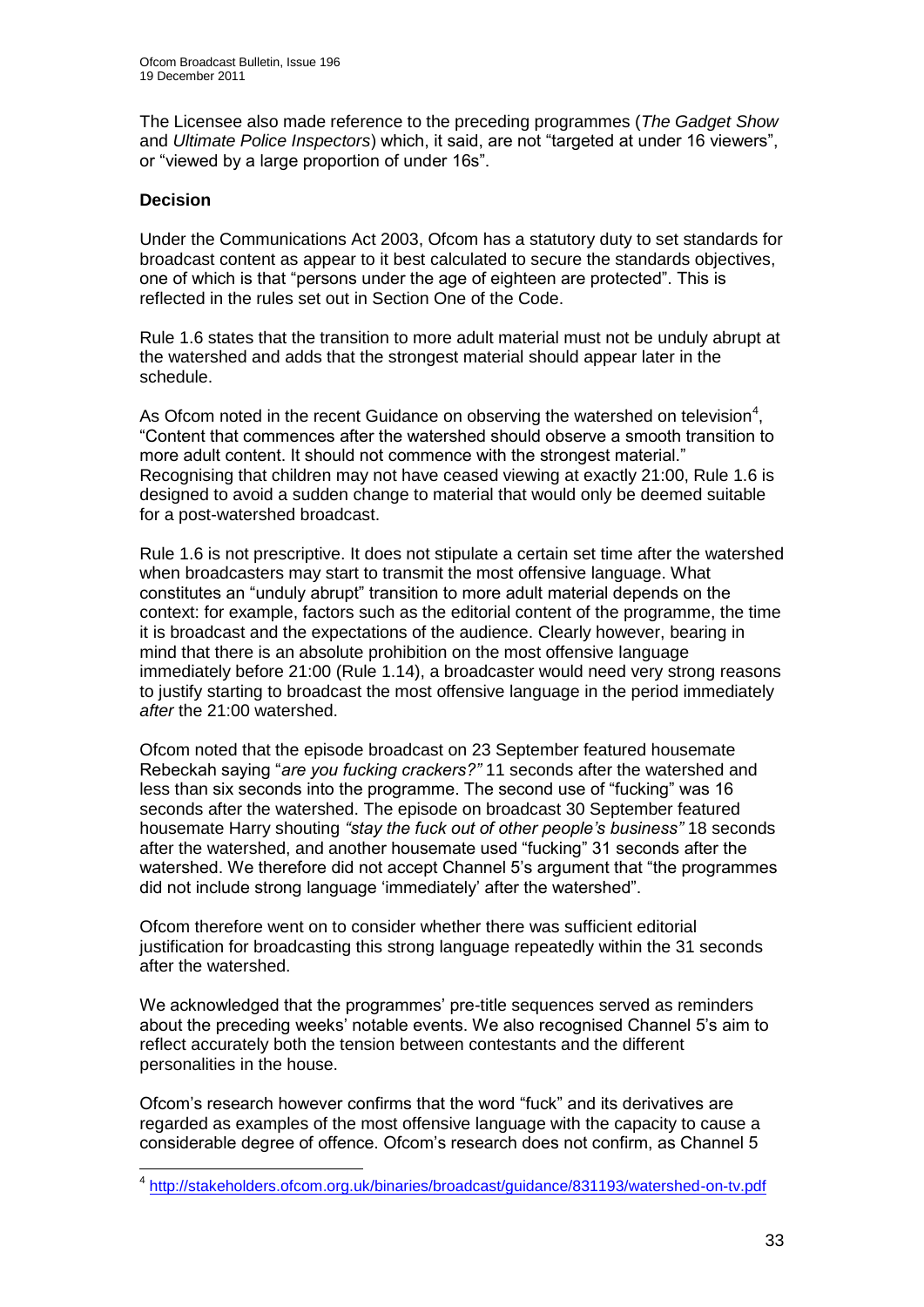The Licensee also made reference to the preceding programmes (*The Gadget Show* and *Ultimate Police Inspectors*) which, it said, are not "targeted at under 16 viewers", or "viewed by a large proportion of under 16s".

#### **Decision**

Under the Communications Act 2003, Ofcom has a statutory duty to set standards for broadcast content as appear to it best calculated to secure the standards objectives, one of which is that "persons under the age of eighteen are protected". This is reflected in the rules set out in Section One of the Code.

Rule 1.6 states that the transition to more adult material must not be unduly abrupt at the watershed and adds that the strongest material should appear later in the schedule.

As Ofcom noted in the recent Guidance on observing the watershed on television<sup>4</sup>, "Content that commences after the watershed should observe a smooth transition to more adult content. It should not commence with the strongest material." Recognising that children may not have ceased viewing at exactly 21:00, Rule 1.6 is designed to avoid a sudden change to material that would only be deemed suitable for a post-watershed broadcast.

Rule 1.6 is not prescriptive. It does not stipulate a certain set time after the watershed when broadcasters may start to transmit the most offensive language. What constitutes an "unduly abrupt" transition to more adult material depends on the context: for example, factors such as the editorial content of the programme, the time it is broadcast and the expectations of the audience. Clearly however, bearing in mind that there is an absolute prohibition on the most offensive language immediately before 21:00 (Rule 1.14), a broadcaster would need very strong reasons to justify starting to broadcast the most offensive language in the period immediately *after* the 21:00 watershed.

Ofcom noted that the episode broadcast on 23 September featured housemate Rebeckah saying "*are you fucking crackers?"* 11 seconds after the watershed and less than six seconds into the programme. The second use of "fucking" was 16 seconds after the watershed. The episode on broadcast 30 September featured housemate Harry shouting *"stay the fuck out of other people"s business"* 18 seconds after the watershed, and another housemate used "fucking" 31 seconds after the watershed. We therefore did not accept Channel 5's argument that "the programmes" did not include strong language "immediately" after the watershed".

Ofcom therefore went on to consider whether there was sufficient editorial justification for broadcasting this strong language repeatedly within the 31 seconds after the watershed.

We acknowledged that the programmes" pre-title sequences served as reminders about the preceding weeks' notable events. We also recognised Channel 5's aim to reflect accurately both the tension between contestants and the different personalities in the house.

Ofcom"s research however confirms that the word "fuck" and its derivatives are regarded as examples of the most offensive language with the capacity to cause a considerable degree of offence. Ofcom"s research does not confirm, as Channel 5

 4 <http://stakeholders.ofcom.org.uk/binaries/broadcast/guidance/831193/watershed-on-tv.pdf>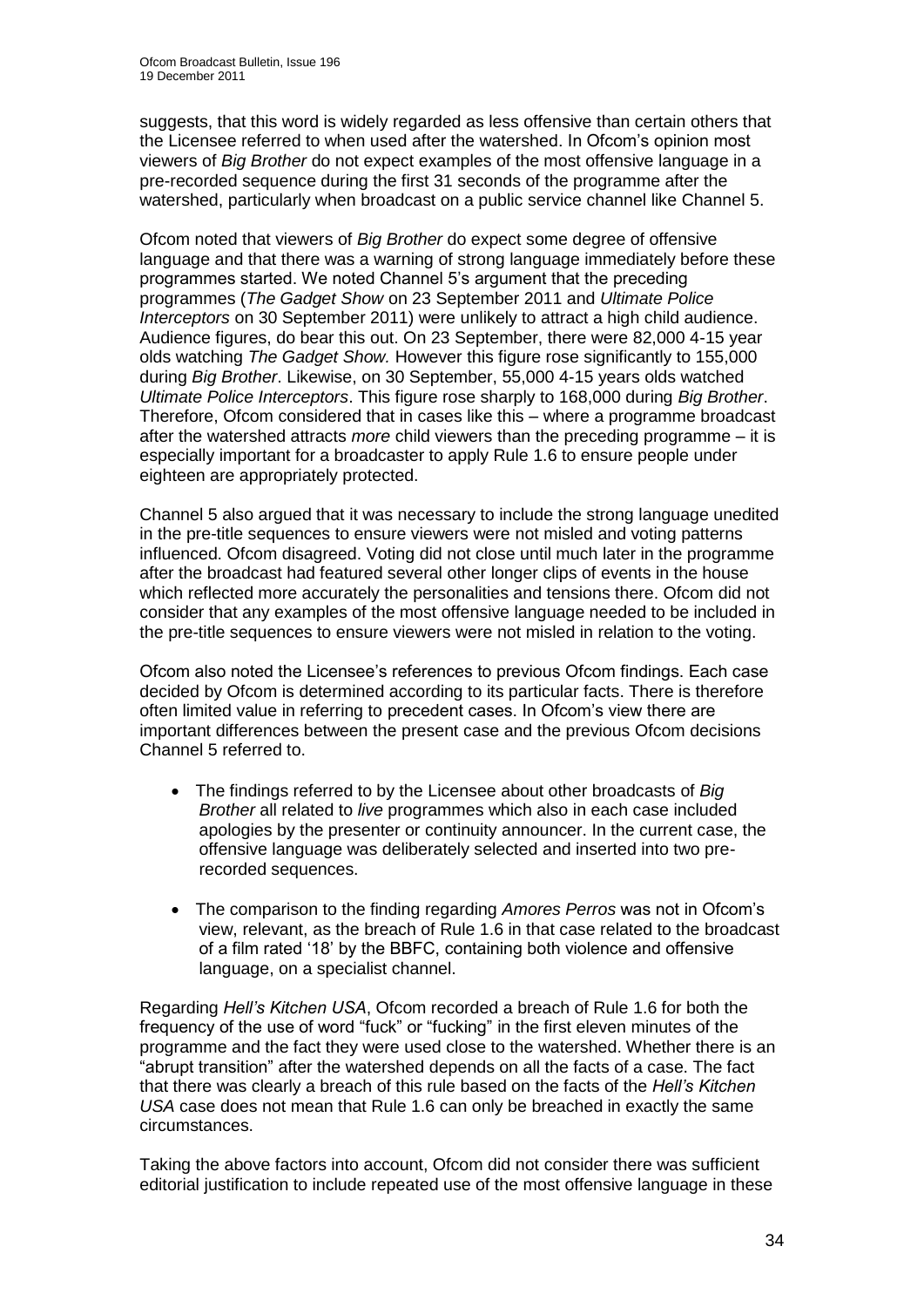suggests, that this word is widely regarded as less offensive than certain others that the Licensee referred to when used after the watershed. In Ofcom"s opinion most viewers of *Big Brother* do not expect examples of the most offensive language in a pre-recorded sequence during the first 31 seconds of the programme after the watershed, particularly when broadcast on a public service channel like Channel 5.

Ofcom noted that viewers of *Big Brother* do expect some degree of offensive language and that there was a warning of strong language immediately before these programmes started. We noted Channel 5"s argument that the preceding programmes (*The Gadget Show* on 23 September 2011 and *Ultimate Police Interceptors* on 30 September 2011) were unlikely to attract a high child audience. Audience figures, do bear this out. On 23 September, there were 82,000 4-15 year olds watching *The Gadget Show.* However this figure rose significantly to 155,000 during *Big Brother*. Likewise, on 30 September, 55,000 4-15 years olds watched *Ultimate Police Interceptors*. This figure rose sharply to 168,000 during *Big Brother*. Therefore, Ofcom considered that in cases like this – where a programme broadcast after the watershed attracts *more* child viewers than the preceding programme – it is especially important for a broadcaster to apply Rule 1.6 to ensure people under eighteen are appropriately protected.

Channel 5 also argued that it was necessary to include the strong language unedited in the pre-title sequences to ensure viewers were not misled and voting patterns influenced. Ofcom disagreed. Voting did not close until much later in the programme after the broadcast had featured several other longer clips of events in the house which reflected more accurately the personalities and tensions there. Ofcom did not consider that any examples of the most offensive language needed to be included in the pre-title sequences to ensure viewers were not misled in relation to the voting.

Ofcom also noted the Licensee"s references to previous Ofcom findings. Each case decided by Ofcom is determined according to its particular facts. There is therefore often limited value in referring to precedent cases. In Ofcom"s view there are important differences between the present case and the previous Ofcom decisions Channel 5 referred to.

- The findings referred to by the Licensee about other broadcasts of *Big Brother* all related to *live* programmes which also in each case included apologies by the presenter or continuity announcer. In the current case, the offensive language was deliberately selected and inserted into two prerecorded sequences.
- The comparison to the finding regarding *Amores Perros* was not in Ofcom"s view, relevant, as the breach of Rule 1.6 in that case related to the broadcast of a film rated "18" by the BBFC, containing both violence and offensive language, on a specialist channel.

Regarding *Hell"s Kitchen USA*, Ofcom recorded a breach of Rule 1.6 for both the frequency of the use of word "fuck" or "fucking" in the first eleven minutes of the programme and the fact they were used close to the watershed. Whether there is an "abrupt transition" after the watershed depends on all the facts of a case. The fact that there was clearly a breach of this rule based on the facts of the *Hell"s Kitchen USA* case does not mean that Rule 1.6 can only be breached in exactly the same circumstances.

Taking the above factors into account, Ofcom did not consider there was sufficient editorial justification to include repeated use of the most offensive language in these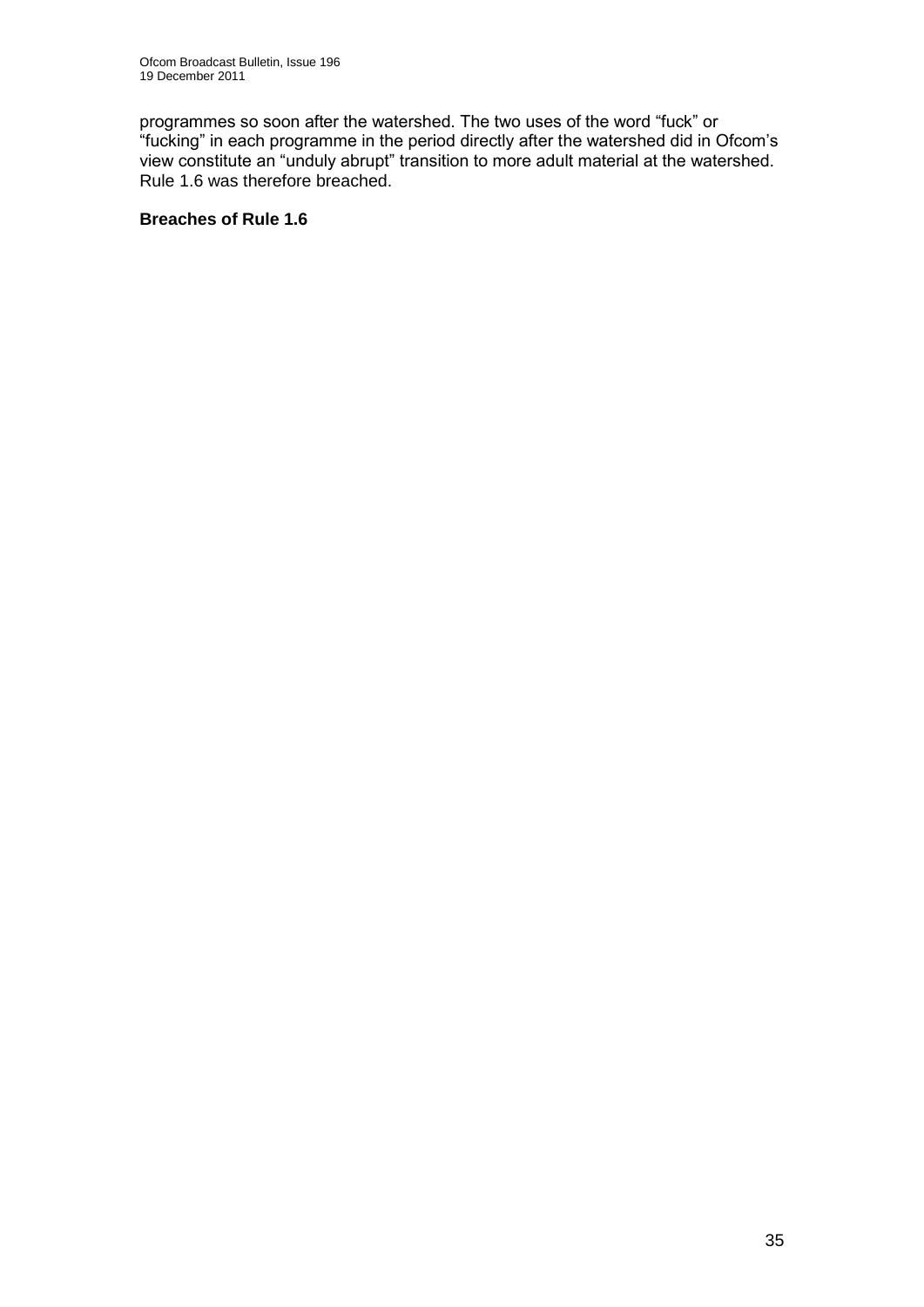programmes so soon after the watershed. The two uses of the word "fuck" or "fucking" in each programme in the period directly after the watershed did in Ofcom"s view constitute an "unduly abrupt" transition to more adult material at the watershed. Rule 1.6 was therefore breached.

## **Breaches of Rule 1.6**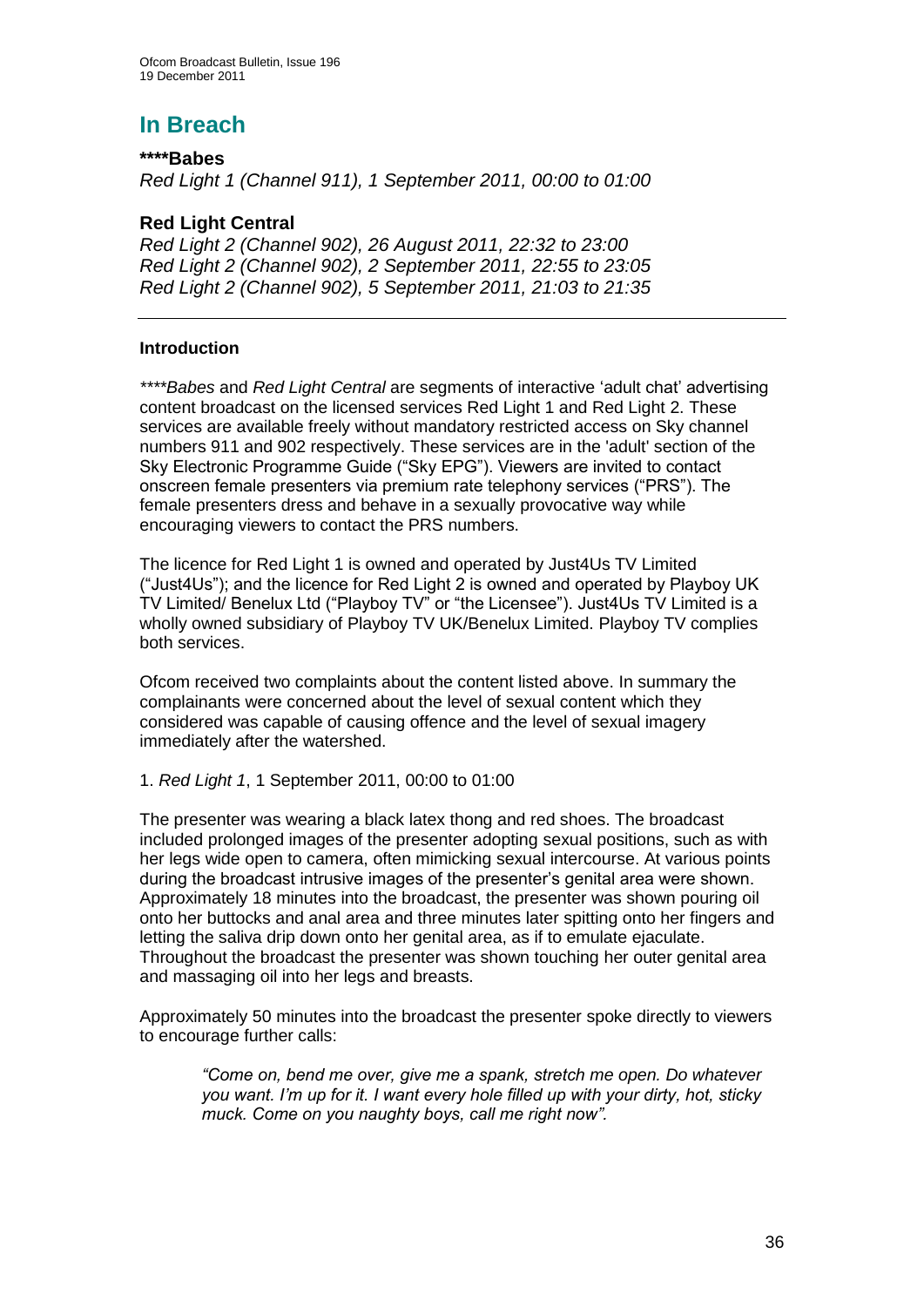# **In Breach**

## **\*\*\*\*Babes**

*Red Light 1 (Channel 911), 1 September 2011, 00:00 to 01:00*

## **Red Light Central**

*Red Light 2 (Channel 902), 26 August 2011, 22:32 to 23:00 Red Light 2 (Channel 902), 2 September 2011, 22:55 to 23:05 Red Light 2 (Channel 902), 5 September 2011, 21:03 to 21:35*

## **Introduction**

*\*\*\*\*Babes* and *Red Light Central* are segments of interactive "adult chat" advertising content broadcast on the licensed services Red Light 1 and Red Light 2. These services are available freely without mandatory restricted access on Sky channel numbers 911 and 902 respectively. These services are in the 'adult' section of the Sky Electronic Programme Guide ("Sky EPG"). Viewers are invited to contact onscreen female presenters via premium rate telephony services ("PRS"). The female presenters dress and behave in a sexually provocative way while encouraging viewers to contact the PRS numbers.

The licence for Red Light 1 is owned and operated by Just4Us TV Limited ("Just4Us"); and the licence for Red Light 2 is owned and operated by Playboy UK TV Limited/ Benelux Ltd ("Playboy TV" or "the Licensee"). Just4Us TV Limited is a wholly owned subsidiary of Playboy TV UK/Benelux Limited. Playboy TV complies both services.

Ofcom received two complaints about the content listed above. In summary the complainants were concerned about the level of sexual content which they considered was capable of causing offence and the level of sexual imagery immediately after the watershed.

#### 1. *Red Light 1*, 1 September 2011, 00:00 to 01:00

The presenter was wearing a black latex thong and red shoes. The broadcast included prolonged images of the presenter adopting sexual positions, such as with her legs wide open to camera, often mimicking sexual intercourse. At various points during the broadcast intrusive images of the presenter"s genital area were shown. Approximately 18 minutes into the broadcast, the presenter was shown pouring oil onto her buttocks and anal area and three minutes later spitting onto her fingers and letting the saliva drip down onto her genital area, as if to emulate ejaculate. Throughout the broadcast the presenter was shown touching her outer genital area and massaging oil into her legs and breasts.

Approximately 50 minutes into the broadcast the presenter spoke directly to viewers to encourage further calls:

*"Come on, bend me over, give me a spank, stretch me open. Do whatever you want. I"m up for it. I want every hole filled up with your dirty, hot, sticky muck. Come on you naughty boys, call me right now".*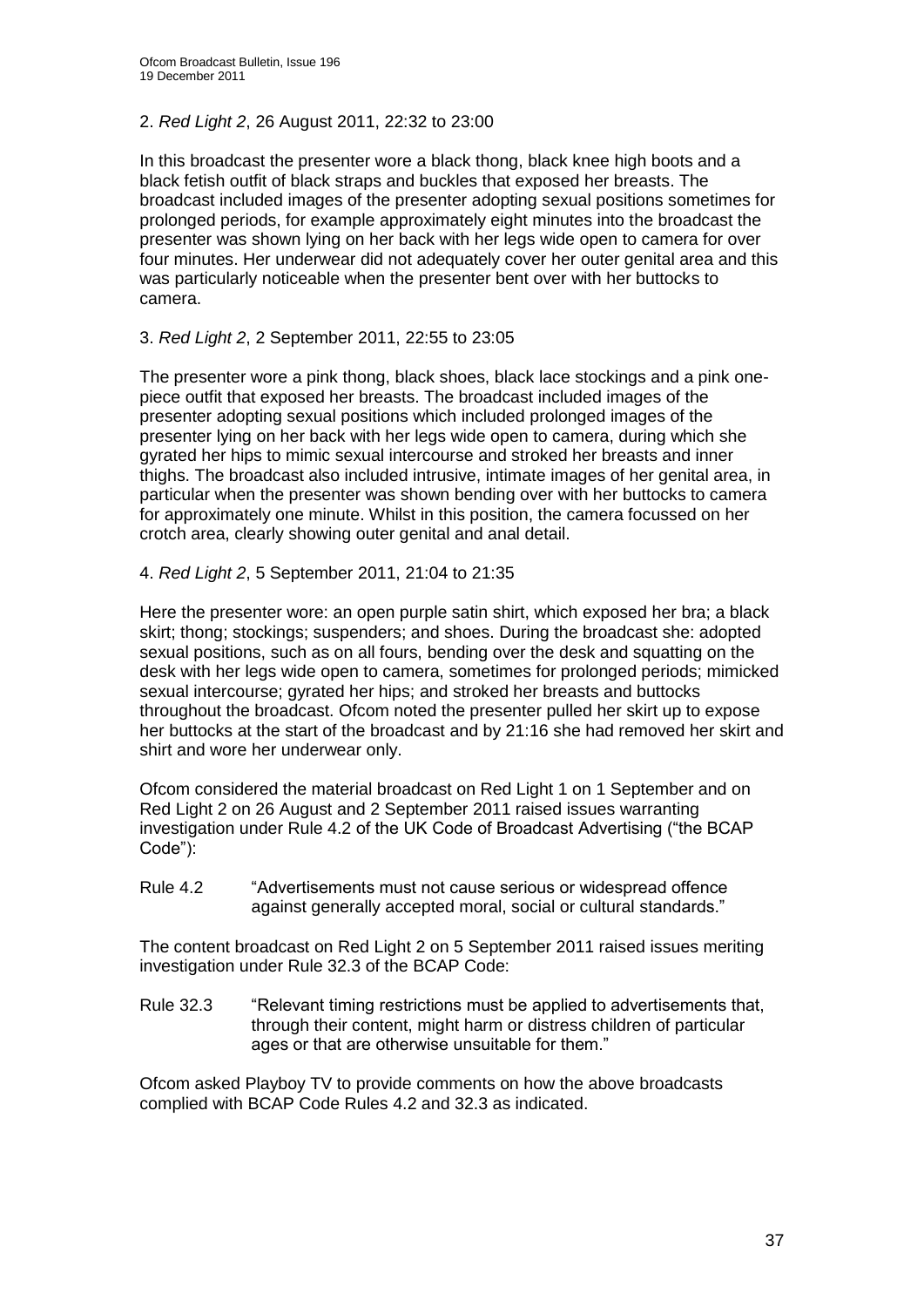## 2. *Red Light 2*, 26 August 2011, 22:32 to 23:00

In this broadcast the presenter wore a black thong, black knee high boots and a black fetish outfit of black straps and buckles that exposed her breasts. The broadcast included images of the presenter adopting sexual positions sometimes for prolonged periods, for example approximately eight minutes into the broadcast the presenter was shown lying on her back with her legs wide open to camera for over four minutes. Her underwear did not adequately cover her outer genital area and this was particularly noticeable when the presenter bent over with her buttocks to camera.

## 3. *Red Light 2*, 2 September 2011, 22:55 to 23:05

The presenter wore a pink thong, black shoes, black lace stockings and a pink onepiece outfit that exposed her breasts. The broadcast included images of the presenter adopting sexual positions which included prolonged images of the presenter lying on her back with her legs wide open to camera, during which she gyrated her hips to mimic sexual intercourse and stroked her breasts and inner thighs. The broadcast also included intrusive, intimate images of her genital area, in particular when the presenter was shown bending over with her buttocks to camera for approximately one minute. Whilst in this position, the camera focussed on her crotch area, clearly showing outer genital and anal detail.

## 4. *Red Light 2*, 5 September 2011, 21:04 to 21:35

Here the presenter wore: an open purple satin shirt, which exposed her bra; a black skirt; thong; stockings; suspenders; and shoes. During the broadcast she: adopted sexual positions, such as on all fours, bending over the desk and squatting on the desk with her legs wide open to camera, sometimes for prolonged periods; mimicked sexual intercourse; gyrated her hips; and stroked her breasts and buttocks throughout the broadcast. Ofcom noted the presenter pulled her skirt up to expose her buttocks at the start of the broadcast and by 21:16 she had removed her skirt and shirt and wore her underwear only.

Ofcom considered the material broadcast on Red Light 1 on 1 September and on Red Light 2 on 26 August and 2 September 2011 raised issues warranting investigation under Rule 4.2 of the UK Code of Broadcast Advertising ("the BCAP Code"):

Rule 4.2 "Advertisements must not cause serious or widespread offence against generally accepted moral, social or cultural standards."

The content broadcast on Red Light 2 on 5 September 2011 raised issues meriting investigation under Rule 32.3 of the BCAP Code:

Rule 32.3 "Relevant timing restrictions must be applied to advertisements that, through their content, might harm or distress children of particular ages or that are otherwise unsuitable for them."

Ofcom asked Playboy TV to provide comments on how the above broadcasts complied with BCAP Code Rules 4.2 and 32.3 as indicated.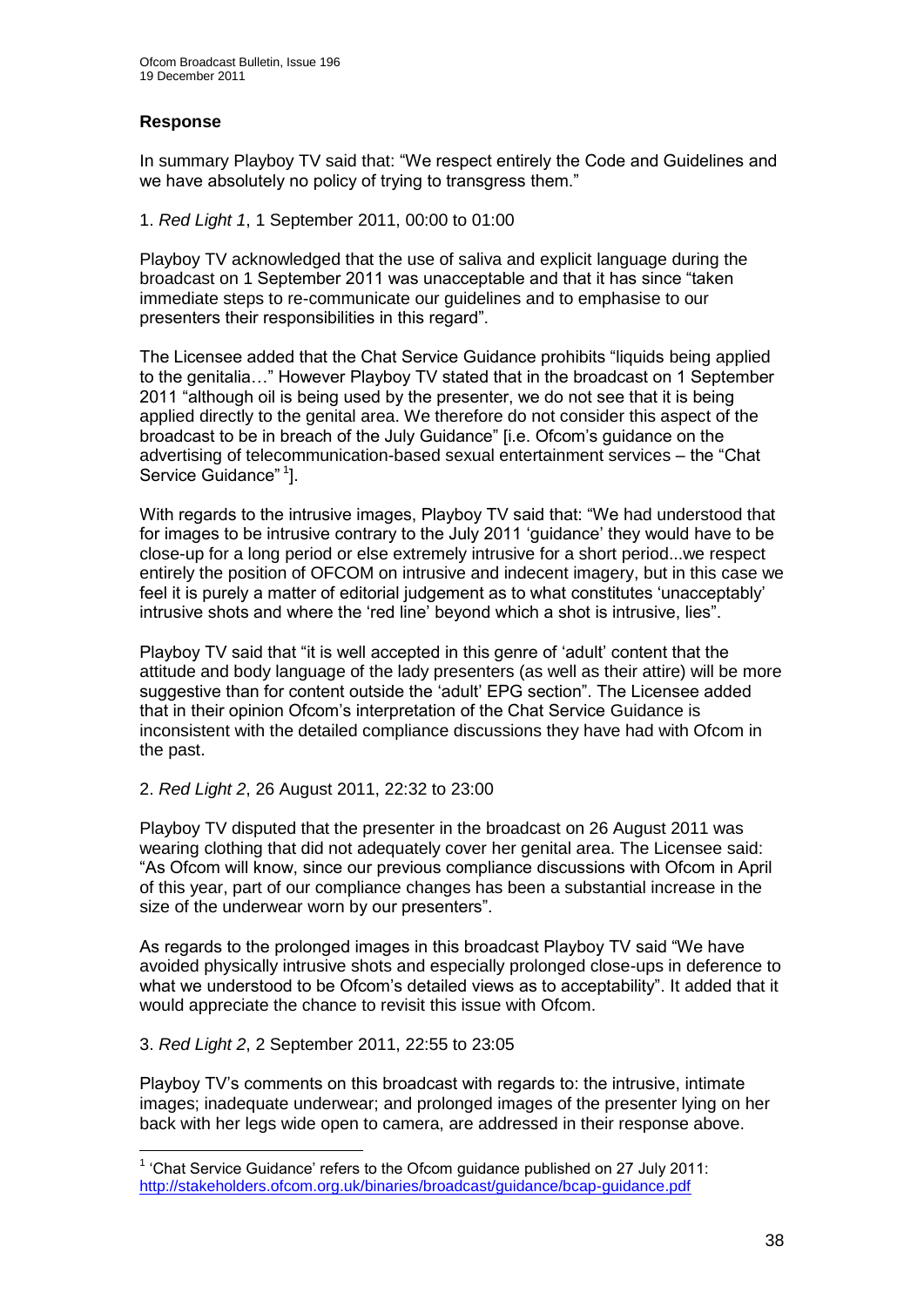## **Response**

In summary Playboy TV said that: "We respect entirely the Code and Guidelines and we have absolutely no policy of trying to transgress them."

## 1. *Red Light 1*, 1 September 2011, 00:00 to 01:00

Playboy TV acknowledged that the use of saliva and explicit language during the broadcast on 1 September 2011 was unacceptable and that it has since "taken immediate steps to re-communicate our guidelines and to emphasise to our presenters their responsibilities in this regard".

The Licensee added that the Chat Service Guidance prohibits "liquids being applied to the genitalia…" However Playboy TV stated that in the broadcast on 1 September 2011 "although oil is being used by the presenter, we do not see that it is being applied directly to the genital area. We therefore do not consider this aspect of the broadcast to be in breach of the July Guidance" [i.e. Ofcom"s guidance on the advertising of telecommunication-based sexual entertainment services – the "Chat Service Guidance"<sup>1</sup>].

With regards to the intrusive images, Playboy TV said that: "We had understood that for images to be intrusive contrary to the July 2011 "guidance" they would have to be close-up for a long period or else extremely intrusive for a short period...we respect entirely the position of OFCOM on intrusive and indecent imagery, but in this case we feel it is purely a matter of editorial judgement as to what constitutes "unacceptably" intrusive shots and where the "red line" beyond which a shot is intrusive, lies".

Playboy TV said that "it is well accepted in this genre of "adult" content that the attitude and body language of the lady presenters (as well as their attire) will be more suggestive than for content outside the "adult" EPG section". The Licensee added that in their opinion Ofcom"s interpretation of the Chat Service Guidance is inconsistent with the detailed compliance discussions they have had with Ofcom in the past.

## 2. *Red Light 2*, 26 August 2011, 22:32 to 23:00

Playboy TV disputed that the presenter in the broadcast on 26 August 2011 was wearing clothing that did not adequately cover her genital area. The Licensee said: "As Ofcom will know, since our previous compliance discussions with Ofcom in April of this year, part of our compliance changes has been a substantial increase in the size of the underwear worn by our presenters".

As regards to the prolonged images in this broadcast Playboy TV said "We have avoided physically intrusive shots and especially prolonged close-ups in deference to what we understood to be Ofcom"s detailed views as to acceptability". It added that it would appreciate the chance to revisit this issue with Ofcom.

## 3. *Red Light 2*, 2 September 2011, 22:55 to 23:05

1

Playboy TV"s comments on this broadcast with regards to: the intrusive, intimate images; inadequate underwear; and prolonged images of the presenter lying on her back with her legs wide open to camera, are addressed in their response above.

 $1$  'Chat Service Guidance' refers to the Ofcom guidance published on 27 July 2011: <http://stakeholders.ofcom.org.uk/binaries/broadcast/guidance/bcap-guidance.pdf>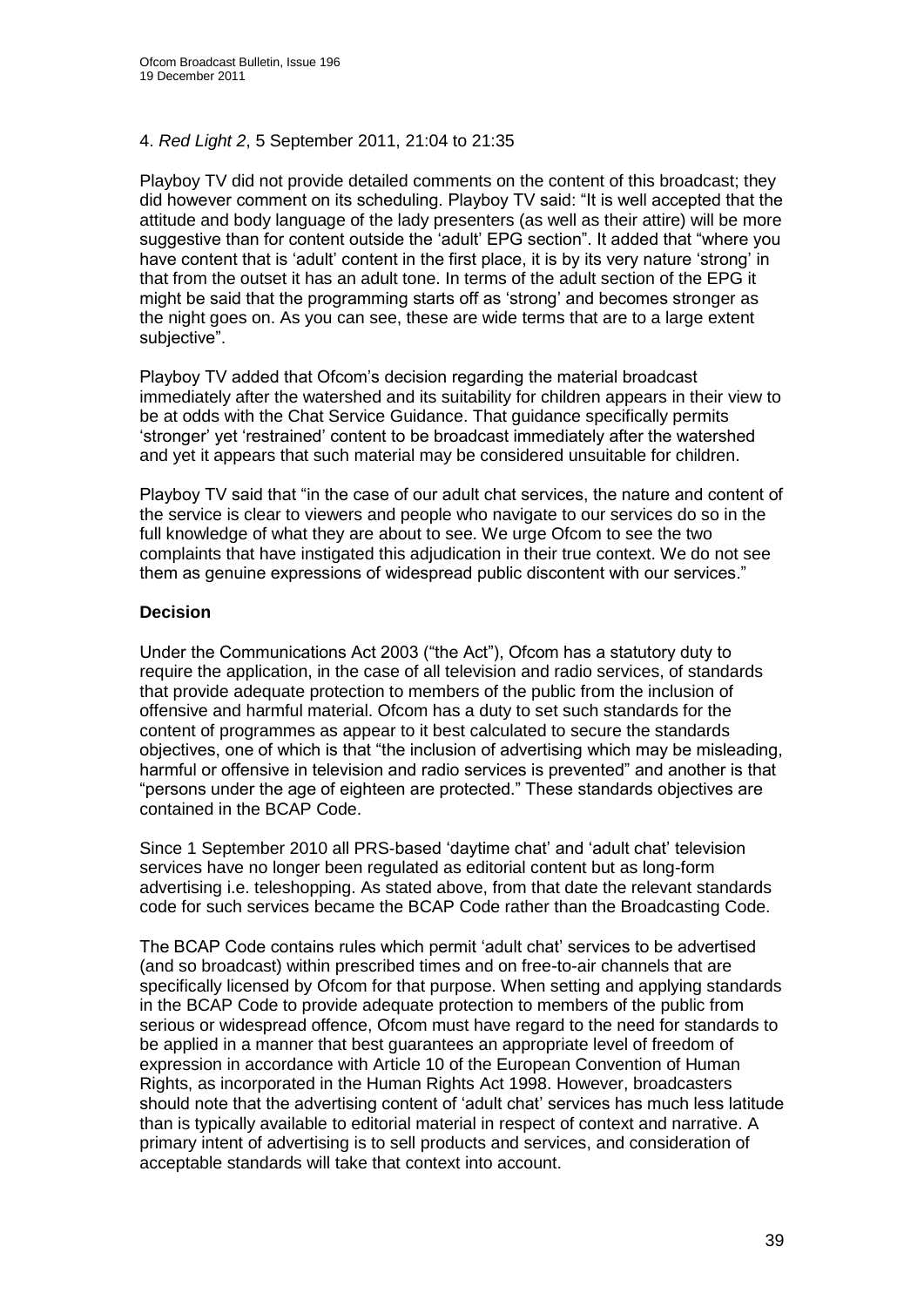## 4. *Red Light 2*, 5 September 2011, 21:04 to 21:35

Playboy TV did not provide detailed comments on the content of this broadcast; they did however comment on its scheduling. Playboy TV said: "It is well accepted that the attitude and body language of the lady presenters (as well as their attire) will be more suggestive than for content outside the "adult" EPG section". It added that "where you have content that is 'adult' content in the first place, it is by its very nature 'strong' in that from the outset it has an adult tone. In terms of the adult section of the EPG it might be said that the programming starts off as "strong" and becomes stronger as the night goes on. As you can see, these are wide terms that are to a large extent subjective".

Playboy TV added that Ofcom"s decision regarding the material broadcast immediately after the watershed and its suitability for children appears in their view to be at odds with the Chat Service Guidance. That guidance specifically permits "stronger" yet "restrained" content to be broadcast immediately after the watershed and yet it appears that such material may be considered unsuitable for children.

Playboy TV said that "in the case of our adult chat services, the nature and content of the service is clear to viewers and people who navigate to our services do so in the full knowledge of what they are about to see. We urge Ofcom to see the two complaints that have instigated this adjudication in their true context. We do not see them as genuine expressions of widespread public discontent with our services."

## **Decision**

Under the Communications Act 2003 ("the Act"), Ofcom has a statutory duty to require the application, in the case of all television and radio services, of standards that provide adequate protection to members of the public from the inclusion of offensive and harmful material. Ofcom has a duty to set such standards for the content of programmes as appear to it best calculated to secure the standards objectives, one of which is that "the inclusion of advertising which may be misleading, harmful or offensive in television and radio services is prevented" and another is that "persons under the age of eighteen are protected." These standards objectives are contained in the BCAP Code.

Since 1 September 2010 all PRS-based "daytime chat" and "adult chat" television services have no longer been regulated as editorial content but as long-form advertising i.e. teleshopping. As stated above, from that date the relevant standards code for such services became the BCAP Code rather than the Broadcasting Code.

The BCAP Code contains rules which permit "adult chat" services to be advertised (and so broadcast) within prescribed times and on free-to-air channels that are specifically licensed by Ofcom for that purpose. When setting and applying standards in the BCAP Code to provide adequate protection to members of the public from serious or widespread offence, Ofcom must have regard to the need for standards to be applied in a manner that best guarantees an appropriate level of freedom of expression in accordance with Article 10 of the European Convention of Human Rights, as incorporated in the Human Rights Act 1998. However, broadcasters should note that the advertising content of "adult chat" services has much less latitude than is typically available to editorial material in respect of context and narrative. A primary intent of advertising is to sell products and services, and consideration of acceptable standards will take that context into account.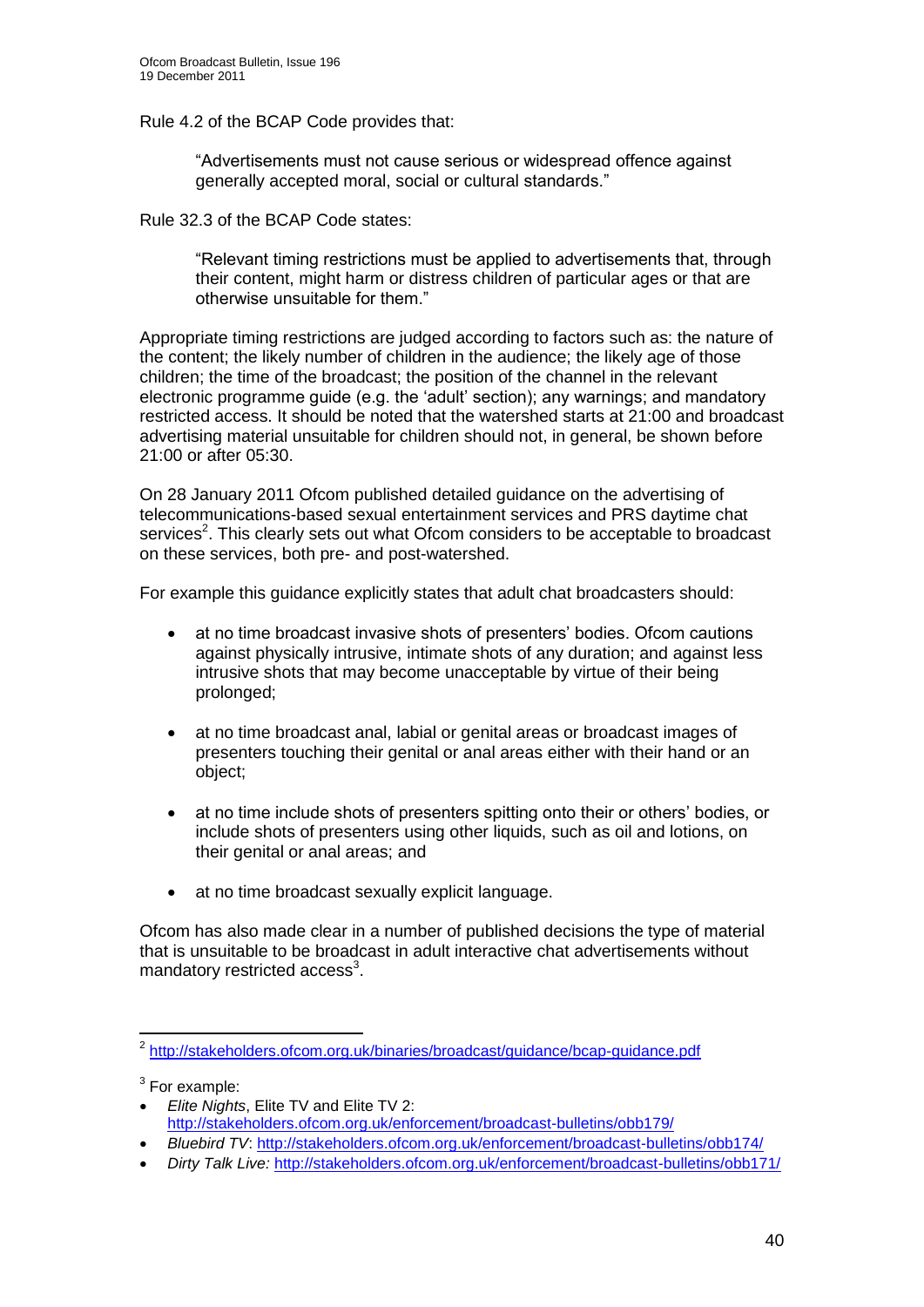Rule 4.2 of the BCAP Code provides that:

"Advertisements must not cause serious or widespread offence against generally accepted moral, social or cultural standards."

Rule 32.3 of the BCAP Code states:

"Relevant timing restrictions must be applied to advertisements that, through their content, might harm or distress children of particular ages or that are otherwise unsuitable for them."

Appropriate timing restrictions are judged according to factors such as: the nature of the content; the likely number of children in the audience; the likely age of those children; the time of the broadcast; the position of the channel in the relevant electronic programme guide (e.g. the "adult" section); any warnings; and mandatory restricted access. It should be noted that the watershed starts at 21:00 and broadcast advertising material unsuitable for children should not, in general, be shown before 21:00 or after 05:30.

On 28 January 2011 Ofcom published detailed guidance on the advertising of telecommunications-based sexual entertainment services and PRS daytime chat services<sup>2</sup>. This clearly sets out what Ofcom considers to be acceptable to broadcast on these services, both pre- and post-watershed.

For example this guidance explicitly states that adult chat broadcasters should:

- at no time broadcast invasive shots of presenters' bodies. Ofcom cautions against physically intrusive, intimate shots of any duration; and against less intrusive shots that may become unacceptable by virtue of their being prolonged;
- at no time broadcast anal, labial or genital areas or broadcast images of presenters touching their genital or anal areas either with their hand or an object;
- at no time include shots of presenters spitting onto their or others" bodies, or include shots of presenters using other liquids, such as oil and lotions, on their genital or anal areas; and
- at no time broadcast sexually explicit language.

Ofcom has also made clear in a number of published decisions the type of material that is unsuitable to be broadcast in adult interactive chat advertisements without mandatory restricted access<sup>3</sup>.

 $3$  For example:

 2 <http://stakeholders.ofcom.org.uk/binaries/broadcast/guidance/bcap-guidance.pdf>

*Elite Nights*, Elite TV and Elite TV 2: <http://stakeholders.ofcom.org.uk/enforcement/broadcast-bulletins/obb179/>

*Bluebird TV*: <http://stakeholders.ofcom.org.uk/enforcement/broadcast-bulletins/obb174/>

*Dirty Talk Live:* <http://stakeholders.ofcom.org.uk/enforcement/broadcast-bulletins/obb171/>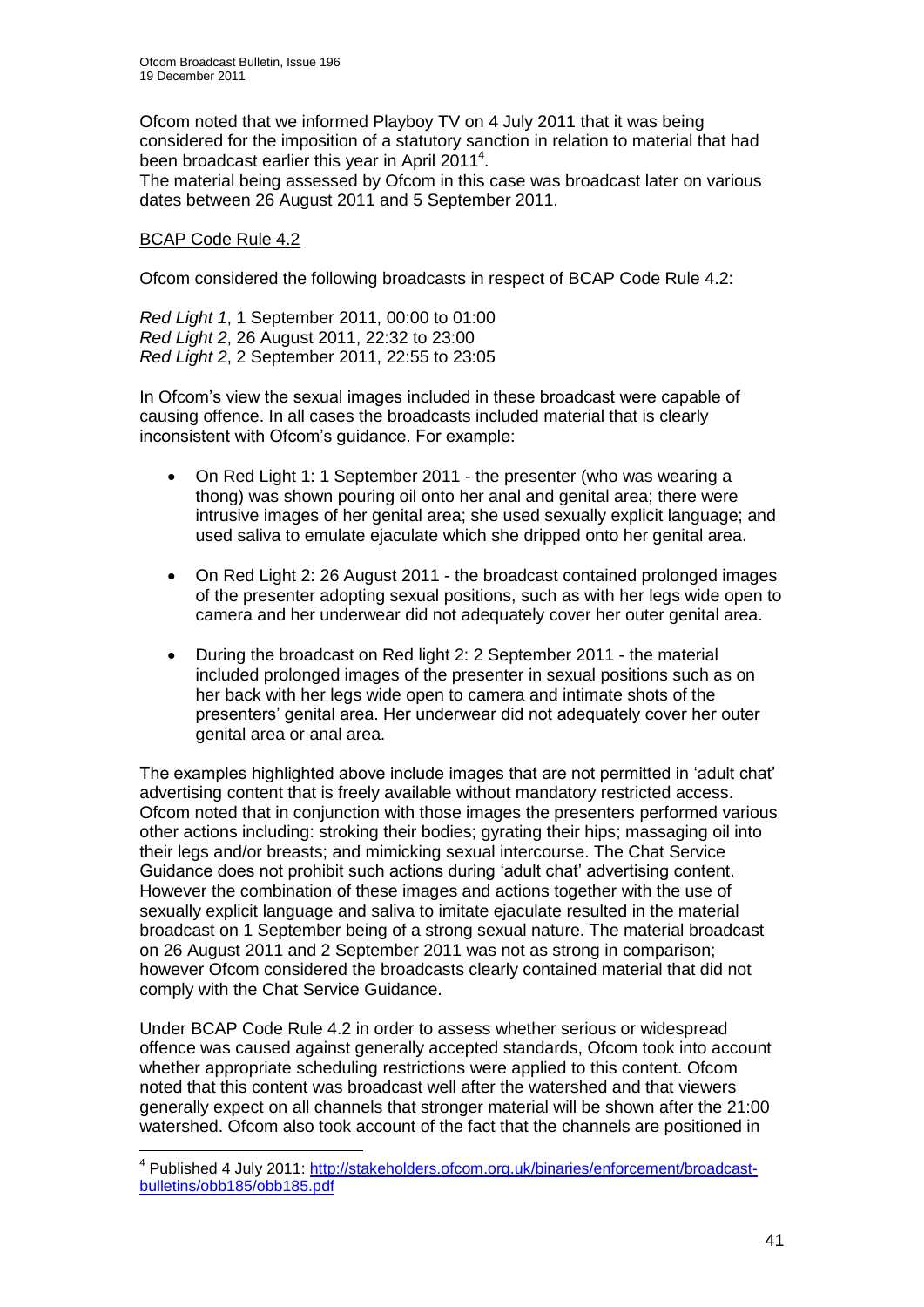Ofcom noted that we informed Playboy TV on 4 July 2011 that it was being considered for the imposition of a statutory sanction in relation to material that had been broadcast earlier this year in April 2011<sup>4</sup>.

The material being assessed by Ofcom in this case was broadcast later on various dates between 26 August 2011 and 5 September 2011.

## BCAP Code Rule 4.2

Ofcom considered the following broadcasts in respect of BCAP Code Rule 4.2:

*Red Light 1*, 1 September 2011, 00:00 to 01:00 *Red Light 2*, 26 August 2011, 22:32 to 23:00 *Red Light 2*, 2 September 2011, 22:55 to 23:05

In Ofcom"s view the sexual images included in these broadcast were capable of causing offence. In all cases the broadcasts included material that is clearly inconsistent with Ofcom"s guidance. For example:

- On Red Light 1: 1 September 2011 the presenter (who was wearing a thong) was shown pouring oil onto her anal and genital area; there were intrusive images of her genital area; she used sexually explicit language; and used saliva to emulate ejaculate which she dripped onto her genital area.
- On Red Light 2: 26 August 2011 the broadcast contained prolonged images of the presenter adopting sexual positions, such as with her legs wide open to camera and her underwear did not adequately cover her outer genital area.
- During the broadcast on Red light 2: 2 September 2011 the material included prolonged images of the presenter in sexual positions such as on her back with her legs wide open to camera and intimate shots of the presenters" genital area. Her underwear did not adequately cover her outer genital area or anal area.

The examples highlighted above include images that are not permitted in "adult chat" advertising content that is freely available without mandatory restricted access. Ofcom noted that in conjunction with those images the presenters performed various other actions including: stroking their bodies; gyrating their hips; massaging oil into their legs and/or breasts; and mimicking sexual intercourse. The Chat Service Guidance does not prohibit such actions during "adult chat" advertising content. However the combination of these images and actions together with the use of sexually explicit language and saliva to imitate ejaculate resulted in the material broadcast on 1 September being of a strong sexual nature. The material broadcast on 26 August 2011 and 2 September 2011 was not as strong in comparison; however Ofcom considered the broadcasts clearly contained material that did not comply with the Chat Service Guidance.

Under BCAP Code Rule 4.2 in order to assess whether serious or widespread offence was caused against generally accepted standards, Ofcom took into account whether appropriate scheduling restrictions were applied to this content. Ofcom noted that this content was broadcast well after the watershed and that viewers generally expect on all channels that stronger material will be shown after the 21:00 watershed. Ofcom also took account of the fact that the channels are positioned in

 4 Published 4 July 2011: [http://stakeholders.ofcom.org.uk/binaries/enforcement/broadcast](http://stakeholders.ofcom.org.uk/binaries/enforcement/broadcast-bulletins/obb185/obb185.pdf)[bulletins/obb185/obb185.pdf](http://stakeholders.ofcom.org.uk/binaries/enforcement/broadcast-bulletins/obb185/obb185.pdf)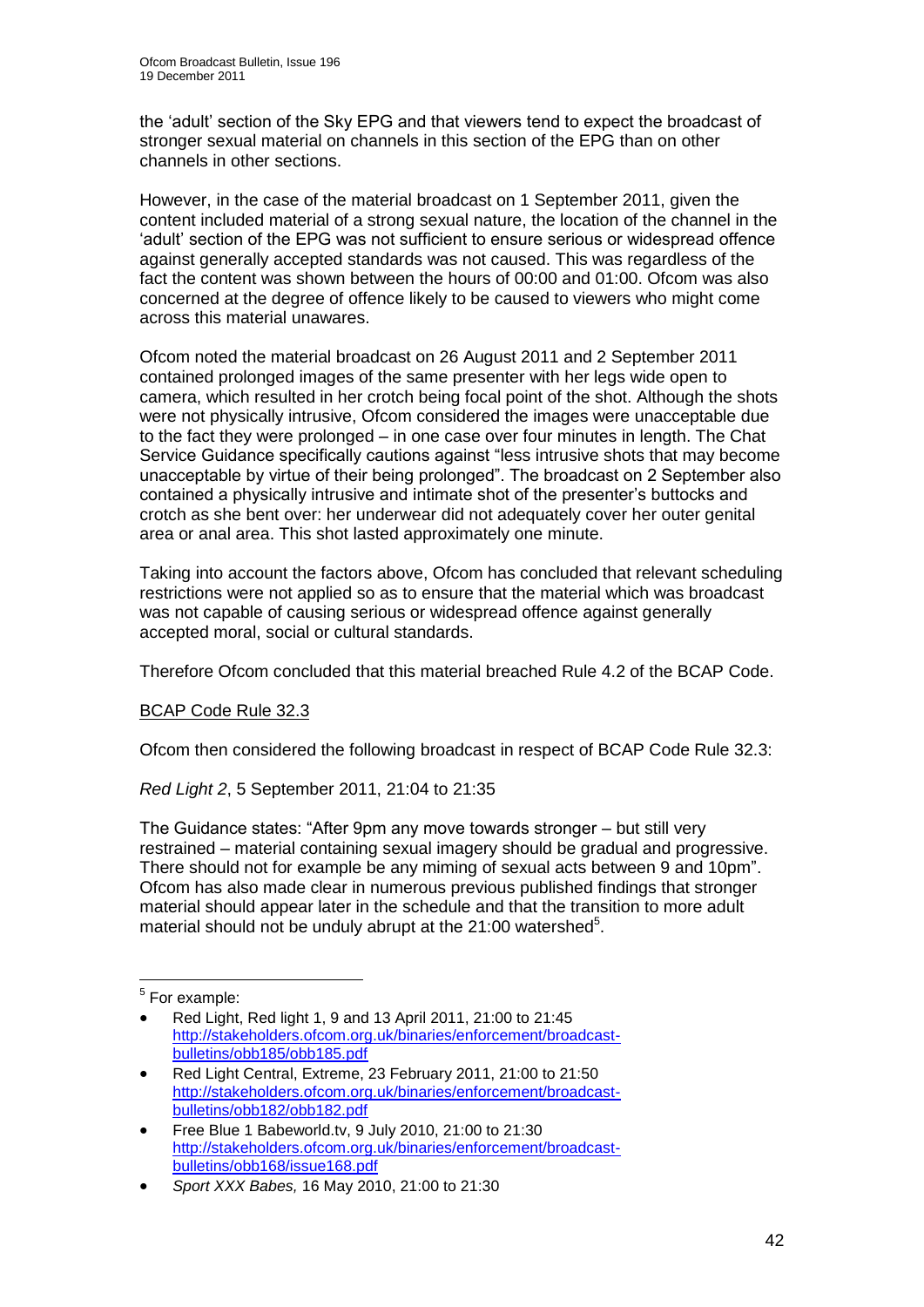the "adult" section of the Sky EPG and that viewers tend to expect the broadcast of stronger sexual material on channels in this section of the EPG than on other channels in other sections.

However, in the case of the material broadcast on 1 September 2011, given the content included material of a strong sexual nature, the location of the channel in the "adult" section of the EPG was not sufficient to ensure serious or widespread offence against generally accepted standards was not caused. This was regardless of the fact the content was shown between the hours of 00:00 and 01:00. Ofcom was also concerned at the degree of offence likely to be caused to viewers who might come across this material unawares.

Ofcom noted the material broadcast on 26 August 2011 and 2 September 2011 contained prolonged images of the same presenter with her legs wide open to camera, which resulted in her crotch being focal point of the shot. Although the shots were not physically intrusive, Ofcom considered the images were unacceptable due to the fact they were prolonged – in one case over four minutes in length. The Chat Service Guidance specifically cautions against "less intrusive shots that may become unacceptable by virtue of their being prolonged". The broadcast on 2 September also contained a physically intrusive and intimate shot of the presenter"s buttocks and crotch as she bent over: her underwear did not adequately cover her outer genital area or anal area. This shot lasted approximately one minute.

Taking into account the factors above, Ofcom has concluded that relevant scheduling restrictions were not applied so as to ensure that the material which was broadcast was not capable of causing serious or widespread offence against generally accepted moral, social or cultural standards.

Therefore Ofcom concluded that this material breached Rule 4.2 of the BCAP Code.

## BCAP Code Rule 32.3

Ofcom then considered the following broadcast in respect of BCAP Code Rule 32.3:

*Red Light 2*, 5 September 2011, 21:04 to 21:35

The Guidance states: "After 9pm any move towards stronger – but still very restrained – material containing sexual imagery should be gradual and progressive. There should not for example be any miming of sexual acts between 9 and 10pm". Ofcom has also made clear in numerous previous published findings that stronger material should appear later in the schedule and that the transition to more adult material should not be unduly abrupt at the 21:00 watershed<sup>5</sup>.

 5 For example:

Red Light, Red light 1, 9 and 13 April 2011, 21:00 to 21:45 [http://stakeholders.ofcom.org.uk/binaries/enforcement/broadcast](http://stakeholders.ofcom.org.uk/binaries/enforcement/broadcast-bulletins/obb185/obb185.pdf)[bulletins/obb185/obb185.pdf](http://stakeholders.ofcom.org.uk/binaries/enforcement/broadcast-bulletins/obb185/obb185.pdf)

Red Light Central, Extreme, 23 February 2011, 21:00 to 21:50 [http://stakeholders.ofcom.org.uk/binaries/enforcement/broadcast](http://stakeholders.ofcom.org.uk/binaries/enforcement/broadcast-bulletins/obb182/obb182.pdf)[bulletins/obb182/obb182.pdf](http://stakeholders.ofcom.org.uk/binaries/enforcement/broadcast-bulletins/obb182/obb182.pdf)

Free Blue 1 Babeworld.tv, 9 July 2010, 21:00 to 21:30 [http://stakeholders.ofcom.org.uk/binaries/enforcement/broadcast](http://stakeholders.ofcom.org.uk/binaries/enforcement/broadcast-bulletins/obb168/issue168.pdf)[bulletins/obb168/issue168.pdf](http://stakeholders.ofcom.org.uk/binaries/enforcement/broadcast-bulletins/obb168/issue168.pdf)

*Sport XXX Babes,* 16 May 2010, 21:00 to 21:30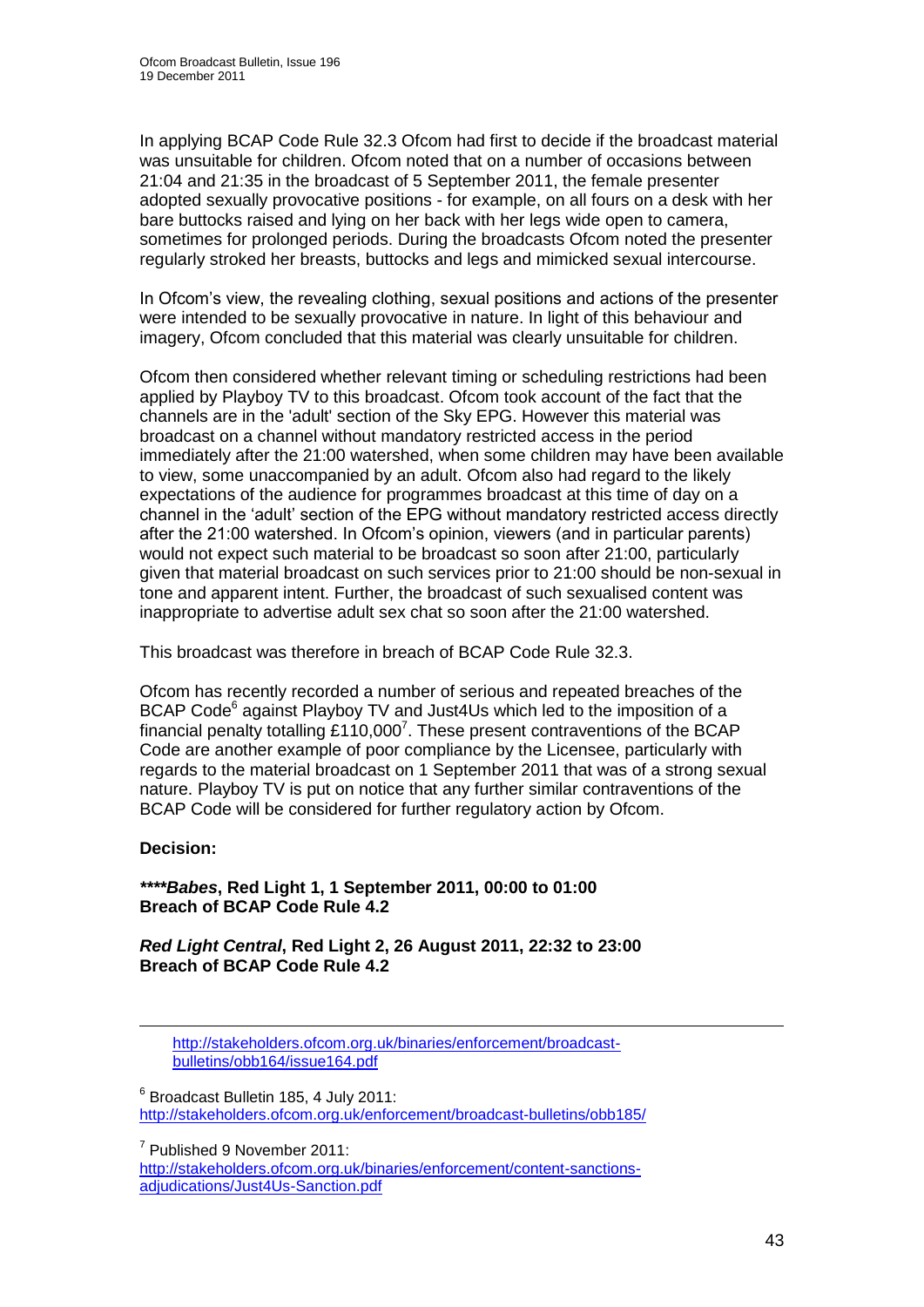In applying BCAP Code Rule 32.3 Ofcom had first to decide if the broadcast material was unsuitable for children. Ofcom noted that on a number of occasions between 21:04 and 21:35 in the broadcast of 5 September 2011, the female presenter adopted sexually provocative positions - for example, on all fours on a desk with her bare buttocks raised and lying on her back with her legs wide open to camera, sometimes for prolonged periods. During the broadcasts Ofcom noted the presenter regularly stroked her breasts, buttocks and legs and mimicked sexual intercourse.

In Ofcom's view, the revealing clothing, sexual positions and actions of the presenter were intended to be sexually provocative in nature. In light of this behaviour and imagery, Ofcom concluded that this material was clearly unsuitable for children.

Ofcom then considered whether relevant timing or scheduling restrictions had been applied by Playboy TV to this broadcast. Ofcom took account of the fact that the channels are in the 'adult' section of the Sky EPG. However this material was broadcast on a channel without mandatory restricted access in the period immediately after the 21:00 watershed, when some children may have been available to view, some unaccompanied by an adult. Ofcom also had regard to the likely expectations of the audience for programmes broadcast at this time of day on a channel in the "adult" section of the EPG without mandatory restricted access directly after the 21:00 watershed. In Ofcom"s opinion, viewers (and in particular parents) would not expect such material to be broadcast so soon after 21:00, particularly given that material broadcast on such services prior to 21:00 should be non-sexual in tone and apparent intent. Further, the broadcast of such sexualised content was inappropriate to advertise adult sex chat so soon after the 21:00 watershed.

This broadcast was therefore in breach of BCAP Code Rule 32.3.

Ofcom has recently recorded a number of serious and repeated breaches of the BCAP Code<sup>6</sup> against Playboy TV and Just4Us which led to the imposition of a financial penalty totalling  $£110,000^7$ . These present contraventions of the BCAP Code are another example of poor compliance by the Licensee, particularly with regards to the material broadcast on 1 September 2011 that was of a strong sexual nature. Playboy TV is put on notice that any further similar contraventions of the BCAP Code will be considered for further regulatory action by Ofcom.

## **Decision:**

1

## *\*\*\*\*Babes***, Red Light 1, 1 September 2011, 00:00 to 01:00 Breach of BCAP Code Rule 4.2**

## *Red Light Central***, Red Light 2, 26 August 2011, 22:32 to 23:00 Breach of BCAP Code Rule 4.2**

[http://stakeholders.ofcom.org.uk/binaries/enforcement/broadcast](http://stakeholders.ofcom.org.uk/binaries/enforcement/broadcast-bulletins/obb164/issue164.pdf)[bulletins/obb164/issue164.pdf](http://stakeholders.ofcom.org.uk/binaries/enforcement/broadcast-bulletins/obb164/issue164.pdf)

<sup>6</sup> Broadcast Bulletin 185, 4 July 2011: <http://stakeholders.ofcom.org.uk/enforcement/broadcast-bulletins/obb185/>

<sup>7</sup> Published 9 November 2011:

[http://stakeholders.ofcom.org.uk/binaries/enforcement/content-sanctions](http://stakeholders.ofcom.org.uk/binaries/enforcement/content-sanctions-adjudications/Just4Us-Sanction.pdf)[adjudications/Just4Us-Sanction.pdf](http://stakeholders.ofcom.org.uk/binaries/enforcement/content-sanctions-adjudications/Just4Us-Sanction.pdf)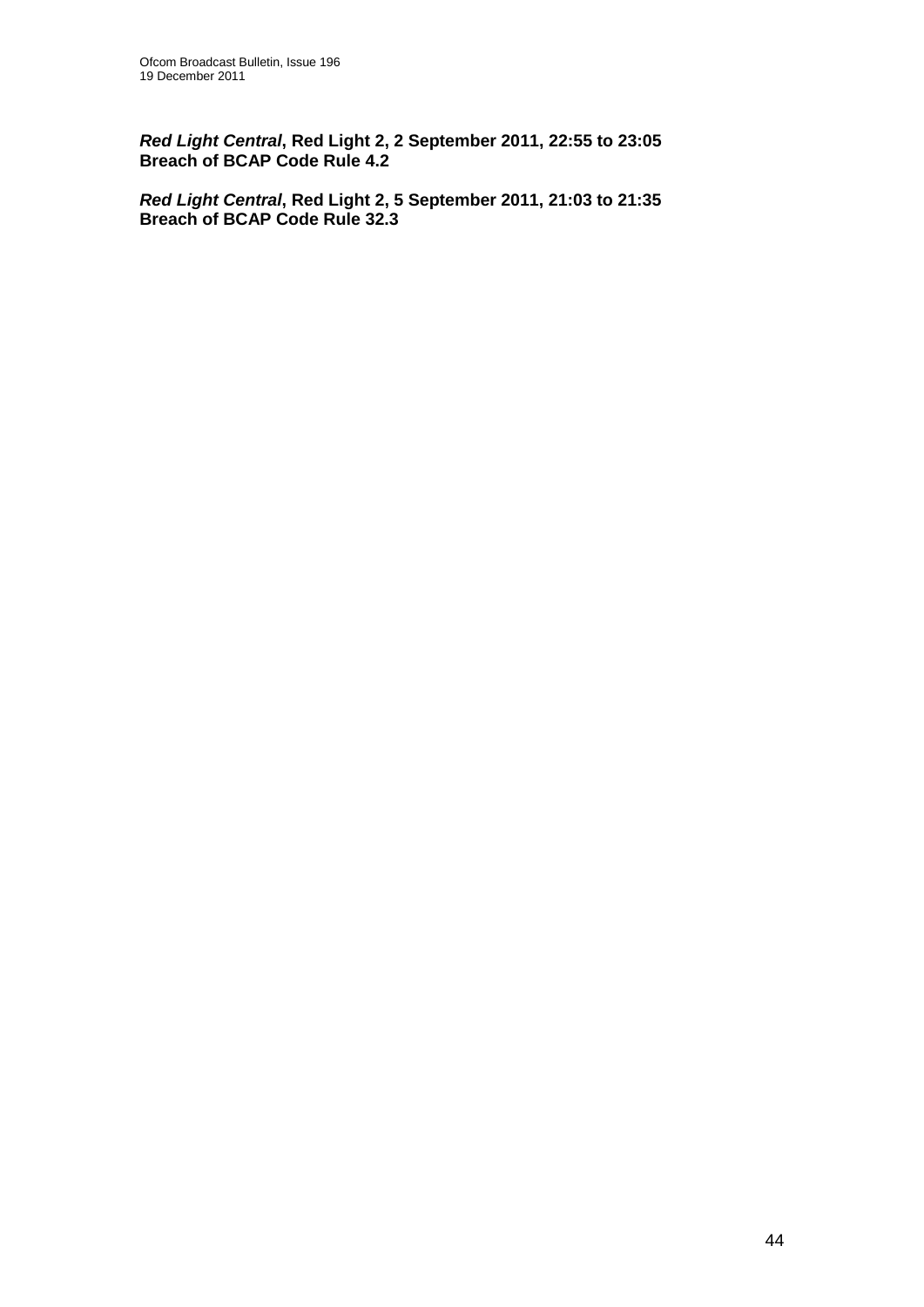*Red Light Central***, Red Light 2, 2 September 2011, 22:55 to 23:05 Breach of BCAP Code Rule 4.2**

*Red Light Central***, Red Light 2, 5 September 2011, 21:03 to 21:35 Breach of BCAP Code Rule 32.3**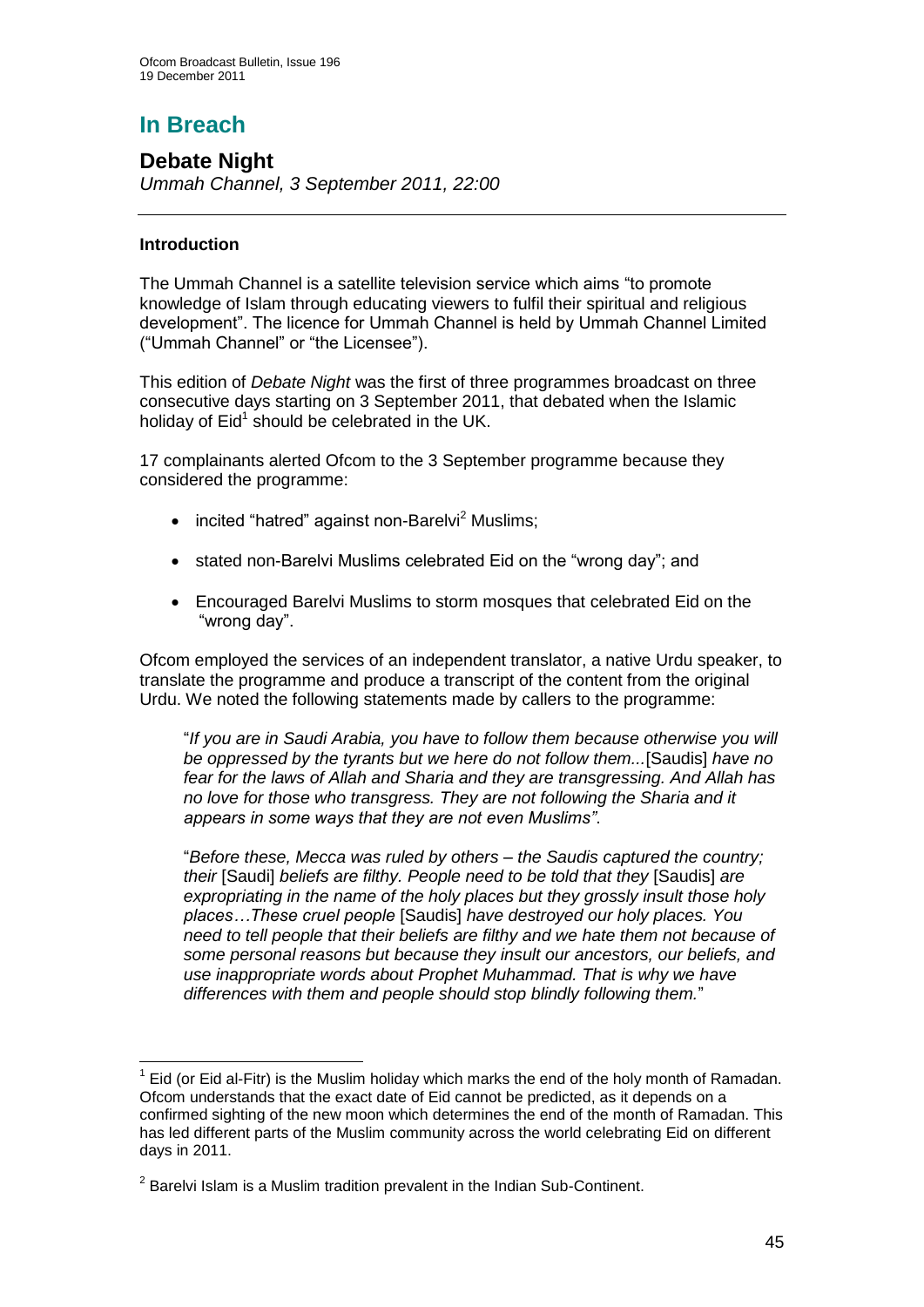# **In Breach**

## **Debate Night**

*Ummah Channel, 3 September 2011, 22:00* 

## **Introduction**

The Ummah Channel is a satellite television service which aims "to promote knowledge of Islam through educating viewers to fulfil their spiritual and religious development". The licence for Ummah Channel is held by Ummah Channel Limited ("Ummah Channel" or "the Licensee").

This edition of *Debate Night* was the first of three programmes broadcast on three consecutive days starting on 3 September 2011, that debated when the Islamic holiday of Eid<sup>1</sup> should be celebrated in the UK.

17 complainants alerted Ofcom to the 3 September programme because they considered the programme:

- $\bullet$  incited "hatred" against non-Barelyi<sup>2</sup> Muslims;
- stated non-Barelvi Muslims celebrated Eid on the "wrong day"; and
- Encouraged Barelvi Muslims to storm mosques that celebrated Eid on the "wrong day".

Ofcom employed the services of an independent translator, a native Urdu speaker, to translate the programme and produce a transcript of the content from the original Urdu. We noted the following statements made by callers to the programme:

"*If you are in Saudi Arabia, you have to follow them because otherwise you will be oppressed by the tyrants but we here do not follow them...*[Saudis] *have no fear for the laws of Allah and Sharia and they are transgressing. And Allah has no love for those who transgress. They are not following the Sharia and it appears in some ways that they are not even Muslims"*.

"*Before these, Mecca was ruled by others – the Saudis captured the country; their* [Saudi] *beliefs are filthy. People need to be told that they* [Saudis] *are expropriating in the name of the holy places but they grossly insult those holy places…These cruel people* [Saudis] *have destroyed our holy places. You need to tell people that their beliefs are filthy and we hate them not because of some personal reasons but because they insult our ancestors, our beliefs, and use inappropriate words about Prophet Muhammad. That is why we have differences with them and people should stop blindly following them.*"

<sup>1</sup>  $1$  Eid (or Eid al-Fitr) is the Muslim holiday which marks the end of the holy month of Ramadan. Ofcom understands that the exact date of Eid cannot be predicted, as it depends on a confirmed sighting of the new moon which determines the end of the month of Ramadan. This has led different parts of the Muslim community across the world celebrating Eid on different days in 2011.

 $2$  Barelvi Islam is a Muslim tradition prevalent in the Indian Sub-Continent.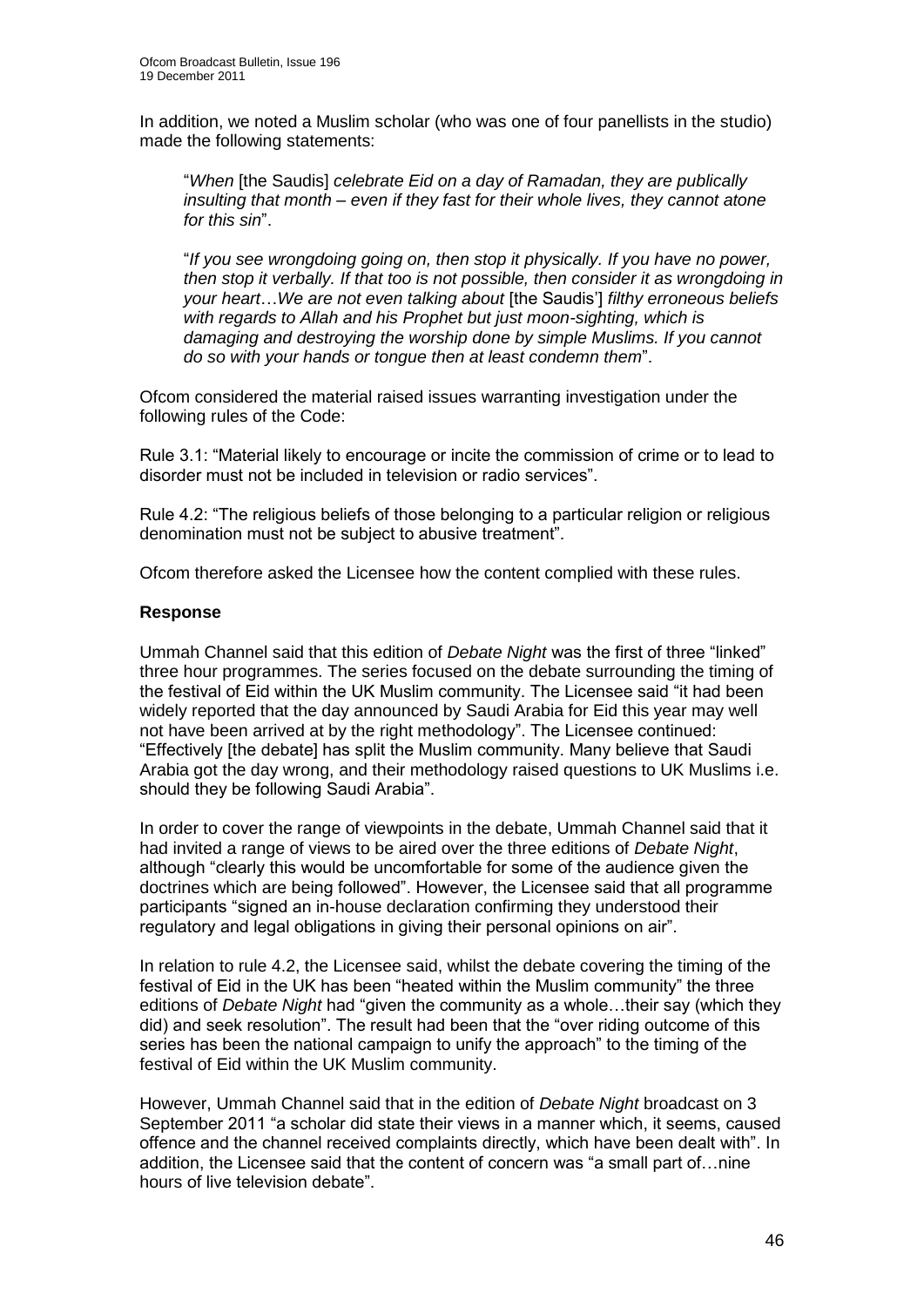In addition, we noted a Muslim scholar (who was one of four panellists in the studio) made the following statements:

"*When* [the Saudis] *celebrate Eid on a day of Ramadan, they are publically insulting that month – even if they fast for their whole lives, they cannot atone for this sin*".

"*If you see wrongdoing going on, then stop it physically. If you have no power, then stop it verbally. If that too is not possible, then consider it as wrongdoing in your heart*…*We are not even talking about* [the Saudis"] *filthy erroneous beliefs with regards to Allah and his Prophet but just moon-sighting, which is damaging and destroying the worship done by simple Muslims. If you cannot do so with your hands or tongue then at least condemn them*".

Ofcom considered the material raised issues warranting investigation under the following rules of the Code:

Rule 3.1: "Material likely to encourage or incite the commission of crime or to lead to disorder must not be included in television or radio services".

Rule 4.2: "The religious beliefs of those belonging to a particular religion or religious denomination must not be subject to abusive treatment".

Ofcom therefore asked the Licensee how the content complied with these rules.

### **Response**

Ummah Channel said that this edition of *Debate Night* was the first of three "linked" three hour programmes. The series focused on the debate surrounding the timing of the festival of Eid within the UK Muslim community. The Licensee said "it had been widely reported that the day announced by Saudi Arabia for Eid this year may well not have been arrived at by the right methodology". The Licensee continued: "Effectively [the debate] has split the Muslim community. Many believe that Saudi Arabia got the day wrong, and their methodology raised questions to UK Muslims i.e. should they be following Saudi Arabia".

In order to cover the range of viewpoints in the debate, Ummah Channel said that it had invited a range of views to be aired over the three editions of *Debate Night*, although "clearly this would be uncomfortable for some of the audience given the doctrines which are being followed". However, the Licensee said that all programme participants "signed an in-house declaration confirming they understood their regulatory and legal obligations in giving their personal opinions on air".

In relation to rule 4.2, the Licensee said, whilst the debate covering the timing of the festival of Eid in the UK has been "heated within the Muslim community" the three editions of *Debate Night* had "given the community as a whole…their say (which they did) and seek resolution". The result had been that the "over riding outcome of this series has been the national campaign to unify the approach" to the timing of the festival of Eid within the UK Muslim community.

However, Ummah Channel said that in the edition of *Debate Night* broadcast on 3 September 2011 "a scholar did state their views in a manner which, it seems, caused offence and the channel received complaints directly, which have been dealt with". In addition, the Licensee said that the content of concern was "a small part of…nine hours of live television debate".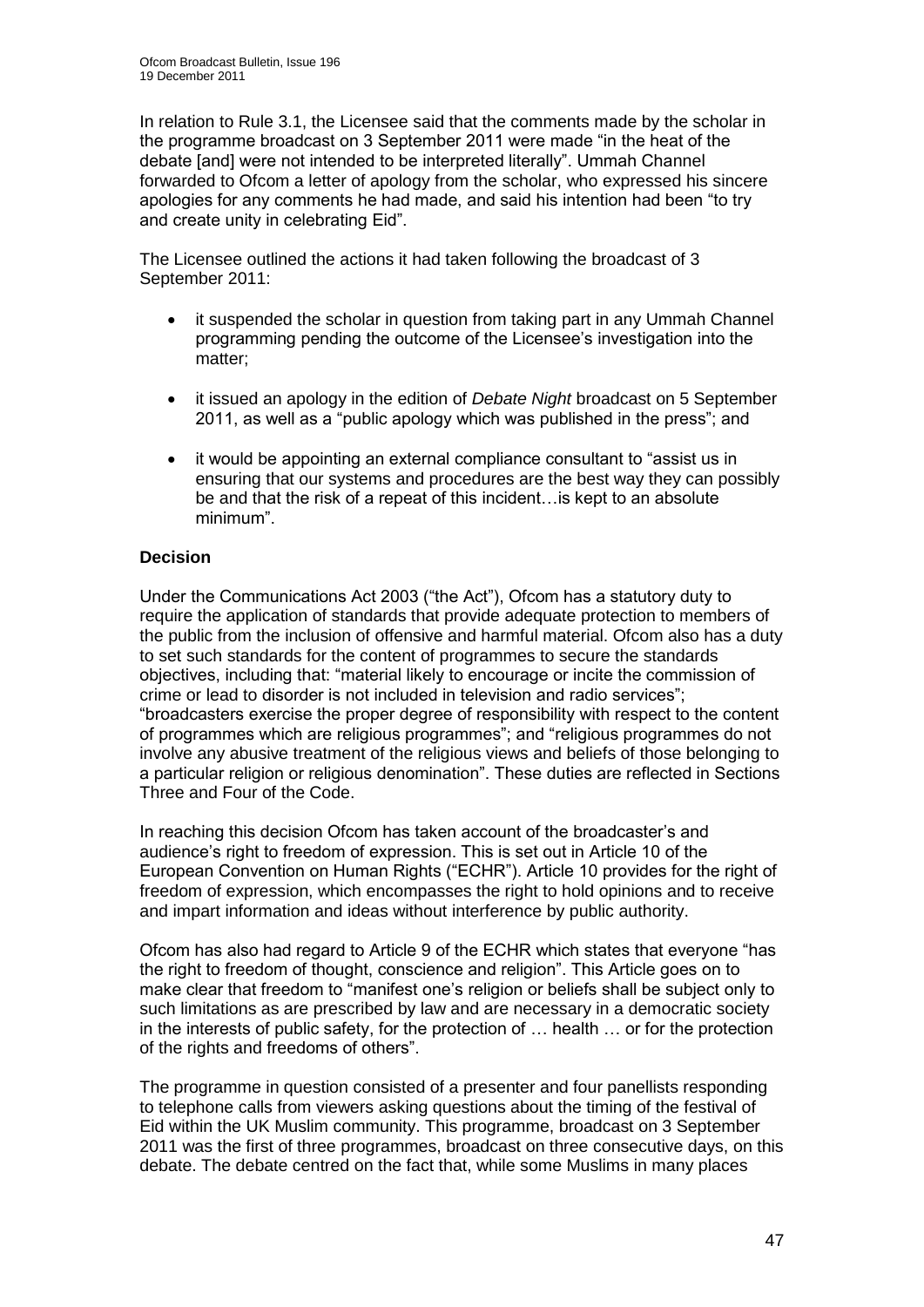In relation to Rule 3.1, the Licensee said that the comments made by the scholar in the programme broadcast on 3 September 2011 were made "in the heat of the debate [and] were not intended to be interpreted literally". Ummah Channel forwarded to Ofcom a letter of apology from the scholar, who expressed his sincere apologies for any comments he had made, and said his intention had been "to try and create unity in celebrating Eid".

The Licensee outlined the actions it had taken following the broadcast of 3 September 2011:

- it suspended the scholar in question from taking part in any Ummah Channel programming pending the outcome of the Licensee"s investigation into the matter;
- it issued an apology in the edition of *Debate Night* broadcast on 5 September 2011, as well as a "public apology which was published in the press"; and
- it would be appointing an external compliance consultant to "assist us in ensuring that our systems and procedures are the best way they can possibly be and that the risk of a repeat of this incident…is kept to an absolute minimum".

## **Decision**

Under the Communications Act 2003 ("the Act"), Ofcom has a statutory duty to require the application of standards that provide adequate protection to members of the public from the inclusion of offensive and harmful material. Ofcom also has a duty to set such standards for the content of programmes to secure the standards objectives, including that: "material likely to encourage or incite the commission of crime or lead to disorder is not included in television and radio services"; "broadcasters exercise the proper degree of responsibility with respect to the content of programmes which are religious programmes"; and "religious programmes do not involve any abusive treatment of the religious views and beliefs of those belonging to a particular religion or religious denomination". These duties are reflected in Sections Three and Four of the Code.

In reaching this decision Ofcom has taken account of the broadcaster's and audience"s right to freedom of expression. This is set out in Article 10 of the European Convention on Human Rights ("ECHR"). Article 10 provides for the right of freedom of expression, which encompasses the right to hold opinions and to receive and impart information and ideas without interference by public authority.

Ofcom has also had regard to Article 9 of the ECHR which states that everyone "has the right to freedom of thought, conscience and religion". This Article goes on to make clear that freedom to "manifest one"s religion or beliefs shall be subject only to such limitations as are prescribed by law and are necessary in a democratic society in the interests of public safety, for the protection of … health … or for the protection of the rights and freedoms of others".

The programme in question consisted of a presenter and four panellists responding to telephone calls from viewers asking questions about the timing of the festival of Eid within the UK Muslim community. This programme, broadcast on 3 September 2011 was the first of three programmes, broadcast on three consecutive days, on this debate. The debate centred on the fact that, while some Muslims in many places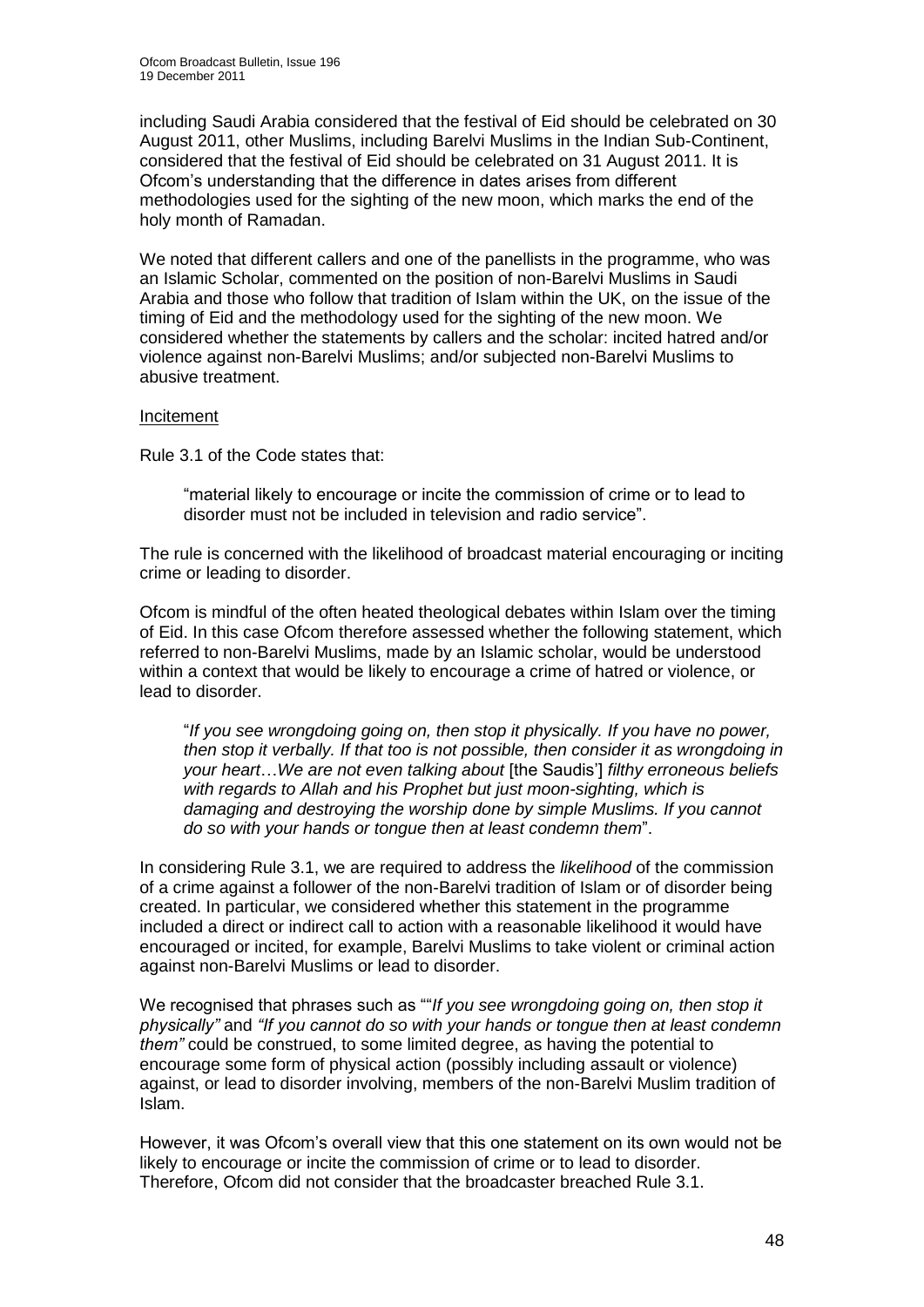including Saudi Arabia considered that the festival of Eid should be celebrated on 30 August 2011, other Muslims, including Barelvi Muslims in the Indian Sub-Continent, considered that the festival of Eid should be celebrated on 31 August 2011. It is Ofcom"s understanding that the difference in dates arises from different methodologies used for the sighting of the new moon, which marks the end of the holy month of Ramadan.

We noted that different callers and one of the panellists in the programme, who was an Islamic Scholar, commented on the position of non-Barelvi Muslims in Saudi Arabia and those who follow that tradition of Islam within the UK, on the issue of the timing of Eid and the methodology used for the sighting of the new moon. We considered whether the statements by callers and the scholar: incited hatred and/or violence against non-Barelvi Muslims; and/or subjected non-Barelvi Muslims to abusive treatment.

### Incitement

Rule 3.1 of the Code states that:

"material likely to encourage or incite the commission of crime or to lead to disorder must not be included in television and radio service".

The rule is concerned with the likelihood of broadcast material encouraging or inciting crime or leading to disorder.

Ofcom is mindful of the often heated theological debates within Islam over the timing of Eid. In this case Ofcom therefore assessed whether the following statement, which referred to non-Barelvi Muslims, made by an Islamic scholar, would be understood within a context that would be likely to encourage a crime of hatred or violence, or lead to disorder.

"*If you see wrongdoing going on, then stop it physically. If you have no power, then stop it verbally. If that too is not possible, then consider it as wrongdoing in your heart*…*We are not even talking about* [the Saudis"] *filthy erroneous beliefs with regards to Allah and his Prophet but just moon-sighting, which is damaging and destroying the worship done by simple Muslims. If you cannot do so with your hands or tongue then at least condemn them*".

In considering Rule 3.1, we are required to address the *likelihood* of the commission of a crime against a follower of the non-Barelvi tradition of Islam or of disorder being created. In particular, we considered whether this statement in the programme included a direct or indirect call to action with a reasonable likelihood it would have encouraged or incited, for example, Barelvi Muslims to take violent or criminal action against non-Barelvi Muslims or lead to disorder.

We recognised that phrases such as ""*If you see wrongdoing going on, then stop it physically"* and *"If you cannot do so with your hands or tongue then at least condemn them"* could be construed, to some limited degree, as having the potential to encourage some form of physical action (possibly including assault or violence) against, or lead to disorder involving, members of the non-Barelvi Muslim tradition of Islam.

However, it was Ofcom"s overall view that this one statement on its own would not be likely to encourage or incite the commission of crime or to lead to disorder. Therefore, Ofcom did not consider that the broadcaster breached Rule 3.1.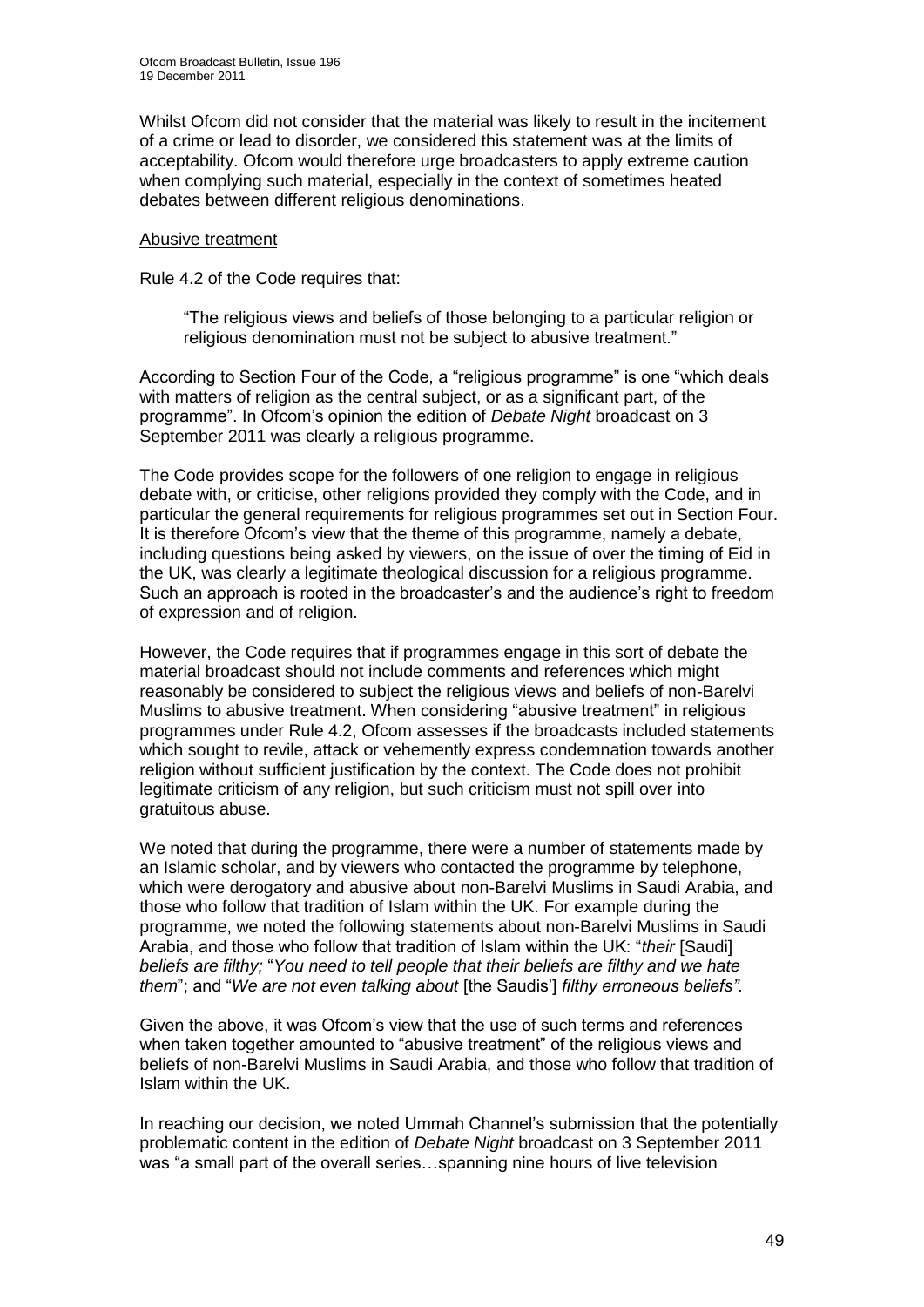Whilst Ofcom did not consider that the material was likely to result in the incitement of a crime or lead to disorder, we considered this statement was at the limits of acceptability. Ofcom would therefore urge broadcasters to apply extreme caution when complying such material, especially in the context of sometimes heated debates between different religious denominations.

### Abusive treatment

Rule 4.2 of the Code requires that:

"The religious views and beliefs of those belonging to a particular religion or religious denomination must not be subject to abusive treatment."

According to Section Four of the Code, a "religious programme" is one "which deals with matters of religion as the central subject, or as a significant part, of the programme". In Ofcom"s opinion the edition of *Debate Night* broadcast on 3 September 2011 was clearly a religious programme.

The Code provides scope for the followers of one religion to engage in religious debate with, or criticise, other religions provided they comply with the Code, and in particular the general requirements for religious programmes set out in Section Four. It is therefore Ofcom"s view that the theme of this programme, namely a debate, including questions being asked by viewers, on the issue of over the timing of Eid in the UK, was clearly a legitimate theological discussion for a religious programme. Such an approach is rooted in the broadcaster"s and the audience"s right to freedom of expression and of religion.

However, the Code requires that if programmes engage in this sort of debate the material broadcast should not include comments and references which might reasonably be considered to subject the religious views and beliefs of non-Barelvi Muslims to abusive treatment. When considering "abusive treatment" in religious programmes under Rule 4.2, Ofcom assesses if the broadcasts included statements which sought to revile, attack or vehemently express condemnation towards another religion without sufficient justification by the context. The Code does not prohibit legitimate criticism of any religion, but such criticism must not spill over into gratuitous abuse.

We noted that during the programme, there were a number of statements made by an Islamic scholar, and by viewers who contacted the programme by telephone, which were derogatory and abusive about non-Barelvi Muslims in Saudi Arabia, and those who follow that tradition of Islam within the UK. For example during the programme, we noted the following statements about non-Barelvi Muslims in Saudi Arabia, and those who follow that tradition of Islam within the UK: "*their* [Saudi] *beliefs are filthy;* "*You need to tell people that their beliefs are filthy and we hate them*"; and "*We are not even talking about* [the Saudis"] *filthy erroneous beliefs".*

Given the above, it was Ofcom"s view that the use of such terms and references when taken together amounted to "abusive treatment" of the religious views and beliefs of non-Barelvi Muslims in Saudi Arabia, and those who follow that tradition of Islam within the UK.

In reaching our decision, we noted Ummah Channel"s submission that the potentially problematic content in the edition of *Debate Night* broadcast on 3 September 2011 was "a small part of the overall series…spanning nine hours of live television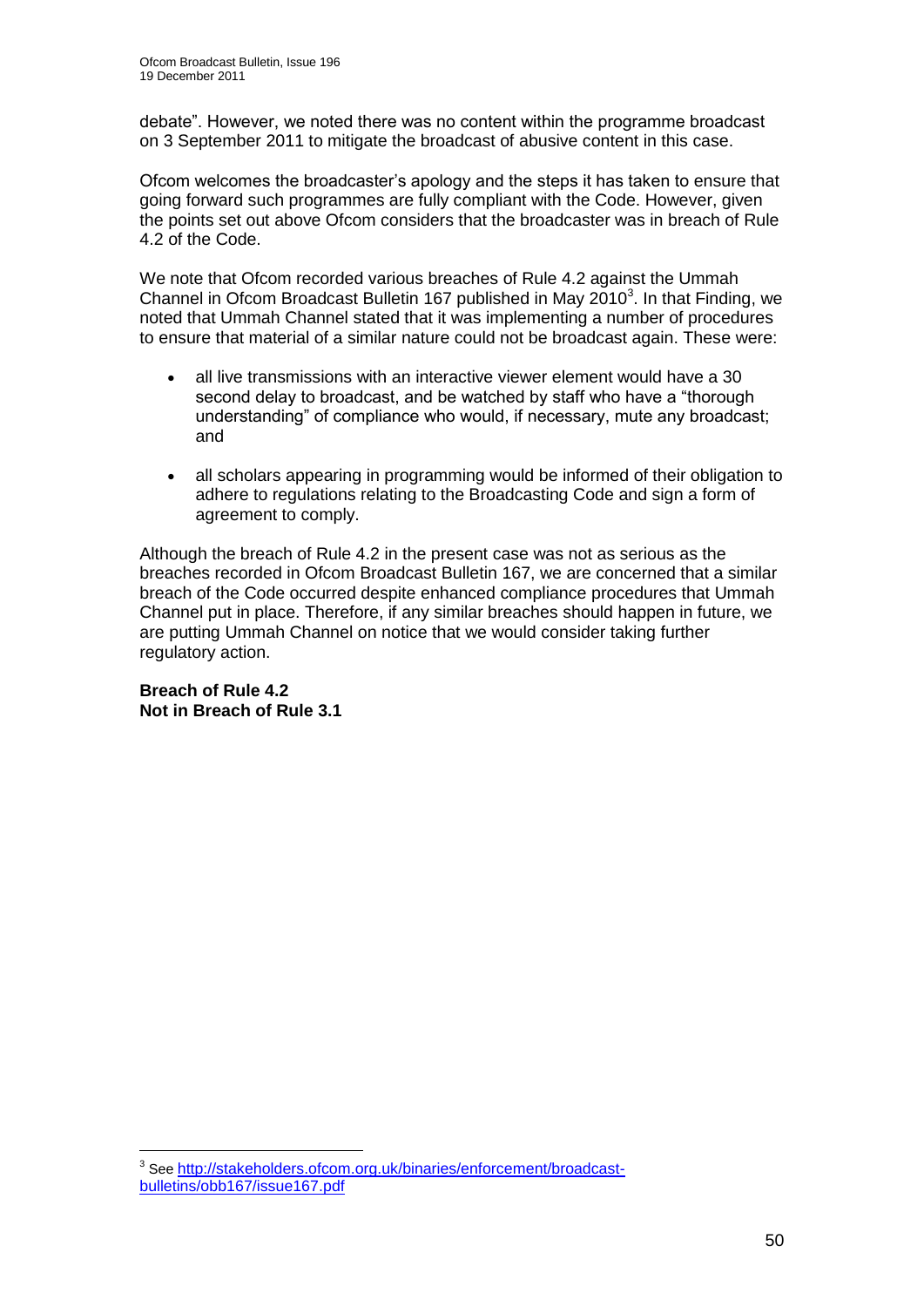debate". However, we noted there was no content within the programme broadcast on 3 September 2011 to mitigate the broadcast of abusive content in this case.

Ofcom welcomes the broadcaster"s apology and the steps it has taken to ensure that going forward such programmes are fully compliant with the Code. However, given the points set out above Ofcom considers that the broadcaster was in breach of Rule 4.2 of the Code.

We note that Ofcom recorded various breaches of Rule 4.2 against the Ummah Channel in Ofcom Broadcast Bulletin 167 published in May  $2010<sup>3</sup>$ . In that Finding, we noted that Ummah Channel stated that it was implementing a number of procedures to ensure that material of a similar nature could not be broadcast again. These were:

- all live transmissions with an interactive viewer element would have a 30 second delay to broadcast, and be watched by staff who have a "thorough understanding" of compliance who would, if necessary, mute any broadcast; and
- all scholars appearing in programming would be informed of their obligation to adhere to regulations relating to the Broadcasting Code and sign a form of agreement to comply.

Although the breach of Rule 4.2 in the present case was not as serious as the breaches recorded in Ofcom Broadcast Bulletin 167, we are concerned that a similar breach of the Code occurred despite enhanced compliance procedures that Ummah Channel put in place. Therefore, if any similar breaches should happen in future, we are putting Ummah Channel on notice that we would consider taking further regulatory action.

**Breach of Rule 4.2 Not in Breach of Rule 3.1**

 3 See [http://stakeholders.ofcom.org.uk/binaries/enforcement/broadcast](http://stakeholders.ofcom.org.uk/binaries/enforcement/broadcast-bulletins/obb167/issue167.pdf)[bulletins/obb167/issue167.pdf](http://stakeholders.ofcom.org.uk/binaries/enforcement/broadcast-bulletins/obb167/issue167.pdf)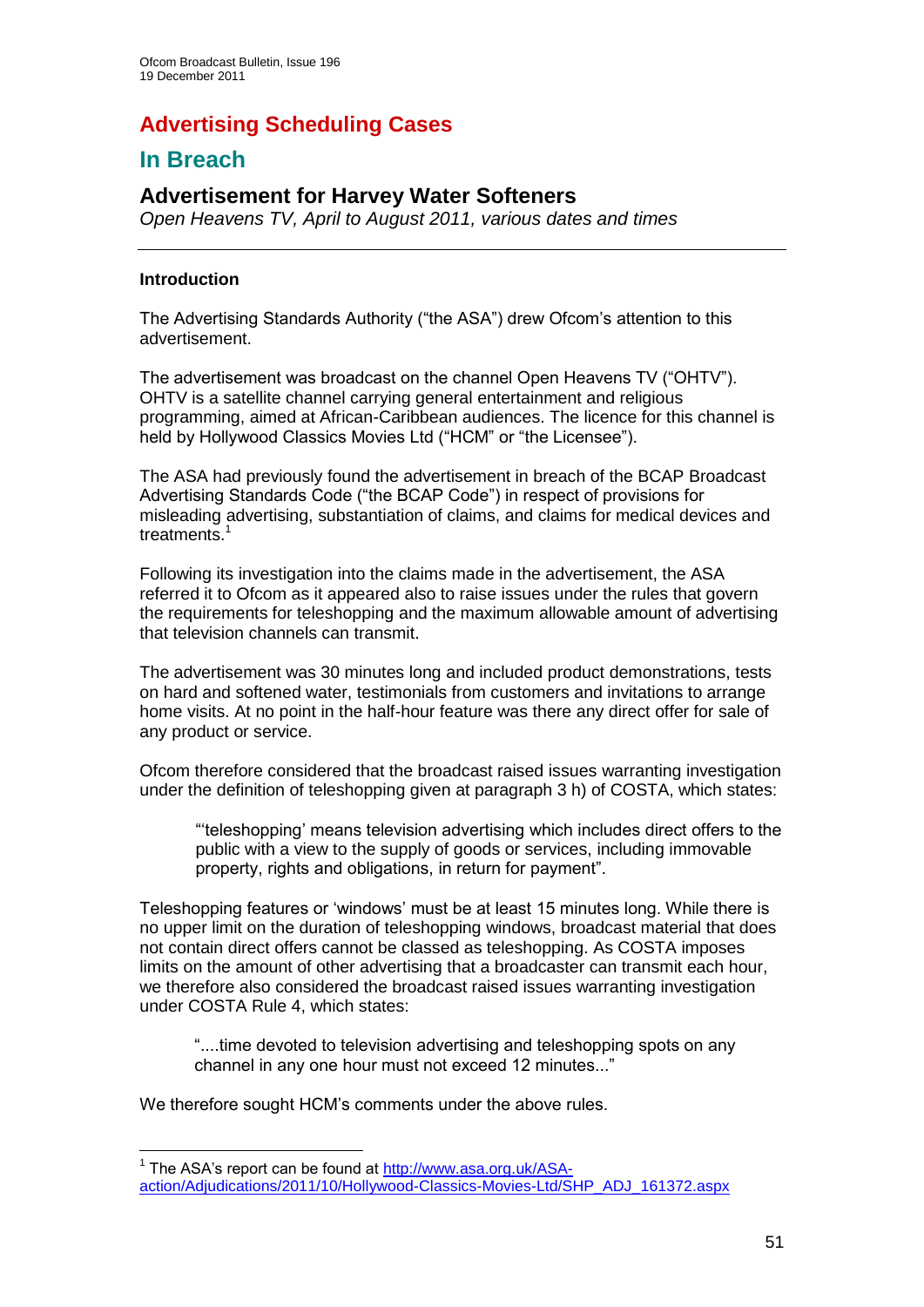## **Advertising Scheduling Cases**

## **In Breach**

## **Advertisement for Harvey Water Softeners**

*Open Heavens TV, April to August 2011, various dates and times*

## **Introduction**

1

The Advertising Standards Authority ("the ASA") drew Ofcom"s attention to this advertisement.

The advertisement was broadcast on the channel Open Heavens TV ("OHTV"). OHTV is a satellite channel carrying general entertainment and religious programming, aimed at African-Caribbean audiences. The licence for this channel is held by Hollywood Classics Movies Ltd ("HCM" or "the Licensee").

The ASA had previously found the advertisement in breach of the BCAP Broadcast Advertising Standards Code ("the BCAP Code") in respect of provisions for misleading advertising, substantiation of claims, and claims for medical devices and treatments.<sup>1</sup>

Following its investigation into the claims made in the advertisement, the ASA referred it to Ofcom as it appeared also to raise issues under the rules that govern the requirements for teleshopping and the maximum allowable amount of advertising that television channels can transmit.

The advertisement was 30 minutes long and included product demonstrations, tests on hard and softened water, testimonials from customers and invitations to arrange home visits. At no point in the half-hour feature was there any direct offer for sale of any product or service.

Ofcom therefore considered that the broadcast raised issues warranting investigation under the definition of teleshopping given at paragraph 3 h) of COSTA, which states:

""teleshopping" means television advertising which includes direct offers to the public with a view to the supply of goods or services, including immovable property, rights and obligations, in return for payment".

Teleshopping features or "windows" must be at least 15 minutes long. While there is no upper limit on the duration of teleshopping windows, broadcast material that does not contain direct offers cannot be classed as teleshopping. As COSTA imposes limits on the amount of other advertising that a broadcaster can transmit each hour, we therefore also considered the broadcast raised issues warranting investigation under COSTA Rule 4, which states:

"....time devoted to television advertising and teleshopping spots on any channel in any one hour must not exceed 12 minutes..."

We therefore sought HCM"s comments under the above rules.

<sup>&</sup>lt;sup>1</sup> The ASA's report can be found at [http://www.asa.org.uk/ASA](http://www.asa.org.uk/ASA-action/Adjudications/2011/10/Hollywood-Classics-Movies-Ltd/SHP_ADJ_161372.aspx)[action/Adjudications/2011/10/Hollywood-Classics-Movies-Ltd/SHP\\_ADJ\\_161372.aspx](http://www.asa.org.uk/ASA-action/Adjudications/2011/10/Hollywood-Classics-Movies-Ltd/SHP_ADJ_161372.aspx)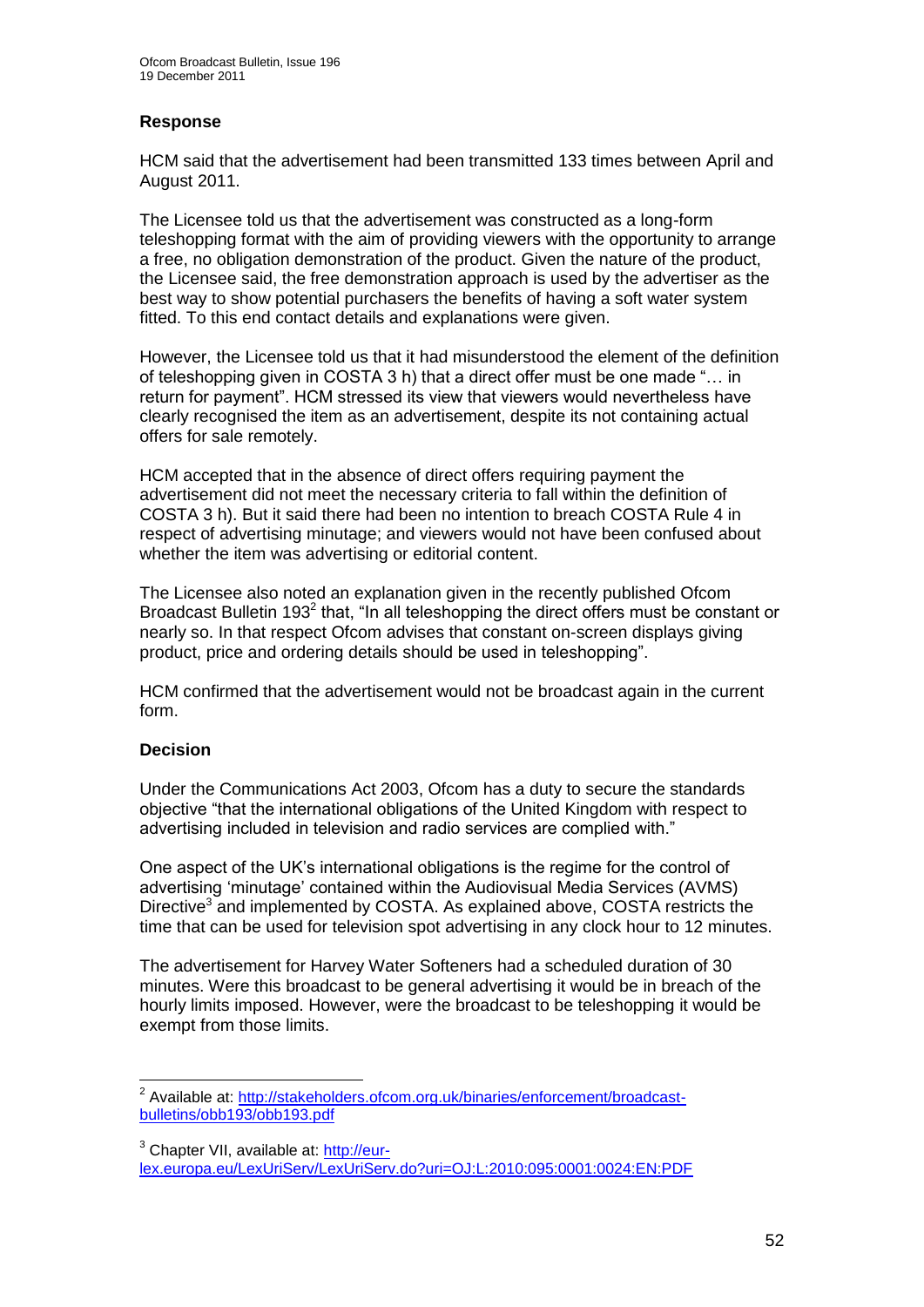## **Response**

HCM said that the advertisement had been transmitted 133 times between April and August 2011.

The Licensee told us that the advertisement was constructed as a long-form teleshopping format with the aim of providing viewers with the opportunity to arrange a free, no obligation demonstration of the product. Given the nature of the product, the Licensee said, the free demonstration approach is used by the advertiser as the best way to show potential purchasers the benefits of having a soft water system fitted. To this end contact details and explanations were given.

However, the Licensee told us that it had misunderstood the element of the definition of teleshopping given in COSTA 3 h) that a direct offer must be one made "… in return for payment". HCM stressed its view that viewers would nevertheless have clearly recognised the item as an advertisement, despite its not containing actual offers for sale remotely.

HCM accepted that in the absence of direct offers requiring payment the advertisement did not meet the necessary criteria to fall within the definition of COSTA 3 h). But it said there had been no intention to breach COSTA Rule 4 in respect of advertising minutage; and viewers would not have been confused about whether the item was advertising or editorial content.

The Licensee also noted an explanation given in the recently published Ofcom Broadcast Bulletin 193<sup>2</sup> that, "In all teleshopping the direct offers must be constant or nearly so. In that respect Ofcom advises that constant on-screen displays giving product, price and ordering details should be used in teleshopping".

HCM confirmed that the advertisement would not be broadcast again in the current form.

## **Decision**

Under the Communications Act 2003, Ofcom has a duty to secure the standards objective "that the international obligations of the United Kingdom with respect to advertising included in television and radio services are complied with."

One aspect of the UK"s international obligations is the regime for the control of advertising "minutage" contained within the Audiovisual Media Services (AVMS) Directive<sup>3</sup> and implemented by COSTA. As explained above, COSTA restricts the time that can be used for television spot advertising in any clock hour to 12 minutes.

The advertisement for Harvey Water Softeners had a scheduled duration of 30 minutes. Were this broadcast to be general advertising it would be in breach of the hourly limits imposed. However, were the broadcast to be teleshopping it would be exempt from those limits.

<sup>1</sup> <sup>2</sup> Available at: [http://stakeholders.ofcom.org.uk/binaries/enforcement/broadcast](http://stakeholders.ofcom.org.uk/binaries/enforcement/broadcast-bulletins/obb193/obb193.pdf)[bulletins/obb193/obb193.pdf](http://stakeholders.ofcom.org.uk/binaries/enforcement/broadcast-bulletins/obb193/obb193.pdf)

<sup>&</sup>lt;sup>3</sup> Chapter VII, available at: [http://eur](http://eur-lex.europa.eu/LexUriServ/LexUriServ.do?uri=OJ:L:2010:095:0001:0024:EN:PDF)[lex.europa.eu/LexUriServ/LexUriServ.do?uri=OJ:L:2010:095:0001:0024:EN:PDF](http://eur-lex.europa.eu/LexUriServ/LexUriServ.do?uri=OJ:L:2010:095:0001:0024:EN:PDF)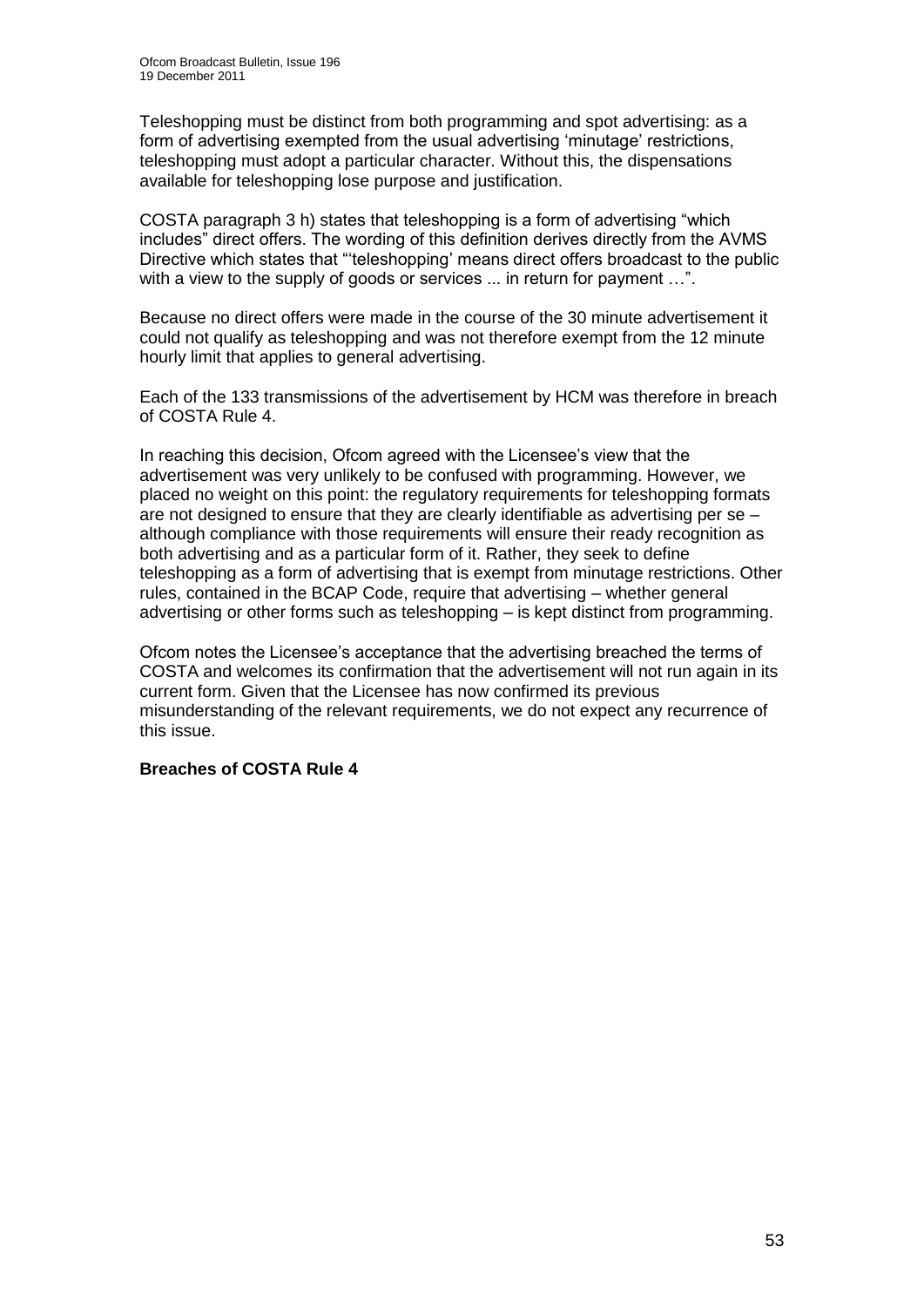Teleshopping must be distinct from both programming and spot advertising: as a form of advertising exempted from the usual advertising 'minutage' restrictions, teleshopping must adopt a particular character. Without this, the dispensations available for teleshopping lose purpose and justification.

COSTA paragraph 3 h) states that teleshopping is a form of advertising "which includes" direct offers. The wording of this definition derives directly from the AVMS Directive which states that ""teleshopping" means direct offers broadcast to the public with a view to the supply of goods or services ... in return for payment ...".

Because no direct offers were made in the course of the 30 minute advertisement it could not qualify as teleshopping and was not therefore exempt from the 12 minute hourly limit that applies to general advertising.

Each of the 133 transmissions of the advertisement by HCM was therefore in breach of COSTA Rule 4.

In reaching this decision, Ofcom agreed with the Licensee's view that the advertisement was very unlikely to be confused with programming. However, we placed no weight on this point: the regulatory requirements for teleshopping formats are not designed to ensure that they are clearly identifiable as advertising per se – although compliance with those requirements will ensure their ready recognition as both advertising and as a particular form of it. Rather, they seek to define teleshopping as a form of advertising that is exempt from minutage restrictions. Other rules, contained in the BCAP Code, require that advertising – whether general advertising or other forms such as teleshopping – is kept distinct from programming.

Ofcom notes the Licensee"s acceptance that the advertising breached the terms of COSTA and welcomes its confirmation that the advertisement will not run again in its current form. Given that the Licensee has now confirmed its previous misunderstanding of the relevant requirements, we do not expect any recurrence of this issue.

#### **Breaches of COSTA Rule 4**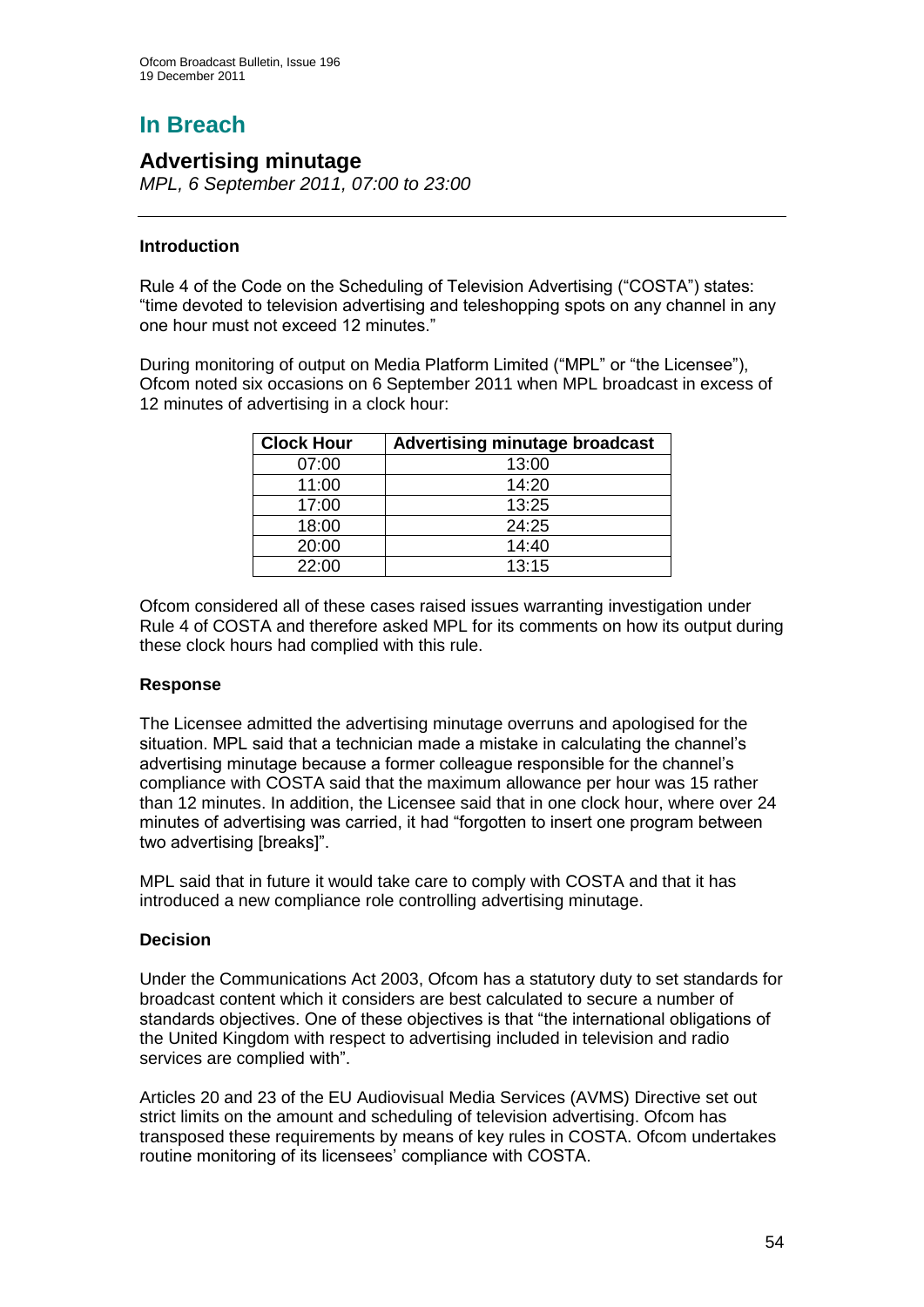# **In Breach**

## **Advertising minutage**

*MPL, 6 September 2011, 07:00 to 23:00*

## **Introduction**

Rule 4 of the Code on the Scheduling of Television Advertising ("COSTA") states: "time devoted to television advertising and teleshopping spots on any channel in any one hour must not exceed 12 minutes."

During monitoring of output on Media Platform Limited ("MPL" or "the Licensee"), Ofcom noted six occasions on 6 September 2011 when MPL broadcast in excess of 12 minutes of advertising in a clock hour:

| <b>Clock Hour</b> | <b>Advertising minutage broadcast</b> |
|-------------------|---------------------------------------|
| 07:00             | 13:00                                 |
| 11:00             | 14:20                                 |
| 17:00             | 13:25                                 |
| 18:00             | 24:25                                 |
| 20:00             | 14:40                                 |
| 22:00             | 13:15                                 |

Ofcom considered all of these cases raised issues warranting investigation under Rule 4 of COSTA and therefore asked MPL for its comments on how its output during these clock hours had complied with this rule.

## **Response**

The Licensee admitted the advertising minutage overruns and apologised for the situation. MPL said that a technician made a mistake in calculating the channel"s advertising minutage because a former colleague responsible for the channel"s compliance with COSTA said that the maximum allowance per hour was 15 rather than 12 minutes. In addition, the Licensee said that in one clock hour, where over 24 minutes of advertising was carried, it had "forgotten to insert one program between two advertising [breaks]".

MPL said that in future it would take care to comply with COSTA and that it has introduced a new compliance role controlling advertising minutage.

## **Decision**

Under the Communications Act 2003, Ofcom has a statutory duty to set standards for broadcast content which it considers are best calculated to secure a number of standards objectives. One of these objectives is that "the international obligations of the United Kingdom with respect to advertising included in television and radio services are complied with".

Articles 20 and 23 of the EU Audiovisual Media Services (AVMS) Directive set out strict limits on the amount and scheduling of television advertising. Ofcom has transposed these requirements by means of key rules in COSTA. Ofcom undertakes routine monitoring of its licensees' compliance with COSTA.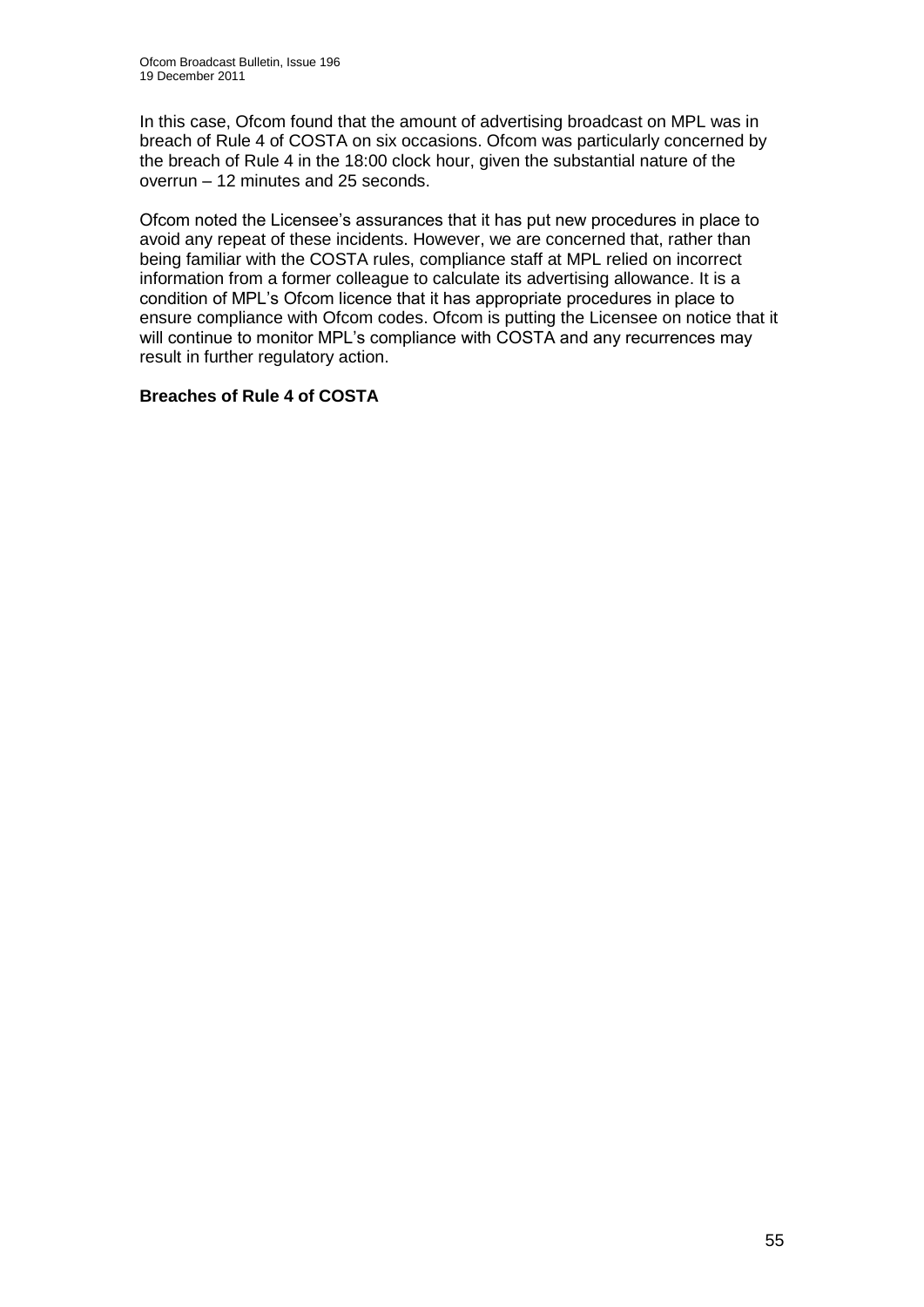In this case, Ofcom found that the amount of advertising broadcast on MPL was in breach of Rule 4 of COSTA on six occasions. Ofcom was particularly concerned by the breach of Rule 4 in the 18:00 clock hour, given the substantial nature of the overrun – 12 minutes and 25 seconds.

Ofcom noted the Licensee"s assurances that it has put new procedures in place to avoid any repeat of these incidents. However, we are concerned that, rather than being familiar with the COSTA rules, compliance staff at MPL relied on incorrect information from a former colleague to calculate its advertising allowance. It is a condition of MPL"s Ofcom licence that it has appropriate procedures in place to ensure compliance with Ofcom codes. Ofcom is putting the Licensee on notice that it will continue to monitor MPL's compliance with COSTA and any recurrences may result in further regulatory action.

## **Breaches of Rule 4 of COSTA**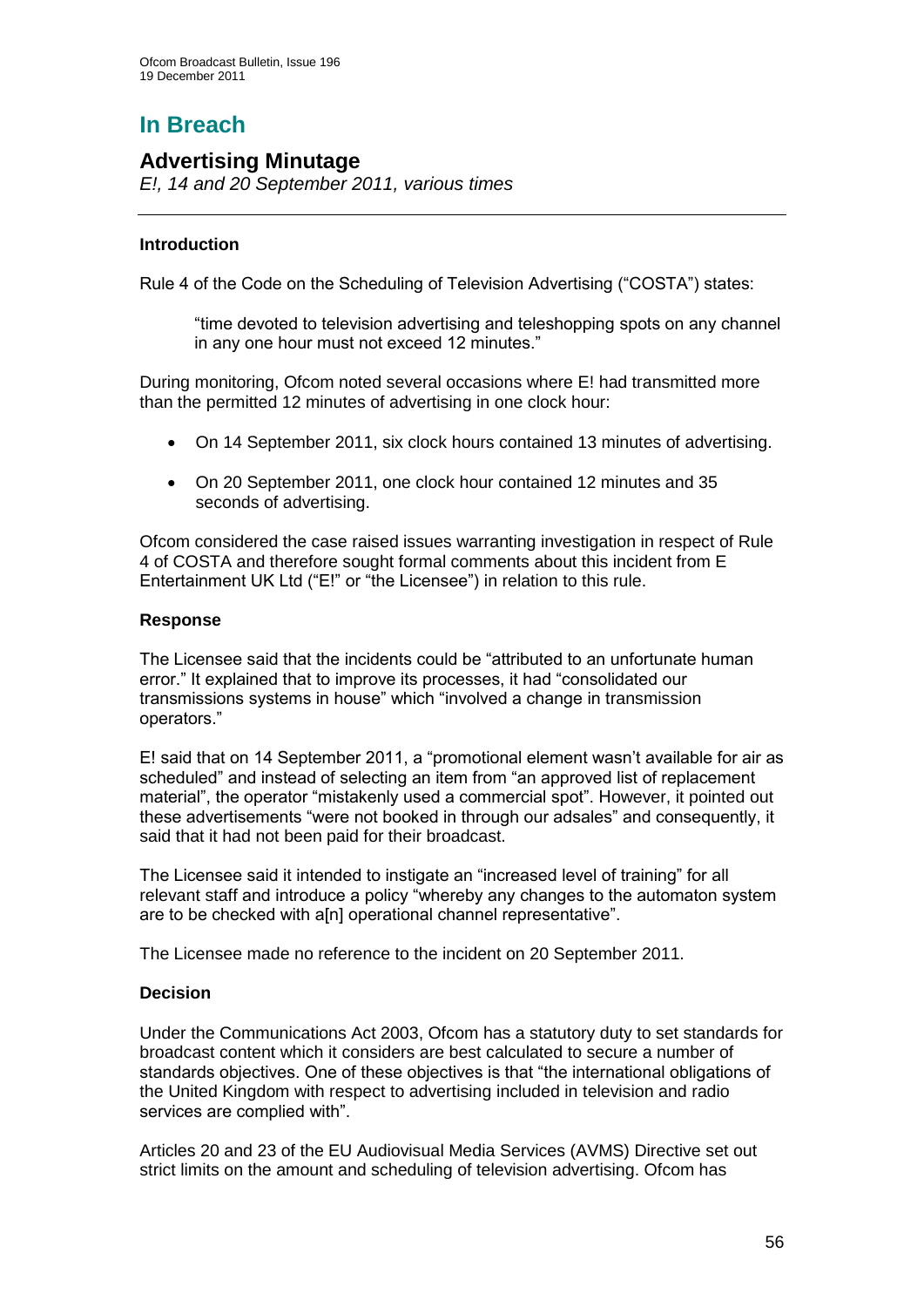## **In Breach**

## **Advertising Minutage**

*E!, 14 and 20 September 2011, various times*

## **Introduction**

Rule 4 of the Code on the Scheduling of Television Advertising ("COSTA") states:

"time devoted to television advertising and teleshopping spots on any channel in any one hour must not exceed 12 minutes."

During monitoring, Ofcom noted several occasions where E! had transmitted more than the permitted 12 minutes of advertising in one clock hour:

- On 14 September 2011, six clock hours contained 13 minutes of advertising.
- On 20 September 2011, one clock hour contained 12 minutes and 35 seconds of advertising.

Ofcom considered the case raised issues warranting investigation in respect of Rule 4 of COSTA and therefore sought formal comments about this incident from E Entertainment UK Ltd ("E!" or "the Licensee") in relation to this rule.

## **Response**

The Licensee said that the incidents could be "attributed to an unfortunate human error." It explained that to improve its processes, it had "consolidated our transmissions systems in house" which "involved a change in transmission operators."

E! said that on 14 September 2011, a "promotional element wasn"t available for air as scheduled" and instead of selecting an item from "an approved list of replacement material", the operator "mistakenly used a commercial spot". However, it pointed out these advertisements "were not booked in through our adsales" and consequently, it said that it had not been paid for their broadcast.

The Licensee said it intended to instigate an "increased level of training" for all relevant staff and introduce a policy "whereby any changes to the automaton system are to be checked with a[n] operational channel representative".

The Licensee made no reference to the incident on 20 September 2011.

## **Decision**

Under the Communications Act 2003, Ofcom has a statutory duty to set standards for broadcast content which it considers are best calculated to secure a number of standards objectives. One of these objectives is that "the international obligations of the United Kingdom with respect to advertising included in television and radio services are complied with".

Articles 20 and 23 of the EU Audiovisual Media Services (AVMS) Directive set out strict limits on the amount and scheduling of television advertising. Ofcom has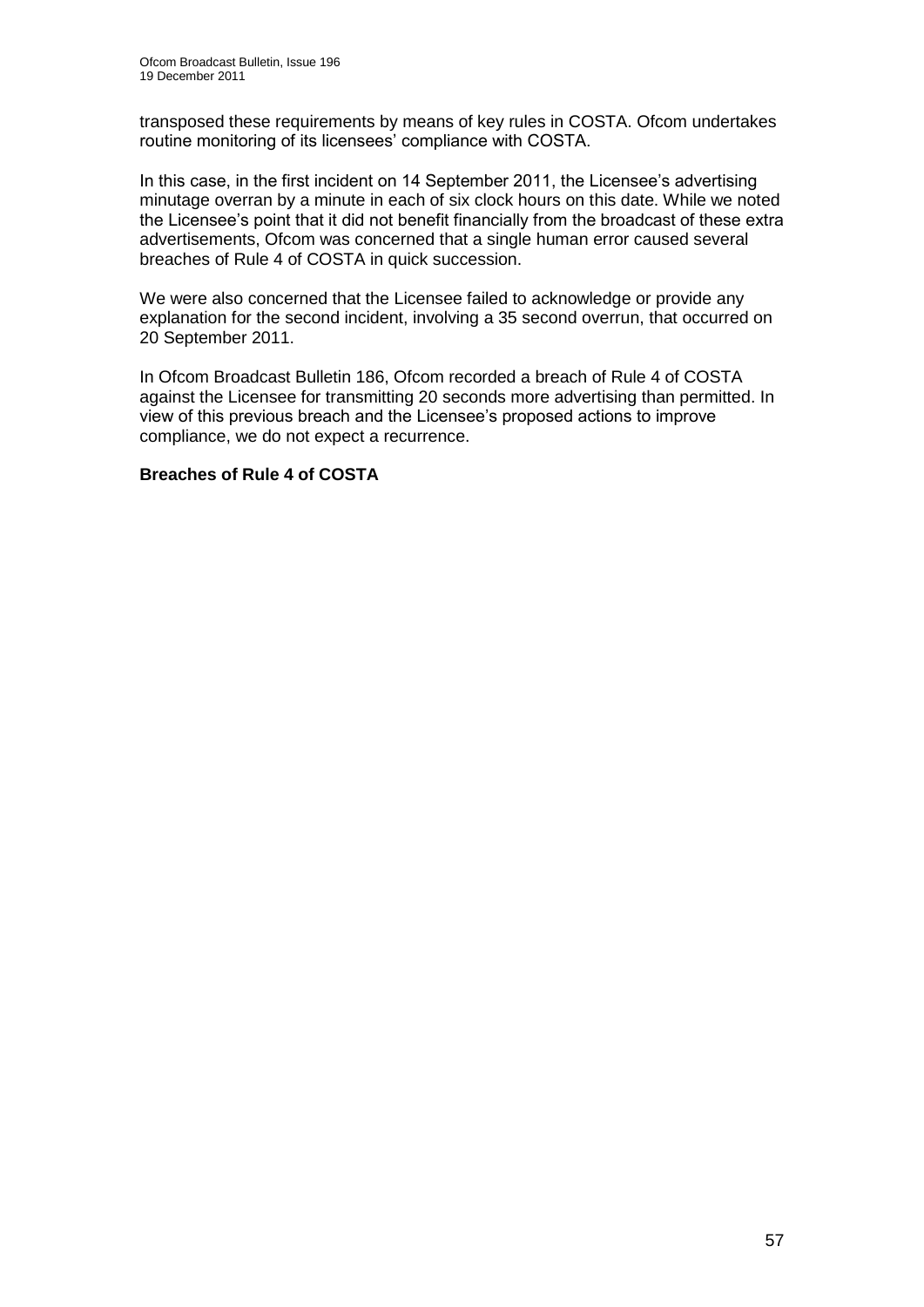transposed these requirements by means of key rules in COSTA. Ofcom undertakes routine monitoring of its licensees' compliance with COSTA.

In this case, in the first incident on 14 September 2011, the Licensee's advertising minutage overran by a minute in each of six clock hours on this date. While we noted the Licensee"s point that it did not benefit financially from the broadcast of these extra advertisements, Ofcom was concerned that a single human error caused several breaches of Rule 4 of COSTA in quick succession.

We were also concerned that the Licensee failed to acknowledge or provide any explanation for the second incident, involving a 35 second overrun, that occurred on 20 September 2011.

In Ofcom Broadcast Bulletin 186, Ofcom recorded a breach of Rule 4 of COSTA against the Licensee for transmitting 20 seconds more advertising than permitted. In view of this previous breach and the Licensee"s proposed actions to improve compliance, we do not expect a recurrence.

## **Breaches of Rule 4 of COSTA**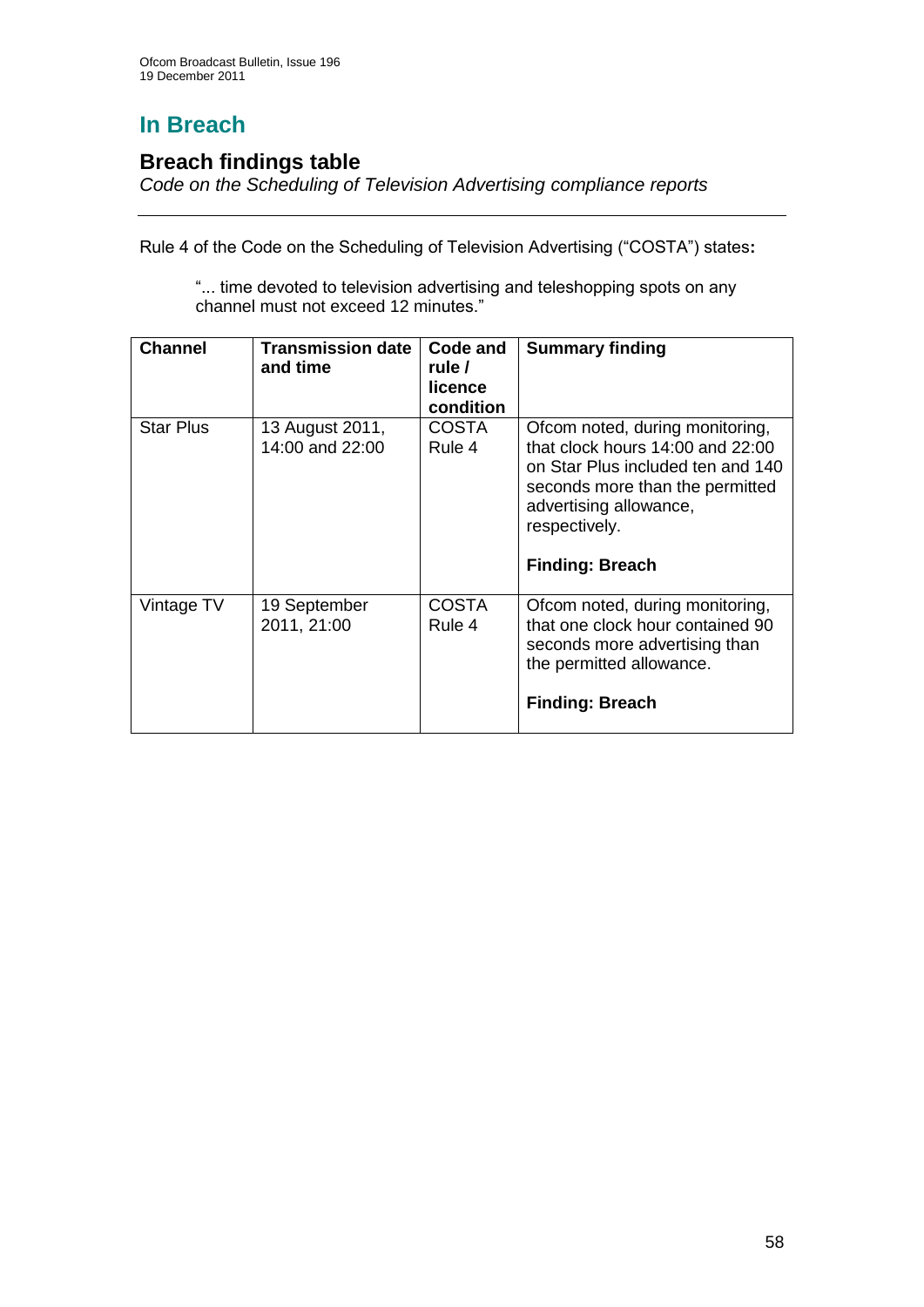# **In Breach**

## **Breach findings table**

*Code on the Scheduling of Television Advertising compliance reports*

Rule 4 of the Code on the Scheduling of Television Advertising ("COSTA") states**:**

"... time devoted to television advertising and teleshopping spots on any channel must not exceed 12 minutes."

| <b>Channel</b>   | <b>Transmission date</b><br>and time | Code and<br>rule /<br>licence<br>condition | <b>Summary finding</b>                                                                                                                                                                                           |
|------------------|--------------------------------------|--------------------------------------------|------------------------------------------------------------------------------------------------------------------------------------------------------------------------------------------------------------------|
| <b>Star Plus</b> | 13 August 2011,<br>14:00 and 22:00   | <b>COSTA</b><br>Rule 4                     | Ofcom noted, during monitoring,<br>that clock hours 14:00 and 22:00<br>on Star Plus included ten and 140<br>seconds more than the permitted<br>advertising allowance,<br>respectively.<br><b>Finding: Breach</b> |
| Vintage TV       | 19 September<br>2011, 21:00          | COSTA<br>Rule 4                            | Ofcom noted, during monitoring,<br>that one clock hour contained 90<br>seconds more advertising than<br>the permitted allowance.<br><b>Finding: Breach</b>                                                       |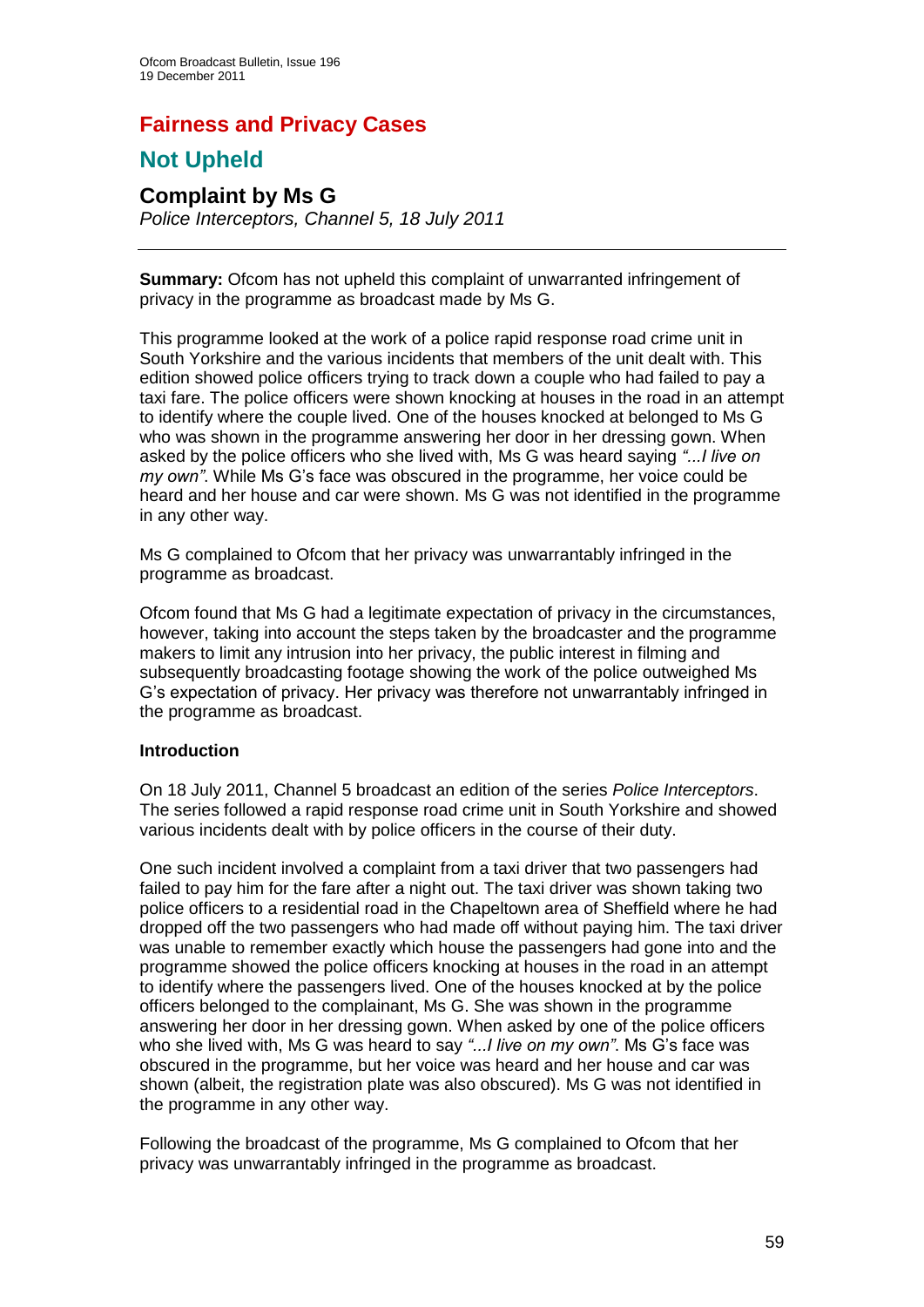# **Fairness and Privacy Cases**

## **Not Upheld**

# **Complaint by Ms G**

*Police Interceptors, Channel 5, 18 July 2011*

**Summary:** Ofcom has not upheld this complaint of unwarranted infringement of privacy in the programme as broadcast made by Ms G.

This programme looked at the work of a police rapid response road crime unit in South Yorkshire and the various incidents that members of the unit dealt with. This edition showed police officers trying to track down a couple who had failed to pay a taxi fare. The police officers were shown knocking at houses in the road in an attempt to identify where the couple lived. One of the houses knocked at belonged to Ms G who was shown in the programme answering her door in her dressing gown. When asked by the police officers who she lived with, Ms G was heard saying *"...I live on my own"*. While Ms G"s face was obscured in the programme, her voice could be heard and her house and car were shown. Ms G was not identified in the programme in any other way.

Ms G complained to Ofcom that her privacy was unwarrantably infringed in the programme as broadcast.

Ofcom found that Ms G had a legitimate expectation of privacy in the circumstances, however, taking into account the steps taken by the broadcaster and the programme makers to limit any intrusion into her privacy, the public interest in filming and subsequently broadcasting footage showing the work of the police outweighed Ms G"s expectation of privacy. Her privacy was therefore not unwarrantably infringed in the programme as broadcast.

## **Introduction**

On 18 July 2011, Channel 5 broadcast an edition of the series *Police Interceptors*. The series followed a rapid response road crime unit in South Yorkshire and showed various incidents dealt with by police officers in the course of their duty.

One such incident involved a complaint from a taxi driver that two passengers had failed to pay him for the fare after a night out. The taxi driver was shown taking two police officers to a residential road in the Chapeltown area of Sheffield where he had dropped off the two passengers who had made off without paying him. The taxi driver was unable to remember exactly which house the passengers had gone into and the programme showed the police officers knocking at houses in the road in an attempt to identify where the passengers lived. One of the houses knocked at by the police officers belonged to the complainant, Ms G. She was shown in the programme answering her door in her dressing gown. When asked by one of the police officers who she lived with, Ms G was heard to say *"...I live on my own"*. Ms G"s face was obscured in the programme, but her voice was heard and her house and car was shown (albeit, the registration plate was also obscured). Ms G was not identified in the programme in any other way.

Following the broadcast of the programme, Ms G complained to Ofcom that her privacy was unwarrantably infringed in the programme as broadcast.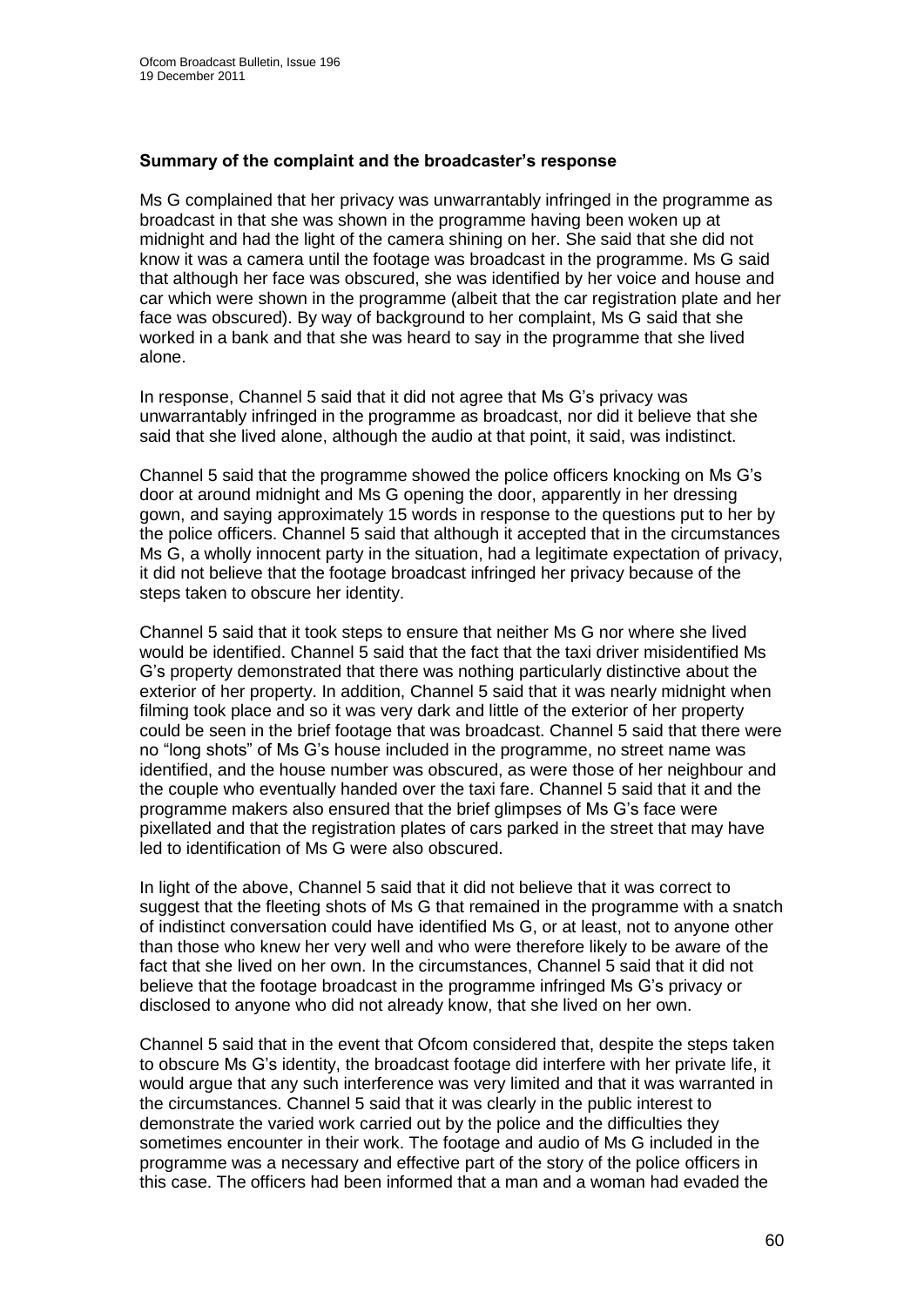### **Summary of the complaint and the broadcaster's response**

Ms G complained that her privacy was unwarrantably infringed in the programme as broadcast in that she was shown in the programme having been woken up at midnight and had the light of the camera shining on her. She said that she did not know it was a camera until the footage was broadcast in the programme. Ms G said that although her face was obscured, she was identified by her voice and house and car which were shown in the programme (albeit that the car registration plate and her face was obscured). By way of background to her complaint, Ms G said that she worked in a bank and that she was heard to say in the programme that she lived alone.

In response, Channel 5 said that it did not agree that Ms G"s privacy was unwarrantably infringed in the programme as broadcast, nor did it believe that she said that she lived alone, although the audio at that point, it said, was indistinct.

Channel 5 said that the programme showed the police officers knocking on Ms G"s door at around midnight and Ms G opening the door, apparently in her dressing gown, and saying approximately 15 words in response to the questions put to her by the police officers. Channel 5 said that although it accepted that in the circumstances Ms G, a wholly innocent party in the situation, had a legitimate expectation of privacy, it did not believe that the footage broadcast infringed her privacy because of the steps taken to obscure her identity.

Channel 5 said that it took steps to ensure that neither Ms G nor where she lived would be identified. Channel 5 said that the fact that the taxi driver misidentified Ms G"s property demonstrated that there was nothing particularly distinctive about the exterior of her property. In addition, Channel 5 said that it was nearly midnight when filming took place and so it was very dark and little of the exterior of her property could be seen in the brief footage that was broadcast. Channel 5 said that there were no "long shots" of Ms G"s house included in the programme, no street name was identified, and the house number was obscured, as were those of her neighbour and the couple who eventually handed over the taxi fare. Channel 5 said that it and the programme makers also ensured that the brief glimpses of Ms G"s face were pixellated and that the registration plates of cars parked in the street that may have led to identification of Ms G were also obscured.

In light of the above, Channel 5 said that it did not believe that it was correct to suggest that the fleeting shots of Ms G that remained in the programme with a snatch of indistinct conversation could have identified Ms G, or at least, not to anyone other than those who knew her very well and who were therefore likely to be aware of the fact that she lived on her own. In the circumstances, Channel 5 said that it did not believe that the footage broadcast in the programme infringed Ms G"s privacy or disclosed to anyone who did not already know, that she lived on her own.

Channel 5 said that in the event that Ofcom considered that, despite the steps taken to obscure Ms G"s identity, the broadcast footage did interfere with her private life, it would argue that any such interference was very limited and that it was warranted in the circumstances. Channel 5 said that it was clearly in the public interest to demonstrate the varied work carried out by the police and the difficulties they sometimes encounter in their work. The footage and audio of Ms G included in the programme was a necessary and effective part of the story of the police officers in this case. The officers had been informed that a man and a woman had evaded the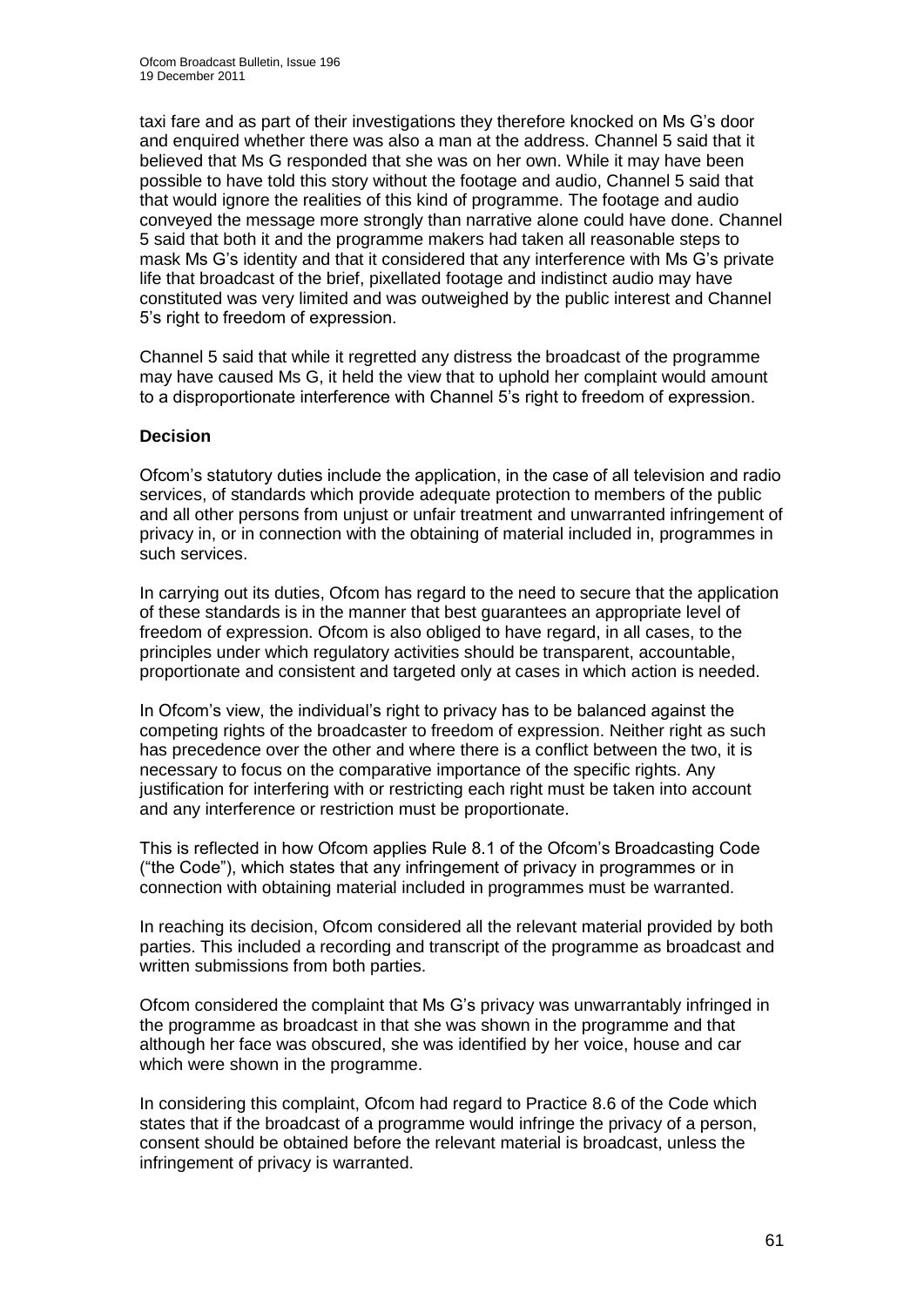taxi fare and as part of their investigations they therefore knocked on Ms G"s door and enquired whether there was also a man at the address. Channel 5 said that it believed that Ms G responded that she was on her own. While it may have been possible to have told this story without the footage and audio, Channel 5 said that that would ignore the realities of this kind of programme. The footage and audio conveyed the message more strongly than narrative alone could have done. Channel 5 said that both it and the programme makers had taken all reasonable steps to mask Ms G"s identity and that it considered that any interference with Ms G"s private life that broadcast of the brief, pixellated footage and indistinct audio may have constituted was very limited and was outweighed by the public interest and Channel 5's right to freedom of expression.

Channel 5 said that while it regretted any distress the broadcast of the programme may have caused Ms G, it held the view that to uphold her complaint would amount to a disproportionate interference with Channel 5"s right to freedom of expression.

## **Decision**

Ofcom"s statutory duties include the application, in the case of all television and radio services, of standards which provide adequate protection to members of the public and all other persons from unjust or unfair treatment and unwarranted infringement of privacy in, or in connection with the obtaining of material included in, programmes in such services.

In carrying out its duties, Ofcom has regard to the need to secure that the application of these standards is in the manner that best guarantees an appropriate level of freedom of expression. Ofcom is also obliged to have regard, in all cases, to the principles under which regulatory activities should be transparent, accountable, proportionate and consistent and targeted only at cases in which action is needed.

In Ofcom"s view, the individual"s right to privacy has to be balanced against the competing rights of the broadcaster to freedom of expression. Neither right as such has precedence over the other and where there is a conflict between the two, it is necessary to focus on the comparative importance of the specific rights. Any justification for interfering with or restricting each right must be taken into account and any interference or restriction must be proportionate.

This is reflected in how Ofcom applies Rule 8.1 of the Ofcom"s Broadcasting Code ("the Code"), which states that any infringement of privacy in programmes or in connection with obtaining material included in programmes must be warranted.

In reaching its decision, Ofcom considered all the relevant material provided by both parties. This included a recording and transcript of the programme as broadcast and written submissions from both parties.

Ofcom considered the complaint that Ms G"s privacy was unwarrantably infringed in the programme as broadcast in that she was shown in the programme and that although her face was obscured, she was identified by her voice, house and car which were shown in the programme.

In considering this complaint, Ofcom had regard to Practice 8.6 of the Code which states that if the broadcast of a programme would infringe the privacy of a person, consent should be obtained before the relevant material is broadcast, unless the infringement of privacy is warranted.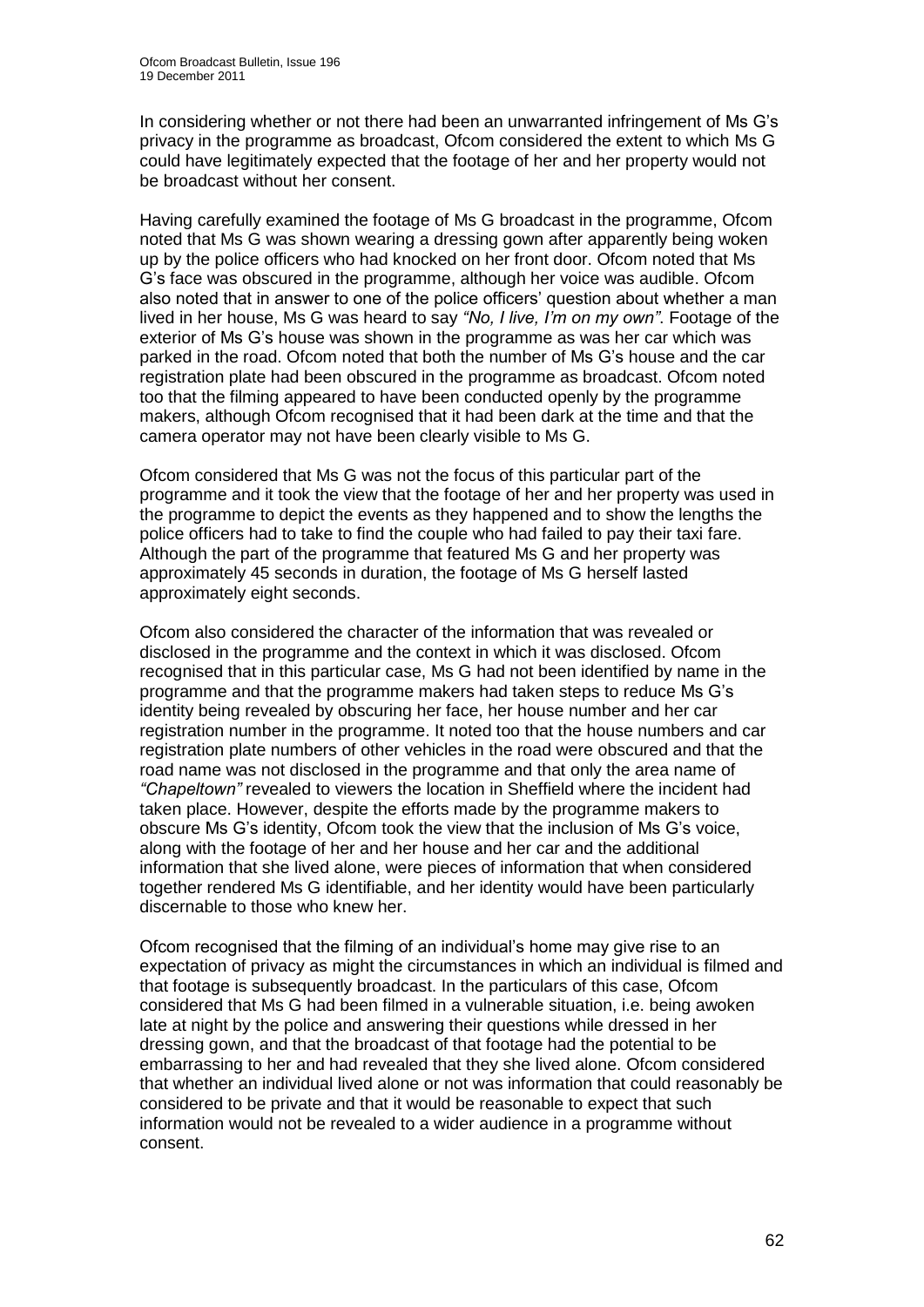In considering whether or not there had been an unwarranted infringement of Ms G"s privacy in the programme as broadcast, Ofcom considered the extent to which Ms G could have legitimately expected that the footage of her and her property would not be broadcast without her consent.

Having carefully examined the footage of Ms G broadcast in the programme, Ofcom noted that Ms G was shown wearing a dressing gown after apparently being woken up by the police officers who had knocked on her front door. Ofcom noted that Ms G"s face was obscured in the programme, although her voice was audible. Ofcom also noted that in answer to one of the police officers' question about whether a man lived in her house, Ms G was heard to say *"No, I live, I"m on my own"*. Footage of the exterior of Ms G"s house was shown in the programme as was her car which was parked in the road. Ofcom noted that both the number of Ms G"s house and the car registration plate had been obscured in the programme as broadcast. Ofcom noted too that the filming appeared to have been conducted openly by the programme makers, although Ofcom recognised that it had been dark at the time and that the camera operator may not have been clearly visible to Ms G.

Ofcom considered that Ms G was not the focus of this particular part of the programme and it took the view that the footage of her and her property was used in the programme to depict the events as they happened and to show the lengths the police officers had to take to find the couple who had failed to pay their taxi fare. Although the part of the programme that featured Ms G and her property was approximately 45 seconds in duration, the footage of Ms G herself lasted approximately eight seconds.

Ofcom also considered the character of the information that was revealed or disclosed in the programme and the context in which it was disclosed. Ofcom recognised that in this particular case, Ms G had not been identified by name in the programme and that the programme makers had taken steps to reduce Ms G"s identity being revealed by obscuring her face, her house number and her car registration number in the programme. It noted too that the house numbers and car registration plate numbers of other vehicles in the road were obscured and that the road name was not disclosed in the programme and that only the area name of *"Chapeltown"* revealed to viewers the location in Sheffield where the incident had taken place. However, despite the efforts made by the programme makers to obscure Ms G"s identity, Ofcom took the view that the inclusion of Ms G"s voice, along with the footage of her and her house and her car and the additional information that she lived alone, were pieces of information that when considered together rendered Ms G identifiable, and her identity would have been particularly discernable to those who knew her.

Ofcom recognised that the filming of an individual"s home may give rise to an expectation of privacy as might the circumstances in which an individual is filmed and that footage is subsequently broadcast. In the particulars of this case, Ofcom considered that Ms G had been filmed in a vulnerable situation, i.e. being awoken late at night by the police and answering their questions while dressed in her dressing gown, and that the broadcast of that footage had the potential to be embarrassing to her and had revealed that they she lived alone. Ofcom considered that whether an individual lived alone or not was information that could reasonably be considered to be private and that it would be reasonable to expect that such information would not be revealed to a wider audience in a programme without consent.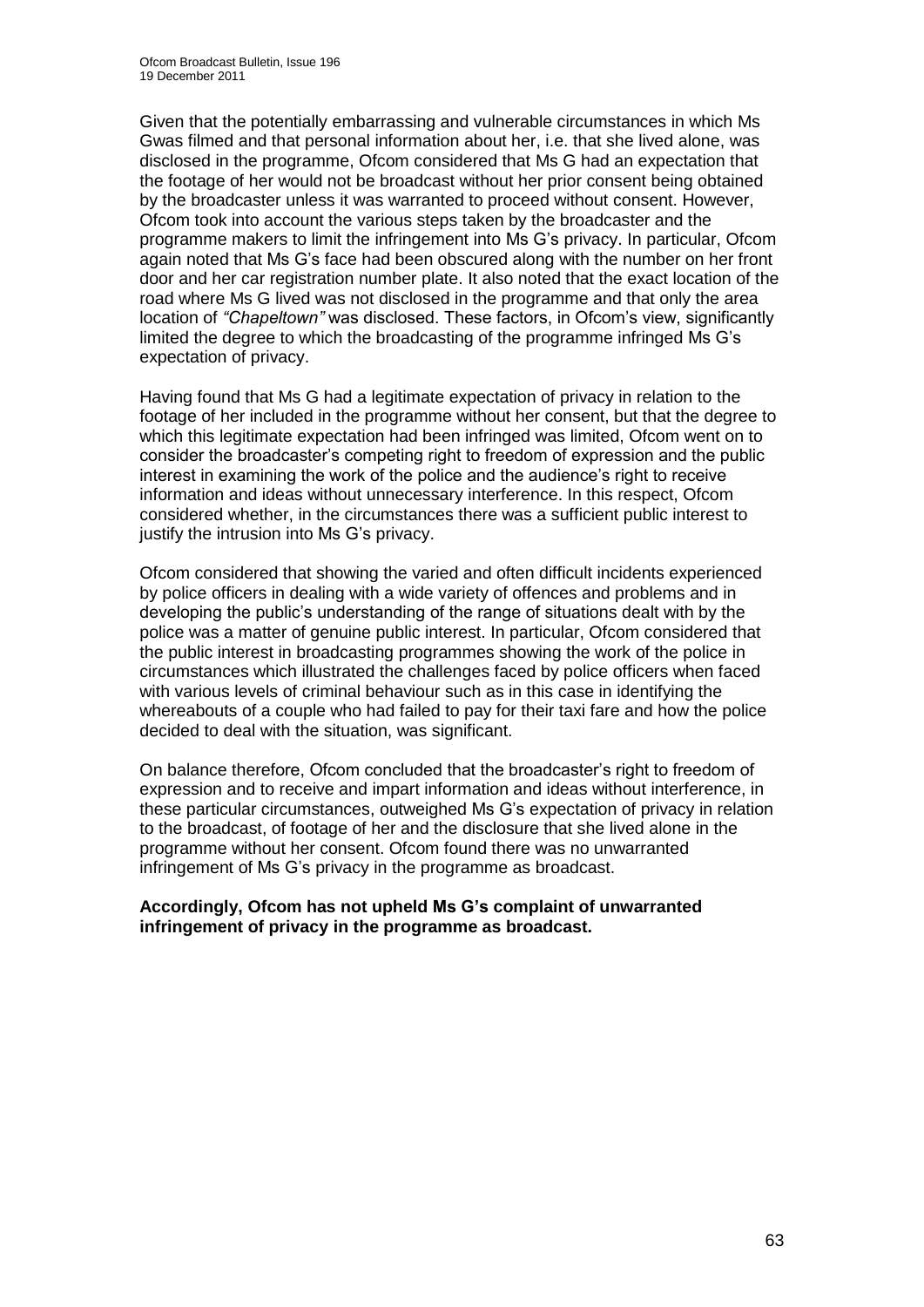Given that the potentially embarrassing and vulnerable circumstances in which Ms Gwas filmed and that personal information about her, i.e. that she lived alone, was disclosed in the programme, Ofcom considered that Ms G had an expectation that the footage of her would not be broadcast without her prior consent being obtained by the broadcaster unless it was warranted to proceed without consent. However, Ofcom took into account the various steps taken by the broadcaster and the programme makers to limit the infringement into Ms G"s privacy. In particular, Ofcom again noted that Ms G"s face had been obscured along with the number on her front door and her car registration number plate. It also noted that the exact location of the road where Ms G lived was not disclosed in the programme and that only the area location of *"Chapeltown"* was disclosed. These factors, in Ofcom's view, significantly limited the degree to which the broadcasting of the programme infringed Ms G"s expectation of privacy.

Having found that Ms G had a legitimate expectation of privacy in relation to the footage of her included in the programme without her consent, but that the degree to which this legitimate expectation had been infringed was limited, Ofcom went on to consider the broadcaster"s competing right to freedom of expression and the public interest in examining the work of the police and the audience's right to receive information and ideas without unnecessary interference. In this respect, Ofcom considered whether, in the circumstances there was a sufficient public interest to justify the intrusion into Ms G's privacy.

Ofcom considered that showing the varied and often difficult incidents experienced by police officers in dealing with a wide variety of offences and problems and in developing the public"s understanding of the range of situations dealt with by the police was a matter of genuine public interest. In particular, Ofcom considered that the public interest in broadcasting programmes showing the work of the police in circumstances which illustrated the challenges faced by police officers when faced with various levels of criminal behaviour such as in this case in identifying the whereabouts of a couple who had failed to pay for their taxi fare and how the police decided to deal with the situation, was significant.

On balance therefore, Ofcom concluded that the broadcaster"s right to freedom of expression and to receive and impart information and ideas without interference, in these particular circumstances, outweighed Ms G"s expectation of privacy in relation to the broadcast, of footage of her and the disclosure that she lived alone in the programme without her consent. Ofcom found there was no unwarranted infringement of Ms G"s privacy in the programme as broadcast.

### **Accordingly, Ofcom has not upheld Ms G's complaint of unwarranted infringement of privacy in the programme as broadcast.**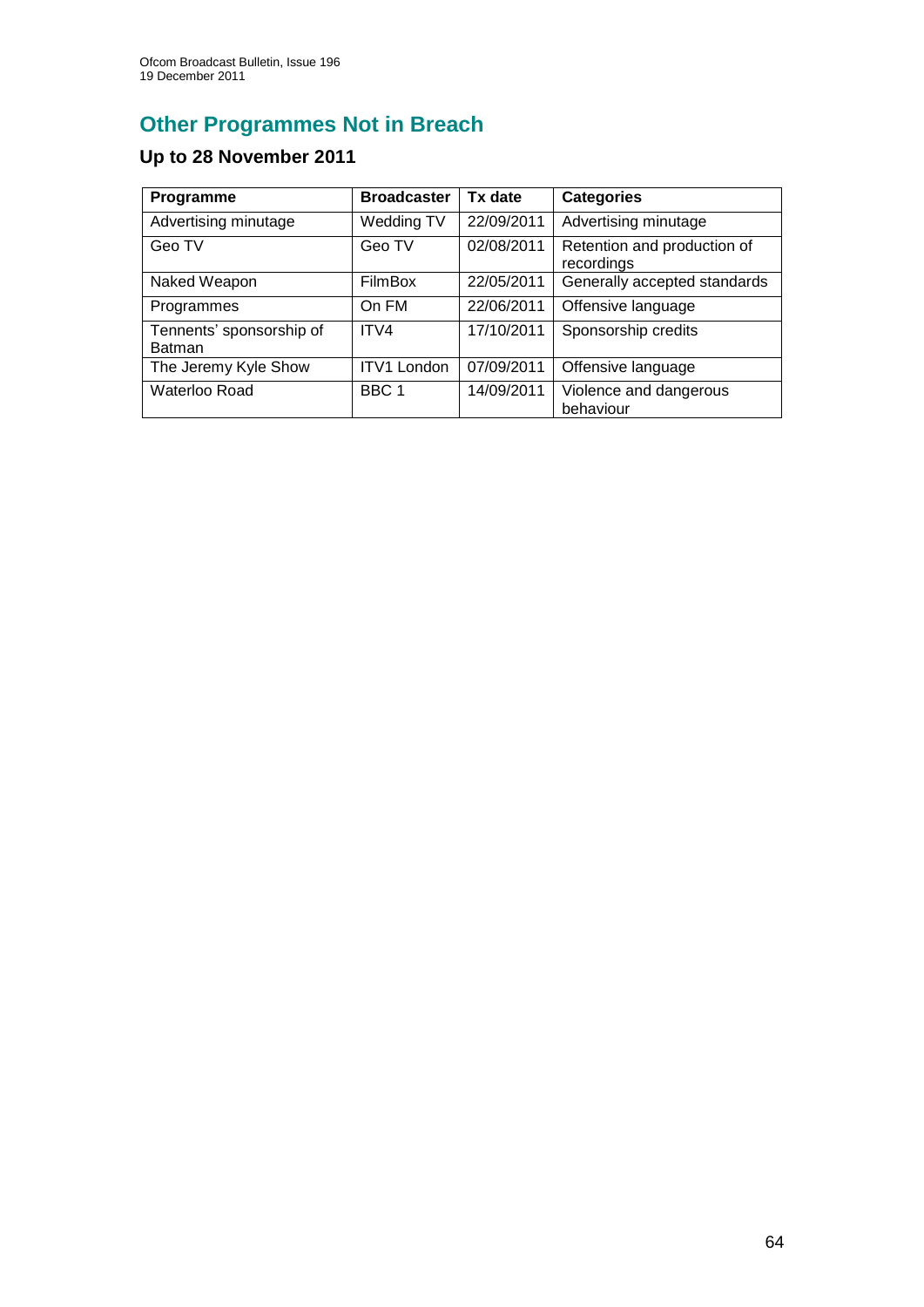# **Other Programmes Not in Breach**

# **Up to 28 November 2011**

| Programme                                 | <b>Broadcaster</b> | Tx date    | <b>Categories</b>                         |
|-------------------------------------------|--------------------|------------|-------------------------------------------|
| Advertising minutage                      | Wedding TV         | 22/09/2011 | Advertising minutage                      |
| Geo TV                                    | Geo TV             | 02/08/2011 | Retention and production of<br>recordings |
| Naked Weapon                              | <b>FilmBox</b>     | 22/05/2011 | Generally accepted standards              |
| Programmes                                | On FM              | 22/06/2011 | Offensive language                        |
| Tennents' sponsorship of<br><b>Batman</b> | ITV4               | 17/10/2011 | Sponsorship credits                       |
| The Jeremy Kyle Show                      | <b>ITV1 London</b> | 07/09/2011 | Offensive language                        |
| Waterloo Road                             | BBC 1              | 14/09/2011 | Violence and dangerous<br>behaviour       |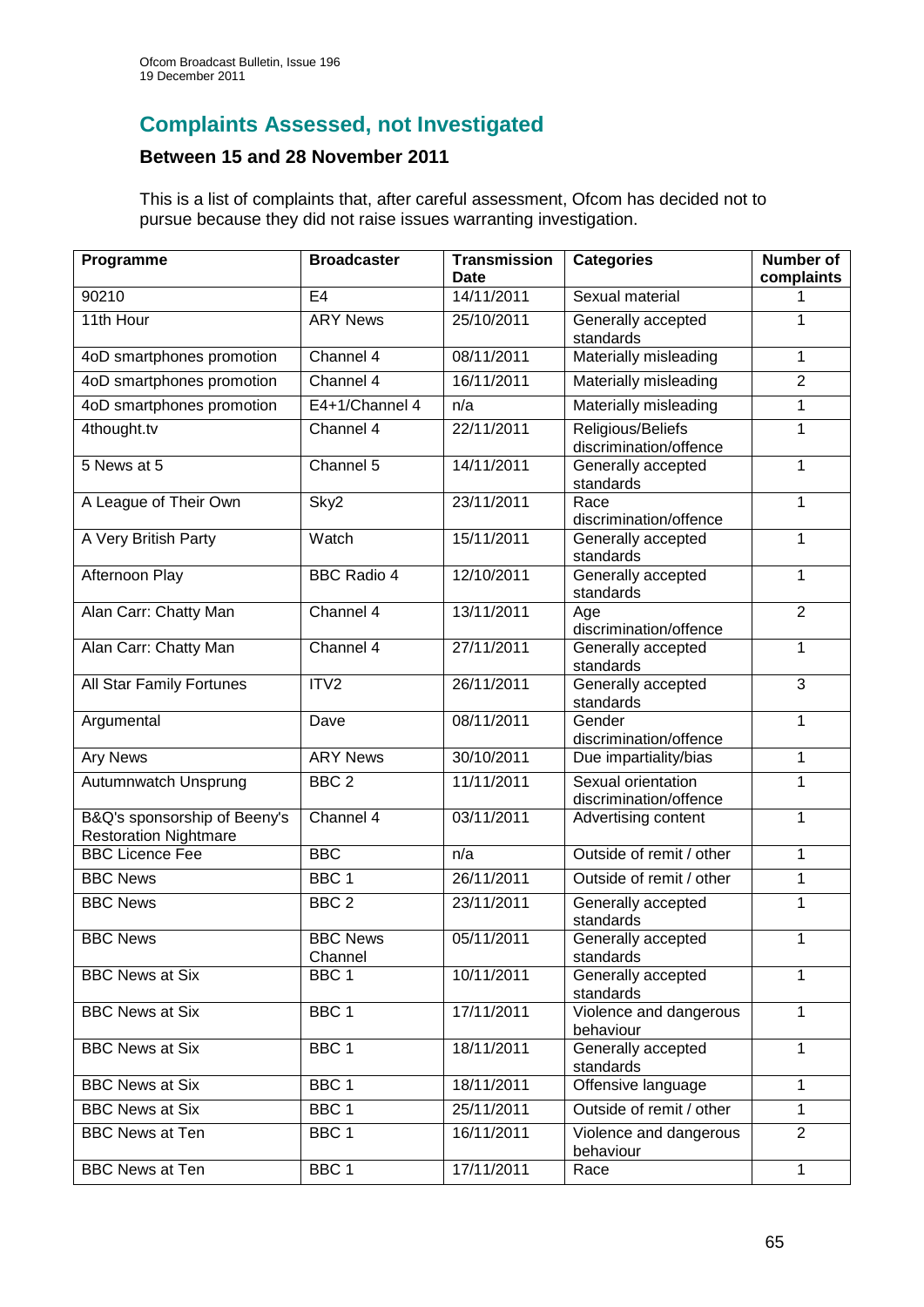## **Complaints Assessed, not Investigated**

## **Between 15 and 28 November 2011**

This is a list of complaints that, after careful assessment, Ofcom has decided not to pursue because they did not raise issues warranting investigation.

| Programme                                                    | <b>Broadcaster</b>         | <b>Transmission</b><br>Date | <b>Categories</b>                            | <b>Number of</b><br>complaints |
|--------------------------------------------------------------|----------------------------|-----------------------------|----------------------------------------------|--------------------------------|
| 90210                                                        | E <sub>4</sub>             | 14/11/2011                  | Sexual material                              | 1                              |
| 11th Hour                                                    | <b>ARY News</b>            | 25/10/2011                  | Generally accepted<br>standards              | 1                              |
| 4oD smartphones promotion                                    | Channel 4                  | 08/11/2011                  | Materially misleading                        | 1                              |
| 4oD smartphones promotion                                    | Channel 4                  | 16/11/2011                  | Materially misleading                        | $\overline{2}$                 |
| 4oD smartphones promotion                                    | E4+1/Channel 4             | n/a                         | Materially misleading                        | 1                              |
| 4thought.tv                                                  | Channel 4                  | 22/11/2011                  | Religious/Beliefs<br>discrimination/offence  | 1                              |
| 5 News at 5                                                  | Channel 5                  | 14/11/2011                  | Generally accepted<br>standards              | 1                              |
| A League of Their Own                                        | Sky2                       | 23/11/2011                  | Race<br>discrimination/offence               | 1                              |
| A Very British Party                                         | Watch                      | 15/11/2011                  | Generally accepted<br>standards              | 1                              |
| <b>Afternoon Play</b>                                        | <b>BBC Radio 4</b>         | 12/10/2011                  | Generally accepted<br>standards              | 1                              |
| Alan Carr: Chatty Man                                        | Channel 4                  | 13/11/2011                  | Age<br>discrimination/offence                | $\overline{2}$                 |
| Alan Carr: Chatty Man                                        | Channel $4$                | 27/11/2011                  | Generally accepted<br>standards              | 1                              |
| All Star Family Fortunes                                     | ITV <sub>2</sub>           | 26/11/2011                  | Generally accepted<br>standards              | 3                              |
| Argumental                                                   | Dave                       | 08/11/2011                  | Gender<br>discrimination/offence             | 1                              |
| <b>Ary News</b>                                              | <b>ARY News</b>            | 30/10/2011                  | Due impartiality/bias                        | 1                              |
| Autumnwatch Unsprung                                         | BBC <sub>2</sub>           | 11/11/2011                  | Sexual orientation<br>discrimination/offence | 1                              |
| B&Q's sponsorship of Beeny's<br><b>Restoration Nightmare</b> | Channel 4                  | 03/11/2011                  | Advertising content                          | 1                              |
| <b>BBC Licence Fee</b>                                       | <b>BBC</b>                 | n/a                         | Outside of remit / other                     | 1                              |
| <b>BBC News</b>                                              | BBC <sub>1</sub>           | 26/11/2011                  | Outside of remit / other                     | 1                              |
| <b>BBC News</b>                                              | BBC <sub>2</sub>           | 23/11/2011                  | Generally accepted<br>standards              | 1                              |
| <b>BBC News</b>                                              | <b>BBC News</b><br>Channel | 05/11/2011                  | Generally accepted<br>standards              | 1                              |
| <b>BBC News at Six</b>                                       | BBC <sub>1</sub>           | 10/11/2011                  | Generally accepted<br>standards              | 1                              |
| <b>BBC News at Six</b>                                       | BBC <sub>1</sub>           | 17/11/2011                  | Violence and dangerous<br>behaviour          | 1                              |
| <b>BBC News at Six</b>                                       | BBC <sub>1</sub>           | 18/11/2011                  | Generally accepted<br>standards              | 1                              |
| <b>BBC News at Six</b>                                       | BBC <sub>1</sub>           | 18/11/2011                  | Offensive language                           | 1                              |
| <b>BBC News at Six</b>                                       | BBC <sub>1</sub>           | 25/11/2011                  | Outside of remit / other                     | 1                              |
| <b>BBC News at Ten</b>                                       | BBC <sub>1</sub>           | 16/11/2011                  | Violence and dangerous<br>behaviour          | $\overline{2}$                 |
| <b>BBC News at Ten</b>                                       | BBC <sub>1</sub>           | 17/11/2011                  | Race                                         | 1                              |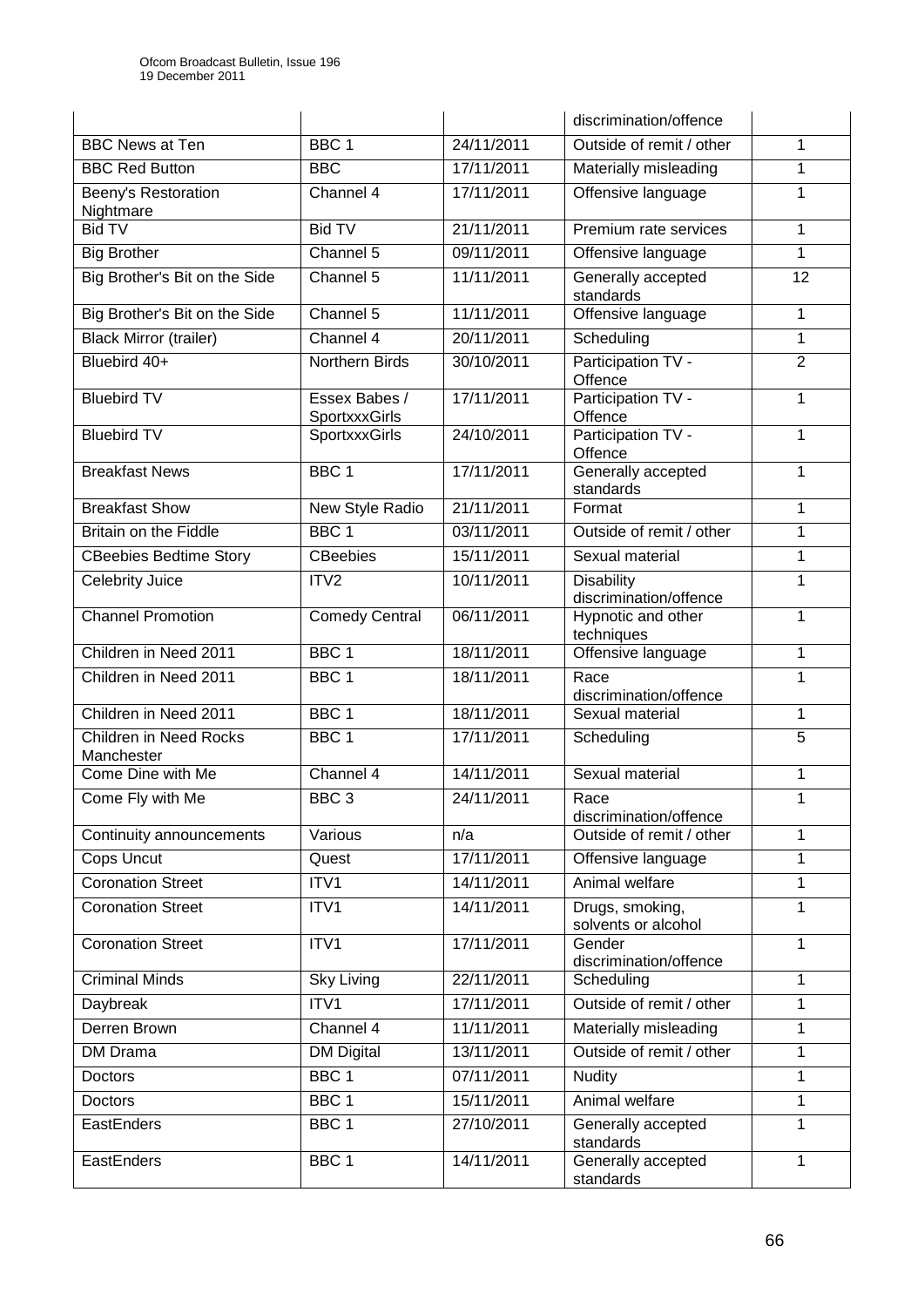|                                             |                                |            | discrimination/offence                 |                |
|---------------------------------------------|--------------------------------|------------|----------------------------------------|----------------|
| <b>BBC News at Ten</b>                      | BBC <sub>1</sub>               | 24/11/2011 | Outside of remit / other               | 1              |
| <b>BBC Red Button</b>                       | <b>BBC</b>                     | 17/11/2011 | Materially misleading                  | 1              |
| Beeny's Restoration<br>Nightmare            | Channel 4                      | 17/11/2011 | Offensive language                     | 1              |
| <b>Bid TV</b>                               | <b>Bid TV</b>                  | 21/11/2011 | Premium rate services                  | 1              |
| <b>Big Brother</b>                          | Channel 5                      | 09/11/2011 | Offensive language                     | 1              |
| Big Brother's Bit on the Side               | Channel 5                      | 11/11/2011 | Generally accepted<br>standards        | 12             |
| Big Brother's Bit on the Side               | Channel 5                      | 11/11/2011 | Offensive language                     | 1              |
| <b>Black Mirror (trailer)</b>               | Channel 4                      | 20/11/2011 | Scheduling                             | 1              |
| Bluebird 40+                                | Northern Birds                 | 30/10/2011 | Participation TV -<br>Offence          | $\overline{2}$ |
| <b>Bluebird TV</b>                          | Essex Babes /<br>SportxxxGirls | 17/11/2011 | Participation TV -<br>Offence          | 1              |
| <b>Bluebird TV</b>                          | SportxxxGirls                  | 24/10/2011 | Participation TV -<br>Offence          | 1              |
| <b>Breakfast News</b>                       | BBC <sub>1</sub>               | 17/11/2011 | Generally accepted<br>standards        | 1              |
| <b>Breakfast Show</b>                       | New Style Radio                | 21/11/2011 | Format                                 | 1              |
| <b>Britain on the Fiddle</b>                | BBC <sub>1</sub>               | 03/11/2011 | Outside of remit / other               | $\mathbf{1}$   |
| <b>CBeebies Bedtime Story</b>               | CBeebies                       | 15/11/2011 | Sexual material                        | $\mathbf{1}$   |
| <b>Celebrity Juice</b>                      | ITV <sub>2</sub>               | 10/11/2011 | Disability<br>discrimination/offence   | 1              |
| <b>Channel Promotion</b>                    | <b>Comedy Central</b>          | 06/11/2011 | Hypnotic and other<br>techniques       | 1              |
| Children in Need 2011                       | BBC <sub>1</sub>               | 18/11/2011 | Offensive language                     | 1              |
| Children in Need 2011                       | BBC <sub>1</sub>               | 18/11/2011 | Race<br>discrimination/offence         | 1              |
| Children in Need 2011                       | BBC <sub>1</sub>               | 18/11/2011 | Sexual material                        | 1              |
| <b>Children in Need Rocks</b><br>Manchester | BBC <sub>1</sub>               | 17/11/2011 | Scheduling                             | $\overline{5}$ |
| Come Dine with Me                           | Channel 4                      | 14/11/2011 | Sexual material                        | 1              |
| Come Fly with Me                            | BBC <sub>3</sub>               | 24/11/2011 | Race<br>discrimination/offence         | $\mathbf{1}$   |
| Continuity announcements                    | Various                        | n/a        | Outside of remit / other               | 1              |
| Cops Uncut                                  | Quest                          | 17/11/2011 | Offensive language                     | 1              |
| <b>Coronation Street</b>                    | ITV1                           | 14/11/2011 | Animal welfare                         | 1              |
| <b>Coronation Street</b>                    | ITV1                           | 14/11/2011 | Drugs, smoking,<br>solvents or alcohol | 1              |
| <b>Coronation Street</b>                    | ITV1                           | 17/11/2011 | Gender<br>discrimination/offence       | 1              |
| <b>Criminal Minds</b>                       | Sky Living                     | 22/11/2011 | Scheduling                             | 1              |
| Daybreak                                    | ITV1                           | 17/11/2011 | Outside of remit / other               | 1              |
| <b>Derren Brown</b>                         | Channel 4                      | 11/11/2011 | Materially misleading                  | 1              |
| DM Drama                                    | <b>DM Digital</b>              | 13/11/2011 | Outside of remit / other               | 1              |
| Doctors                                     | BBC <sub>1</sub>               | 07/11/2011 | <b>Nudity</b>                          | 1              |
| Doctors                                     | BBC <sub>1</sub>               | 15/11/2011 | Animal welfare                         | 1              |
| EastEnders                                  | BBC <sub>1</sub>               | 27/10/2011 | Generally accepted<br>standards        | $\mathbf{1}$   |
| EastEnders                                  | BBC 1                          | 14/11/2011 | Generally accepted<br>standards        | 1              |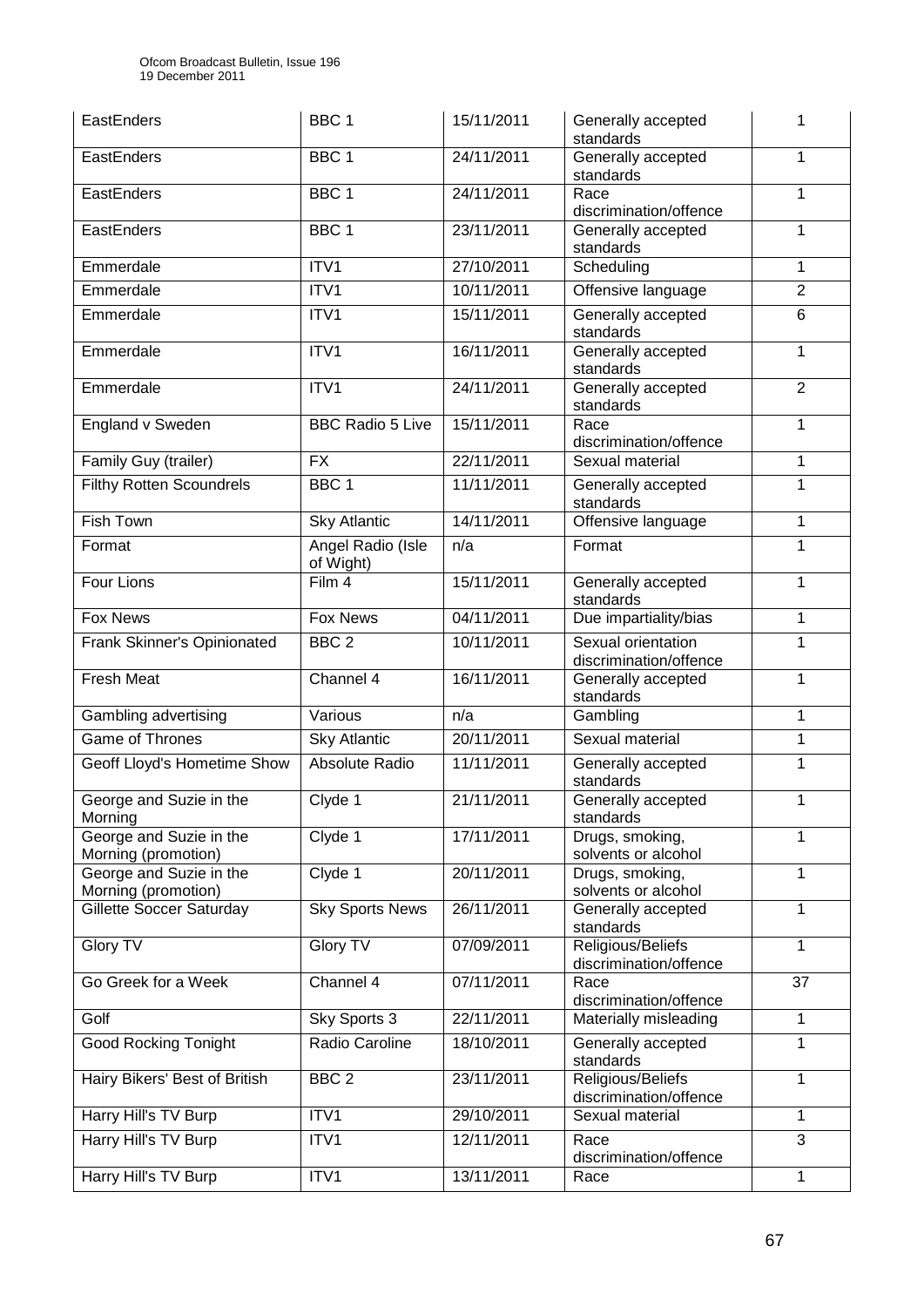Ofcom Broadcast Bulletin, Issue 196 19 December 2011

| EastEnders                                     | BBC <sub>1</sub>               | 15/11/2011 | Generally accepted<br>standards              | 1              |
|------------------------------------------------|--------------------------------|------------|----------------------------------------------|----------------|
| EastEnders                                     | BBC <sub>1</sub>               | 24/11/2011 | Generally accepted<br>standards              | 1              |
| EastEnders                                     | BBC <sub>1</sub>               | 24/11/2011 | Race<br>discrimination/offence               | 1              |
| EastEnders                                     | BBC <sub>1</sub>               | 23/11/2011 | Generally accepted<br>standards              | 1              |
| Emmerdale                                      | ITV1                           | 27/10/2011 | Scheduling                                   | 1              |
| Emmerdale                                      | ITV1                           | 10/11/2011 | Offensive language                           | $\overline{2}$ |
| Emmerdale                                      | ITV1                           | 15/11/2011 | Generally accepted<br>standards              | 6              |
| Emmerdale                                      | ITV1                           | 16/11/2011 | Generally accepted<br>standards              | 1              |
| Emmerdale                                      | ITV1                           | 24/11/2011 | Generally accepted<br>standards              | $\overline{2}$ |
| England v Sweden                               | <b>BBC Radio 5 Live</b>        | 15/11/2011 | Race<br>discrimination/offence               | 1              |
| Family Guy (trailer)                           | <b>FX</b>                      | 22/11/2011 | Sexual material                              | 1              |
| <b>Filthy Rotten Scoundrels</b>                | BBC <sub>1</sub>               | 11/11/2011 | Generally accepted<br>standards              | 1              |
| <b>Fish Town</b>                               | <b>Sky Atlantic</b>            | 14/11/2011 | Offensive language                           | 1              |
| Format                                         | Angel Radio (Isle<br>of Wight) | n/a        | Format                                       | 1              |
| Four Lions                                     | Film 4                         | 15/11/2011 | Generally accepted<br>standards              | 1              |
| Fox News                                       | <b>Fox News</b>                | 04/11/2011 | Due impartiality/bias                        | $\mathbf{1}$   |
| Frank Skinner's Opinionated                    | BBC <sub>2</sub>               | 10/11/2011 | Sexual orientation<br>discrimination/offence | 1              |
| <b>Fresh Meat</b>                              | Channel 4                      | 16/11/2011 | Generally accepted<br>standards              | 1              |
| Gambling advertising                           | Various                        | n/a        | Gambling                                     | 1              |
| <b>Game of Thrones</b>                         | <b>Sky Atlantic</b>            | 20/11/2011 | Sexual material                              | $\mathbf{1}$   |
| Geoff Lloyd's Hometime Show                    | Absolute Radio                 | 11/11/2011 | Generally accepted<br>standards              | 1              |
| George and Suzie in the<br>Morning             | Clyde 1                        | 21/11/2011 | Generally accepted<br>standards              | 1              |
| George and Suzie in the<br>Morning (promotion) | Clyde 1                        | 17/11/2011 | Drugs, smoking,<br>solvents or alcohol       | 1              |
| George and Suzie in the<br>Morning (promotion) | Clyde 1                        | 20/11/2011 | Drugs, smoking,<br>solvents or alcohol       | 1              |
| Gillette Soccer Saturday                       | <b>Sky Sports News</b>         | 26/11/2011 | Generally accepted<br>standards              | 1              |
| <b>Glory TV</b>                                | <b>Glory TV</b>                | 07/09/2011 | Religious/Beliefs<br>discrimination/offence  | 1              |
| Go Greek for a Week                            | Channel 4                      | 07/11/2011 | Race<br>discrimination/offence               | 37             |
| Golf                                           | Sky Sports 3                   | 22/11/2011 | Materially misleading                        | 1              |
| <b>Good Rocking Tonight</b>                    | Radio Caroline                 | 18/10/2011 | Generally accepted<br>standards              | 1              |
| Hairy Bikers' Best of British                  | BBC <sub>2</sub>               | 23/11/2011 | Religious/Beliefs<br>discrimination/offence  | 1              |
| Harry Hill's TV Burp                           | ITV1                           | 29/10/2011 | Sexual material                              | 1              |
| Harry Hill's TV Burp                           | ITV1                           | 12/11/2011 | Race<br>discrimination/offence               | 3              |
| Harry Hill's TV Burp                           | ITV1                           | 13/11/2011 | Race                                         | 1              |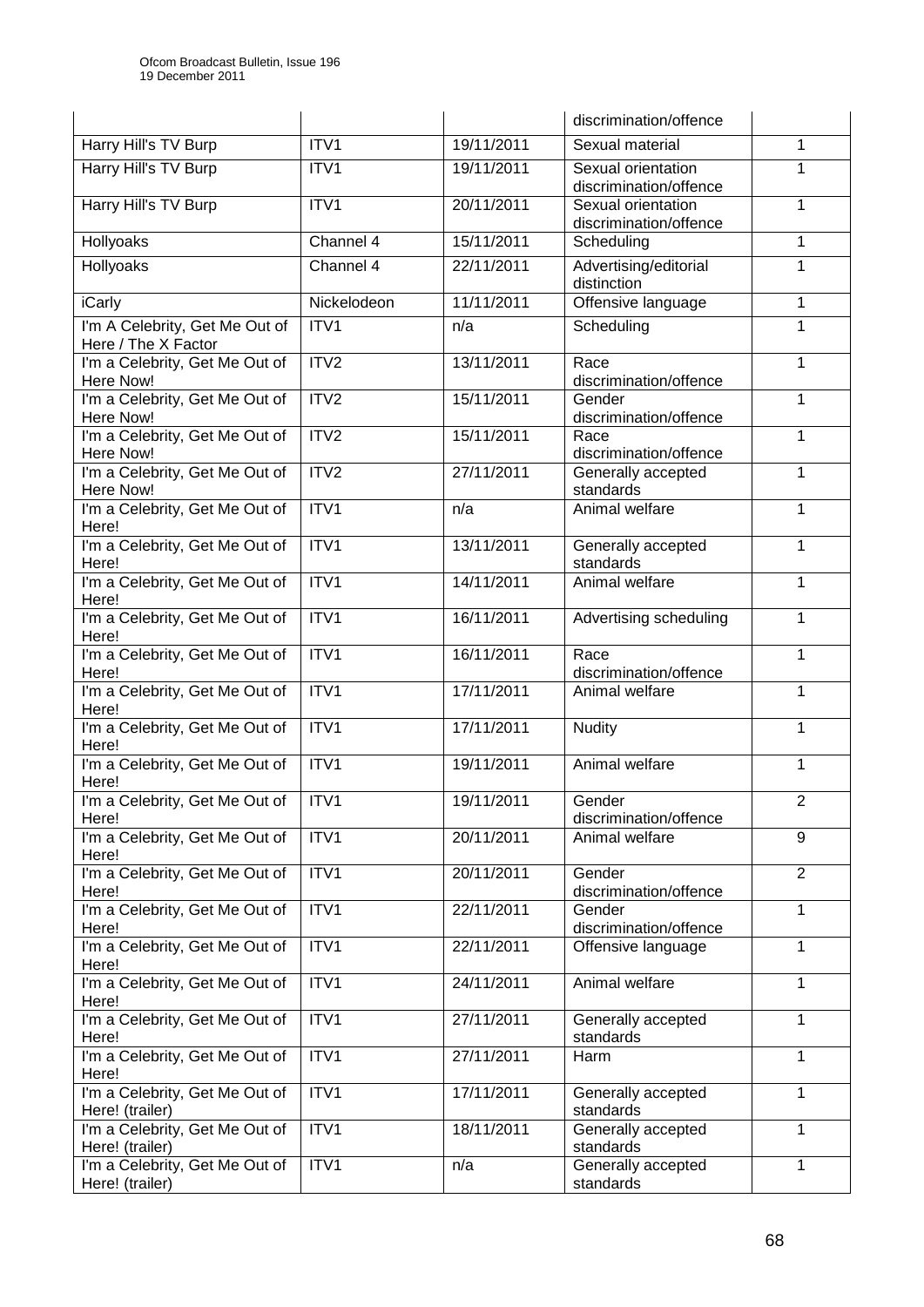|                                                       |                  |            | discrimination/offence                       |                |
|-------------------------------------------------------|------------------|------------|----------------------------------------------|----------------|
| Harry Hill's TV Burp                                  | ITV1             | 19/11/2011 | Sexual material                              | 1              |
| Harry Hill's TV Burp                                  | ITV1             | 19/11/2011 | Sexual orientation<br>discrimination/offence | 1              |
| Harry Hill's TV Burp                                  | ITVI             | 20/11/2011 | Sexual orientation<br>discrimination/offence | 1              |
| Hollyoaks                                             | Channel 4        | 15/11/2011 | Scheduling                                   | 1              |
| Hollyoaks                                             | Channel 4        | 22/11/2011 | Advertising/editorial<br>distinction         | 1              |
| <b>iCarly</b>                                         | Nickelodeon      | 11/11/2011 | Offensive language                           | 1              |
| I'm A Celebrity, Get Me Out of<br>Here / The X Factor | ITV1             | n/a        | Scheduling                                   | 1              |
| I'm a Celebrity, Get Me Out of<br>Here Now!           | ITV2             | 13/11/2011 | Race<br>discrimination/offence               | 1              |
| I'm a Celebrity, Get Me Out of<br>Here Now!           | ITV2             | 15/11/2011 | Gender<br>discrimination/offence             | 1              |
| I'm a Celebrity, Get Me Out of<br>Here Now!           | ITV2             | 15/11/2011 | Race<br>discrimination/offence               | 1              |
| I'm a Celebrity, Get Me Out of<br>Here Now!           | ITV2             | 27/11/2011 | Generally accepted<br>standards              | 1              |
| I'm a Celebrity, Get Me Out of<br>Here!               | ITV1             | n/a        | Animal welfare                               | 1              |
| I'm a Celebrity, Get Me Out of<br>Here!               | ITV1             | 13/11/2011 | Generally accepted<br>standards              | 1              |
| I'm a Celebrity, Get Me Out of<br>Here!               | ITVI             | 14/11/2011 | Animal welfare                               | $\mathbf{1}$   |
| I'm a Celebrity, Get Me Out of<br>Here!               | ITV <sub>1</sub> | 16/11/2011 | Advertising scheduling                       | 1              |
| I'm a Celebrity, Get Me Out of<br>Here!               | ITV1             | 16/11/2011 | Race<br>discrimination/offence               | 1              |
| I'm a Celebrity, Get Me Out of<br>Here!               | ITV1             | 17/11/2011 | Animal welfare                               | 1              |
| I'm a Celebrity, Get Me Out of<br>Here!               | ITV1             | 17/11/2011 | <b>Nudity</b>                                | 1              |
| I'm a Celebrity, Get Me Out of<br>Here!               | ITV1             | 19/11/2011 | Animal welfare                               | 1              |
| I'm a Celebrity, Get Me Out of<br>Here!               | ITV1             | 19/11/2011 | Gender<br>discrimination/offence             | $\overline{2}$ |
| I'm a Celebrity, Get Me Out of<br>Here!               | ITVI             | 20/11/2011 | Animal welfare                               | 9              |
| I'm a Celebrity, Get Me Out of<br>Here!               | ITV1             | 20/11/2011 | Gender<br>discrimination/offence             | $\overline{2}$ |
| I'm a Celebrity, Get Me Out of<br>Here!               | ITV1             | 22/11/2011 | Gender<br>discrimination/offence             | 1              |
| I'm a Celebrity, Get Me Out of<br>Here!               | ITV1             | 22/11/2011 | Offensive language                           | 1              |
| I'm a Celebrity, Get Me Out of<br>Here!               | ITV1             | 24/11/2011 | Animal welfare                               | 1              |
| I'm a Celebrity, Get Me Out of<br>Here!               | ITV1             | 27/11/2011 | Generally accepted<br>standards              | 1              |
| I'm a Celebrity, Get Me Out of<br>Here!               | ITV1             | 27/11/2011 | Harm                                         | 1              |
| I'm a Celebrity, Get Me Out of<br>Here! (trailer)     | ITV1             | 17/11/2011 | Generally accepted<br>standards              | 1              |
| I'm a Celebrity, Get Me Out of<br>Here! (trailer)     | ITV1             | 18/11/2011 | Generally accepted<br>standards              | 1              |
| I'm a Celebrity, Get Me Out of<br>Here! (trailer)     | ITV1             | n/a        | Generally accepted<br>standards              | 1              |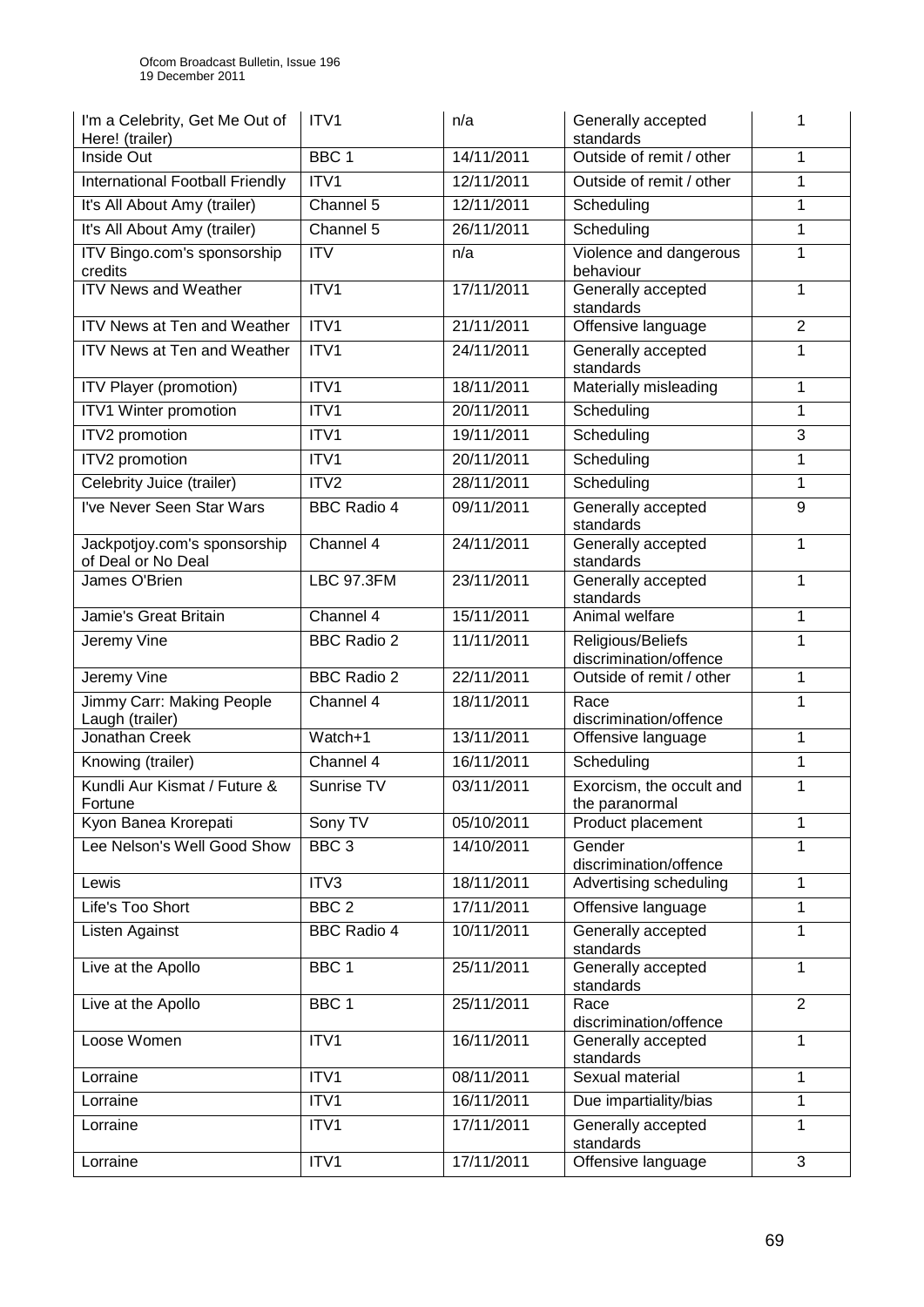| I'm a Celebrity, Get Me Out of<br>Here! (trailer)  | ITV <sub>1</sub>   | n/a        | Generally accepted<br>standards             |                |
|----------------------------------------------------|--------------------|------------|---------------------------------------------|----------------|
| Inside Out                                         | BBC <sub>1</sub>   | 14/11/2011 | Outside of remit / other                    | 1              |
| International Football Friendly                    | ITV1               | 12/11/2011 | Outside of remit / other                    | $\mathbf{1}$   |
| It's All About Amy (trailer)                       | Channel 5          | 12/11/2011 | Scheduling                                  | 1              |
| It's All About Amy (trailer)                       | Channel 5          | 26/11/2011 | Scheduling                                  | 1              |
| ITV Bingo.com's sponsorship<br>credits             | <b>ITV</b>         | n/a        | Violence and dangerous<br>behaviour         | 1              |
| <b>ITV News and Weather</b>                        | ITV1               | 17/11/2011 | Generally accepted<br>standards             | 1              |
| ITV News at Ten and Weather                        | ITV1               | 21/11/2011 | Offensive language                          | $\overline{2}$ |
| <b>ITV News at Ten and Weather</b>                 | ITV1               | 24/11/2011 | Generally accepted<br>standards             | 1              |
| ITV Player (promotion)                             | ITV1               | 18/11/2011 | Materially misleading                       | 1              |
| ITV1 Winter promotion                              | ITV1               | 20/11/2011 | Scheduling                                  | 1              |
| ITV2 promotion                                     | ITV1               | 19/11/2011 | Scheduling                                  | 3              |
| ITV2 promotion                                     | ITV1               | 20/11/2011 | Scheduling                                  | 1              |
| Celebrity Juice (trailer)                          | ITV <sub>2</sub>   | 28/11/2011 | Scheduling                                  | 1              |
| I've Never Seen Star Wars                          | <b>BBC Radio 4</b> | 09/11/2011 | Generally accepted<br>standards             | 9              |
| Jackpotjoy.com's sponsorship<br>of Deal or No Deal | Channel 4          | 24/11/2011 | Generally accepted<br>standards             | 1              |
| James O'Brien                                      | <b>LBC 97.3FM</b>  | 23/11/2011 | Generally accepted<br>standards             | 1              |
| Jamie's Great Britain                              | Channel 4          | 15/11/2011 | Animal welfare                              | 1              |
| Jeremy Vine                                        | <b>BBC Radio 2</b> | 11/11/2011 | Religious/Beliefs<br>discrimination/offence | 1              |
| Jeremy Vine                                        | <b>BBC Radio 2</b> | 22/11/2011 | Outside of remit / other                    | 1              |
| Jimmy Carr: Making People<br>Laugh (trailer)       | Channel 4          | 18/11/2011 | Race<br>discrimination/offence              | 1              |
| Jonathan Creek                                     | Watch+1            | 13/11/2011 | Offensive language                          | 1              |
| Knowing (trailer)                                  | Channel 4          | 16/11/2011 | Scheduling                                  | 1              |
| Kundli Aur Kismat / Future &<br>Fortune            | Sunrise TV         | 03/11/2011 | Exorcism, the occult and<br>the paranormal  | 1              |
| Kyon Banea Krorepati                               | Sony TV            | 05/10/2011 | Product placement                           | 1              |
| Lee Nelson's Well Good Show                        | BBC <sub>3</sub>   | 14/10/2011 | Gender<br>discrimination/offence            | 1              |
| Lewis                                              | ITV3               | 18/11/2011 | Advertising scheduling                      | 1              |
| Life's Too Short                                   | BBC <sub>2</sub>   | 17/11/2011 | Offensive language                          | 1              |
| Listen Against                                     | <b>BBC Radio 4</b> | 10/11/2011 | Generally accepted<br>standards             | 1              |
| Live at the Apollo                                 | BBC <sub>1</sub>   | 25/11/2011 | Generally accepted<br>standards             | 1              |
| Live at the Apollo                                 | BBC <sub>1</sub>   | 25/11/2011 | Race<br>discrimination/offence              | $\overline{2}$ |
| Loose Women                                        | ITV1               | 16/11/2011 | Generally accepted<br>standards             | 1              |
| Lorraine                                           | ITV1               | 08/11/2011 | Sexual material                             | 1              |
| Lorraine                                           | ITV1               | 16/11/2011 | Due impartiality/bias                       | 1              |
| Lorraine                                           | ITV1               | 17/11/2011 | Generally accepted<br>standards             | 1              |
| Lorraine                                           | ITV1               | 17/11/2011 | Offensive language                          | 3              |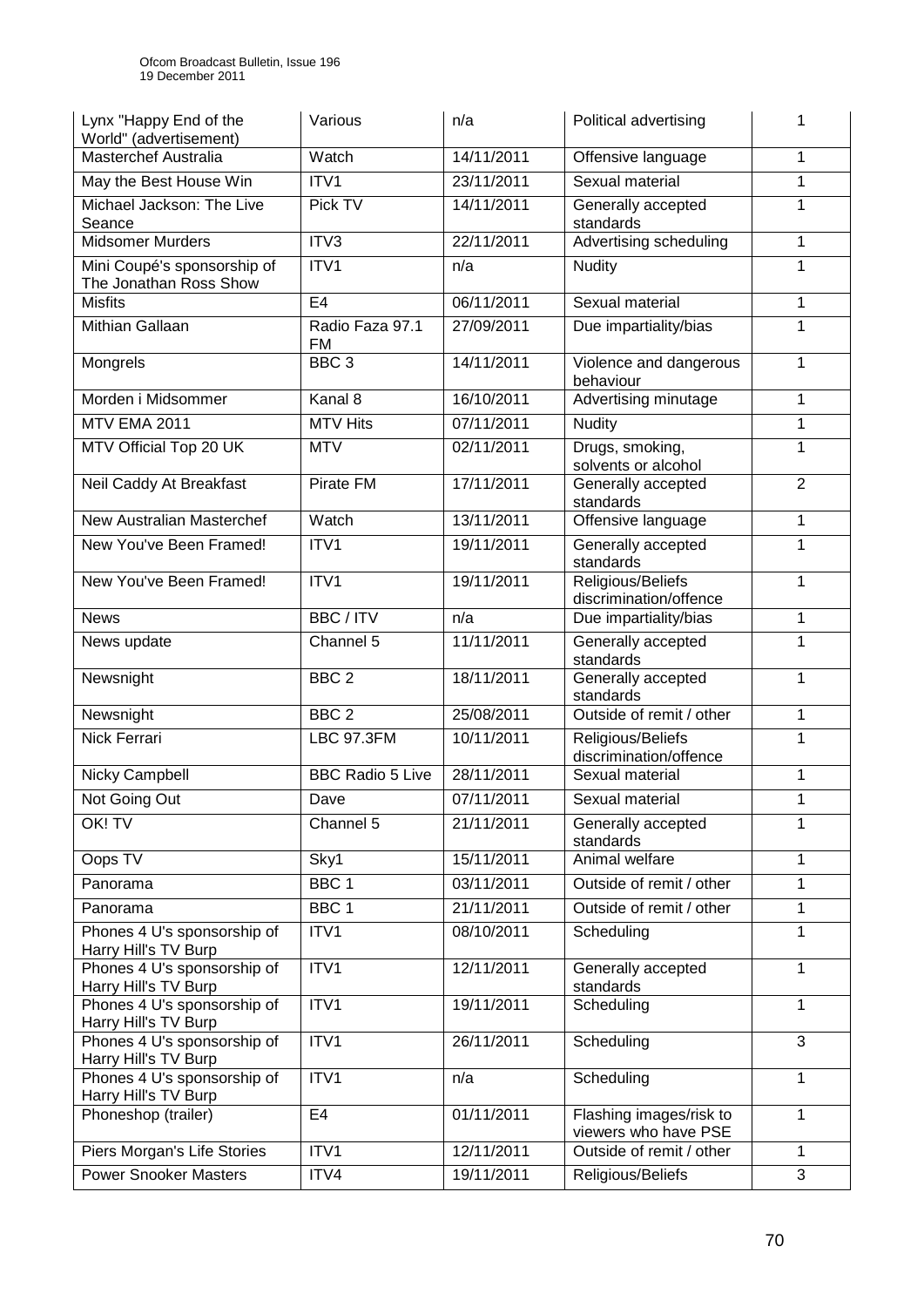| Lynx "Happy End of the<br>World" (advertisement)      | Various                 | n/a        | Political advertising                           | 1              |
|-------------------------------------------------------|-------------------------|------------|-------------------------------------------------|----------------|
| <b>Masterchef Australia</b>                           | Watch                   | 14/11/2011 | Offensive language                              | 1              |
| May the Best House Win                                | ITV1                    | 23/11/2011 | Sexual material                                 | 1              |
| Michael Jackson: The Live<br>Seance                   | Pick TV                 | 14/11/2011 | Generally accepted<br>standards                 | 1              |
| <b>Midsomer Murders</b>                               | ITV3                    | 22/11/2011 | Advertising scheduling                          | 1              |
| Mini Coupé's sponsorship of<br>The Jonathan Ross Show | ITV1                    | n/a        | <b>Nudity</b>                                   | 1              |
| <b>Misfits</b>                                        | E <sub>4</sub>          | 06/11/2011 | Sexual material                                 | 1              |
| Mithian Gallaan                                       | Radio Faza 97.1<br>FM   | 27/09/2011 | Due impartiality/bias                           | 1              |
| Mongrels                                              | BBC <sub>3</sub>        | 14/11/2011 | Violence and dangerous<br>behaviour             | 1              |
| Morden i Midsommer                                    | Kanal 8                 | 16/10/2011 | Advertising minutage                            | 1              |
| <b>MTV EMA 2011</b>                                   | MTV Hits                | 07/11/2011 | <b>Nudity</b>                                   | 1              |
| MTV Official Top 20 UK                                | <b>MTV</b>              | 02/11/2011 | Drugs, smoking,<br>solvents or alcohol          | 1              |
| Neil Caddy At Breakfast                               | Pirate FM               | 17/11/2011 | Generally accepted<br>standards                 | $\overline{2}$ |
| New Australian Masterchef                             | Watch                   | 13/11/2011 | Offensive language                              | 1              |
| New You've Been Framed!                               | ITV1                    | 19/11/2011 | Generally accepted<br>standards                 | 1              |
| New You've Been Framed!                               | ITV1                    | 19/11/2011 | Religious/Beliefs<br>discrimination/offence     | 1              |
| <b>News</b>                                           | BBC / ITV               | n/a        | Due impartiality/bias                           | 1              |
| News update                                           | Channel 5               | 11/11/2011 | Generally accepted<br>standards                 | 1              |
| Newsnight                                             | BBC <sub>2</sub>        | 18/11/2011 | Generally accepted<br>standards                 | 1              |
| Newsnight                                             | BBC <sub>2</sub>        | 25/08/2011 | Outside of remit / other                        | 1              |
| <b>Nick Ferrari</b>                                   | <b>LBC 97.3FM</b>       | 10/11/2011 | Religious/Beliefs<br>discrimination/offence     | 1              |
| Nicky Campbell                                        | <b>BBC Radio 5 Live</b> | 28/11/2011 | Sexual material                                 | 1              |
| Not Going Out                                         | Dave                    | 07/11/2011 | Sexual material                                 | 1              |
| OK! TV                                                | Channel 5               | 21/11/2011 | Generally accepted<br>standards                 | 1              |
| Oops TV                                               | Sky1                    | 15/11/2011 | Animal welfare                                  | 1              |
| Panorama                                              | BBC <sub>1</sub>        | 03/11/2011 | Outside of remit / other                        | 1              |
| Panorama                                              | BBC <sub>1</sub>        | 21/11/2011 | Outside of remit / other                        | 1              |
| Phones 4 U's sponsorship of<br>Harry Hill's TV Burp   | ITV1                    | 08/10/2011 | Scheduling                                      | 1              |
| Phones 4 U's sponsorship of<br>Harry Hill's TV Burp   | ITV1                    | 12/11/2011 | Generally accepted<br>standards                 | 1              |
| Phones 4 U's sponsorship of<br>Harry Hill's TV Burp   | ITV1                    | 19/11/2011 | Scheduling                                      | 1              |
| Phones 4 U's sponsorship of<br>Harry Hill's TV Burp   | ITV1                    | 26/11/2011 | Scheduling                                      | 3              |
| Phones 4 U's sponsorship of<br>Harry Hill's TV Burp   | ITV1                    | n/a        | Scheduling                                      | 1              |
| Phoneshop (trailer)                                   | E4                      | 01/11/2011 | Flashing images/risk to<br>viewers who have PSE | 1              |
| Piers Morgan's Life Stories                           | ITV1                    | 12/11/2011 | Outside of remit / other                        | 1              |
| <b>Power Snooker Masters</b>                          | ITV4                    | 19/11/2011 | Religious/Beliefs                               | 3              |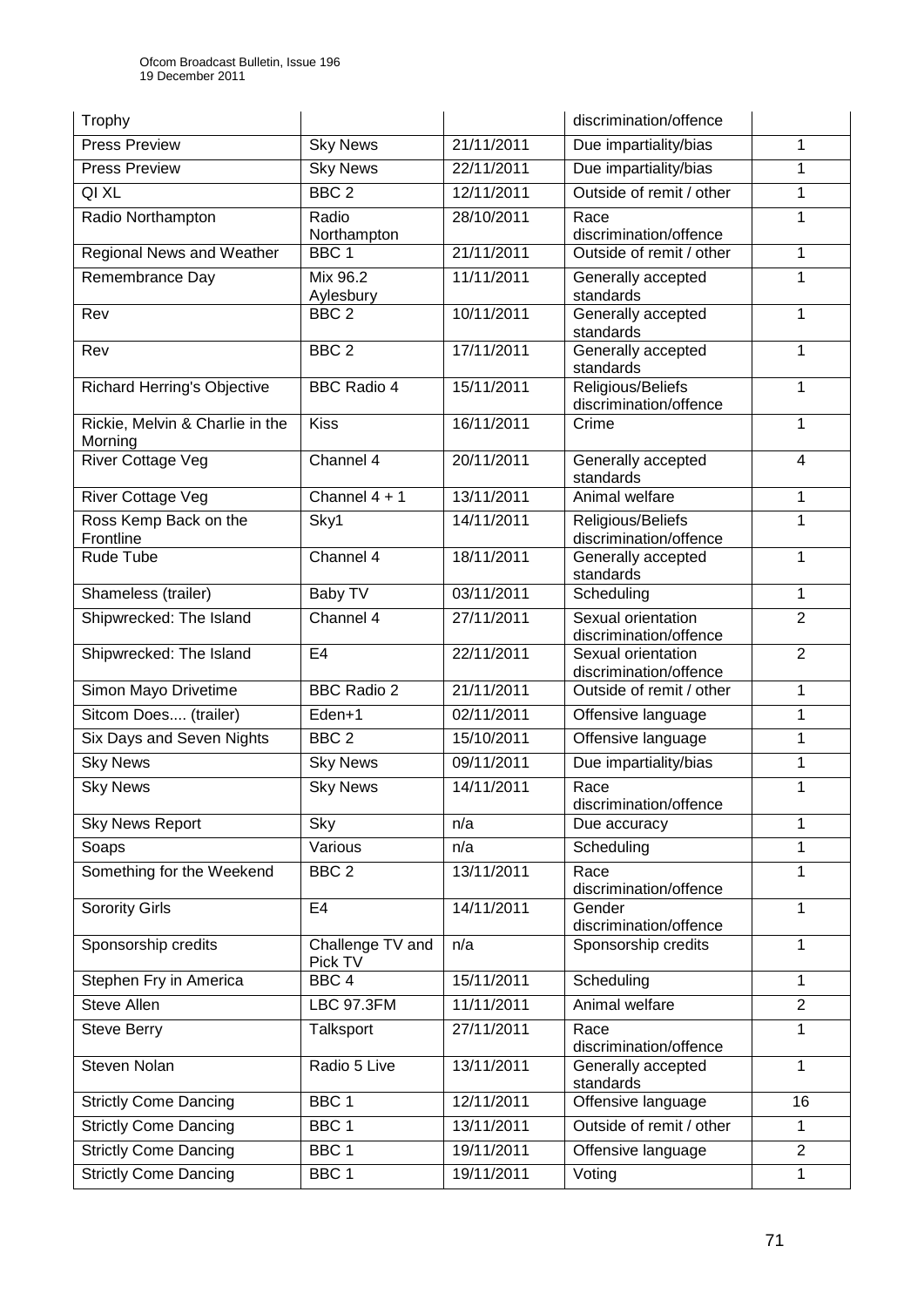| Trophy                                     |                             |            | discrimination/offence                       |                |
|--------------------------------------------|-----------------------------|------------|----------------------------------------------|----------------|
| <b>Press Preview</b>                       | <b>Sky News</b>             | 21/11/2011 | Due impartiality/bias                        | 1              |
| <b>Press Preview</b>                       | <b>Sky News</b>             | 22/11/2011 | Due impartiality/bias                        | 1              |
| QI XL                                      | BBC <sub>2</sub>            | 12/11/2011 | Outside of remit / other                     | 1              |
| Radio Northampton                          | Radio<br>Northampton        | 28/10/2011 | Race<br>discrimination/offence               | 1              |
| Regional News and Weather                  | BBC <sub>1</sub>            | 21/11/2011 | Outside of remit / other                     | 1              |
| Remembrance Day                            | Mix 96.2<br>Aylesbury       | 11/11/2011 | Generally accepted<br>standards              | 1              |
| Rev                                        | BBC <sub>2</sub>            | 10/11/2011 | Generally accepted<br>standards              | 1              |
| Rev                                        | BBC <sub>2</sub>            | 17/11/2011 | Generally accepted<br>standards              | 1              |
| Richard Herring's Objective                | <b>BBC Radio 4</b>          | 15/11/2011 | Religious/Beliefs<br>discrimination/offence  | 1              |
| Rickie, Melvin & Charlie in the<br>Morning | <b>Kiss</b>                 | 16/11/2011 | Crime                                        | 1              |
| <b>River Cottage Veg</b>                   | Channel 4                   | 20/11/2011 | Generally accepted<br>standards              | 4              |
| River Cottage Veg                          | Channel $4 + 1$             | 13/11/2011 | Animal welfare                               | 1              |
| Ross Kemp Back on the<br>Frontline         | Sky1                        | 14/11/2011 | Religious/Beliefs<br>discrimination/offence  | 1              |
| Rude Tube                                  | Channel 4                   | 18/11/2011 | Generally accepted<br>standards              | 1              |
| Shameless (trailer)                        | <b>Baby TV</b>              | 03/11/2011 | Scheduling                                   | $\mathbf{1}$   |
| Shipwrecked: The Island                    | Channel 4                   | 27/11/2011 | Sexual orientation<br>discrimination/offence | $\overline{2}$ |
| Shipwrecked: The Island                    | E <sub>4</sub>              | 22/11/2011 | Sexual orientation<br>discrimination/offence | $\overline{2}$ |
| Simon Mayo Drivetime                       | <b>BBC Radio 2</b>          | 21/11/2011 | Outside of remit / other                     | 1              |
| Sitcom Does (trailer)                      | Eden+1                      | 02/11/2011 | Offensive language                           | 1              |
| Six Days and Seven Nights                  | BBC <sub>2</sub>            | 15/10/2011 | Offensive language                           | 1              |
| <b>Sky News</b>                            | <b>Sky News</b>             | 09/11/2011 | Due impartiality/bias                        | 1              |
| <b>Sky News</b>                            | <b>Sky News</b>             | 14/11/2011 | Race<br>discrimination/offence               | 1              |
| <b>Sky News Report</b>                     | Sky                         | n/a        | Due accuracy                                 | 1              |
| Soaps                                      | Various                     | n/a        | Scheduling                                   | 1              |
| Something for the Weekend                  | BBC <sub>2</sub>            | 13/11/2011 | Race<br>discrimination/offence               | 1              |
| <b>Sorority Girls</b>                      | E <sub>4</sub>              | 14/11/2011 | Gender<br>discrimination/offence             | 1              |
| Sponsorship credits                        | Challenge TV and<br>Pick TV | n/a        | Sponsorship credits                          | 1              |
| Stephen Fry in America                     | BBC <sub>4</sub>            | 15/11/2011 | Scheduling                                   | 1              |
| <b>Steve Allen</b>                         | LBC 97.3FM                  | 11/11/2011 | Animal welfare                               | $\overline{2}$ |
| <b>Steve Berry</b>                         | Talksport                   | 27/11/2011 | Race<br>discrimination/offence               | 1              |
| Steven Nolan                               | Radio 5 Live                | 13/11/2011 | Generally accepted<br>standards              | 1              |
| <b>Strictly Come Dancing</b>               | BBC <sub>1</sub>            | 12/11/2011 | Offensive language                           | 16             |
| <b>Strictly Come Dancing</b>               | BBC <sub>1</sub>            | 13/11/2011 | Outside of remit / other                     | $\mathbf{1}$   |
| <b>Strictly Come Dancing</b>               | BBC <sub>1</sub>            | 19/11/2011 | Offensive language                           | $\overline{2}$ |
| <b>Strictly Come Dancing</b>               | BBC <sub>1</sub>            | 19/11/2011 | Voting                                       | $\mathbf{1}$   |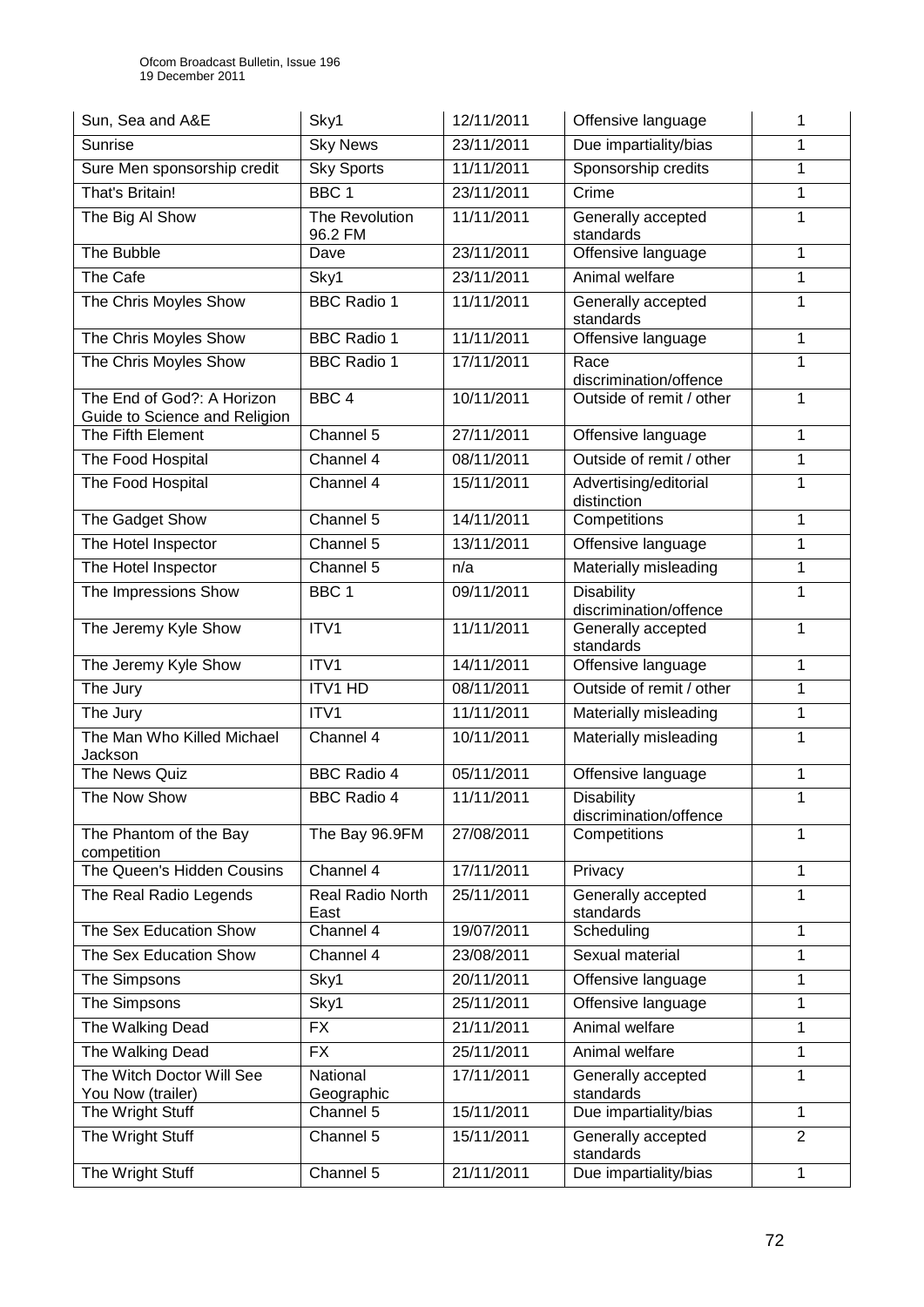| Sun, Sea and A&E                                            | Sky1                      | 12/11/2011 | Offensive language                          | 1              |
|-------------------------------------------------------------|---------------------------|------------|---------------------------------------------|----------------|
| Sunrise                                                     | <b>Sky News</b>           | 23/11/2011 | Due impartiality/bias                       | 1              |
| Sure Men sponsorship credit                                 | <b>Sky Sports</b>         | 11/11/2011 | Sponsorship credits                         | 1              |
| That's Britain!                                             | BBC <sub>1</sub>          | 23/11/2011 | Crime                                       | 1              |
| The Big Al Show                                             | The Revolution<br>96.2 FM | 11/11/2011 | Generally accepted<br>standards             | 1              |
| The Bubble                                                  | Dave                      | 23/11/2011 | Offensive language                          | 1              |
| The Cafe                                                    | Sky1                      | 23/11/2011 | Animal welfare                              | 1              |
| The Chris Moyles Show                                       | <b>BBC Radio 1</b>        | 11/11/2011 | Generally accepted<br>standards             | 1              |
| The Chris Moyles Show                                       | <b>BBC Radio 1</b>        | 11/11/2011 | Offensive language                          | 1              |
| The Chris Moyles Show                                       | <b>BBC Radio 1</b>        | 17/11/2011 | Race<br>discrimination/offence              | 1              |
| The End of God?: A Horizon<br>Guide to Science and Religion | BBC <sub>4</sub>          | 10/11/2011 | Outside of remit / other                    | 1              |
| The Fifth Element                                           | Channel 5                 | 27/11/2011 | Offensive language                          | 1              |
| The Food Hospital                                           | Channel 4                 | 08/11/2011 | Outside of remit / other                    | 1              |
| The Food Hospital                                           | Channel 4                 | 15/11/2011 | Advertising/editorial<br>distinction        | 1              |
| The Gadget Show                                             | Channel 5                 | 14/11/2011 | Competitions                                | 1              |
| The Hotel Inspector                                         | Channel 5                 | 13/11/2011 | Offensive language                          | 1              |
| The Hotel Inspector                                         | Channel 5                 | n/a        | Materially misleading                       | $\mathbf{1}$   |
| The Impressions Show                                        | BBC <sub>1</sub>          | 09/11/2011 | <b>Disability</b><br>discrimination/offence | 1              |
| The Jeremy Kyle Show                                        | ITV1                      | 11/11/2011 | Generally accepted<br>standards             | 1              |
| The Jeremy Kyle Show                                        | ITV1                      | 14/11/2011 | Offensive language                          | 1              |
| The Jury                                                    | <b>ITV1 HD</b>            | 08/11/2011 | Outside of remit / other                    | $\mathbf{1}$   |
| The Jury                                                    | ITV1                      | 11/11/2011 | Materially misleading                       | 1              |
| The Man Who Killed Michael<br>Jackson                       | Channel 4                 | 10/11/2011 | Materially misleading                       | 1              |
| The News Quiz                                               | <b>BBC Radio 4</b>        | 05/11/2011 | Offensive language                          | 1              |
| The Now Show                                                | <b>BBC Radio 4</b>        | 11/11/2011 | <b>Disability</b><br>discrimination/offence | 1              |
| The Phantom of the Bay<br>competition                       | The Bay 96.9FM            | 27/08/2011 | Competitions                                | 1              |
| The Queen's Hidden Cousins                                  | Channel 4                 | 17/11/2011 | Privacy                                     | 1              |
| The Real Radio Legends                                      | Real Radio North<br>East  | 25/11/2011 | Generally accepted<br>standards             | 1              |
| The Sex Education Show                                      | Channel 4                 | 19/07/2011 | Scheduling                                  | 1              |
| The Sex Education Show                                      | Channel 4                 | 23/08/2011 | Sexual material                             | 1              |
| The Simpsons                                                | Sky1                      | 20/11/2011 | Offensive language                          | 1              |
| The Simpsons                                                | $\overline{Sky1}$         | 25/11/2011 | Offensive language                          | 1              |
| The Walking Dead                                            | <b>FX</b>                 | 21/11/2011 | Animal welfare                              | 1              |
| The Walking Dead                                            | <b>FX</b>                 | 25/11/2011 | Animal welfare                              | 1              |
| The Witch Doctor Will See<br>You Now (trailer)              | National<br>Geographic    | 17/11/2011 | Generally accepted<br>standards             | 1              |
| The Wright Stuff                                            | Channel 5                 | 15/11/2011 | Due impartiality/bias                       | 1              |
| The Wright Stuff                                            | Channel $\overline{5}$    | 15/11/2011 | Generally accepted<br>standards             | $\overline{2}$ |
| The Wright Stuff                                            | Channel 5                 | 21/11/2011 | Due impartiality/bias                       | 1              |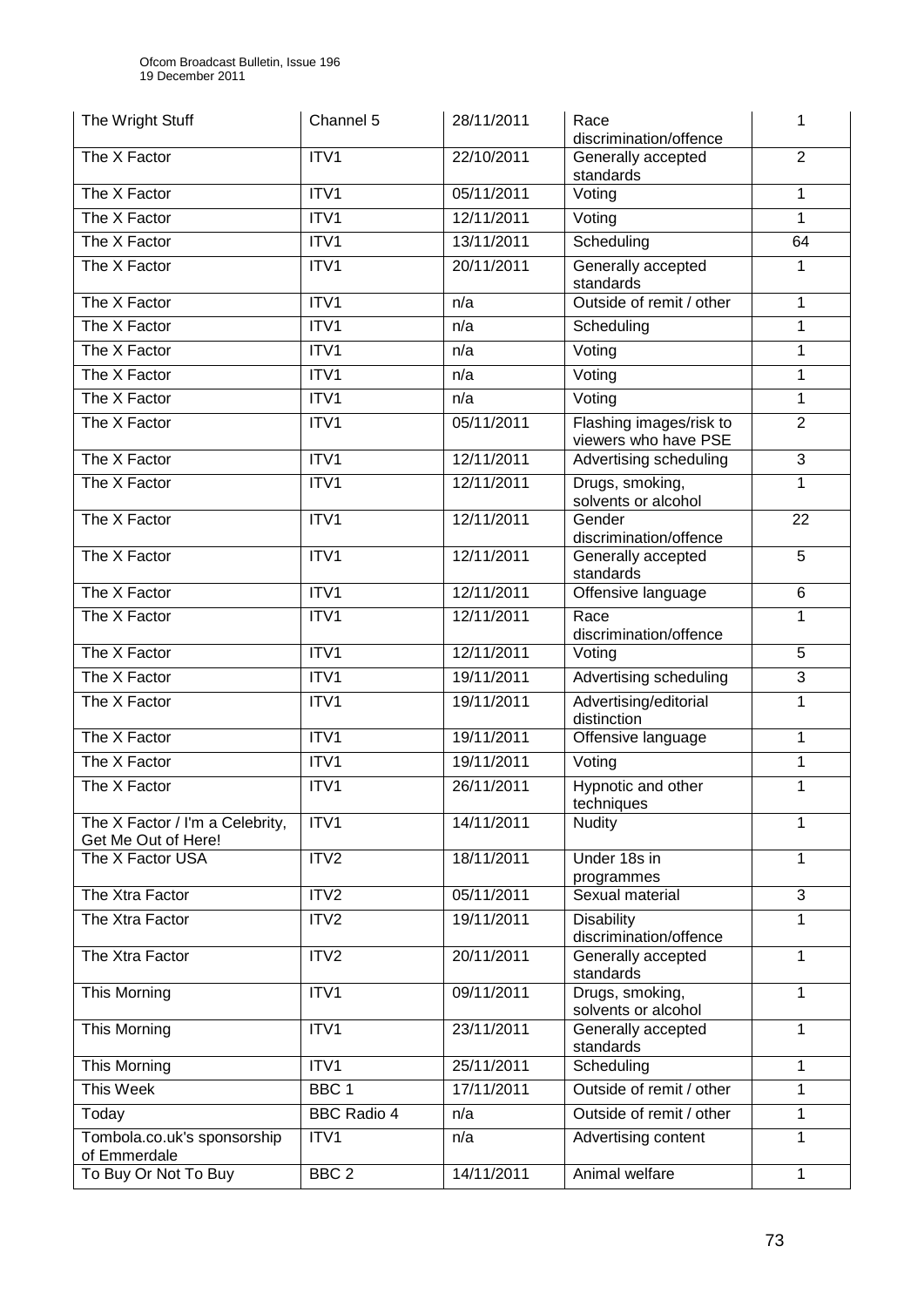| The Wright Stuff                                       | Channel 5          | 28/11/2011 | Race<br>discrimination/offence                  | 1              |
|--------------------------------------------------------|--------------------|------------|-------------------------------------------------|----------------|
| The X Factor                                           | ITV1               | 22/10/2011 | Generally accepted<br>standards                 | $\overline{2}$ |
| The X Factor                                           | ITV1               | 05/11/2011 | Voting                                          | 1              |
| The X Factor                                           | ITV1               | 12/11/2011 | Voting                                          | 1              |
| The X Factor                                           | ITV1               | 13/11/2011 | Scheduling                                      | 64             |
| The X Factor                                           | ITV1               | 20/11/2011 | Generally accepted<br>standards                 | 1              |
| The X Factor                                           | ITV1               | n/a        | Outside of remit / other                        | 1              |
| The X Factor                                           | ITV1               | n/a        | Scheduling                                      | 1              |
| The X Factor                                           | ITV1               | n/a        | Voting                                          | 1              |
| The X Factor                                           | ITV1               | n/a        | Voting                                          | 1              |
| The X Factor                                           | ITV1               | n/a        | Voting                                          | 1              |
| The X Factor                                           | ITV1               | 05/11/2011 | Flashing images/risk to<br>viewers who have PSE | $\overline{2}$ |
| The X Factor                                           | ITV1               | 12/11/2011 | Advertising scheduling                          | 3              |
| The X Factor                                           | ITV1               | 12/11/2011 | Drugs, smoking,<br>solvents or alcohol          | 1              |
| The X Factor                                           | ITV1               | 12/11/2011 | Gender<br>discrimination/offence                | 22             |
| The X Factor                                           | ITV1               | 12/11/2011 | Generally accepted<br>standards                 | 5              |
| The X Factor                                           | ITV1               | 12/11/2011 | Offensive language                              | $6\phantom{1}$ |
| The X Factor                                           | ITV1               | 12/11/2011 | Race<br>discrimination/offence                  | 1              |
| The X Factor                                           | ITV1               | 12/11/2011 | Voting                                          | 5              |
| The X Factor                                           | ITV1               | 19/11/2011 | Advertising scheduling                          | $\overline{3}$ |
| The X Factor                                           | ITV1               | 19/11/2011 | Advertising/editorial<br>distinction            | 1              |
| The X Factor                                           | ITV1               | 19/11/2011 | Offensive language                              | 1              |
| The X Factor                                           | ITV1               | 19/11/2011 | Voting                                          | 1              |
| The X Factor                                           | ITV1               | 26/11/2011 | Hypnotic and other<br>techniques                | 1              |
| The X Factor / I'm a Celebrity,<br>Get Me Out of Here! | ITV1               | 14/11/2011 | <b>Nudity</b>                                   | 1              |
| The X Factor USA                                       | ITV2               | 18/11/2011 | Under 18s in<br>1<br>programmes                 |                |
| The Xtra Factor                                        | ITV <sub>2</sub>   | 05/11/2011 | Sexual material                                 | $\overline{3}$ |
| The Xtra Factor                                        | ITV2               | 19/11/2011 | <b>Disability</b><br>discrimination/offence     | 1              |
| The Xtra Factor                                        | ITV2               | 20/11/2011 | Generally accepted<br>standards                 | 1              |
| This Morning                                           | ITV1               | 09/11/2011 | Drugs, smoking,<br>solvents or alcohol          | 1              |
| This Morning                                           | ITV1               | 23/11/2011 | Generally accepted<br>standards                 | 1              |
| This Morning                                           | ITV1               | 25/11/2011 | Scheduling                                      | 1              |
| This Week                                              | BBC <sub>1</sub>   | 17/11/2011 | Outside of remit / other                        | 1              |
| Today                                                  | <b>BBC Radio 4</b> | n/a        | Outside of remit / other                        | 1              |
| Tombola.co.uk's sponsorship<br>of Emmerdale            | ITV1               | n/a        | Advertising content                             | 1              |
| To Buy Or Not To Buy                                   | BBC <sub>2</sub>   | 14/11/2011 | Animal welfare<br>$\mathbf{1}$                  |                |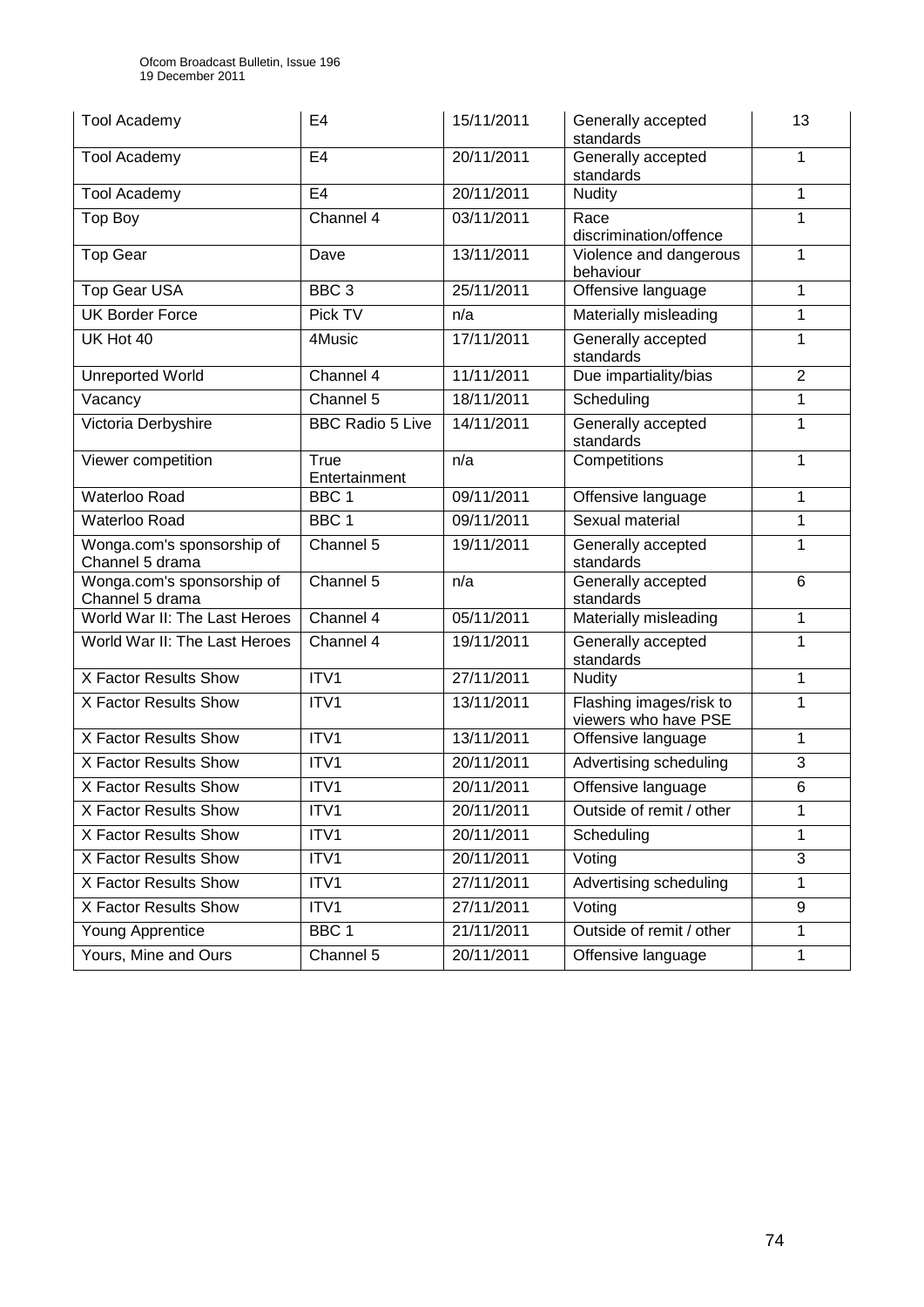| <b>Tool Academy</b>                           | E <sub>4</sub>          | 15/11/2011 | Generally accepted<br>standards                 | 13             |
|-----------------------------------------------|-------------------------|------------|-------------------------------------------------|----------------|
| <b>Tool Academy</b>                           | E <sub>4</sub>          | 20/11/2011 | Generally accepted<br>standards                 | 1              |
| <b>Tool Academy</b>                           | E4                      | 20/11/2011 | <b>Nudity</b>                                   | 1              |
| Top Boy                                       | Channel 4               | 03/11/2011 | Race<br>discrimination/offence                  | 1              |
| <b>Top Gear</b>                               | Dave                    | 13/11/2011 | Violence and dangerous<br>behaviour             | 1              |
| Top Gear USA                                  | BBC <sub>3</sub>        | 25/11/2011 | Offensive language                              | 1              |
| <b>UK Border Force</b>                        | Pick TV                 | n/a        | Materially misleading                           | 1              |
| UK Hot 40                                     | 4Music                  | 17/11/2011 | Generally accepted<br>standards                 | 1              |
| <b>Unreported World</b>                       | Channel $4$             | 11/11/2011 | Due impartiality/bias                           | $\overline{2}$ |
| Vacancy                                       | Channel 5               | 18/11/2011 | Scheduling                                      | 1              |
| Victoria Derbyshire                           | <b>BBC Radio 5 Live</b> | 14/11/2011 | Generally accepted<br>standards                 | 1              |
| Viewer competition                            | True<br>Entertainment   | n/a        | Competitions                                    | 1              |
| Waterloo Road                                 | BBC <sub>1</sub>        | 09/11/2011 | Offensive language                              | 1              |
| Waterloo Road                                 | BBC <sub>1</sub>        | 09/11/2011 | Sexual material                                 | 1              |
| Wonga.com's sponsorship of<br>Channel 5 drama | Channel 5               | 19/11/2011 | Generally accepted<br>standards                 | 1              |
| Wonga.com's sponsorship of<br>Channel 5 drama | Channel 5               | n/a        | Generally accepted<br>standards                 | 6              |
| World War II: The Last Heroes                 | Channel 4               | 05/11/2011 | Materially misleading                           | 1              |
| World War II: The Last Heroes                 | Channel 4               | 19/11/2011 | Generally accepted<br>standards                 | 1              |
| X Factor Results Show                         | ITV1                    | 27/11/2011 | <b>Nudity</b>                                   | 1              |
| X Factor Results Show                         | ITV1                    | 13/11/2011 | Flashing images/risk to<br>viewers who have PSE | 1              |
| X Factor Results Show                         | ITV1                    | 13/11/2011 | Offensive language                              | 1              |
| X Factor Results Show                         | ITV1                    | 20/11/2011 | Advertising scheduling                          | 3              |
| X Factor Results Show                         | ITV1                    | 20/11/2011 | Offensive language                              | 6              |
| X Factor Results Show                         | ITV1                    | 20/11/2011 | Outside of remit / other                        | 1              |
| X Factor Results Show                         | ITV1                    | 20/11/2011 | Scheduling                                      | 1              |
| X Factor Results Show                         | ITV1                    | 20/11/2011 | Voting                                          | 3              |
| X Factor Results Show                         | ITV1                    | 27/11/2011 | Advertising scheduling                          | $\mathbf{1}$   |
| <b>X Factor Results Show</b>                  | ITV1                    | 27/11/2011 | Voting                                          | 9              |
| Young Apprentice                              | BBC <sub>1</sub>        | 21/11/2011 | Outside of remit / other                        | 1              |
| Yours, Mine and Ours                          | Channel 5               | 20/11/2011 | Offensive language<br>1                         |                |